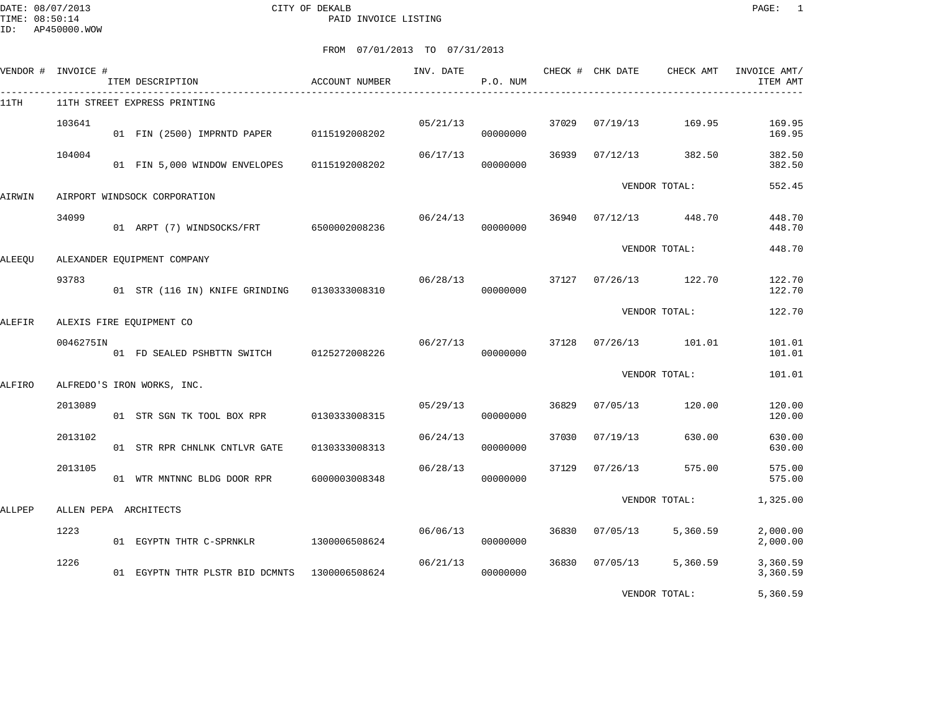|        | VENDOR # INVOICE # | ITEM DESCRIPTION                              | ACCOUNT NUMBER | INV. DATE | P.O. NUM |       | CHECK # CHK DATE | CHECK AMT     | INVOICE AMT/<br>ITEM AMT |
|--------|--------------------|-----------------------------------------------|----------------|-----------|----------|-------|------------------|---------------|--------------------------|
| 11TH   |                    | 11TH STREET EXPRESS PRINTING                  |                |           |          |       |                  |               |                          |
|        | 103641             | 01 FIN (2500) IMPRNTD PAPER 0115192008202     |                | 05/21/13  | 00000000 | 37029 | 07/19/13         | 169.95        | 169.95<br>169.95         |
|        | 104004             | 01 FIN 5,000 WINDOW ENVELOPES                 | 0115192008202  | 06/17/13  | 00000000 | 36939 | 07/12/13         | 382.50        | 382.50<br>382.50         |
| AIRWIN |                    | AIRPORT WINDSOCK CORPORATION                  |                |           |          |       |                  | VENDOR TOTAL: | 552.45                   |
|        | 34099              | 01 ARPT (7) WINDSOCKS/FRT 6500002008236       |                | 06/24/13  | 00000000 | 36940 | 07/12/13         | 448.70        | 448.70<br>448.70         |
| ALEEQU |                    | ALEXANDER EQUIPMENT COMPANY                   |                |           |          |       |                  | VENDOR TOTAL: | 448.70                   |
|        | 93783              | 01 STR (116 IN) KNIFE GRINDING 0130333008310  |                | 06/28/13  | 00000000 | 37127 | 07/26/13         | 122.70        | 122.70<br>122.70         |
| ALEFIR |                    | ALEXIS FIRE EQUIPMENT CO                      |                |           |          |       |                  | VENDOR TOTAL: | 122.70                   |
|        | 0046275IN          | 01 FD SEALED PSHBTTN SWITCH                   | 0125272008226  | 06/27/13  | 00000000 | 37128 | 07/26/13         | 101.01        | 101.01<br>101.01         |
| ALFIRO |                    | ALFREDO'S IRON WORKS, INC.                    |                |           |          |       |                  | VENDOR TOTAL: | 101.01                   |
|        | 2013089            | 01 STR SGN TK TOOL BOX RPR                    | 0130333008315  | 05/29/13  | 00000000 | 36829 | 07/05/13         | 120.00        | 120.00<br>120.00         |
|        | 2013102            | 01 STR RPR CHNLNK CNTLVR GATE                 | 0130333008313  | 06/24/13  | 00000000 | 37030 | 07/19/13         | 630.00        | 630.00<br>630.00         |
|        | 2013105            | 01 WTR MNTNNC BLDG DOOR RPR                   | 6000003008348  | 06/28/13  | 00000000 | 37129 | 07/26/13         | 575.00        | 575.00<br>575.00         |
| ALLPEP |                    | ALLEN PEPA ARCHITECTS                         |                |           |          |       |                  | VENDOR TOTAL: | 1,325.00                 |
|        | 1223               | 01 EGYPTN THTR C-SPRNKLR                      | 1300006508624  | 06/06/13  | 00000000 | 36830 | 07/05/13         | 5,360.59      | 2,000.00<br>2,000.00     |
|        | 1226               | 01 EGYPTN THTR PLSTR BID DCMNTS 1300006508624 |                | 06/21/13  | 00000000 | 36830 | 07/05/13         | 5,360.59      | 3,360.59<br>3,360.59     |
|        |                    |                                               |                |           |          |       |                  | VENDOR TOTAL: | 5,360.59                 |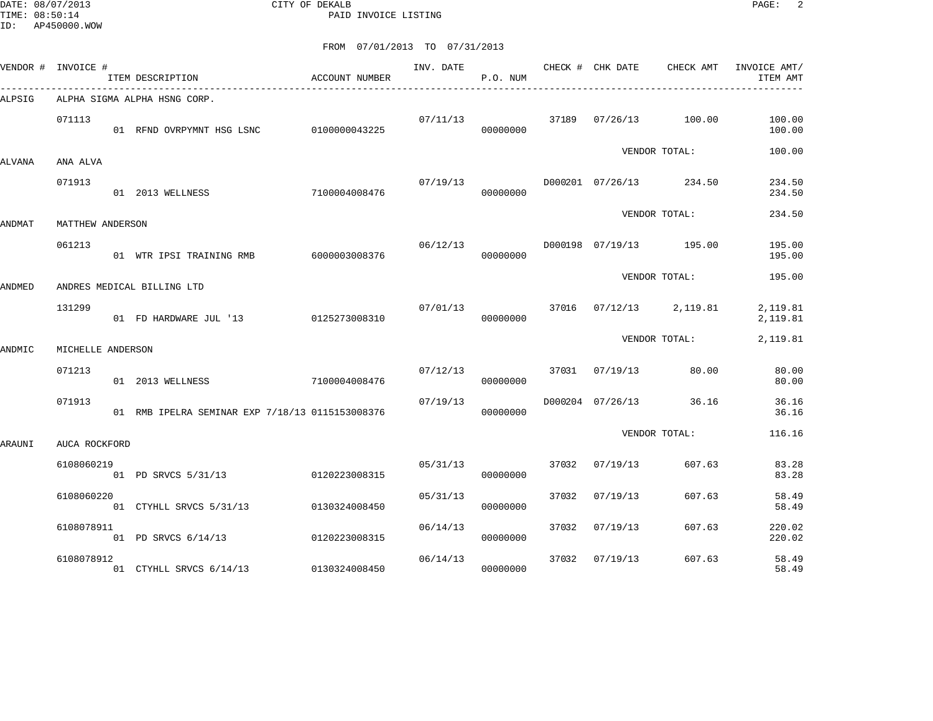DATE: 08/07/2013 CITY OF DEKALB PAGE: 2 PAID INVOICE LISTING

|        | VENDOR # INVOICE # | ITEM DESCRIPTION                                | ACCOUNT NUMBER | INV. DATE | P.O. NUM |       | CHECK # CHK DATE          | CHECK AMT     | INVOICE AMT/<br>ITEM AMT |
|--------|--------------------|-------------------------------------------------|----------------|-----------|----------|-------|---------------------------|---------------|--------------------------|
| ALPSIG |                    | ALPHA SIGMA ALPHA HSNG CORP.                    |                |           |          |       |                           |               |                          |
|        | 071113             | 01 RFND OVRPYMNT HSG LSNC 0100000043225         |                | 07/11/13  | 00000000 |       | 37189 07/26/13            | 100.00        | 100.00<br>100.00         |
| ALVANA | ANA ALVA           |                                                 |                |           |          |       |                           | VENDOR TOTAL: | 100.00                   |
|        | 071913             | 7100004008476<br>01 2013 WELLNESS               |                | 07/19/13  | 00000000 |       | D000201 07/26/13 234.50   |               | 234.50<br>234.50         |
| ANDMAT | MATTHEW ANDERSON   |                                                 |                |           |          |       |                           | VENDOR TOTAL: | 234.50                   |
|        | 061213             | 01 WTR IPSI TRAINING RMB                        | 6000003008376  | 06/12/13  | 00000000 |       | D000198 07/19/13 195.00   |               | 195.00<br>195.00         |
| ANDMED |                    | ANDRES MEDICAL BILLING LTD                      |                |           |          |       |                           | VENDOR TOTAL: | 195.00                   |
|        | 131299             | 01 FD HARDWARE JUL '13                          | 0125273008310  | 07/01/13  | 00000000 |       | 37016  07/12/13  2,119.81 |               | 2,119.81<br>2,119.81     |
| ANDMIC | MICHELLE ANDERSON  |                                                 |                |           |          |       |                           | VENDOR TOTAL: | 2,119.81                 |
|        | 071213             | 01 2013 WELLNESS                                | 7100004008476  | 07/12/13  | 00000000 | 37031 | 07/19/13                  | 80.00         | 80.00<br>80.00           |
|        | 071913             | 01 RMB IPELRA SEMINAR EXP 7/18/13 0115153008376 |                | 07/19/13  | 00000000 |       | D000204 07/26/13          | 36.16         | 36.16<br>36.16           |
| ARAUNI | AUCA ROCKFORD      |                                                 |                |           |          |       |                           | VENDOR TOTAL: | 116.16                   |
|        | 6108060219         | 01 PD SRVCS 5/31/13 0120223008315               |                | 05/31/13  | 00000000 | 37032 | 07/19/13                  | 607.63        | 83.28<br>83.28           |
|        | 6108060220         | 01 CTYHLL SRVCS 5/31/13                         | 0130324008450  | 05/31/13  | 00000000 | 37032 | 07/19/13                  | 607.63        | 58.49<br>58.49           |
|        | 6108078911         | 01 PD SRVCS 6/14/13                             | 0120223008315  | 06/14/13  | 00000000 | 37032 | 07/19/13                  | 607.63        | 220.02<br>220.02         |
|        | 6108078912         | 01 CTYHLL SRVCS 6/14/13 0130324008450           |                | 06/14/13  | 00000000 | 37032 | 07/19/13                  | 607.63        | 58.49<br>58.49           |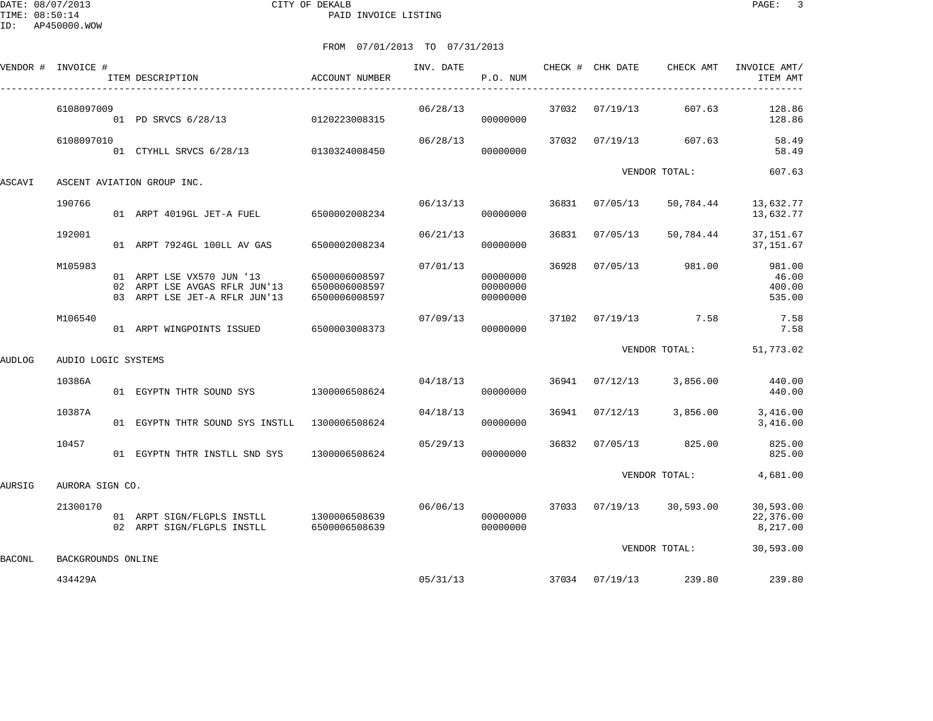DATE: 08/07/2013 CITY OF DEKALB PAGE: 3 PAID INVOICE LISTING

VENDOR # INVOICE # INVOICE # INVOICE AMT/

----------------------------------------------------------------------------------------------------------------------------------------------

ITEM DESCRIPTION ACCOUNT NUMBER P.O. NUM ITEM AMT

|               | 6108097009          |    | 01 PD SRVCS 6/28/13                                                                      | 0120223008315                                   | 06/28/13 | 00000000                         | 37032 | 07/19/13 | 607.63        | 128.86<br>128.86                    |
|---------------|---------------------|----|------------------------------------------------------------------------------------------|-------------------------------------------------|----------|----------------------------------|-------|----------|---------------|-------------------------------------|
|               | 6108097010          |    | 01 CTYHLL SRVCS 6/28/13                                                                  | 0130324008450                                   | 06/28/13 | 00000000                         | 37032 | 07/19/13 | 607.63        | 58.49<br>58.49                      |
| ASCAVI        |                     |    | ASCENT AVIATION GROUP INC.                                                               |                                                 |          |                                  |       |          | VENDOR TOTAL: | 607.63                              |
|               | 190766              |    | 01 ARPT 4019GL JET-A FUEL                                                                | 6500002008234                                   | 06/13/13 | 00000000                         | 36831 | 07/05/13 | 50,784.44     | 13,632.77<br>13,632.77              |
|               | 192001              |    | 01 ARPT 7924GL 100LL AV GAS                                                              | 6500002008234                                   | 06/21/13 | 00000000                         | 36831 | 07/05/13 | 50,784.44     | 37, 151.67<br>37, 151.67            |
|               | M105983             | 02 | 01 ARPT LSE VX570 JUN '13<br>ARPT LSE AVGAS RFLR JUN'13<br>03 ARPT LSE JET-A RFLR JUN'13 | 6500006008597<br>6500006008597<br>6500006008597 | 07/01/13 | 00000000<br>00000000<br>00000000 | 36928 | 07/05/13 | 981.00        | 981.00<br>46.00<br>400.00<br>535.00 |
|               | M106540             |    | 01 ARPT WINGPOINTS ISSUED                                                                | 6500003008373                                   | 07/09/13 | 00000000                         | 37102 | 07/19/13 | 7.58          | 7.58<br>7.58                        |
| AUDLOG        | AUDIO LOGIC SYSTEMS |    |                                                                                          |                                                 |          |                                  |       |          | VENDOR TOTAL: | 51,773.02                           |
|               |                     |    |                                                                                          |                                                 |          |                                  |       |          |               |                                     |
|               | 10386A              |    | 01 EGYPTN THTR SOUND SYS                                                                 | 1300006508624                                   | 04/18/13 | 00000000                         | 36941 | 07/12/13 | 3,856.00      | 440.00<br>440.00                    |
|               | 10387A              |    | 01 EGYPTN THTR SOUND SYS INSTLL                                                          | 1300006508624                                   | 04/18/13 | 00000000                         | 36941 | 07/12/13 | 3,856.00      | 3,416.00<br>3,416.00                |
|               | 10457               |    | 01 EGYPTN THTR INSTLL SND SYS                                                            | 1300006508624                                   | 05/29/13 | 00000000                         | 36832 | 07/05/13 | 825.00        | 825.00<br>825.00                    |
| AURSIG        | AURORA SIGN CO.     |    |                                                                                          |                                                 |          |                                  |       |          | VENDOR TOTAL: | 4,681.00                            |
|               | 21300170            |    | 01 ARPT SIGN/FLGPLS INSTLL<br>02 ARPT SIGN/FLGPLS INSTLL                                 | 1300006508639<br>6500006508639                  | 06/06/13 | 00000000<br>00000000             | 37033 | 07/19/13 | 30,593.00     | 30,593.00<br>22,376.00<br>8,217.00  |
| <b>BACONL</b> | BACKGROUNDS ONLINE  |    |                                                                                          |                                                 |          |                                  |       |          | VENDOR TOTAL: | 30,593.00                           |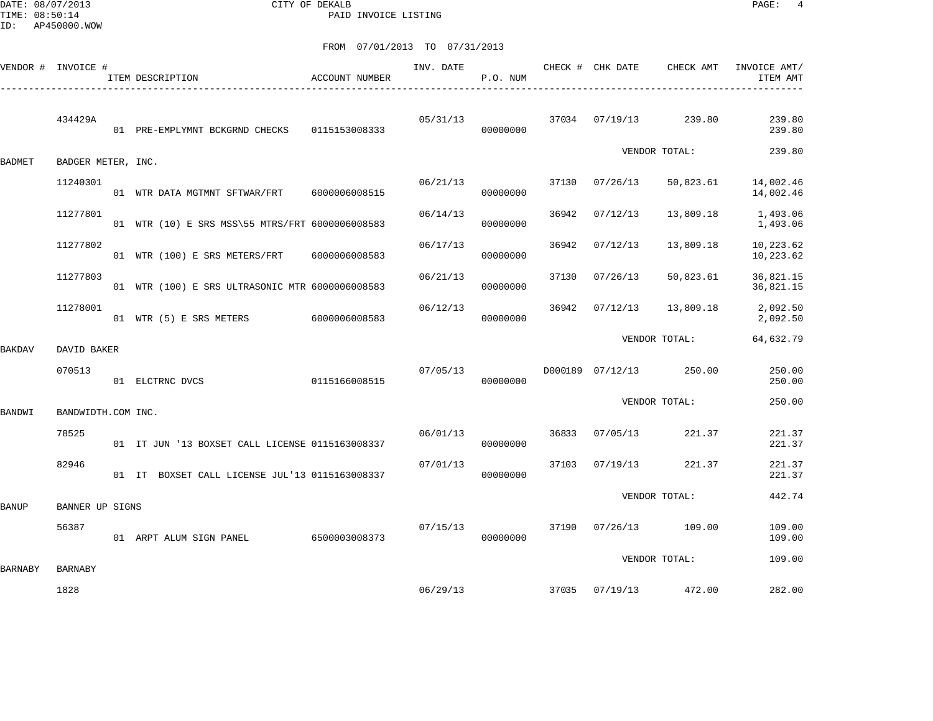DATE: 08/07/2013 CITY OF DEKALB PAGE: 4 PAID INVOICE LISTING

|                | VENDOR # INVOICE # | ITEM DESCRIPTION                                | ACCOUNT NUMBER | INV. DATE | P.O. NUM |       | CHECK # CHK DATE | CHECK AMT               | INVOICE AMT/<br>ITEM AMT |
|----------------|--------------------|-------------------------------------------------|----------------|-----------|----------|-------|------------------|-------------------------|--------------------------|
|                | 434429A            | 01 PRE-EMPLYMNT BCKGRND CHECKS 0115153008333    |                | 05/31/13  | 00000000 | 37034 |                  | 07/19/13 239.80         | 239.80<br>239.80         |
| <b>BADMET</b>  | BADGER METER, INC. |                                                 |                |           |          |       |                  | VENDOR TOTAL:           | 239.80                   |
|                | 11240301           | 01 WTR DATA MGTMNT SFTWAR/FRT 6000006008515     |                | 06/21/13  | 00000000 | 37130 | 07/26/13         | 50,823.61               | 14,002.46<br>14,002.46   |
|                | 11277801           | 01 WTR (10) E SRS MSS\55 MTRS/FRT 6000006008583 |                | 06/14/13  | 00000000 | 36942 | 07/12/13         | 13,809.18               | 1,493.06<br>1,493.06     |
|                | 11277802           | 01 WTR (100) E SRS METERS/FRT 6000006008583     |                | 06/17/13  | 00000000 | 36942 | 07/12/13         | 13,809.18               | 10,223.62<br>10,223.62   |
|                | 11277803           | 01 WTR (100) E SRS ULTRASONIC MTR 6000006008583 |                | 06/21/13  | 00000000 | 37130 | 07/26/13         | 50,823.61               | 36,821.15<br>36,821.15   |
|                | 11278001           | 01 WTR (5) E SRS METERS 6000006008583           |                | 06/12/13  | 00000000 | 36942 | 07/12/13         | 13,809.18               | 2,092.50<br>2,092.50     |
| BAKDAV         | DAVID BAKER        |                                                 |                |           |          |       |                  | VENDOR TOTAL:           | 64,632.79                |
|                | 070513             | 01 ELCTRNC DVCS 0115166008515                   |                | 07/05/13  | 00000000 |       |                  | D000189 07/12/13 250.00 | 250.00<br>250.00         |
| <b>BANDWI</b>  | BANDWIDTH.COM INC. |                                                 |                |           |          |       |                  | VENDOR TOTAL:           | 250.00                   |
|                | 78525              | 01 IT JUN '13 BOXSET CALL LICENSE 0115163008337 |                | 06/01/13  | 00000000 | 36833 | 07/05/13         | 221.37                  | 221.37<br>221.37         |
|                | 82946              | 01 IT BOXSET CALL LICENSE JUL'13 0115163008337  |                | 07/01/13  | 00000000 | 37103 | 07/19/13         | 221.37                  | 221.37<br>221.37         |
| <b>BANUP</b>   | BANNER UP SIGNS    |                                                 |                |           |          |       |                  | VENDOR TOTAL:           | 442.74                   |
|                | 56387              | 01 ARPT ALUM SIGN PANEL 6500003008373           |                | 07/15/13  | 00000000 | 37190 |                  | 07/26/13 109.00         | 109.00<br>109.00         |
| <b>BARNABY</b> | <b>BARNABY</b>     |                                                 |                |           |          |       |                  | VENDOR TOTAL:           | 109.00                   |
|                | 1828               |                                                 |                |           | 06/29/13 | 37035 |                  | 07/19/13 472.00         | 282.00                   |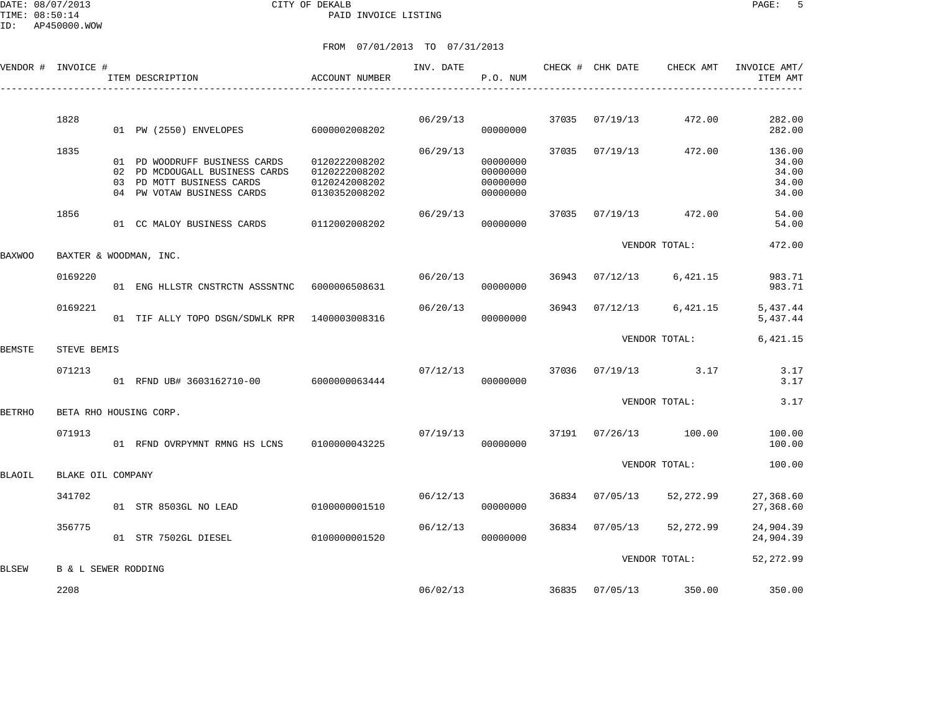DATE: 08/07/2013 CITY OF DEKALB PAGE: 5 PAID INVOICE LISTING

ID: AP450000.WOW

|        | VENDOR # INVOICE #             | ITEM DESCRIPTION                                                                                                           | ACCOUNT NUMBER                                                   | INV. DATE | P.O. NUM                                     |       | CHECK # CHK DATE | CHECK AMT     | INVOICE AMT/<br>ITEM AMT                   |
|--------|--------------------------------|----------------------------------------------------------------------------------------------------------------------------|------------------------------------------------------------------|-----------|----------------------------------------------|-------|------------------|---------------|--------------------------------------------|
|        |                                |                                                                                                                            |                                                                  |           |                                              |       |                  |               |                                            |
|        | 1828                           | 01 PW (2550) ENVELOPES                                                                                                     | 6000002008202                                                    | 06/29/13  | 00000000                                     | 37035 | 07/19/13         | 472.00        | 282.00<br>282.00                           |
|        | 1835                           | 01 PD WOODRUFF BUSINESS CARDS<br>02 PD MCDOUGALL BUSINESS CARDS<br>03 PD MOTT BUSINESS CARDS<br>04 PW VOTAW BUSINESS CARDS | 0120222008202<br>0120222008202<br>0120242008202<br>0130352008202 | 06/29/13  | 00000000<br>00000000<br>00000000<br>00000000 | 37035 | 07/19/13         | 472.00        | 136.00<br>34.00<br>34.00<br>34.00<br>34.00 |
|        | 1856                           | 01 CC MALOY BUSINESS CARDS                                                                                                 | 0112002008202                                                    | 06/29/13  | 00000000                                     | 37035 | 07/19/13         | 472.00        | 54.00<br>54.00                             |
| BAXWOO |                                | BAXTER & WOODMAN, INC.                                                                                                     |                                                                  |           |                                              |       |                  | VENDOR TOTAL: | 472.00                                     |
|        | 0169220                        | 01 ENG HLLSTR CNSTRCTN ASSSNTNC 6000006508631                                                                              |                                                                  | 06/20/13  | 00000000                                     | 36943 | 07/12/13         | 6,421.15      | 983.71<br>983.71                           |
|        | 0169221                        | 01 TIF ALLY TOPO DSGN/SDWLK RPR 1400003008316                                                                              |                                                                  | 06/20/13  | 00000000                                     | 36943 | 07/12/13         | 6,421.15      | 5,437.44<br>5,437.44                       |
| BEMSTE | STEVE BEMIS                    |                                                                                                                            |                                                                  |           |                                              |       |                  | VENDOR TOTAL: | 6,421.15                                   |
|        | 071213                         | 01 RFND UB# 3603162710-00 6000000063444                                                                                    |                                                                  | 07/12/13  | 00000000                                     | 37036 | 07/19/13         | 3.17          | 3.17<br>3.17                               |
| BETRHO |                                | BETA RHO HOUSING CORP.                                                                                                     |                                                                  |           |                                              |       |                  | VENDOR TOTAL: | 3.17                                       |
|        | 071913                         | 01 RFND OVRPYMNT RMNG HS LCNS                                                                                              | 0100000043225                                                    | 07/19/13  | 00000000                                     | 37191 | 07/26/13         | 100.00        | 100.00<br>100.00                           |
| BLAOIL | BLAKE OIL COMPANY              |                                                                                                                            |                                                                  |           |                                              |       |                  | VENDOR TOTAL: | 100.00                                     |
|        | 341702                         | 01 STR 8503GL NO LEAD                                                                                                      | 0100000001510                                                    | 06/12/13  | 00000000                                     | 36834 | 07/05/13         | 52,272.99     | 27,368.60<br>27,368.60                     |
|        | 356775                         | 01 STR 7502GL DIESEL                                                                                                       | 0100000001520                                                    | 06/12/13  | 00000000                                     | 36834 | 07/05/13         | 52,272.99     | 24,904.39<br>24,904.39                     |
| BLSEW  | <b>B &amp; L SEWER RODDING</b> |                                                                                                                            |                                                                  |           |                                              |       |                  | VENDOR TOTAL: | 52,272.99                                  |
|        | 2208                           |                                                                                                                            |                                                                  | 06/02/13  |                                              | 36835 | 07/05/13         | 350.00        | 350.00                                     |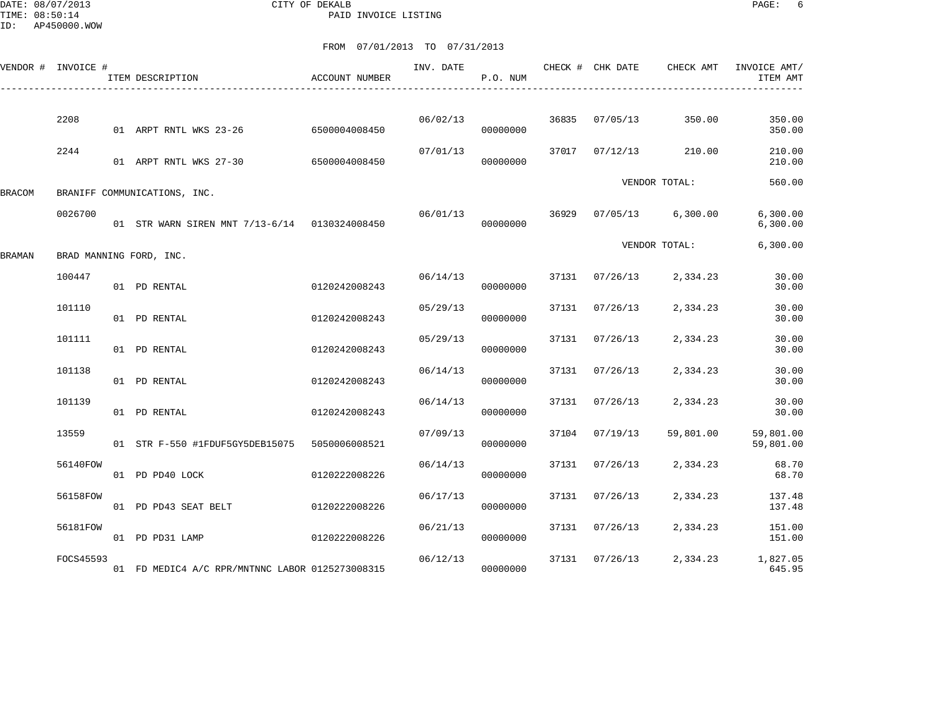DATE: 08/07/2013 CITY OF DEKALB PAGE: 6 PAID INVOICE LISTING

|        | VENDOR # INVOICE # | ITEM DESCRIPTION                                | <b>ACCOUNT NUMBER</b> | INV. DATE | P.O. NUM |       | CHECK # CHK DATE | CHECK AMT     | INVOICE AMT/<br>ITEM AMT |
|--------|--------------------|-------------------------------------------------|-----------------------|-----------|----------|-------|------------------|---------------|--------------------------|
|        | 2208               | 01 ARPT RNTL WKS 23-26                          | 6500004008450         | 06/02/13  | 00000000 | 36835 | 07/05/13         | 350.00        | 350.00<br>350.00         |
|        | 2244               | 01 ARPT RNTL WKS 27-30                          | 6500004008450         | 07/01/13  | 00000000 | 37017 | 07/12/13         | 210.00        | 210.00<br>210.00         |
| BRACOM |                    | BRANIFF COMMUNICATIONS, INC.                    |                       |           |          |       |                  | VENDOR TOTAL: | 560.00                   |
|        | 0026700            | 01 STR WARN SIREN MNT 7/13-6/14 0130324008450   |                       | 06/01/13  | 00000000 | 36929 | 07/05/13         | 6,300.00      | 6,300.00<br>6, 300.00    |
| BRAMAN |                    | BRAD MANNING FORD, INC.                         |                       |           |          |       |                  | VENDOR TOTAL: | 6, 300.00                |
|        | 100447             | 01 PD RENTAL                                    | 0120242008243         | 06/14/13  | 00000000 | 37131 | 07/26/13         | 2,334.23      | 30.00<br>30.00           |
|        | 101110             | 01 PD RENTAL                                    | 0120242008243         | 05/29/13  | 00000000 | 37131 | 07/26/13         | 2,334.23      | 30.00<br>30.00           |
|        | 101111             | 01 PD RENTAL                                    | 0120242008243         | 05/29/13  | 00000000 | 37131 | 07/26/13         | 2,334.23      | 30.00<br>30.00           |
|        | 101138             | 01 PD RENTAL                                    | 0120242008243         | 06/14/13  | 00000000 | 37131 | 07/26/13         | 2,334.23      | 30.00<br>30.00           |
|        | 101139             | 01 PD RENTAL                                    | 0120242008243         | 06/14/13  | 00000000 | 37131 | 07/26/13         | 2,334.23      | 30.00<br>30.00           |
|        | 13559              | 01 STR F-550 #1FDUF5GY5DEB15075                 | 5050006008521         | 07/09/13  | 00000000 | 37104 | 07/19/13         | 59,801.00     | 59,801.00<br>59,801.00   |
|        | 56140FOW           | 01 PD PD40 LOCK                                 | 0120222008226         | 06/14/13  | 00000000 | 37131 | 07/26/13         | 2,334.23      | 68.70<br>68.70           |
|        | 56158FOW           | 01 PD PD43 SEAT BELT                            | 0120222008226         | 06/17/13  | 00000000 | 37131 | 07/26/13         | 2,334.23      | 137.48<br>137.48         |
|        | 56181FOW           | 01 PD PD31 LAMP                                 | 0120222008226         | 06/21/13  | 00000000 | 37131 | 07/26/13         | 2,334.23      | 151.00<br>151.00         |
|        | FOCS45593          | 01 FD MEDIC4 A/C RPR/MNTNNC LABOR 0125273008315 |                       | 06/12/13  | 00000000 | 37131 | 07/26/13         | 2,334.23      | 1,827.05<br>645.95       |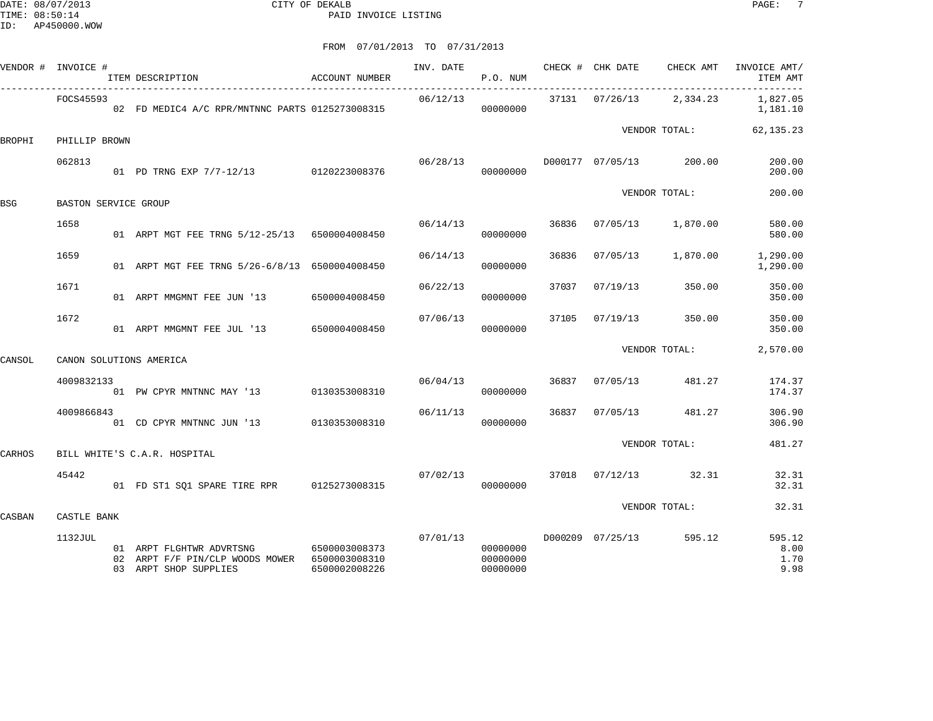DATE: 08/07/2013 CITY OF DEKALB PAGE: 7 PAID INVOICE LISTING

|        | VENDOR # INVOICE #          | ITEM DESCRIPTION                                                                                   | ACCOUNT NUMBER                 | INV. DATE | P.O. NUM                         |       | CHECK # CHK DATE CHECK AMT |               | INVOICE AMT/<br>ITEM AMT       |
|--------|-----------------------------|----------------------------------------------------------------------------------------------------|--------------------------------|-----------|----------------------------------|-------|----------------------------|---------------|--------------------------------|
|        | FOCS45593                   | 02 FD MEDIC4 A/C RPR/MNTNNC PARTS 0125273008315                                                    |                                | 06/12/13  | 00000000                         |       | 37131 07/26/13             | 2,334.23      | 1,827.05<br>1,181.10           |
| BROPHI | PHILLIP BROWN               |                                                                                                    |                                |           |                                  |       |                            | VENDOR TOTAL: | 62, 135.23                     |
|        | 062813                      | 01 PD TRNG EXP 7/7-12/13 0120223008376                                                             |                                | 06/28/13  | 00000000                         |       | D000177 07/05/13           | 200.00        | 200.00<br>200.00               |
| BSG    | <b>BASTON SERVICE GROUP</b> |                                                                                                    |                                |           |                                  |       |                            | VENDOR TOTAL: | 200.00                         |
|        | 1658                        | 01 ARPT MGT FEE TRNG 5/12-25/13 6500004008450                                                      |                                | 06/14/13  | 00000000                         | 36836 | 07/05/13                   | 1,870.00      | 580.00<br>580.00               |
|        | 1659                        | 01 ARPT MGT FEE TRNG 5/26-6/8/13 6500004008450                                                     |                                | 06/14/13  | 00000000                         | 36836 | 07/05/13                   | 1,870.00      | 1,290.00<br>1,290.00           |
|        | 1671                        | 01 ARPT MMGMNT FEE JUN '13                                                                         | 6500004008450                  | 06/22/13  | 00000000                         | 37037 | 07/19/13                   | 350.00        | 350.00<br>350.00               |
|        | 1672                        | 01 ARPT MMGMNT FEE JUL '13 6500004008450                                                           |                                | 07/06/13  | 00000000                         | 37105 | 07/19/13                   | 350.00        | 350.00<br>350.00               |
| CANSOL |                             | CANON SOLUTIONS AMERICA                                                                            |                                |           |                                  |       |                            | VENDOR TOTAL: | 2,570.00                       |
|        | 4009832133                  | 01 PW CPYR MNTNNC MAY '13                                                                          | 0130353008310                  | 06/04/13  | 00000000                         | 36837 | 07/05/13                   | 481.27        | 174.37<br>174.37               |
|        | 4009866843                  | 01 CD CPYR MNTNNC JUN '13 0130353008310                                                            |                                | 06/11/13  | 00000000                         | 36837 | 07/05/13                   | 481.27        | 306.90<br>306.90               |
| CARHOS |                             | BILL WHITE'S C.A.R. HOSPITAL                                                                       |                                |           |                                  |       |                            | VENDOR TOTAL: | 481.27                         |
|        | 45442                       |                                                                                                    |                                | 07/02/13  | 00000000                         |       | 37018 07/12/13             | 32.31         | 32.31<br>32.31                 |
| CASBAN | CASTLE BANK                 |                                                                                                    |                                |           |                                  |       |                            | VENDOR TOTAL: | 32.31                          |
|        | 1132JUL                     | 01 ARPT FLGHTWR ADVRTSNG<br>02 ARPT F/F PIN/CLP WOODS MOWER 6500003008310<br>03 ARPT SHOP SUPPLIES | 6500003008373<br>6500002008226 | 07/01/13  | 00000000<br>00000000<br>00000000 |       | D000209 07/25/13           | 595.12        | 595.12<br>8.00<br>1.70<br>9.98 |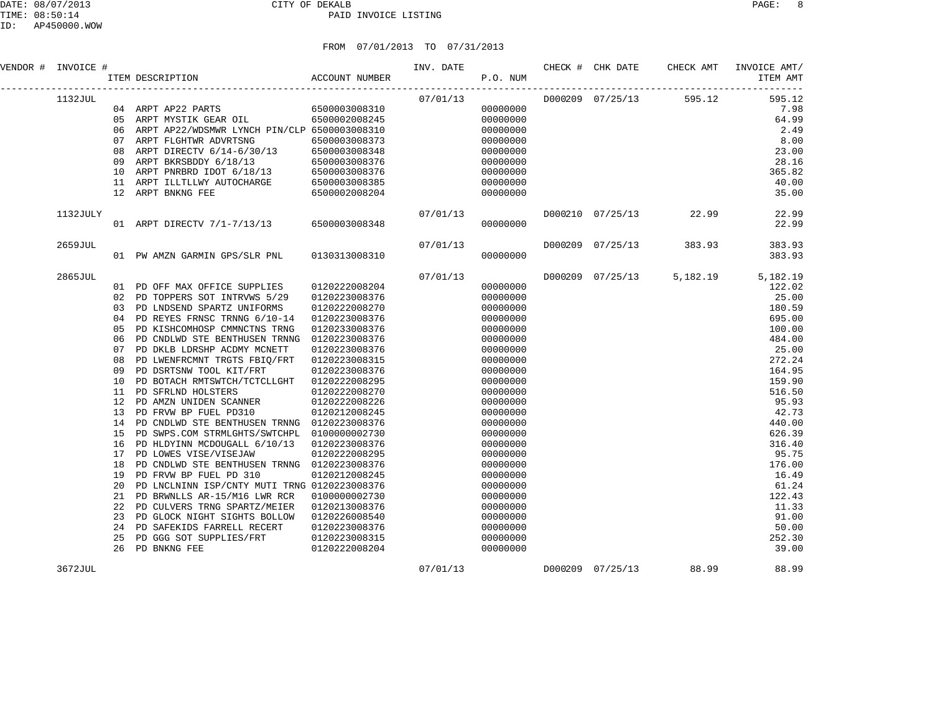| VENDOR # | INVOICE # |     |                                              |               | INV. DATE CHECK # CHK DATE<br>P.O. NUM |          |  | CHECK AMT                              | INVOICE AMT/<br>ITEM AMT |
|----------|-----------|-----|----------------------------------------------|---------------|----------------------------------------|----------|--|----------------------------------------|--------------------------|
|          | 1132JUL   |     |                                              |               |                                        |          |  | $07/01/13$ $D000209$ $07/25/13$ 595.12 | 595.12                   |
|          |           |     | 04 ARPT AP22 PARTS 6500003008310             |               |                                        | 00000000 |  |                                        | 7.98                     |
|          |           | 0.5 | ARPT MYSTIK GEAR OIL 6500002008245           |               |                                        | 00000000 |  |                                        | 64.99                    |
|          |           | 06  | ARPT AP22/WDSMWR LYNCH PIN/CLP 6500003008310 |               |                                        | 00000000 |  |                                        | 2.49                     |
|          |           | 07  | ARPT FLGHTWR ADVRTSNG                        | 6500003008373 |                                        | 00000000 |  |                                        | 8.00                     |
|          |           | 08  | ARPT DIRECTV 6/14-6/30/13                    | 6500003008348 |                                        | 00000000 |  |                                        | 23.00                    |
|          |           | 09  | ARPT BKRSBDDY 6/18/13                        | 6500003008376 |                                        | 00000000 |  |                                        | 28.16                    |
|          |           | 10  | ARPT PNRBRD IDOT 6/18/13                     | 6500003008376 |                                        | 00000000 |  |                                        | 365.82                   |
|          |           | 11  | ARPT ILLTLLWY AUTOCHARGE                     | 6500003008385 |                                        | 00000000 |  |                                        | 40.00                    |
|          |           | 12  | ARPT BNKNG FEE<br>6500002008204              |               |                                        | 00000000 |  |                                        | 35.00                    |
|          | 1132JULY  |     |                                              |               |                                        |          |  | 22.99                                  | 22.99                    |
|          |           |     | 01 ARPT DIRECTV 7/1-7/13/13 6500003008348    |               |                                        | 00000000 |  |                                        | 22.99                    |
|          | 2659JUL   |     |                                              |               |                                        | 07/01/13 |  | D000209 07/25/13 383.93                | 383.93                   |
|          |           |     | 01 PW AMZN GARMIN GPS/SLR PNL 0130313008310  |               | 00000000                               |          |  |                                        | 383.93                   |
|          | 2865JUL   |     |                                              |               |                                        |          |  | 5,182.19                               | 5,182.19                 |
|          |           | 01  | PD OFF MAX OFFICE SUPPLIES                   | 0120222008204 |                                        | 00000000 |  |                                        | 122.02                   |
|          |           | 02  | PD TOPPERS SOT INTRVWS 5/29                  | 0120223008376 |                                        | 00000000 |  |                                        | 25.00                    |
|          |           | 03  | PD LNDSEND SPARTZ UNIFORMS                   | 0120222008270 |                                        | 00000000 |  |                                        | 180.59                   |
|          |           | 04  | PD REYES FRNSC TRNNG 6/10-14                 | 0120223008376 |                                        | 00000000 |  |                                        | 695.00                   |
|          |           | 05  | PD KISHCOMHOSP CMMNCTNS TRNG                 | 0120233008376 |                                        | 00000000 |  |                                        | 100.00                   |
|          |           | 06  | PD CNDLWD STE BENTHUSEN TRNNG                | 0120223008376 |                                        | 00000000 |  |                                        | 484.00                   |
|          |           | 07  | PD DKLB LDRSHP ACDMY MCNETT                  | 0120223008376 |                                        | 00000000 |  |                                        | 25.00                    |
|          |           | 08  | PD LWENFRCMNT TRGTS FBIO/FRT                 | 0120223008315 |                                        | 00000000 |  |                                        | 272.24                   |
|          |           | 09  | PD DSRTSNW TOOL KIT/FRT                      | 0120223008376 |                                        | 00000000 |  |                                        | 164.95                   |
|          |           | 10  | PD BOTACH RMTSWTCH/TCTCLLGHT                 | 0120222008295 |                                        | 00000000 |  |                                        | 159.90                   |
|          |           | 11  | PD SFRLND HOLSTERS                           | 0120222008270 |                                        | 00000000 |  |                                        | 516.50                   |

 12 PD AMZN UNIDEN SCANNER 0120222008226 00000000 95.93 13 PD FRVW BP FUEL PD310 0120212008245 00000000 42.73 14 PD CNDLWD STE BENTHUSEN TRNNG 0120223008376 00000000 440.00 15 PD SWPS.COM STRMLGHTS/SWTCHPL 0100000002730 00000000 626.39 16 PD HLDYINN MCDOUGALL 6/10/13 0120223008376 00000000 316.40 17 PD LOWES VISE/VISEJAW 0120222008295 00000000 95.75 18 PD CNDLWD STE BENTHUSEN TRNNG 0120223008376 00000000 176.00 19 PD FRVW BP FUEL PD 310 0120212008245 00000000 16.49 20 PD LNCLNINN ISP/CNTY MUTI TRNG 0120223008376 00000000 61.24 21 PD BRWNLLS AR-15/M16 LWR RCR 0100000002730 00000000 122.43 22 PD CULVERS TRNG SPARTZ/MEIER 0120213008376 000000000 00000000 0000000 11.33 23 PD GLOCK NIGHT SIGHTS BOLLOW 0120226008540 00000000 91.00 24 PD SAFEKIDS FARRELL RECERT 0120223008376 00000000 50.00 25 PD GGG SOT SUPPLIES/FRT 0120223008315 00000000 252.30

3672JUL 07/01/13 D000209 07/25/13 88.99 88.99

26 PD BNKNG FEE 0120222008204 00000000 39.00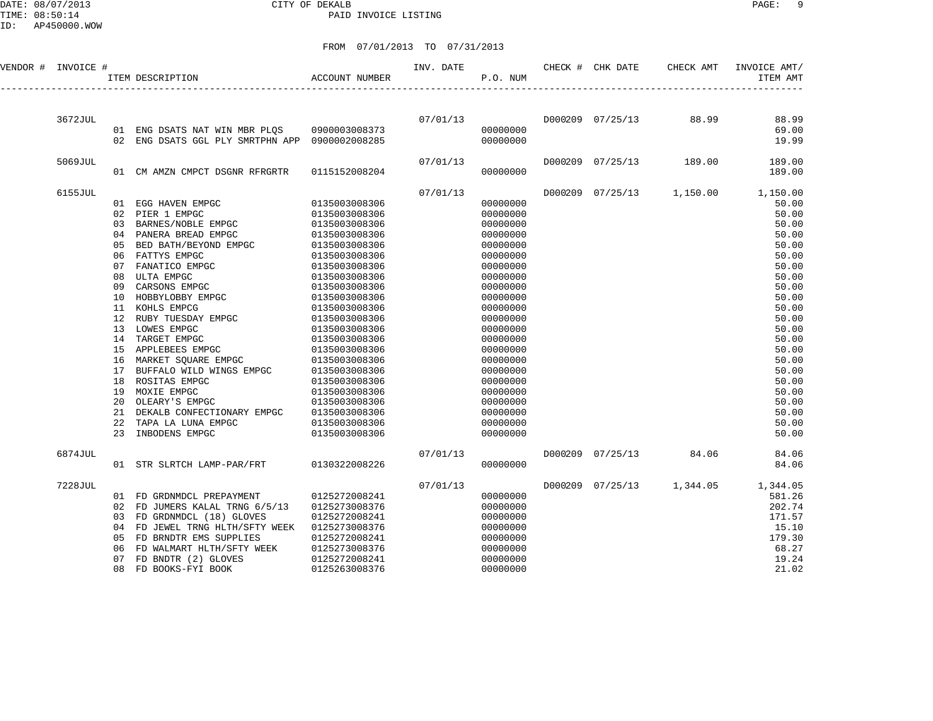#### DATE: 08/07/2013 CITY OF DEKALB PAGE: 9 PAID INVOICE LISTING

| VENDOR # INVOICE # |         |    | $$\uparrow$$ TTEM DESCRIPTION $$\sf ACCOUNT$$ NUMBER                                                                                                                                                                                   |                                 | INV. DATE<br>P.O. NUM |                      |  | CHECK # CHK DATE CHECK AMT | INVOICE AMT/<br>ITEM AMT           |
|--------------------|---------|----|----------------------------------------------------------------------------------------------------------------------------------------------------------------------------------------------------------------------------------------|---------------------------------|-----------------------|----------------------|--|----------------------------|------------------------------------|
|                    |         |    |                                                                                                                                                                                                                                        |                                 |                       |                      |  |                            |                                    |
|                    | 3672JUL |    |                                                                                                                                                                                                                                        |                                 |                       |                      |  |                            | 88.99                              |
|                    |         |    | 01 ENG DSATS NAT WIN MBR PLQS 0900003008373                                                                                                                                                                                            |                                 |                       | 00000000             |  |                            | 69.00                              |
|                    |         |    | 02 ENG DSATS GGL PLY SMRTPHN APP 0900002008285                                                                                                                                                                                         |                                 |                       | 00000000             |  |                            | 19.99                              |
|                    | 5069JUL |    |                                                                                                                                                                                                                                        |                                 | 07/01/13              |                      |  | D000209 07/25/13 189.00    | 189.00                             |
|                    |         |    | 01 CM AMZN CMPCT DSGNR RFRGRTR                                                                                                                                                                                                         | 0115152008204                   |                       | 00000000             |  |                            | 189.00                             |
|                    | 6155JUL |    |                                                                                                                                                                                                                                        |                                 | 07/01/13              |                      |  |                            | D000209 07/25/13 1,150.00 1,150.00 |
|                    |         |    | 01 EGG HAVEN EMPGC 0135003008306                                                                                                                                                                                                       |                                 |                       | 00000000             |  |                            | 50.00                              |
|                    |         |    | 02 PIER 1 EMPGC 0135003008306<br>03 BARNES/NOBLE EMPGC 0135003008306                                                                                                                                                                   |                                 |                       | 00000000             |  |                            | 50.00                              |
|                    |         |    |                                                                                                                                                                                                                                        |                                 |                       | 00000000             |  |                            | 50.00                              |
|                    |         |    | 04 PANERA BREAD EMPGC 0135003008306                                                                                                                                                                                                    |                                 |                       | 00000000             |  |                            | 50.00                              |
|                    |         |    |                                                                                                                                                                                                                                        |                                 |                       | 00000000             |  |                            | 50.00                              |
|                    |         |    |                                                                                                                                                                                                                                        |                                 |                       | 00000000             |  |                            | 50.00                              |
|                    |         |    |                                                                                                                                                                                                                                        |                                 |                       | 00000000             |  |                            | 50.00                              |
|                    |         |    |                                                                                                                                                                                                                                        |                                 |                       | 00000000             |  |                            | 50.00                              |
|                    |         |    |                                                                                                                                                                                                                                        |                                 |                       | 00000000             |  |                            | 50.00                              |
|                    |         |    |                                                                                                                                                                                                                                        |                                 |                       | 00000000<br>00000000 |  |                            | 50.00<br>50.00                     |
|                    |         |    |                                                                                                                                                                                                                                        |                                 |                       | 00000000             |  |                            | 50.00                              |
|                    |         |    |                                                                                                                                                                                                                                        |                                 |                       | 00000000             |  |                            | 50.00                              |
|                    |         |    | $\begin{tabular}{lllllllllll} 13 & LOWES & EMPGC & & & & 0135003008306 \\ 14 & TARGET & EMPGC & & & 0135003008306 \\ 15 & APPLEBEES & EMPGC & & & 0135003008306 \\ 16 & MARKET & SQUAREE & EMPGC & & & 0135003008306 \\ \end{tabular}$ |                                 |                       | 00000000             |  |                            | 50.00                              |
|                    |         |    |                                                                                                                                                                                                                                        |                                 |                       | 00000000             |  |                            | 50.00                              |
|                    |         |    |                                                                                                                                                                                                                                        |                                 |                       | 00000000             |  |                            | 50.00                              |
|                    |         |    |                                                                                                                                                                                                                                        | 0135003008306                   |                       | 00000000             |  |                            | 50.00                              |
|                    |         |    | 17 BUFFALO WILD WINGS EMPGC<br>18 ROSITAS EMPGC<br>18 ROSITAS EMPGC                                                                                                                                                                    | 0135003008306                   |                       | 00000000             |  |                            | 50.00                              |
|                    |         |    | 19 MOXIE EMPGC                                                                                                                                                                                                                         | $0135003008306$ $0135003008306$ |                       | 00000000             |  |                            | 50.00                              |
|                    |         | 20 | OLEARY'S EMPGC                                                                                                                                                                                                                         |                                 |                       | 00000000             |  |                            | 50.00                              |
|                    |         |    | 21 DEKALB CONFECTIONARY EMPGC 0135003008306                                                                                                                                                                                            |                                 |                       | 00000000             |  |                            | 50.00                              |
|                    |         | 22 | TAPA LA LUNA EMPGC                                                                                                                                                                                                                     | 0135003008306                   |                       | 00000000             |  |                            | 50.00                              |
|                    |         | 23 | INBODENS EMPGC                                                                                                                                                                                                                         | 0135003008306                   |                       | 00000000             |  |                            | 50.00                              |
|                    | 6874JUL |    |                                                                                                                                                                                                                                        |                                 | 07/01/13              |                      |  | D000209 07/25/13 84.06     | 84.06                              |
|                    |         |    | 01 STR SLRTCH LAMP-PAR/FRT 0130322008226                                                                                                                                                                                               |                                 |                       | 00000000             |  |                            | 84.06                              |
|                    | 7228JUL |    |                                                                                                                                                                                                                                        |                                 | 07/01/13              |                      |  |                            | D000209 07/25/13 1,344.05 1,344.05 |
|                    |         |    | 01 FD GRDNMDCL PREPAYMENT 0125272008241                                                                                                                                                                                                |                                 |                       | 00000000             |  |                            | 581.26                             |
|                    |         |    | 02 FD JUMERS KALAL TRNG 6/5/13                                                                                                                                                                                                         | 0125273008376                   |                       | 00000000             |  |                            | 202.74                             |
|                    |         |    | 03 FD GRDNMDCL (18) GLOVES                                                                                                                                                                                                             | 0125272008241                   |                       | 00000000             |  |                            | 171.57                             |
|                    |         | 04 | FD JEWEL TRNG HLTH/SFTY WEEK                                                                                                                                                                                                           | 0125273008376                   |                       | 00000000             |  |                            | 15.10                              |
|                    |         | 05 | FD BRNDTR EMS SUPPLIES                                                                                                                                                                                                                 | 0125272008241                   |                       | 00000000             |  |                            | 179.30                             |
|                    |         | 06 | FD WALMART HLTH/SFTY WEEK                                                                                                                                                                                                              | 0125273008376                   |                       | 00000000             |  |                            | 68.27                              |
|                    |         | 07 | FD BNDTR (2) GLOVES                                                                                                                                                                                                                    | 0125272008241                   |                       | 00000000             |  |                            | 19.24                              |
|                    |         | 08 | FD BOOKS-FYI BOOK                                                                                                                                                                                                                      | 0125263008376                   |                       | 00000000             |  |                            | 21.02                              |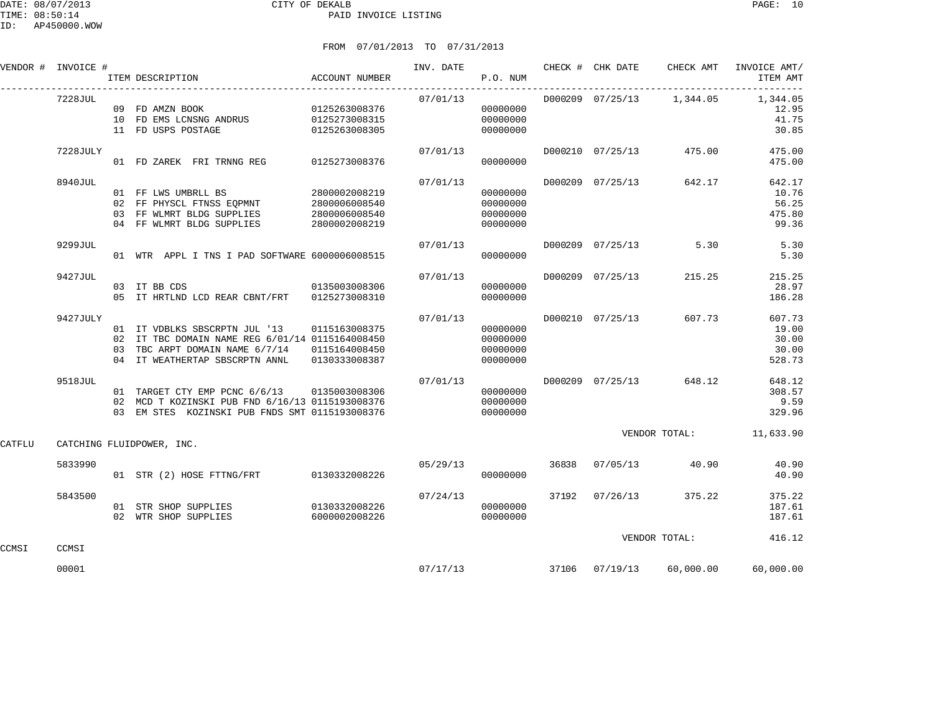|        | VENDOR # INVOICE # | ACCOUNT NUMBER<br>ITEM DESCRIPTION                                                                                                                                               |                                |          | P.O. NUM                                     |       |                  |                            | INV. DATE 60 CHECK # CHK DATE CHECK AMT INVOICE AMT/<br>ITEM AMT           |
|--------|--------------------|----------------------------------------------------------------------------------------------------------------------------------------------------------------------------------|--------------------------------|----------|----------------------------------------------|-------|------------------|----------------------------|----------------------------------------------------------------------------|
|        | 7228JUL            | 09 FD AMZN BOOK<br>10 FD EMS LCNSNG ANDRUS 0125273008315<br>11 FD USPS POSTAGE                                                                                                   | 0125263008376<br>0125263008305 |          | 00000000<br>00000000<br>00000000             |       |                  |                            | $07/01/13$ D000209 $07/25/13$ 1,344.05 1,344.05<br>12.95<br>41.75<br>30.85 |
|        | 7228JULY           | 01 FD ZAREK FRI TRNNG REG 0125273008376                                                                                                                                          |                                | 07/01/13 | 00000000                                     |       |                  | D000210 07/25/13 475.00    | 475.00<br>475.00                                                           |
|        | 8940JUL            | 01 FF LWS UMBRLL BS 2800002008219<br>02 FF PHYSCL FTNSS EQPMNT 2800006008540<br>03 FF WLMRT BLDG SUPPLIES 2800006008540<br>04 FF WLMRT BLDG SUPPLIES 2800002008219               |                                | 07/01/13 | 00000000<br>00000000<br>00000000<br>00000000 |       | D000209 07/25/13 | 642.17                     | 642.17<br>10.76<br>56.25<br>475.80<br>99.36                                |
|        | 9299JUL            | 01 WTR APPL I TNS I PAD SOFTWARE 6000006008515                                                                                                                                   |                                | 07/01/13 | 00000000                                     |       |                  | D000209 07/25/13 5.30      | 5.30<br>5.30                                                               |
|        | 9427JUL            | 03 IT BB CDS<br>05 IT HRTLND LCD REAR CBNT/FRT 0125273008310                                                                                                                     | 0135003008306                  | 07/01/13 | 00000000<br>00000000                         |       | D000209 07/25/13 | 215.25                     | 215.25<br>28.97<br>186.28                                                  |
|        | 9427JULY           | 01 IT VDBLKS SBSCRPTN JUL '13 0115163008375<br>02 IT TBC DOMAIN NAME REG 6/01/14 0115164008450<br>03 TBC ARPT DOMAIN NAME 6/7/14 0115164008450<br>04 IT WEATHERTAP SBSCRPTN ANNL | 0130333008387                  | 07/01/13 | 00000000<br>00000000<br>00000000<br>00000000 |       | D000210 07/25/13 | 607.73                     | 607.73<br>19.00<br>30.00<br>30.00<br>528.73                                |
|        | 9518JUL            | 01 TARGET CTY EMP PCNC 6/6/13 0135003008306<br>02 MCD T KOZINSKI PUB FND 6/16/13 0115193008376<br>03 EM STES KOZINSKI PUB FNDS SMT 0115193008376                                 |                                | 07/01/13 | 00000000<br>00000000<br>00000000             |       |                  | D000209 07/25/13 648.12    | 648.12<br>308.57<br>9.59<br>329.96                                         |
| CATFLU |                    | CATCHING FLUIDPOWER, INC.                                                                                                                                                        |                                |          |                                              |       |                  | VENDOR TOTAL:              | 11,633.90                                                                  |
|        | 5833990            | 01 STR (2) HOSE FTTNG/FRT 0130332008226                                                                                                                                          |                                | 05/29/13 | 00000000                                     | 36838 |                  | 07/05/13 40.90             | 40.90<br>40.90                                                             |
|        | 5843500            | 01 STR SHOP SUPPLIES 0130332008226<br>02 WTR SHOP SUPPLIES                                                                                                                       | 6000002008226                  | 07/24/13 | 00000000<br>00000000                         |       | 37192 07/26/13   | 375.22                     | 375.22<br>187.61<br>187.61                                                 |
| CCMSI  | CCMSI              |                                                                                                                                                                                  |                                |          |                                              |       |                  | VENDOR TOTAL:              | 416.12                                                                     |
|        | 00001              |                                                                                                                                                                                  |                                |          | 07/17/13                                     |       |                  | 37106  07/19/13  60,000.00 | 60,000.00                                                                  |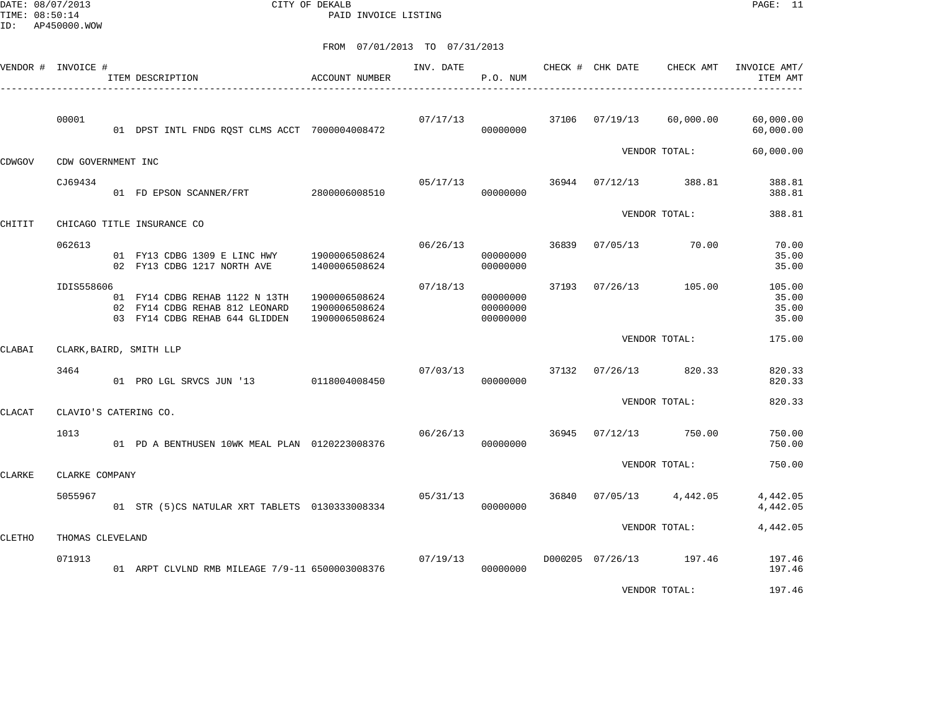DATE: 08/07/2013 CITY OF DEKALB PAGE: 11 PAID INVOICE LISTING

|        | VENDOR # INVOICE # | ITEM DESCRIPTION                                                                                   | ACCOUNT NUMBER                                  | INV. DATE | P.O. NUM                         |       | CHECK # CHK DATE        | CHECK AMT     | INVOICE AMT/<br>ITEM AMT          |
|--------|--------------------|----------------------------------------------------------------------------------------------------|-------------------------------------------------|-----------|----------------------------------|-------|-------------------------|---------------|-----------------------------------|
|        | 00001              | 01 DPST INTL FNDG RQST CLMS ACCT 7000004008472                                                     |                                                 | 07/17/13  | 00000000                         |       | 37106 07/19/13          | 60,000.00     | 60,000.00<br>60,000.00            |
| CDWGOV | CDW GOVERNMENT INC |                                                                                                    |                                                 |           |                                  |       |                         | VENDOR TOTAL: | 60,000.00                         |
|        | CJ69434            | 01 FD EPSON SCANNER/FRT 2800006008510                                                              |                                                 | 05/17/13  | 00000000                         |       | 36944 07/12/13          | 388.81        | 388.81<br>388.81                  |
| CHITIT |                    | CHICAGO TITLE INSURANCE CO                                                                         |                                                 |           |                                  |       |                         | VENDOR TOTAL: | 388.81                            |
|        | 062613             | 01 FY13 CDBG 1309 E LINC HWY 1900006508624<br>02 FY13 CDBG 1217 NORTH AVE                          | 1400006508624                                   | 06/26/13  | 00000000<br>00000000             | 36839 | 07/05/13                | 70.00         | 70.00<br>35.00<br>35.00           |
|        | IDIS558606         | 01 FY14 CDBG REHAB 1122 N 13TH<br>02 FY14 CDBG REHAB 812 LEONARD<br>03 FY14 CDBG REHAB 644 GLIDDEN | 1900006508624<br>1900006508624<br>1900006508624 | 07/18/13  | 00000000<br>00000000<br>00000000 | 37193 | 07/26/13 105.00         |               | 105.00<br>35.00<br>35.00<br>35.00 |
| CLABAI |                    | CLARK, BAIRD, SMITH LLP                                                                            |                                                 |           |                                  |       |                         | VENDOR TOTAL: | 175.00                            |
|        | 3464               | 01 PRO LGL SRVCS JUN '13 0118004008450                                                             |                                                 | 07/03/13  | 00000000                         |       | 37132 07/26/13 820.33   |               | 820.33<br>820.33                  |
| CLACAT |                    | CLAVIO'S CATERING CO.                                                                              |                                                 |           |                                  |       |                         | VENDOR TOTAL: | 820.33                            |
|        | 1013               | 01 PD A BENTHUSEN 10WK MEAL PLAN 0120223008376                                                     |                                                 | 06/26/13  | 00000000                         | 36945 | 07/12/13 750.00         |               | 750.00<br>750.00                  |
| CLARKE | CLARKE COMPANY     |                                                                                                    |                                                 |           |                                  |       |                         | VENDOR TOTAL: | 750.00                            |
|        | 5055967            | 01 STR (5)CS NATULAR XRT TABLETS 0130333008334                                                     |                                                 | 05/31/13  | 00000000                         | 36840 | $07/05/13$ 4,442.05     |               | 4,442.05<br>4,442.05              |
| CLETHO | THOMAS CLEVELAND   |                                                                                                    |                                                 |           |                                  |       |                         | VENDOR TOTAL: | 4,442.05                          |
|        | 071913             | 01 ARPT CLVLND RMB MILEAGE 7/9-11 6500003008376                                                    |                                                 | 07/19/13  | 00000000                         |       | D000205 07/26/13 197.46 |               | 197.46<br>197.46                  |
|        |                    |                                                                                                    |                                                 |           |                                  |       |                         | VENDOR TOTAL: | 197.46                            |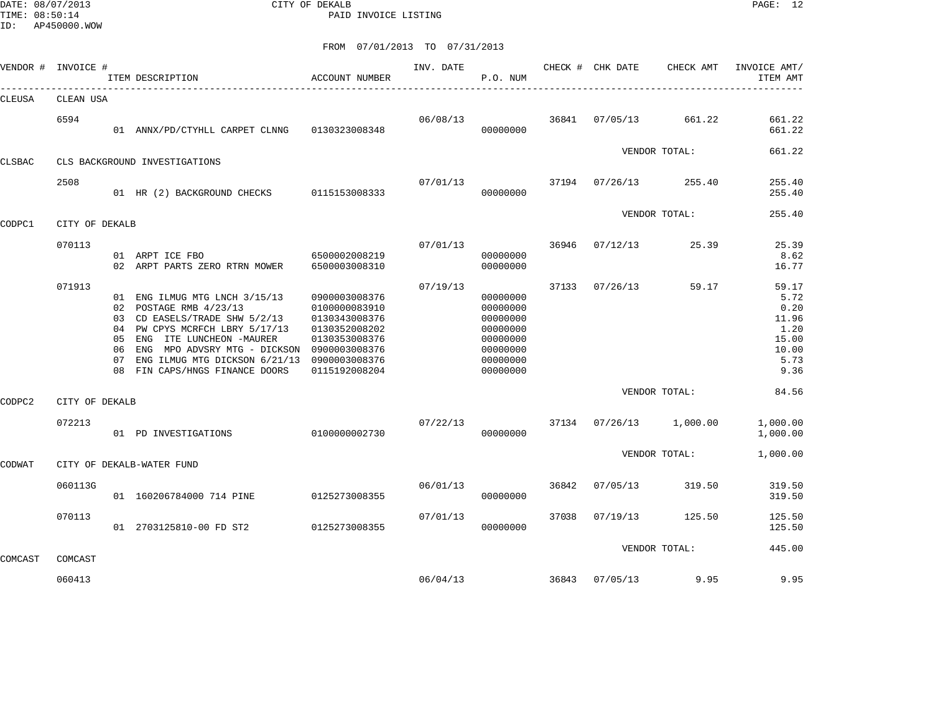DATE: 08/07/2013 CITY OF DEKALB PAGE: 12 PAID INVOICE LISTING

|         | VENDOR # INVOICE # |    | ITEM DESCRIPTION                                                                                                                                                                                                                                                              | <b>ACCOUNT NUMBER</b>                                                                                               | INV. DATE | P.O. NUM                                                                                     |       | CHECK # CHK DATE | CHECK AMT               | INVOICE AMT/<br>ITEM AMT                                                 |
|---------|--------------------|----|-------------------------------------------------------------------------------------------------------------------------------------------------------------------------------------------------------------------------------------------------------------------------------|---------------------------------------------------------------------------------------------------------------------|-----------|----------------------------------------------------------------------------------------------|-------|------------------|-------------------------|--------------------------------------------------------------------------|
| CLEUSA  | CLEAN USA          |    |                                                                                                                                                                                                                                                                               |                                                                                                                     |           |                                                                                              |       |                  |                         |                                                                          |
|         | 6594               |    | 01 ANNX/PD/CTYHLL CARPET CLNNG                                                                                                                                                                                                                                                | 0130323008348                                                                                                       | 06/08/13  | 00000000                                                                                     | 36841 | 07/05/13         | 661.22                  | 661.22<br>661.22                                                         |
| CLSBAC  |                    |    | CLS BACKGROUND INVESTIGATIONS                                                                                                                                                                                                                                                 |                                                                                                                     |           |                                                                                              |       |                  | VENDOR TOTAL:           | 661.22                                                                   |
|         | 2508               |    | 01 HR (2) BACKGROUND CHECKS 0115153008333                                                                                                                                                                                                                                     |                                                                                                                     | 07/01/13  | 00000000                                                                                     | 37194 |                  | $07/26/13$ 255.40       | 255.40<br>255.40                                                         |
| CODPC1  | CITY OF DEKALB     |    |                                                                                                                                                                                                                                                                               |                                                                                                                     |           |                                                                                              |       |                  | VENDOR TOTAL:           | 255.40                                                                   |
|         | 070113             |    | 01 ARPT ICE FBO<br>02 ARPT PARTS ZERO RTRN MOWER                                                                                                                                                                                                                              | 6500002008219<br>6500003008310                                                                                      | 07/01/13  | 00000000<br>00000000                                                                         | 36946 | 07/12/13         | 25.39                   | 25.39<br>8.62<br>16.77                                                   |
|         | 071913             | 06 | 01 ENG ILMUG MTG LNCH 3/15/13<br>02 POSTAGE RMB 4/23/13<br>03 CD EASELS/TRADE SHW 5/2/13<br>04 PW CPYS MCRFCH LBRY 5/17/13<br>05 ENG ITE LUNCHEON -MAURER<br>ENG MPO ADVSRY MTG - DICKSON 0900003008376<br>07 ENG ILMUG MTG DICKSON 6/21/13<br>08 FIN CAPS/HNGS FINANCE DOORS | 0900003008376<br>0100000083910<br>0130343008376<br>0130352008202<br>0130353008376<br>0900003008376<br>0115192008204 | 07/19/13  | 00000000<br>00000000<br>00000000<br>00000000<br>00000000<br>00000000<br>00000000<br>00000000 | 37133 | 07/26/13         | 59.17                   | 59.17<br>5.72<br>0.20<br>11.96<br>1.20<br>15.00<br>10.00<br>5.73<br>9.36 |
| CODPC2  | CITY OF DEKALB     |    |                                                                                                                                                                                                                                                                               |                                                                                                                     |           |                                                                                              |       |                  | VENDOR TOTAL:           | 84.56                                                                    |
|         | 072213             |    | 01 PD INVESTIGATIONS                                                                                                                                                                                                                                                          | 0100000002730                                                                                                       | 07/22/13  | 00000000                                                                                     |       |                  | 37134 07/26/13 1,000.00 | 1,000.00<br>1,000.00                                                     |
| CODWAT  |                    |    | CITY OF DEKALB-WATER FUND                                                                                                                                                                                                                                                     |                                                                                                                     |           |                                                                                              |       |                  | VENDOR TOTAL:           | 1,000.00                                                                 |
|         | 060113G            |    | 01 160206784000 714 PINE                                                                                                                                                                                                                                                      | 0125273008355                                                                                                       | 06/01/13  | 00000000                                                                                     | 36842 | 07/05/13         | 319.50                  | 319.50<br>319.50                                                         |
|         | 070113             |    | 01 2703125810-00 FD ST2                                                                                                                                                                                                                                                       | 0125273008355                                                                                                       | 07/01/13  | 00000000                                                                                     | 37038 | 07/19/13         | 125.50                  | 125.50<br>125.50                                                         |
| COMCAST | COMCAST            |    |                                                                                                                                                                                                                                                                               |                                                                                                                     |           |                                                                                              |       |                  | VENDOR TOTAL:           | 445.00                                                                   |
|         | 060413             |    |                                                                                                                                                                                                                                                                               |                                                                                                                     | 06/04/13  |                                                                                              | 36843 | 07/05/13         | 9.95                    | 9.95                                                                     |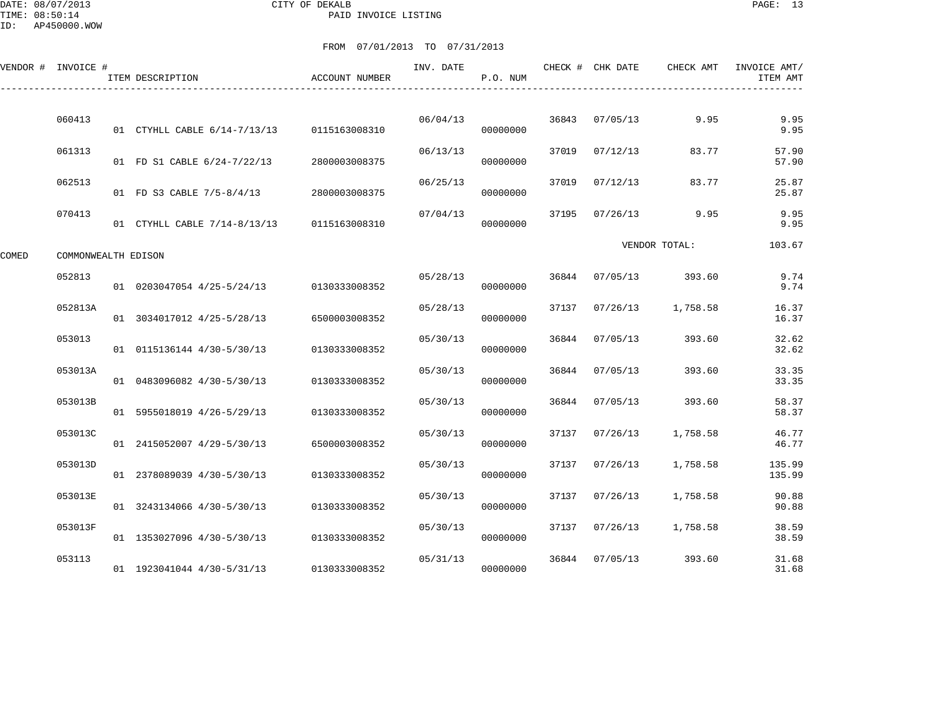DATE: 08/07/2013 CITY OF DEKALB PAGE: 13 PAID INVOICE LISTING

|       | VENDOR # INVOICE #  | ITEM DESCRIPTION             | <b>ACCOUNT NUMBER</b> | INV. DATE | P.O. NUM |       | CHECK # CHK DATE | CHECK AMT     | INVOICE AMT/<br>ITEM AMT |
|-------|---------------------|------------------------------|-----------------------|-----------|----------|-------|------------------|---------------|--------------------------|
|       | 060413              | 01 CTYHLL CABLE 6/14-7/13/13 | 0115163008310         | 06/04/13  | 00000000 | 36843 | 07/05/13         | 9.95          | 9.95<br>9.95             |
|       | 061313              | 01 FD S1 CABLE 6/24-7/22/13  | 2800003008375         | 06/13/13  | 00000000 | 37019 | 07/12/13         | 83.77         | 57.90<br>57.90           |
|       | 062513              | 01 FD S3 CABLE 7/5-8/4/13    | 2800003008375         | 06/25/13  | 00000000 | 37019 | 07/12/13         | 83.77         | 25.87<br>25.87           |
|       | 070413              | 01 CTYHLL CABLE 7/14-8/13/13 | 0115163008310         | 07/04/13  | 00000000 | 37195 | 07/26/13         | 9.95          | 9.95<br>9.95             |
| COMED | COMMONWEALTH EDISON |                              |                       |           |          |       |                  | VENDOR TOTAL: | 103.67                   |
|       | 052813              | 01 0203047054 4/25-5/24/13   | 0130333008352         | 05/28/13  | 00000000 | 36844 | 07/05/13         | 393.60        | 9.74<br>9.74             |
|       | 052813A             | 01 3034017012 4/25-5/28/13   | 6500003008352         | 05/28/13  | 00000000 | 37137 | 07/26/13         | 1,758.58      | 16.37<br>16.37           |
|       | 053013              | 01 0115136144 4/30-5/30/13   | 0130333008352         | 05/30/13  | 00000000 | 36844 | 07/05/13         | 393.60        | 32.62<br>32.62           |
|       | 053013A             | 01 0483096082 4/30-5/30/13   | 0130333008352         | 05/30/13  | 00000000 | 36844 | 07/05/13         | 393.60        | 33.35<br>33.35           |
|       | 053013B             | 01 5955018019 4/26-5/29/13   | 0130333008352         | 05/30/13  | 00000000 | 36844 | 07/05/13         | 393.60        | 58.37<br>58.37           |
|       | 053013C             | 01 2415052007 4/29-5/30/13   | 6500003008352         | 05/30/13  | 00000000 | 37137 | 07/26/13         | 1,758.58      | 46.77<br>46.77           |
|       | 053013D             | 01 2378089039 4/30-5/30/13   | 0130333008352         | 05/30/13  | 00000000 | 37137 | 07/26/13         | 1,758.58      | 135.99<br>135.99         |
|       | 053013E             | 01 3243134066 4/30-5/30/13   | 0130333008352         | 05/30/13  | 00000000 | 37137 | 07/26/13         | 1,758.58      | 90.88<br>90.88           |
|       | 053013F             | 01 1353027096 4/30-5/30/13   | 0130333008352         | 05/30/13  | 00000000 | 37137 | 07/26/13         | 1,758.58      | 38.59<br>38.59           |
|       | 053113              | 01 1923041044 4/30-5/31/13   | 0130333008352         | 05/31/13  | 00000000 | 36844 | 07/05/13         | 393.60        | 31.68<br>31.68           |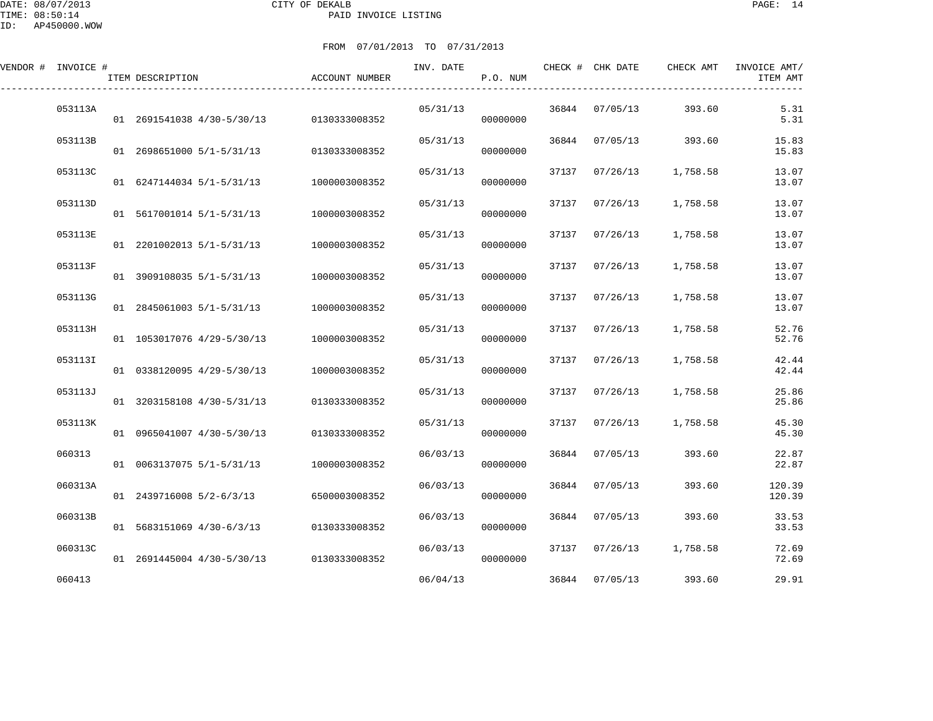DATE: 08/07/2013 CITY OF DEKALB PAGE: 14 PAID INVOICE LISTING

| VENDOR # INVOICE # | ITEM DESCRIPTION                         | <b>ACCOUNT NUMBER</b> | INV. DATE | P.O. NUM |       | CHECK # CHK DATE | CHECK AMT | INVOICE AMT/<br>ITEM AMT |
|--------------------|------------------------------------------|-----------------------|-----------|----------|-------|------------------|-----------|--------------------------|
| 053113A            | 01 2691541038 4/30-5/30/13               | 0130333008352         | 05/31/13  | 00000000 | 36844 | 07/05/13         | 393.60    | 5.31<br>5.31             |
| 053113B            | 01 2698651000 5/1-5/31/13                | 0130333008352         | 05/31/13  | 00000000 | 36844 | 07/05/13         | 393.60    | 15.83<br>15.83           |
| 053113C            | 01 6247144034 5/1-5/31/13                | 1000003008352         | 05/31/13  | 00000000 | 37137 | 07/26/13         | 1,758.58  | 13.07<br>13.07           |
| 053113D            | 01 5617001014 5/1-5/31/13                | 1000003008352         | 05/31/13  | 00000000 | 37137 | 07/26/13         | 1,758.58  | 13.07<br>13.07           |
| 053113E            | 01 2201002013 5/1-5/31/13                | 1000003008352         | 05/31/13  | 00000000 | 37137 | 07/26/13         | 1,758.58  | 13.07<br>13.07           |
| 053113F            | 01 3909108035 5/1-5/31/13                | 1000003008352         | 05/31/13  | 00000000 | 37137 | 07/26/13         | 1,758.58  | 13.07<br>13.07           |
| 053113G            | 01 2845061003 5/1-5/31/13                | 1000003008352         | 05/31/13  | 00000000 | 37137 | 07/26/13         | 1,758.58  | 13.07<br>13.07           |
| 053113H            | 01 1053017076 4/29-5/30/13               | 1000003008352         | 05/31/13  | 00000000 | 37137 | 07/26/13         | 1,758.58  | 52.76<br>52.76           |
| 053113I            | 01 0338120095 4/29-5/30/13               | 1000003008352         | 05/31/13  | 00000000 | 37137 | 07/26/13         | 1,758.58  | 42.44<br>42.44           |
| 053113J            | 01 3203158108 4/30-5/31/13               | 0130333008352         | 05/31/13  | 00000000 | 37137 | 07/26/13         | 1,758.58  | 25.86<br>25.86           |
| 053113K            | 01 0965041007 4/30-5/30/13               | 0130333008352         | 05/31/13  | 00000000 | 37137 | 07/26/13         | 1,758.58  | 45.30<br>45.30           |
| 060313             | 01 0063137075 5/1-5/31/13                | 1000003008352         | 06/03/13  | 00000000 | 36844 | 07/05/13         | 393.60    | 22.87<br>22.87           |
| 060313A            | 01 2439716008 5/2-6/3/13                 | 6500003008352         | 06/03/13  | 00000000 | 36844 | 07/05/13         | 393.60    | 120.39<br>120.39         |
| 060313B            | 01 5683151069 4/30-6/3/13                | 0130333008352         | 06/03/13  | 00000000 | 36844 | 07/05/13         | 393.60    | 33.53<br>33.53           |
| 060313C            | 01 2691445004 4/30-5/30/13 0130333008352 |                       | 06/03/13  | 00000000 | 37137 | 07/26/13         | 1,758.58  | 72.69<br>72.69           |
| 060413             |                                          |                       | 06/04/13  |          | 36844 | 07/05/13         | 393.60    | 29.91                    |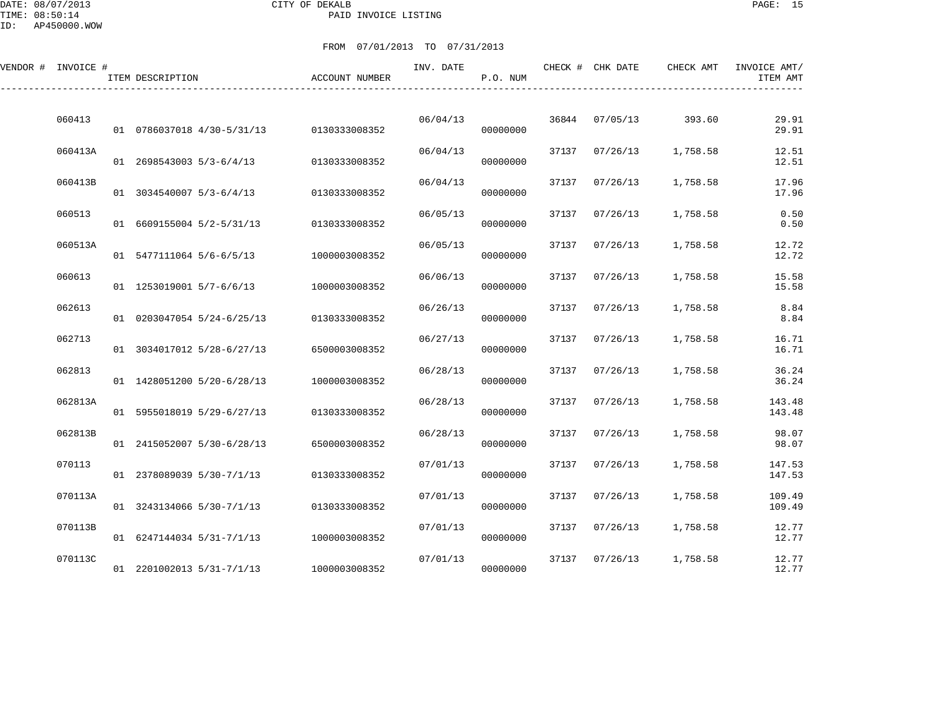DATE: 08/07/2013 CITY OF DEKALB PAGE: 15 PAID INVOICE LISTING

| VENDOR # INVOICE # | ITEM DESCRIPTION           | ACCOUNT NUMBER | INV. DATE | P.O. NUM |       | CHECK # CHK DATE | CHECK AMT | INVOICE AMT/<br>ITEM AMT |
|--------------------|----------------------------|----------------|-----------|----------|-------|------------------|-----------|--------------------------|
| 060413             | 01 0786037018 4/30-5/31/13 | 0130333008352  | 06/04/13  | 00000000 | 36844 | 07/05/13         | 393.60    | 29.91<br>29.91           |
| 060413A            | 01 2698543003 5/3-6/4/13   | 0130333008352  | 06/04/13  | 00000000 | 37137 | 07/26/13         | 1,758.58  | 12.51<br>12.51           |
| 060413B            | 01 3034540007 5/3-6/4/13   | 0130333008352  | 06/04/13  | 00000000 | 37137 | 07/26/13         | 1,758.58  | 17.96<br>17.96           |
| 060513             | 01 6609155004 5/2-5/31/13  | 0130333008352  | 06/05/13  | 00000000 | 37137 | 07/26/13         | 1,758.58  | 0.50<br>0.50             |
| 060513A            | 01 5477111064 5/6-6/5/13   | 1000003008352  | 06/05/13  | 00000000 | 37137 | 07/26/13         | 1,758.58  | 12.72<br>12.72           |
| 060613             | 01 1253019001 5/7-6/6/13   | 1000003008352  | 06/06/13  | 00000000 | 37137 | 07/26/13         | 1,758.58  | 15.58<br>15.58           |
| 062613             | 01 0203047054 5/24-6/25/13 | 0130333008352  | 06/26/13  | 00000000 | 37137 | 07/26/13         | 1,758.58  | 8.84<br>8.84             |
| 062713             | 01 3034017012 5/28-6/27/13 | 6500003008352  | 06/27/13  | 00000000 | 37137 | 07/26/13         | 1,758.58  | 16.71<br>16.71           |
| 062813             | 01 1428051200 5/20-6/28/13 | 1000003008352  | 06/28/13  | 00000000 | 37137 | 07/26/13         | 1,758.58  | 36.24<br>36.24           |
| 062813A            | 01 5955018019 5/29-6/27/13 | 0130333008352  | 06/28/13  | 00000000 | 37137 | 07/26/13         | 1,758.58  | 143.48<br>143.48         |
| 062813B            |                            |                | 06/28/13  |          | 37137 | 07/26/13         | 1,758.58  | 98.07                    |
| 070113             | 01 2415052007 5/30-6/28/13 | 6500003008352  | 07/01/13  | 00000000 | 37137 | 07/26/13         | 1,758.58  | 98.07<br>147.53          |
| 070113A            | 01 2378089039 5/30-7/1/13  | 0130333008352  | 07/01/13  | 00000000 | 37137 | 07/26/13         | 1,758.58  | 147.53<br>109.49         |
| 070113B            | 01 3243134066 5/30-7/1/13  | 0130333008352  | 07/01/13  | 00000000 | 37137 | 07/26/13         | 1,758.58  | 109.49<br>12.77          |
| 070113C            | 01 6247144034 5/31-7/1/13  | 1000003008352  | 07/01/13  | 00000000 | 37137 | 07/26/13         | 1,758.58  | 12.77<br>12.77           |
|                    | 01 2201002013 5/31-7/1/13  | 1000003008352  |           | 00000000 |       |                  |           | 12.77                    |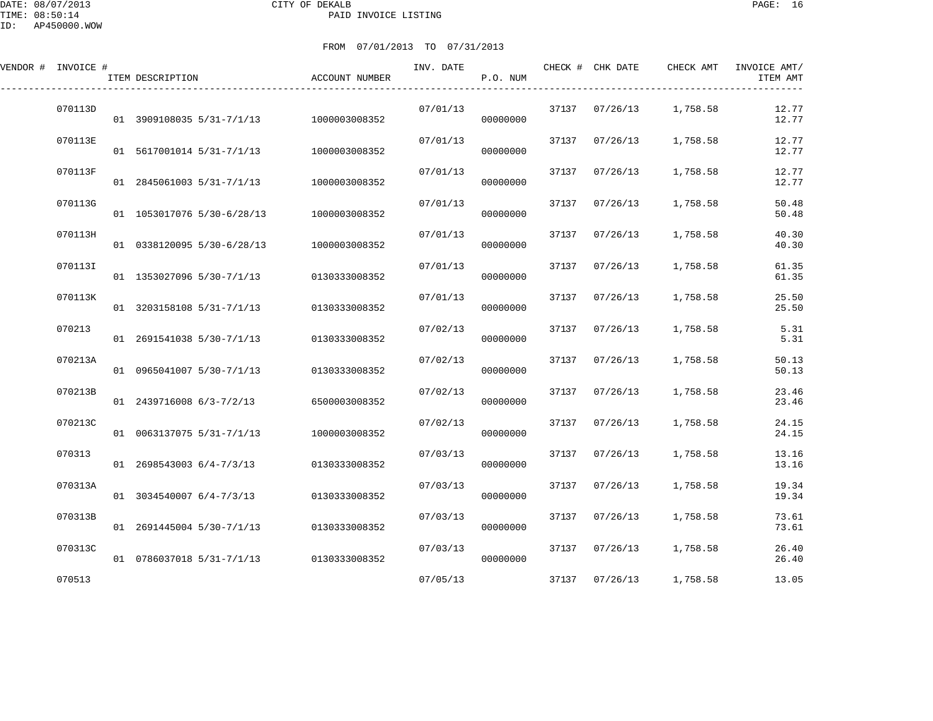DATE: 08/07/2013 CITY OF DEKALB PAGE: 16 PAID INVOICE LISTING

| VENDOR # INVOICE # | ITEM DESCRIPTION           | <b>ACCOUNT NUMBER</b> | INV. DATE | P.O. NUM |       | CHECK # CHK DATE | CHECK AMT | INVOICE AMT/<br>ITEM AMT |
|--------------------|----------------------------|-----------------------|-----------|----------|-------|------------------|-----------|--------------------------|
| 070113D            | 01 3909108035 5/31-7/1/13  | 1000003008352         | 07/01/13  | 00000000 |       | 37137 07/26/13   | 1,758.58  | 12.77<br>12.77           |
| 070113E            | 01 5617001014 5/31-7/1/13  | 1000003008352         | 07/01/13  | 00000000 |       | 37137 07/26/13   | 1,758.58  | 12.77<br>12.77           |
| 070113F            | 01 2845061003 5/31-7/1/13  | 1000003008352         | 07/01/13  | 00000000 | 37137 | 07/26/13         | 1,758.58  | 12.77<br>12.77           |
| 070113G            | 01 1053017076 5/30-6/28/13 | 1000003008352         | 07/01/13  | 00000000 | 37137 | 07/26/13         | 1,758.58  | 50.48<br>50.48           |
| 070113H            | 01 0338120095 5/30-6/28/13 | 1000003008352         | 07/01/13  | 00000000 | 37137 | 07/26/13         | 1,758.58  | 40.30<br>40.30           |
| 070113I            | 01 1353027096 5/30-7/1/13  | 0130333008352         | 07/01/13  | 00000000 | 37137 | 07/26/13         | 1,758.58  | 61.35<br>61.35           |
| 070113K            | 01 3203158108 5/31-7/1/13  | 0130333008352         | 07/01/13  | 00000000 | 37137 | 07/26/13         | 1,758.58  | 25.50<br>25.50           |
| 070213             | 01 2691541038 5/30-7/1/13  | 0130333008352         | 07/02/13  | 00000000 | 37137 | 07/26/13         | 1,758.58  | 5.31<br>5.31             |
| 070213A            | 01 0965041007 5/30-7/1/13  | 0130333008352         | 07/02/13  | 00000000 | 37137 | 07/26/13         | 1,758.58  | 50.13<br>50.13           |
| 070213B            | 01 2439716008 6/3-7/2/13   | 6500003008352         | 07/02/13  | 00000000 | 37137 | 07/26/13         | 1,758.58  | 23.46<br>23.46           |
| 070213C            | 01 0063137075 5/31-7/1/13  | 1000003008352         | 07/02/13  | 00000000 | 37137 | 07/26/13         | 1,758.58  | 24.15<br>24.15           |
| 070313             | 01 2698543003 6/4-7/3/13   | 0130333008352         | 07/03/13  | 00000000 | 37137 | 07/26/13         | 1,758.58  | 13.16<br>13.16           |
| 070313A            | 01 3034540007 6/4-7/3/13   | 0130333008352         | 07/03/13  | 00000000 | 37137 | 07/26/13         | 1,758.58  | 19.34<br>19.34           |
| 070313B            | 01 2691445004 5/30-7/1/13  | 0130333008352         | 07/03/13  | 00000000 | 37137 | 07/26/13         | 1,758.58  | 73.61<br>73.61           |
| 070313C            | 01 0786037018 5/31-7/1/13  | 0130333008352         | 07/03/13  | 00000000 | 37137 | 07/26/13         | 1,758.58  | 26.40<br>26.40           |
| 070513             |                            |                       | 07/05/13  |          |       | 37137 07/26/13   | 1,758.58  | 13.05                    |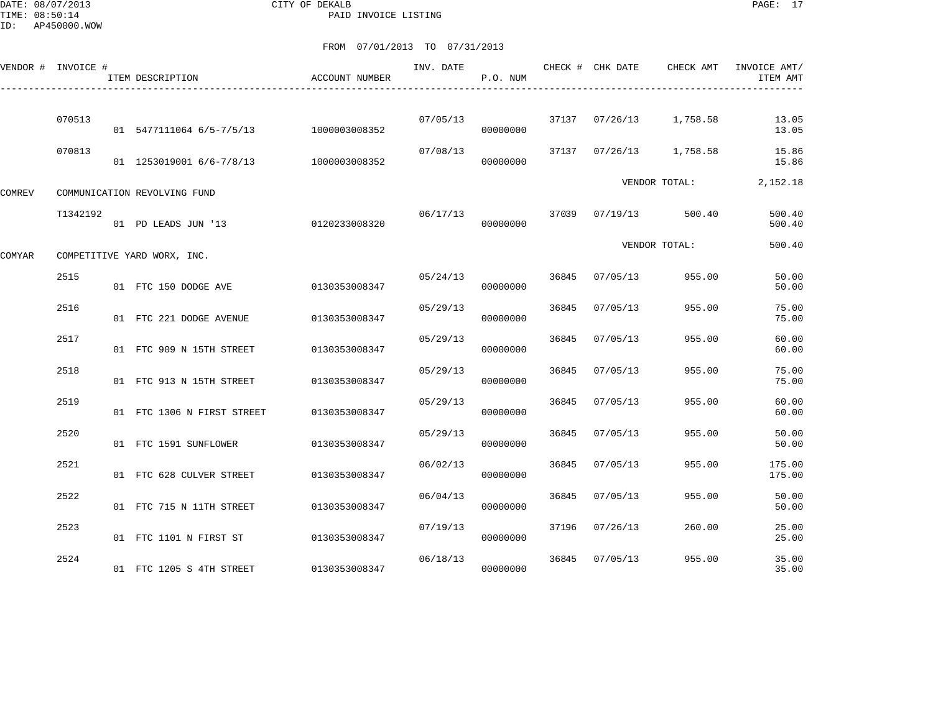DATE: 08/07/2013 CITY OF DEKALB PAGE: 17 PAID INVOICE LISTING

|               | VENDOR # INVOICE # | ITEM DESCRIPTION             | <b>ACCOUNT NUMBER</b> | INV. DATE | P.O. NUM |       | CHECK # CHK DATE | CHECK AMT               | INVOICE AMT/<br>ITEM AMT |
|---------------|--------------------|------------------------------|-----------------------|-----------|----------|-------|------------------|-------------------------|--------------------------|
|               | 070513             | 01 5477111064 6/5-7/5/13     | 1000003008352         | 07/05/13  | 00000000 |       |                  | 37137 07/26/13 1,758.58 | 13.05<br>13.05           |
|               | 070813             | 01 1253019001 6/6-7/8/13     | 1000003008352         | 07/08/13  | 00000000 | 37137 | 07/26/13         | 1,758.58                | 15.86<br>15.86           |
| <b>COMREV</b> |                    | COMMUNICATION REVOLVING FUND |                       |           |          |       |                  | VENDOR TOTAL:           | 2,152.18                 |
|               | T1342192           | 01 PD LEADS JUN '13          | 0120233008320         | 06/17/13  | 00000000 | 37039 | 07/19/13         | 500.40                  | 500.40<br>500.40         |
| COMYAR        |                    | COMPETITIVE YARD WORX, INC.  |                       |           |          |       |                  | VENDOR TOTAL:           | 500.40                   |
|               | 2515               | 01 FTC 150 DODGE AVE         | 0130353008347         | 05/24/13  | 00000000 | 36845 | 07/05/13         | 955.00                  | 50.00<br>50.00           |
|               | 2516               | 01 FTC 221 DODGE AVENUE      | 0130353008347         | 05/29/13  | 00000000 | 36845 | 07/05/13         | 955.00                  | 75.00<br>75.00           |
|               | 2517               | 01 FTC 909 N 15TH STREET     | 0130353008347         | 05/29/13  | 00000000 | 36845 | 07/05/13         | 955.00                  | 60.00<br>60.00           |
|               | 2518               | 01 FTC 913 N 15TH STREET     | 0130353008347         | 05/29/13  | 00000000 | 36845 | 07/05/13         | 955.00                  | 75.00<br>75.00           |
|               | 2519               | 01 FTC 1306 N FIRST STREET   | 0130353008347         | 05/29/13  | 00000000 | 36845 | 07/05/13         | 955.00                  | 60.00<br>60.00           |
|               | 2520               | 01 FTC 1591 SUNFLOWER        | 0130353008347         | 05/29/13  | 00000000 | 36845 | 07/05/13         | 955.00                  | 50.00<br>50.00           |
|               | 2521               | 01 FTC 628 CULVER STREET     | 0130353008347         | 06/02/13  | 00000000 | 36845 | 07/05/13         | 955.00                  | 175.00<br>175.00         |
|               | 2522               | 01 FTC 715 N 11TH STREET     | 0130353008347         | 06/04/13  | 00000000 | 36845 | 07/05/13         | 955.00                  | 50.00<br>50.00           |
|               | 2523               | 01 FTC 1101 N FIRST ST       | 0130353008347         | 07/19/13  | 00000000 | 37196 | 07/26/13         | 260.00                  | 25.00<br>25.00           |
|               | 2524               | 01 FTC 1205 S 4TH STREET     | 0130353008347         | 06/18/13  | 00000000 | 36845 | 07/05/13         | 955.00                  | 35.00<br>35.00           |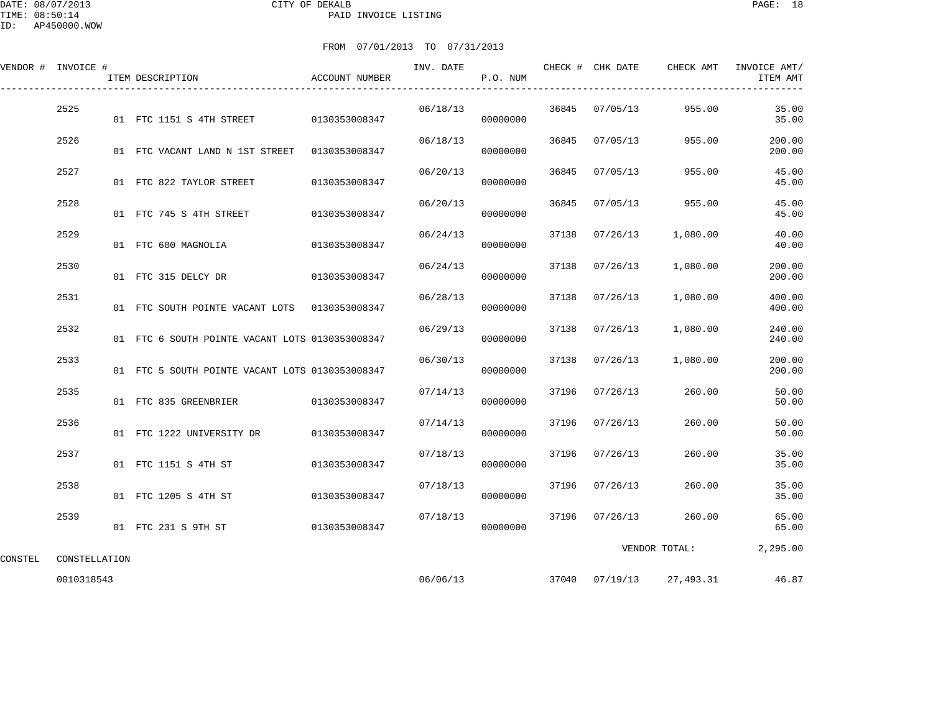DATE: 08/07/2013 CITY OF DEKALB PAGE: 18 TIME: 08:50:14 PAID INVOICE LISTING

FROM 07/01/2013 TO 07/31/2013

VENDOR # INVOICE # INV. DATE CHECK # CHK DATE CHECK AMT INVOICE AMT/

|      | ITEM DESCRIPTION                                | ACCOUNT NUMBER |          | P.O. NUM |       |          |          | ITEM AMT         |
|------|-------------------------------------------------|----------------|----------|----------|-------|----------|----------|------------------|
| 2525 | 01 FTC 1151 S 4TH STREET 0130353008347          |                | 06/18/13 | 00000000 | 36845 | 07/05/13 | 955.00   | 35.00<br>35.00   |
| 2526 | 01 FTC VACANT LAND N 1ST STREET 0130353008347   |                | 06/18/13 | 00000000 | 36845 | 07/05/13 | 955.00   | 200.00<br>200.00 |
| 2527 | 01 FTC 822 TAYLOR STREET                        | 0130353008347  | 06/20/13 | 00000000 | 36845 | 07/05/13 | 955.00   | 45.00<br>45.00   |
| 2528 | 01 FTC 745 S 4TH STREET                         | 0130353008347  | 06/20/13 | 00000000 | 36845 | 07/05/13 | 955.00   | 45.00<br>45.00   |
| 2529 | 01 FTC 600 MAGNOLIA                             | 0130353008347  | 06/24/13 | 00000000 | 37138 | 07/26/13 | 1,080.00 | 40.00<br>40.00   |
| 2530 | 01 FTC 315 DELCY DR                             | 0130353008347  | 06/24/13 | 00000000 | 37138 | 07/26/13 | 1,080.00 | 200.00<br>200.00 |
| 2531 | 01 FTC SOUTH POINTE VACANT LOTS 0130353008347   |                | 06/28/13 | 00000000 | 37138 | 07/26/13 | 1,080.00 | 400.00<br>400.00 |
| 2532 | 01 FTC 6 SOUTH POINTE VACANT LOTS 0130353008347 |                | 06/29/13 | 00000000 | 37138 | 07/26/13 | 1,080.00 | 240.00<br>240.00 |
| 2533 | 01 FTC 5 SOUTH POINTE VACANT LOTS 0130353008347 |                | 06/30/13 | 00000000 | 37138 | 07/26/13 | 1,080.00 | 200.00<br>200.00 |
| 2535 | 01 FTC 835 GREENBRIER                           | 0130353008347  | 07/14/13 | 00000000 | 37196 | 07/26/13 | 260.00   | 50.00<br>50.00   |
| 2536 |                                                 |                | 07/14/13 | 00000000 | 37196 | 07/26/13 | 260.00   | 50.00<br>50.00   |
| 2537 | 01 FTC 1151 S 4TH ST                            | 0130353008347  | 07/18/13 | 00000000 | 37196 | 07/26/13 | 260.00   | 35.00<br>35.00   |
| 2538 | 01 FTC 1205 S 4TH ST                            | 0130353008347  | 07/18/13 | 00000000 | 37196 | 07/26/13 | 260.00   | 35.00<br>35.00   |

2539 07/18/13 37196 07/26/13 260.00 65.00

01 FTC 231 S 9TH ST 0130353008347

CONSTEL CONSTELLATION

0010318543 06/06/13 37040 07/19/13 27,493.31 46.87

VENDOR TOTAL: 2,295.00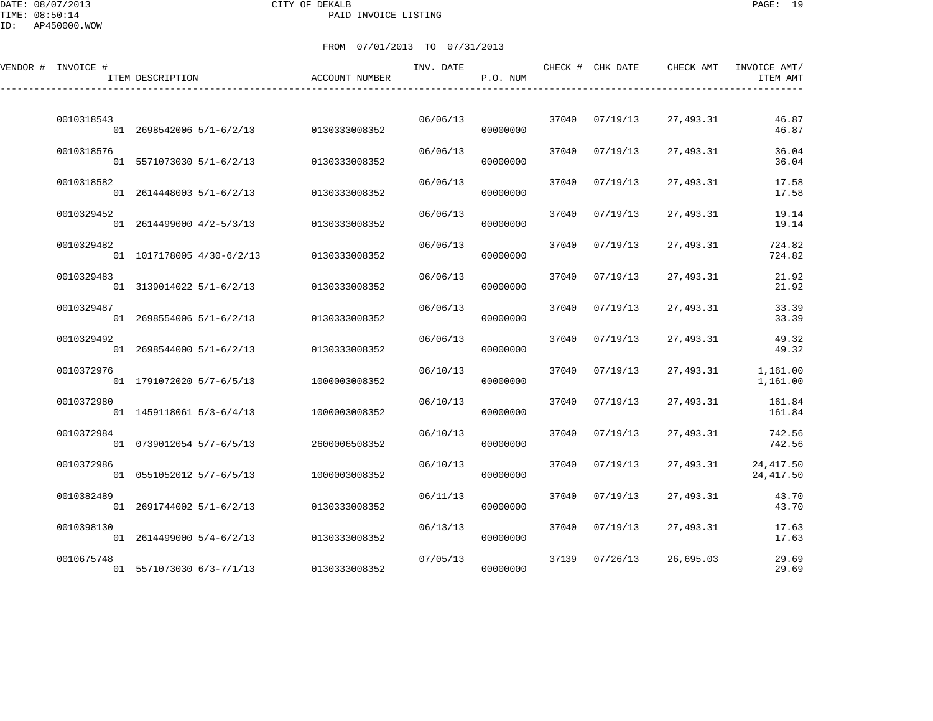DATE: 08/07/2013 CITY OF DEKALB PAGE: 19 PAID INVOICE LISTING

| VENDOR # INVOICE # | ITEM DESCRIPTION          | ACCOUNT NUMBER | INV. DATE | P.O. NUM |       | CHECK # CHK DATE | CHECK AMT | INVOICE AMT/<br>ITEM AMT |
|--------------------|---------------------------|----------------|-----------|----------|-------|------------------|-----------|--------------------------|
| 0010318543         | 01 2698542006 5/1-6/2/13  | 0130333008352  | 06/06/13  | 00000000 |       | 37040 07/19/13   | 27,493.31 | 46.87<br>46.87           |
| 0010318576         | 01 5571073030 5/1-6/2/13  | 0130333008352  | 06/06/13  | 00000000 | 37040 | 07/19/13         | 27,493.31 | 36.04<br>36.04           |
| 0010318582         | 01 2614448003 5/1-6/2/13  | 0130333008352  | 06/06/13  | 00000000 | 37040 | 07/19/13         | 27,493.31 | 17.58<br>17.58           |
| 0010329452         | 01 2614499000 4/2-5/3/13  | 0130333008352  | 06/06/13  | 00000000 | 37040 | 07/19/13         | 27,493.31 | 19.14<br>19.14           |
| 0010329482         | 01 1017178005 4/30-6/2/13 | 0130333008352  | 06/06/13  | 00000000 | 37040 | 07/19/13         | 27,493.31 | 724.82<br>724.82         |
| 0010329483         | 01 3139014022 5/1-6/2/13  | 0130333008352  | 06/06/13  | 00000000 | 37040 | 07/19/13         | 27,493.31 | 21.92<br>21.92           |
| 0010329487         | 01 2698554006 5/1-6/2/13  | 0130333008352  | 06/06/13  | 00000000 | 37040 | 07/19/13         | 27,493.31 | 33.39<br>33.39           |
| 0010329492         | 01 2698544000 5/1-6/2/13  | 0130333008352  | 06/06/13  | 00000000 | 37040 | 07/19/13         | 27,493.31 | 49.32<br>49.32           |
| 0010372976         | 01 1791072020 5/7-6/5/13  | 1000003008352  | 06/10/13  | 00000000 | 37040 | 07/19/13         | 27,493.31 | 1,161.00<br>1,161.00     |
| 0010372980         | 01 1459118061 5/3-6/4/13  | 1000003008352  | 06/10/13  | 00000000 | 37040 | 07/19/13         | 27,493.31 | 161.84<br>161.84         |
| 0010372984         | 01 0739012054 5/7-6/5/13  | 2600006508352  | 06/10/13  | 00000000 | 37040 | 07/19/13         | 27,493.31 | 742.56<br>742.56         |
| 0010372986         | 01 0551052012 5/7-6/5/13  | 1000003008352  | 06/10/13  | 00000000 | 37040 | 07/19/13         | 27,493.31 | 24, 417.50<br>24,417.50  |
| 0010382489         | 01 2691744002 5/1-6/2/13  | 0130333008352  | 06/11/13  | 00000000 | 37040 | 07/19/13         | 27,493.31 | 43.70<br>43.70           |
| 0010398130         | 01 2614499000 5/4-6/2/13  | 0130333008352  | 06/13/13  | 00000000 | 37040 | 07/19/13         | 27,493.31 | 17.63<br>17.63           |
| 0010675748         | 01 5571073030 6/3-7/1/13  | 0130333008352  | 07/05/13  | 00000000 | 37139 | 07/26/13         | 26,695.03 | 29.69<br>29.69           |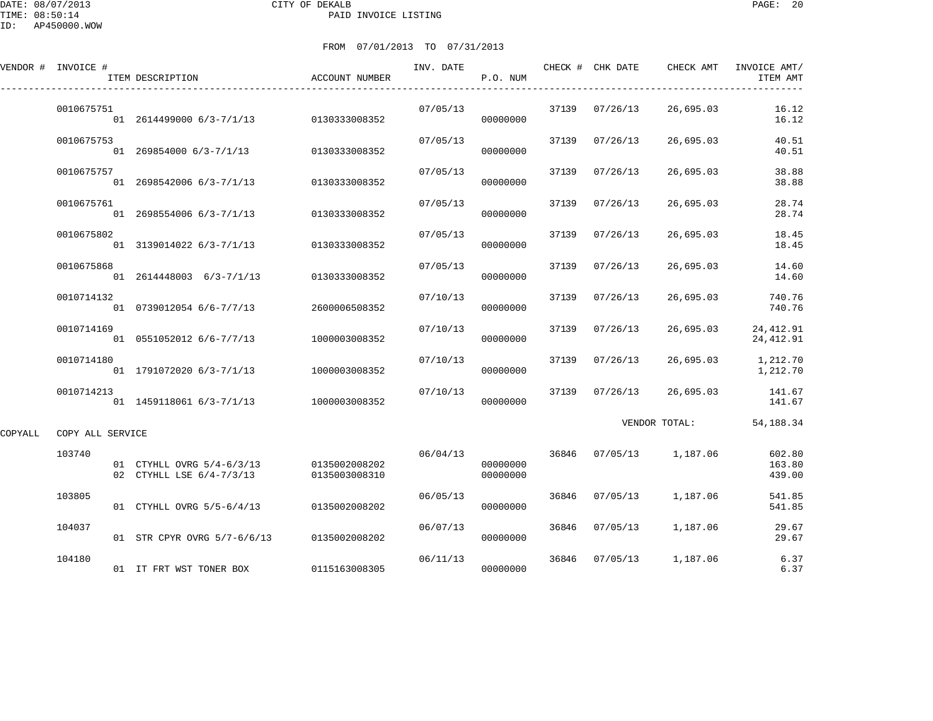DATE: 08/07/2013 CITY OF DEKALB PAGE: 20 PAID INVOICE LISTING

ID: AP450000.WOW

|         | VENDOR # INVOICE # | ITEM DESCRIPTION                                      | ACCOUNT NUMBER                 | INV. DATE | P.O. NUM             |       | CHECK # CHK DATE | CHECK AMT         | INVOICE AMT/<br>ITEM AMT   |
|---------|--------------------|-------------------------------------------------------|--------------------------------|-----------|----------------------|-------|------------------|-------------------|----------------------------|
|         | 0010675751         | 01 2614499000 6/3-7/1/13                              | 0130333008352                  | 07/05/13  | 00000000             | 37139 | 07/26/13         | 26,695.03         | 16.12<br>16.12             |
|         | 0010675753         | 01 269854000 6/3-7/1/13 0130333008352                 |                                | 07/05/13  | 00000000             | 37139 | 07/26/13         | 26,695.03         | 40.51<br>40.51             |
|         | 0010675757         | 01 2698542006 6/3-7/1/13                              | 0130333008352                  | 07/05/13  | 00000000             | 37139 | 07/26/13         | 26,695.03         | 38.88<br>38.88             |
|         | 0010675761         | 01 2698554006 6/3-7/1/13                              | 0130333008352                  | 07/05/13  | 00000000             | 37139 | 07/26/13         | 26,695.03         | 28.74<br>28.74             |
|         | 0010675802         | 01 3139014022 6/3-7/1/13                              | 0130333008352                  | 07/05/13  | 00000000             | 37139 | 07/26/13         | 26,695.03         | 18.45<br>18.45             |
|         | 0010675868         | 01 2614448003 6/3-7/1/13                              | 0130333008352                  | 07/05/13  | 00000000             | 37139 | 07/26/13         | 26,695.03         | 14.60<br>14.60             |
|         | 0010714132         | 01 0739012054 6/6-7/7/13                              | 2600006508352                  | 07/10/13  | 00000000             | 37139 | 07/26/13         | 26,695.03         | 740.76<br>740.76           |
|         | 0010714169         | 01 0551052012 6/6-7/7/13                              | 1000003008352                  | 07/10/13  | 00000000             | 37139 | 07/26/13         | 26,695.03         | 24, 412.91<br>24, 412.91   |
|         | 0010714180         | 01 1791072020 6/3-7/1/13                              | 1000003008352                  | 07/10/13  | 00000000             | 37139 | 07/26/13         | 26,695.03         | 1,212.70<br>1,212.70       |
|         | 0010714213         | 01  1459118061  6/3-7/1/13  1000003008352             |                                | 07/10/13  | 00000000             | 37139 | 07/26/13         | 26,695.03         | 141.67<br>141.67           |
| COPYALL | COPY ALL SERVICE   |                                                       |                                |           |                      |       |                  | VENDOR TOTAL:     | 54, 188. 34                |
|         | 103740             | 01 CTYHLL OVRG 5/4-6/3/13<br>02 CTYHLL LSE 6/4-7/3/13 | 0135002008202<br>0135003008310 | 06/04/13  | 00000000<br>00000000 | 36846 |                  | 07/05/13 1,187.06 | 602.80<br>163.80<br>439.00 |
|         | 103805             | 01 CTYHLL OVRG 5/5-6/4/13                             | 0135002008202                  | 06/05/13  | 00000000             | 36846 | 07/05/13         | 1,187.06          | 541.85<br>541.85           |
|         | 104037             | 01 STR CPYR OVRG 5/7-6/6/13                           | 0135002008202                  | 06/07/13  | 00000000             | 36846 | 07/05/13         | 1,187.06          | 29.67<br>29.67             |
|         | 104180             | 01 IT FRT WST TONER BOX                               | 0115163008305                  | 06/11/13  | 00000000             | 36846 | 07/05/13         | 1,187.06          | 6.37<br>6.37               |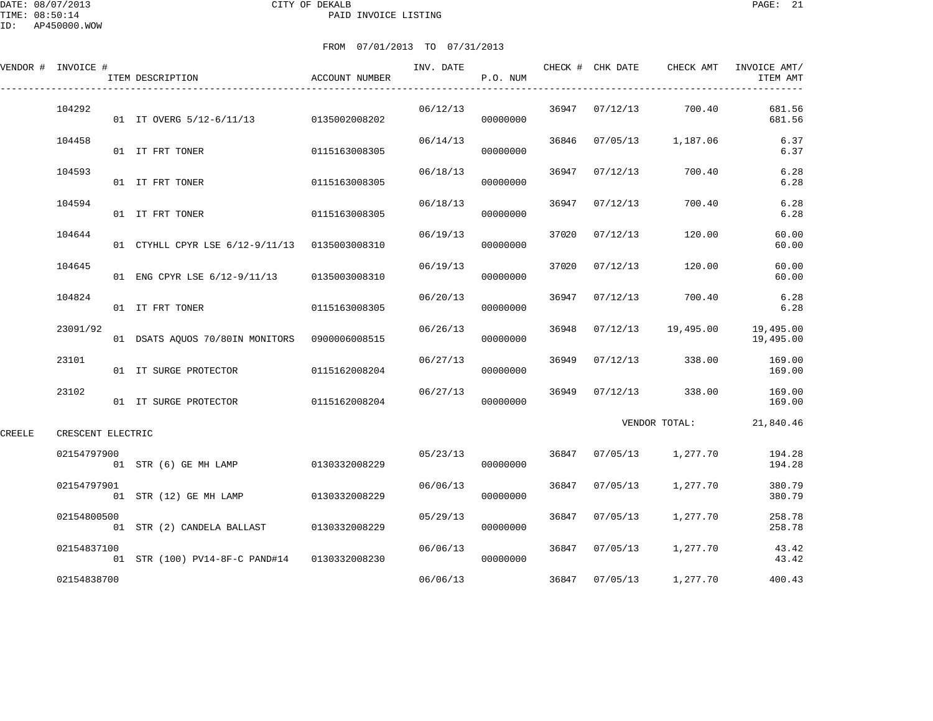DATE: 08/07/2013 CITY OF DEKALB PAGE: 21 PAID INVOICE LISTING

|        | VENDOR # INVOICE # | ITEM DESCRIPTION                | ACCOUNT NUMBER | INV. DATE | P.O. NUM |       | CHECK # CHK DATE | CHECK AMT         | INVOICE AMT/<br>ITEM AMT |
|--------|--------------------|---------------------------------|----------------|-----------|----------|-------|------------------|-------------------|--------------------------|
|        | 104292             | 01 IT OVERG 5/12-6/11/13        | 0135002008202  | 06/12/13  | 00000000 | 36947 | 07/12/13         | 700.40            | 681.56<br>681.56         |
|        | 104458             | 01 IT FRT TONER                 | 0115163008305  | 06/14/13  | 00000000 | 36846 |                  | 07/05/13 1,187.06 | 6.37<br>6.37             |
|        | 104593             | 01 IT FRT TONER                 | 0115163008305  | 06/18/13  | 00000000 | 36947 | 07/12/13         | 700.40            | 6.28<br>6.28             |
|        | 104594             | 01 IT FRT TONER                 | 0115163008305  | 06/18/13  | 00000000 | 36947 | 07/12/13         | 700.40            | 6.28<br>6.28             |
|        | 104644             | 01 CTYHLL CPYR LSE 6/12-9/11/13 | 0135003008310  | 06/19/13  | 00000000 | 37020 | 07/12/13         | 120.00            | 60.00<br>60.00           |
|        | 104645             | 01 ENG CPYR LSE 6/12-9/11/13    | 0135003008310  | 06/19/13  | 00000000 | 37020 | 07/12/13         | 120.00            | 60.00<br>60.00           |
|        | 104824             | 01 IT FRT TONER                 | 0115163008305  | 06/20/13  | 00000000 | 36947 | 07/12/13         | 700.40            | 6.28<br>6.28             |
|        | 23091/92           | 01 DSATS AQUOS 70/80IN MONITORS | 0900006008515  | 06/26/13  | 00000000 | 36948 | 07/12/13         | 19,495.00         | 19,495.00<br>19,495.00   |
|        | 23101              | 01 IT SURGE PROTECTOR           | 0115162008204  | 06/27/13  | 00000000 | 36949 | 07/12/13         | 338.00            | 169.00<br>169.00         |
|        | 23102              | 01 IT SURGE PROTECTOR           | 0115162008204  | 06/27/13  | 00000000 | 36949 |                  | 07/12/13 338.00   | 169.00<br>169.00         |
| CREELE | CRESCENT ELECTRIC  |                                 |                |           |          |       |                  | VENDOR TOTAL:     | 21,840.46                |
|        | 02154797900        | 01 STR (6) GE MH LAMP           | 0130332008229  | 05/23/13  | 00000000 | 36847 |                  | 07/05/13 1,277.70 | 194.28<br>194.28         |
|        | 02154797901        | 01 STR (12) GE MH LAMP          | 0130332008229  | 06/06/13  | 00000000 | 36847 | 07/05/13         | 1,277.70          | 380.79<br>380.79         |
|        | 02154800500        | 01 STR (2) CANDELA BALLAST      | 0130332008229  | 05/29/13  | 00000000 | 36847 | 07/05/13         | 1,277.70          | 258.78<br>258.78         |
|        | 02154837100        | 01 STR (100) PV14-8F-C PAND#14  | 0130332008230  | 06/06/13  | 00000000 | 36847 | 07/05/13         | 1,277.70          | 43.42<br>43.42           |
|        | 02154838700        |                                 |                | 06/06/13  |          |       | 36847 07/05/13   | 1,277.70          | 400.43                   |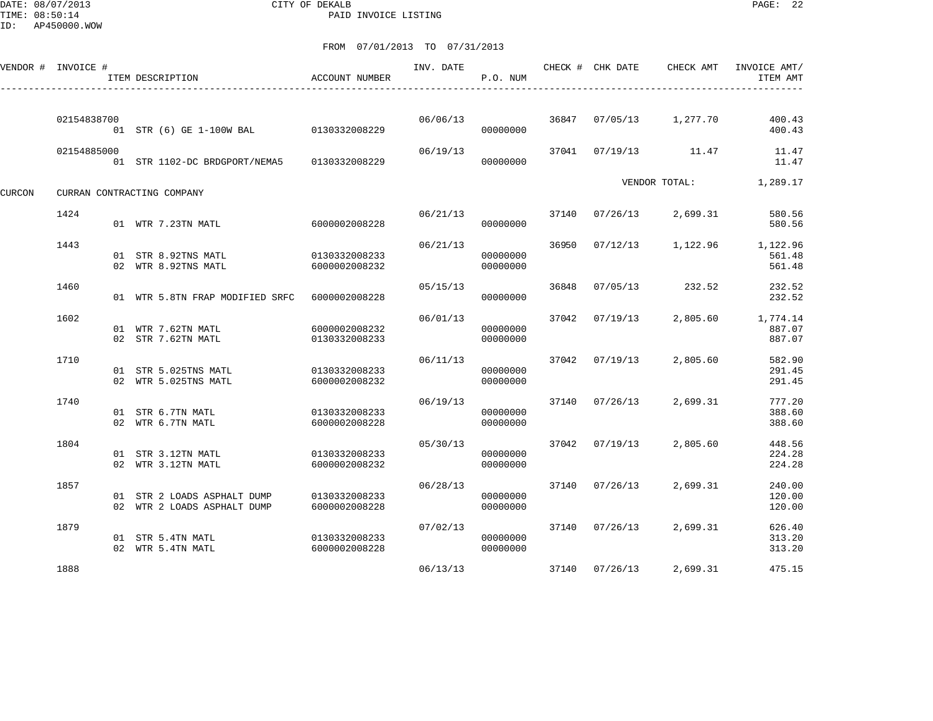DATE: 08/07/2013 CITY OF DEKALB PAGE: 22 PAID INVOICE LISTING

ID: AP450000.WOW

|        | VENDOR # INVOICE # | ITEM DESCRIPTION                                           | ACCOUNT NUMBER                 | INV. DATE | P.O. NUM             |       | CHECK # CHK DATE | CHECK AMT     | INVOICE AMT/<br>ITEM AMT     |
|--------|--------------------|------------------------------------------------------------|--------------------------------|-----------|----------------------|-------|------------------|---------------|------------------------------|
|        |                    |                                                            |                                |           |                      |       |                  |               |                              |
|        | 02154838700        | 01 STR (6) GE 1-100W BAL 0130332008229                     |                                | 06/06/13  | 00000000             | 36847 | 07/05/13         | 1,277.70      | 400.43<br>400.43             |
|        | 02154885000        | 01 STR 1102-DC BRDGPORT/NEMA5                              | 0130332008229                  | 06/19/13  | 00000000             | 37041 | 07/19/13         | 11.47         | 11.47<br>11.47               |
| CURCON |                    | CURRAN CONTRACTING COMPANY                                 |                                |           |                      |       |                  | VENDOR TOTAL: | 1,289.17                     |
|        | 1424               | 01 WTR 7.23TN MATL                                         | 6000002008228                  | 06/21/13  | 00000000             | 37140 | 07/26/13         | 2,699.31      | 580.56<br>580.56             |
|        | 1443               | 01 STR 8.92TNS MATL<br>02 WTR 8.92TNS MATL                 | 0130332008233<br>6000002008232 | 06/21/13  | 00000000<br>00000000 | 36950 | 07/12/13         | 1,122.96      | 1,122.96<br>561.48<br>561.48 |
|        | 1460               | 01 WTR 5.8TN FRAP MODIFIED SRFC                            | 6000002008228                  | 05/15/13  | 00000000             | 36848 | 07/05/13         | 232.52        | 232.52<br>232.52             |
|        | 1602               | 01 WTR 7.62TN MATL<br>02 STR 7.62TN MATL                   | 6000002008232<br>0130332008233 | 06/01/13  | 00000000<br>00000000 | 37042 | 07/19/13         | 2,805.60      | 1,774.14<br>887.07<br>887.07 |
|        | 1710               | 01 STR 5.025TNS MATL<br>02 WTR 5.025TNS MATL               | 0130332008233<br>6000002008232 | 06/11/13  | 00000000<br>00000000 |       | 37042 07/19/13   | 2,805.60      | 582.90<br>291.45<br>291.45   |
|        | 1740               | 01 STR 6.7TN MATL<br>02 WTR 6.7TN MATL                     | 0130332008233<br>6000002008228 | 06/19/13  | 00000000<br>00000000 |       | 37140 07/26/13   | 2,699.31      | 777.20<br>388.60<br>388.60   |
|        | 1804               | 01 STR 3.12TN MATL<br>02 WTR 3.12TN MATL                   | 0130332008233<br>6000002008232 | 05/30/13  | 00000000<br>00000000 |       | 37042 07/19/13   | 2,805.60      | 448.56<br>224.28<br>224.28   |
|        | 1857               | 01 STR 2 LOADS ASPHALT DUMP<br>02 WTR 2 LOADS ASPHALT DUMP | 0130332008233<br>6000002008228 | 06/28/13  | 00000000<br>00000000 |       | 37140 07/26/13   | 2,699.31      | 240.00<br>120.00<br>120.00   |
|        | 1879               | 01 STR 5.4TN MATL<br>02 WTR 5.4TN MATL                     | 0130332008233<br>6000002008228 | 07/02/13  | 00000000<br>00000000 |       | 37140 07/26/13   | 2,699.31      | 626.40<br>313.20<br>313.20   |
|        | 1888               |                                                            |                                | 06/13/13  |                      |       | 37140 07/26/13   | 2,699.31      | 475.15                       |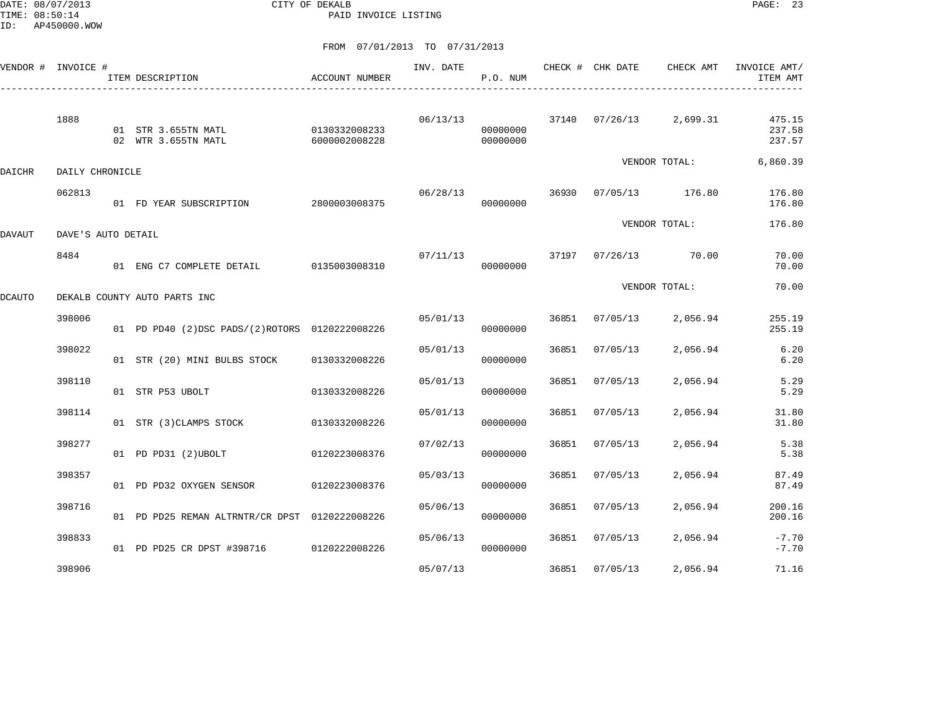DATE: 08/07/2013 CITY OF DEKALB PAGE: 23 PAID INVOICE LISTING

|        | VENDOR # INVOICE # | ITEM DESCRIPTION                               | ACCOUNT NUMBER                 | INV. DATE | P.O. NUM                         |       | CHECK # CHK DATE     | CHECK AMT               | INVOICE AMT/<br>ITEM AMT   |
|--------|--------------------|------------------------------------------------|--------------------------------|-----------|----------------------------------|-------|----------------------|-------------------------|----------------------------|
|        | 1888               | 01 STR 3.655TN MATL<br>02 WTR 3.655TN MATL     | 0130332008233<br>6000002008228 |           | 06/13/13<br>00000000<br>00000000 |       |                      | 37140 07/26/13 2,699.31 | 475.15<br>237.58<br>237.57 |
| DAICHR | DAILY CHRONICLE    |                                                |                                |           |                                  |       |                      | VENDOR TOTAL:           | 6,860.39                   |
|        | 062813             | 01 FD YEAR SUBSCRIPTION 2800003008375          |                                | 06/28/13  | 00000000                         | 36930 |                      | 07/05/13 176.80         | 176.80<br>176.80           |
| DAVAUT | DAVE'S AUTO DETAIL |                                                |                                |           |                                  |       |                      | VENDOR TOTAL:           | 176.80                     |
|        | 8484               | 01 ENG C7 COMPLETE DETAIL 0135003008310        |                                | 07/11/13  | 00000000                         |       | 37197 07/26/13 70.00 |                         | 70.00<br>70.00             |
| DCAUTO |                    | DEKALB COUNTY AUTO PARTS INC                   |                                |           |                                  |       |                      | VENDOR TOTAL:           | 70.00                      |
|        | 398006             | 01 PD PD40 (2)DSC PADS/(2)ROTORS 0120222008226 |                                | 05/01/13  | 00000000                         | 36851 | 07/05/13             | 2,056.94                | 255.19<br>255.19           |
|        | 398022             | 01 STR (20) MINI BULBS STOCK                   | 0130332008226                  | 05/01/13  | 00000000                         | 36851 | 07/05/13             | 2,056.94                | 6.20<br>6.20               |
|        | 398110             | 01 STR P53 UBOLT                               | 0130332008226                  | 05/01/13  | 00000000                         | 36851 | 07/05/13             | 2,056.94                | 5.29<br>5.29               |
|        | 398114             | 01 STR (3) CLAMPS STOCK                        | 0130332008226                  | 05/01/13  | 00000000                         | 36851 | 07/05/13             | 2,056.94                | 31.80<br>31.80             |
|        | 398277             | 01 PD PD31 (2) UBOLT                           | 0120223008376                  | 07/02/13  | 00000000                         | 36851 | 07/05/13             | 2,056.94                | 5.38<br>5.38               |
|        | 398357             | 01 PD PD32 OXYGEN SENSOR                       | 0120223008376                  | 05/03/13  | 00000000                         | 36851 | 07/05/13             | 2,056.94                | 87.49<br>87.49             |
|        | 398716             | 01 PD PD25 REMAN ALTRNTR/CR DPST 0120222008226 |                                | 05/06/13  | 00000000                         | 36851 | 07/05/13             | 2,056.94                | 200.16<br>200.16           |
|        | 398833             | 01 PD PD25 CR DPST #398716 0120222008226       |                                | 05/06/13  | 00000000                         | 36851 | 07/05/13             | 2,056.94                | $-7.70$<br>$-7.70$         |
|        | 398906             |                                                |                                | 05/07/13  |                                  | 36851 | 07/05/13             | 2,056.94                | 71.16                      |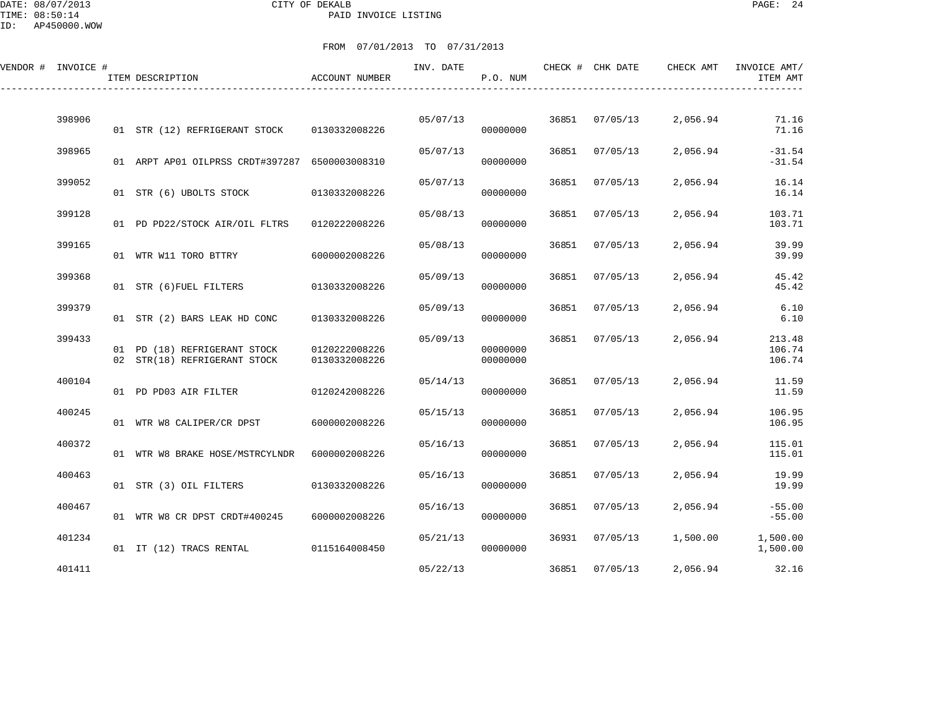DATE: 08/07/2013 CITY OF DEKALB PAGE: 24 PAID INVOICE LISTING

ID: AP450000.WOW

| VENDOR # INVOICE # |        | ITEM DESCRIPTION                                             | ACCOUNT NUMBER                 | INV. DATE | P.O. NUM             |       | CHECK # CHK DATE | CHECK AMT | INVOICE AMT/<br>ITEM AMT   |
|--------------------|--------|--------------------------------------------------------------|--------------------------------|-----------|----------------------|-------|------------------|-----------|----------------------------|
|                    |        |                                                              |                                |           |                      |       |                  |           |                            |
|                    | 398906 | 01 STR (12) REFRIGERANT STOCK                                | 0130332008226                  | 05/07/13  | 00000000             | 36851 | 07/05/13         | 2,056.94  | 71.16<br>71.16             |
|                    | 398965 | 01 ARPT AP01 OILPRSS CRDT#397287 6500003008310               |                                | 05/07/13  | 00000000             | 36851 | 07/05/13         | 2,056.94  | $-31.54$<br>$-31.54$       |
|                    | 399052 | 01 STR (6) UBOLTS STOCK                                      | 0130332008226                  | 05/07/13  | 00000000             | 36851 | 07/05/13         | 2,056.94  | 16.14<br>16.14             |
|                    | 399128 | 01 PD PD22/STOCK AIR/OIL FLTRS                               | 0120222008226                  | 05/08/13  | 00000000             | 36851 | 07/05/13         | 2,056.94  | 103.71<br>103.71           |
|                    | 399165 | 01 WTR W11 TORO BTTRY                                        | 6000002008226                  | 05/08/13  | 00000000             | 36851 | 07/05/13         | 2,056.94  | 39.99<br>39.99             |
|                    | 399368 | 01 STR (6) FUEL FILTERS                                      | 0130332008226                  | 05/09/13  | 00000000             | 36851 | 07/05/13         | 2,056.94  | 45.42<br>45.42             |
|                    | 399379 | 01 STR (2) BARS LEAK HD CONC                                 | 0130332008226                  | 05/09/13  | 00000000             | 36851 | 07/05/13         | 2,056.94  | 6.10<br>6.10               |
|                    | 399433 | 01 PD (18) REFRIGERANT STOCK<br>02 STR(18) REFRIGERANT STOCK | 0120222008226<br>0130332008226 | 05/09/13  | 00000000<br>00000000 | 36851 | 07/05/13         | 2,056.94  | 213.48<br>106.74<br>106.74 |
|                    | 400104 | 01 PD PD03 AIR FILTER                                        | 0120242008226                  | 05/14/13  | 00000000             | 36851 | 07/05/13         | 2,056.94  | 11.59<br>11.59             |
|                    | 400245 | 01 WTR W8 CALIPER/CR DPST                                    | 6000002008226                  | 05/15/13  | 00000000             | 36851 | 07/05/13         | 2,056.94  | 106.95<br>106.95           |
|                    | 400372 | 01 WTR W8 BRAKE HOSE/MSTRCYLNDR                              | 6000002008226                  | 05/16/13  | 00000000             | 36851 | 07/05/13         | 2,056.94  | 115.01<br>115.01           |
|                    | 400463 | 01 STR (3) OIL FILTERS                                       | 0130332008226                  | 05/16/13  | 00000000             | 36851 | 07/05/13         | 2,056.94  | 19.99<br>19.99             |
|                    | 400467 | 01 WTR W8 CR DPST CRDT#400245                                | 6000002008226                  | 05/16/13  | 00000000             | 36851 | 07/05/13         | 2,056.94  | $-55.00$<br>$-55.00$       |
|                    | 401234 | 01 IT (12) TRACS RENTAL                                      | 0115164008450                  | 05/21/13  | 00000000             |       | 36931 07/05/13   | 1,500.00  | 1,500.00<br>1,500.00       |
|                    | 401411 |                                                              |                                | 05/22/13  |                      |       | 36851 07/05/13   | 2,056.94  | 32.16                      |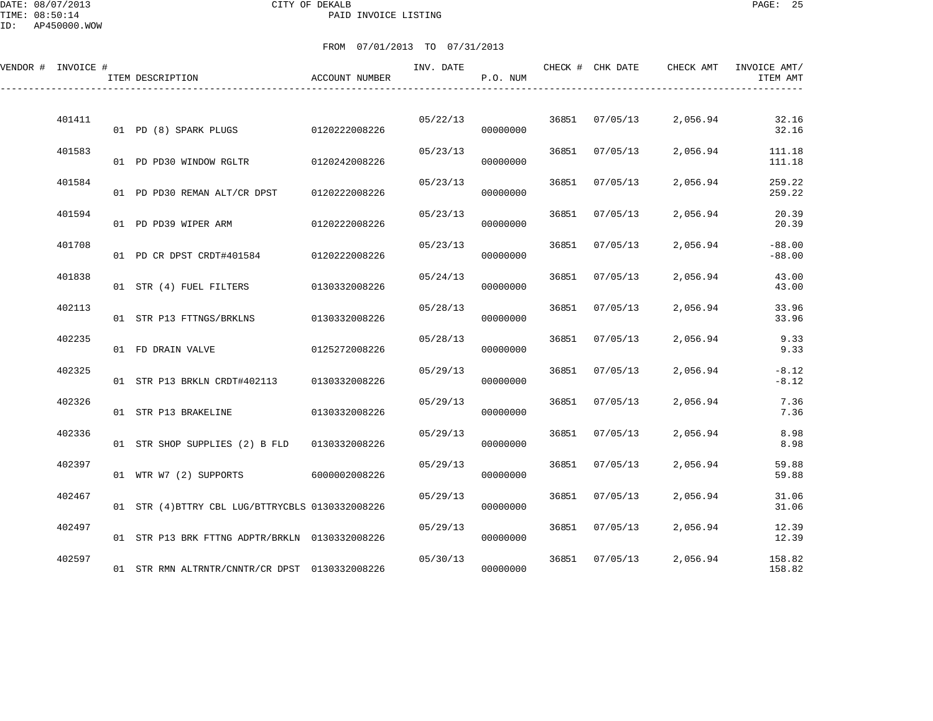DATE: 08/07/2013 CITY OF DEKALB PAGE: 25 PAID INVOICE LISTING

ID: AP450000.WOW

| VENDOR # INVOICE # | ITEM DESCRIPTION                                 | ACCOUNT NUMBER | INV. DATE | P.O. NUM |       | CHECK # CHK DATE | CHECK AMT | INVOICE AMT/<br>ITEM AMT |
|--------------------|--------------------------------------------------|----------------|-----------|----------|-------|------------------|-----------|--------------------------|
| 401411             | 01 PD (8) SPARK PLUGS 0120222008226              |                | 05/22/13  | 00000000 |       | 36851 07/05/13   | 2,056.94  | 32.16<br>32.16           |
| 401583             | 01 PD PD30 WINDOW RGLTR                          | 0120242008226  | 05/23/13  | 00000000 | 36851 | 07/05/13         | 2,056.94  | 111.18<br>111.18         |
| 401584             | 01 PD PD30 REMAN ALT/CR DPST                     | 0120222008226  | 05/23/13  | 00000000 | 36851 | 07/05/13         | 2,056.94  | 259.22<br>259.22         |
| 401594             | 01 PD PD39 WIPER ARM                             | 0120222008226  | 05/23/13  | 00000000 | 36851 | 07/05/13         | 2,056.94  | 20.39<br>20.39           |
| 401708             | 01 PD CR DPST CRDT#401584                        | 0120222008226  | 05/23/13  | 00000000 | 36851 | 07/05/13         | 2,056.94  | $-88.00$<br>$-88.00$     |
| 401838             | 01 STR (4) FUEL FILTERS 0130332008226            |                | 05/24/13  | 00000000 | 36851 | 07/05/13         | 2,056.94  | 43.00<br>43.00           |
| 402113             | 01 STR P13 FTTNGS/BRKLNS                         | 0130332008226  | 05/28/13  | 00000000 | 36851 | 07/05/13         | 2,056.94  | 33.96<br>33.96           |
| 402235             | 01 FD DRAIN VALVE                                | 0125272008226  | 05/28/13  | 00000000 | 36851 | 07/05/13         | 2,056.94  | 9.33<br>9.33             |
| 402325             | 01 STR P13 BRKLN CRDT#402113 0130332008226       |                | 05/29/13  | 00000000 | 36851 | 07/05/13         | 2,056.94  | $-8.12$<br>$-8.12$       |
| 402326             | 01 STR P13 BRAKELINE                             | 0130332008226  | 05/29/13  | 00000000 | 36851 | 07/05/13         | 2,056.94  | 7.36<br>7.36             |
| 402336             | 01 STR SHOP SUPPLIES (2) B FLD                   | 0130332008226  | 05/29/13  | 00000000 | 36851 | 07/05/13         | 2,056.94  | 8.98<br>8.98             |
| 402397             | 01 WTR W7 (2) SUPPORTS                           | 6000002008226  | 05/29/13  | 00000000 | 36851 | 07/05/13         | 2,056.94  | 59.88<br>59.88           |
| 402467             | 01 STR (4) BTTRY CBL LUG/BTTRYCBLS 0130332008226 |                | 05/29/13  | 00000000 | 36851 | 07/05/13         | 2,056.94  | 31.06<br>31.06           |
| 402497             | 01 STR P13 BRK FTTNG ADPTR/BRKLN 0130332008226   |                | 05/29/13  | 00000000 | 36851 | 07/05/13         | 2,056.94  | 12.39<br>12.39           |
| 402597             | 01 STR RMN ALTRNTR/CNNTR/CR DPST 0130332008226   |                | 05/30/13  | 00000000 | 36851 | 07/05/13         | 2,056.94  | 158.82<br>158.82         |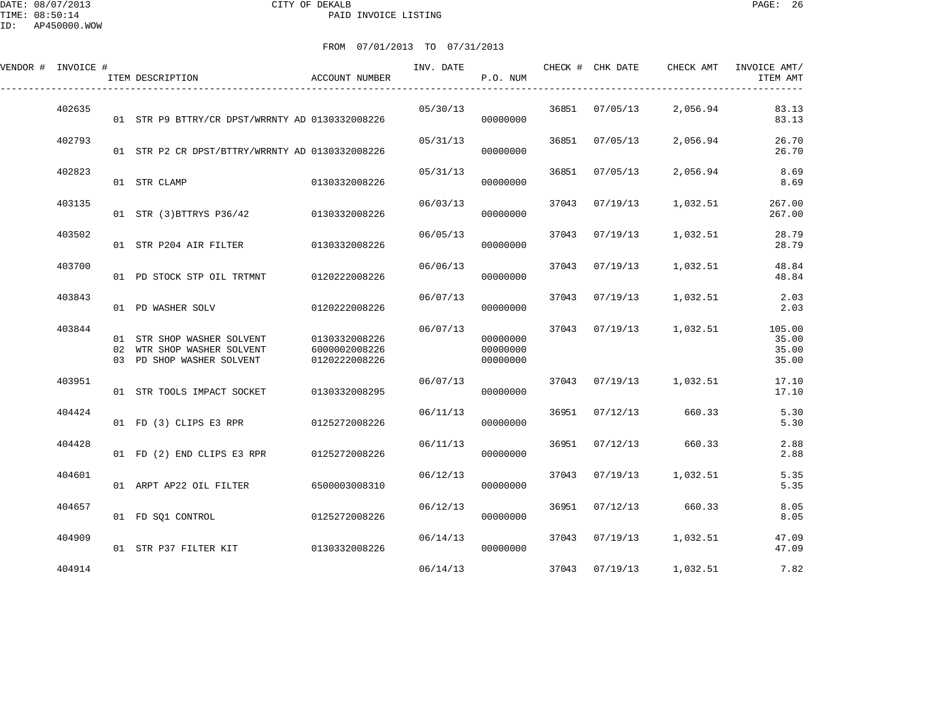DATE: 08/07/2013 CITY OF DEKALB PAGE: 26 PAID INVOICE LISTING

ID: AP450000.WOW

| VENDOR # INVOICE # | ITEM DESCRIPTION                                                                      | ACCOUNT NUMBER                                  | INV. DATE | P.O. NUM                         |       | CHECK # CHK DATE | CHECK AMT | INVOICE AMT/<br>ITEM AMT          |
|--------------------|---------------------------------------------------------------------------------------|-------------------------------------------------|-----------|----------------------------------|-------|------------------|-----------|-----------------------------------|
| 402635             | 01 STR P9 BTTRY/CR DPST/WRRNTY AD 0130332008226                                       |                                                 | 05/30/13  | 00000000                         | 36851 | 07/05/13         | 2,056.94  | 83.13<br>83.13                    |
| 402793             | 01 STR P2 CR DPST/BTTRY/WRRNTY AD 0130332008226                                       |                                                 | 05/31/13  | 00000000                         | 36851 | 07/05/13         | 2,056.94  | 26.70<br>26.70                    |
| 402823             | 01 STR CLAMP                                                                          | 0130332008226                                   | 05/31/13  | 00000000                         | 36851 | 07/05/13         | 2,056.94  | 8.69<br>8.69                      |
| 403135             | 01 STR (3) BTTRYS P36/42                                                              | 0130332008226                                   | 06/03/13  | 00000000                         | 37043 | 07/19/13         | 1,032.51  | 267.00<br>267.00                  |
| 403502             | 01 STR P204 AIR FILTER 0130332008226                                                  |                                                 | 06/05/13  | 00000000                         | 37043 | 07/19/13         | 1,032.51  | 28.79<br>28.79                    |
| 403700             | 01 PD STOCK STP OIL TRTMNT                                                            | 0120222008226                                   | 06/06/13  | 00000000                         | 37043 | 07/19/13         | 1,032.51  | 48.84<br>48.84                    |
| 403843             | 01 PD WASHER SOLV                                                                     | 0120222008226                                   | 06/07/13  | 00000000                         | 37043 | 07/19/13         | 1,032.51  | 2.03<br>2.03                      |
| 403844             | 01 STR SHOP WASHER SOLVENT<br>02 WTR SHOP WASHER SOLVENT<br>03 PD SHOP WASHER SOLVENT | 0130332008226<br>6000002008226<br>0120222008226 | 06/07/13  | 00000000<br>00000000<br>00000000 |       | 37043 07/19/13   | 1,032.51  | 105.00<br>35.00<br>35.00<br>35.00 |
| 403951             | 01 STR TOOLS IMPACT SOCKET                                                            | 0130332008295                                   | 06/07/13  | 00000000                         | 37043 | 07/19/13         | 1,032.51  | 17.10<br>17.10                    |
| 404424             | 01 FD (3) CLIPS E3 RPR 0125272008226                                                  |                                                 | 06/11/13  | 00000000                         | 36951 | 07/12/13         | 660.33    | 5.30<br>5.30                      |
| 404428             | 01 FD (2) END CLIPS E3 RPR 0125272008226                                              |                                                 | 06/11/13  | 00000000                         | 36951 | 07/12/13         | 660.33    | 2.88<br>2.88                      |
| 404601             | 01 ARPT AP22 OIL FILTER                                                               | 6500003008310                                   | 06/12/13  | 00000000                         | 37043 | 07/19/13         | 1,032.51  | 5.35<br>5.35                      |
| 404657             | 01 FD SQ1 CONTROL                                                                     | 0125272008226                                   | 06/12/13  | 00000000                         | 36951 | 07/12/13         | 660.33    | 8.05<br>8.05                      |
| 404909             | 01 STR P37 FILTER KIT                                                                 | 0130332008226                                   | 06/14/13  | 00000000                         |       | 37043 07/19/13   | 1,032.51  | 47.09<br>47.09                    |
| 404914             |                                                                                       |                                                 | 06/14/13  |                                  |       | 37043 07/19/13   | 1,032.51  | 7.82                              |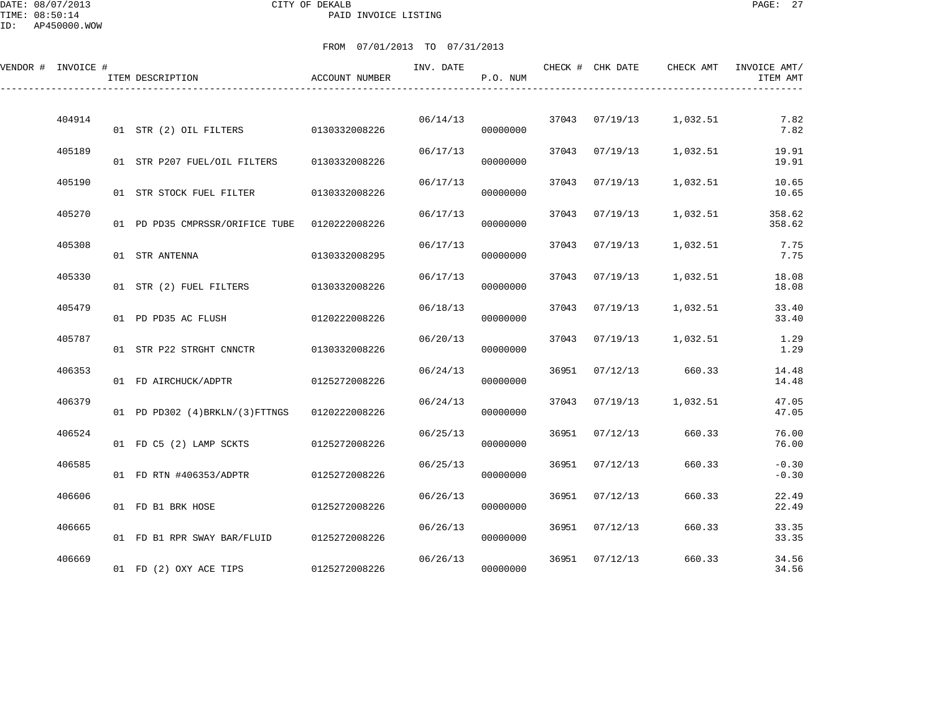### DATE: 08/07/2013 CITY OF DEKALB PAGE: 27 PAID INVOICE LISTING

| VENDOR # INVOICE # |        | ITEM DESCRIPTION                              | ACCOUNT NUMBER | INV. DATE | P.O. NUM |       | CHECK # CHK DATE | CHECK AMT | INVOICE AMT/<br>ITEM AMT |
|--------------------|--------|-----------------------------------------------|----------------|-----------|----------|-------|------------------|-----------|--------------------------|
|                    | 404914 |                                               |                | 06/14/13  |          |       | 37043 07/19/13   | 1,032.51  | 7.82                     |
|                    | 405189 | 01 STR (2) OIL FILTERS                        | 0130332008226  | 06/17/13  | 00000000 |       | 37043 07/19/13   | 1,032.51  | 7.82<br>19.91            |
|                    |        | 01 STR P207 FUEL/OIL FILTERS                  | 0130332008226  |           | 00000000 |       |                  |           | 19.91                    |
|                    | 405190 | 01 STR STOCK FUEL FILTER                      | 0130332008226  | 06/17/13  | 00000000 | 37043 | 07/19/13         | 1,032.51  | 10.65<br>10.65           |
|                    | 405270 | 01 PD PD35 CMPRSSR/ORIFICE TUBE 0120222008226 |                | 06/17/13  | 00000000 | 37043 | 07/19/13         | 1,032.51  | 358.62<br>358.62         |
|                    | 405308 | 01 STR ANTENNA                                | 0130332008295  | 06/17/13  | 00000000 | 37043 | 07/19/13         | 1,032.51  | 7.75<br>7.75             |
|                    | 405330 | 01 STR (2) FUEL FILTERS                       | 0130332008226  | 06/17/13  | 00000000 | 37043 | 07/19/13         | 1,032.51  | 18.08<br>18.08           |
|                    | 405479 | 01 PD PD35 AC FLUSH                           | 0120222008226  | 06/18/13  | 00000000 | 37043 | 07/19/13         | 1,032.51  | 33.40<br>33.40           |
|                    | 405787 | 01 STR P22 STRGHT CNNCTR                      | 0130332008226  | 06/20/13  | 00000000 | 37043 | 07/19/13         | 1,032.51  | 1.29<br>1.29             |
|                    | 406353 | 01 FD AIRCHUCK/ADPTR                          | 0125272008226  | 06/24/13  | 00000000 | 36951 | 07/12/13         | 660.33    | 14.48<br>14.48           |
|                    | 406379 | 01 PD PD302 (4) BRKLN/(3) FTTNGS              | 0120222008226  | 06/24/13  | 00000000 | 37043 | 07/19/13         | 1,032.51  | 47.05<br>47.05           |
|                    | 406524 | 01 FD C5 (2) LAMP SCKTS                       | 0125272008226  | 06/25/13  | 00000000 | 36951 | 07/12/13         | 660.33    | 76.00<br>76.00           |
|                    | 406585 | 01 FD RTN #406353/ADPTR                       | 0125272008226  | 06/25/13  | 00000000 | 36951 | 07/12/13         | 660.33    | $-0.30$<br>$-0.30$       |
|                    | 406606 | 01 FD B1 BRK HOSE                             | 0125272008226  | 06/26/13  | 00000000 | 36951 | 07/12/13         | 660.33    | 22.49<br>22.49           |
|                    | 406665 | 01 FD B1 RPR SWAY BAR/FLUID                   | 0125272008226  | 06/26/13  | 00000000 | 36951 | 07/12/13         | 660.33    | 33.35<br>33.35           |
|                    | 406669 | 01 FD (2) OXY ACE TIPS                        | 0125272008226  | 06/26/13  | 00000000 | 36951 | 07/12/13         | 660.33    | 34.56<br>34.56           |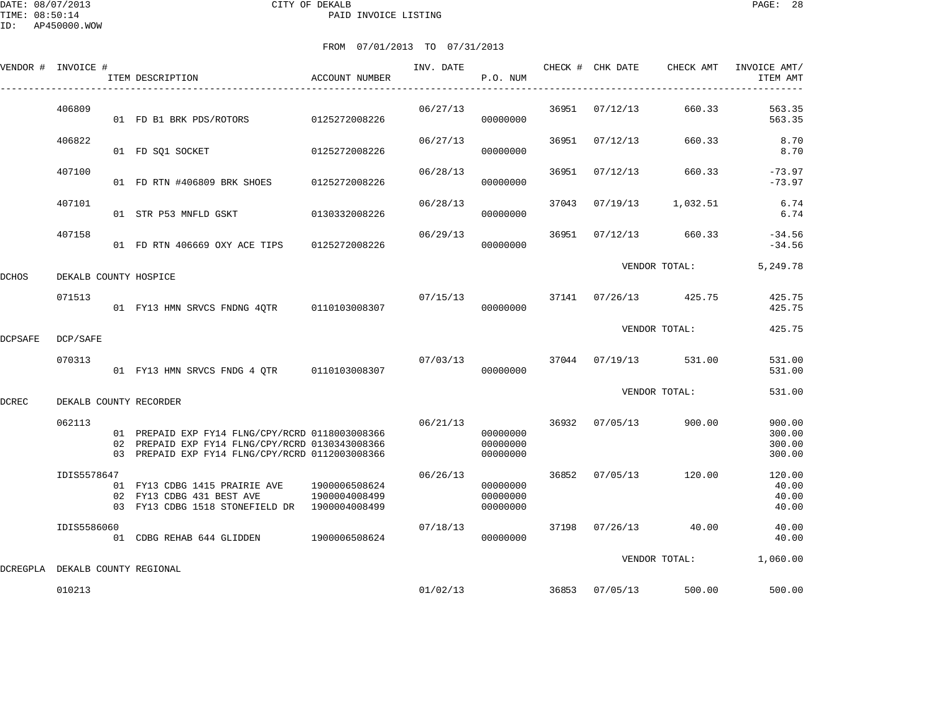|         | VENDOR # INVOICE #    | ITEM DESCRIPTION                                                                                                                                      | ACCOUNT NUMBER                 | INV. DATE | P.O. NUM                         |       | CHECK # CHK DATE | CHECK AMT             | INVOICE AMT/<br>ITEM AMT             |
|---------|-----------------------|-------------------------------------------------------------------------------------------------------------------------------------------------------|--------------------------------|-----------|----------------------------------|-------|------------------|-----------------------|--------------------------------------|
|         | 406809                | 01 FD B1 BRK PDS/ROTORS 0125272008226                                                                                                                 |                                | 06/27/13  | 00000000                         | 36951 | 07/12/13         | 660.33                | 563.35<br>563.35                     |
|         | 406822                | 01 FD SQ1 SOCKET                                                                                                                                      | 0125272008226                  | 06/27/13  | 00000000                         | 36951 | 07/12/13         | 660.33                | 8.70<br>8.70                         |
|         | 407100                | 01 FD RTN #406809 BRK SHOES                                                                                                                           | 0125272008226                  | 06/28/13  | 00000000                         | 36951 | 07/12/13         | 660.33                | $-73.97$<br>$-73.97$                 |
|         | 407101                | 01 STR P53 MNFLD GSKT                                                                                                                                 | 0130332008226                  | 06/28/13  | 00000000                         | 37043 | 07/19/13         | 1,032.51              | 6.74<br>6.74                         |
|         | 407158                | 01 FD RTN 406669 OXY ACE TIPS                                                                                                                         | 0125272008226                  | 06/29/13  | 00000000                         | 36951 | 07/12/13         | 660.33                | $-34.56$<br>$-34.56$                 |
| DCHOS   | DEKALB COUNTY HOSPICE |                                                                                                                                                       |                                |           |                                  |       |                  | VENDOR TOTAL:         | 5,249.78                             |
|         | 071513                | 01 FY13 HMN SRVCS FNDNG 4QTR 0110103008307                                                                                                            |                                | 07/15/13  | 00000000                         |       | 37141 07/26/13   | 425.75                | 425.75<br>425.75                     |
| DCPSAFE | DCP/SAFE              |                                                                                                                                                       |                                |           |                                  |       |                  | VENDOR TOTAL:         | 425.75                               |
|         | 070313                | 01 FY13 HMN SRVCS FNDG 4 QTR 0110103008307                                                                                                            |                                | 07/03/13  | 00000000                         |       |                  | 37044 07/19/13 531.00 | 531.00<br>531.00                     |
| DCREC   |                       | DEKALB COUNTY RECORDER                                                                                                                                |                                |           |                                  |       |                  | VENDOR TOTAL:         | 531.00                               |
|         | 062113                | 01 PREPAID EXP FY14 FLNG/CPY/RCRD 0118003008366<br>02 PREPAID EXP FY14 FLNG/CPY/RCRD 0130343008366<br>03 PREPAID EXP FY14 FLNG/CPY/RCRD 0112003008366 |                                | 06/21/13  | 00000000<br>00000000<br>00000000 | 36932 | 07/05/13         | 900.00                | 900.00<br>300.00<br>300.00<br>300.00 |
|         | IDIS5578647           | 01 FY13 CDBG 1415 PRAIRIE AVE<br>02 FY13 CDBG 431 BEST AVE<br>03 FY13 CDBG 1518 STONEFIELD DR 1900004008499                                           | 1900006508624<br>1900004008499 | 06/26/13  | 00000000<br>00000000<br>00000000 | 36852 | 07/05/13         | 120.00                | 120.00<br>40.00<br>40.00<br>40.00    |
|         | IDIS5586060           | 01 CDBG REHAB 644 GLIDDEN 1900006508624                                                                                                               |                                | 07/18/13  | 00000000                         |       | 37198 07/26/13   | 40.00                 | 40.00<br>40.00                       |
|         |                       | DCREGPLA DEKALB COUNTY REGIONAL                                                                                                                       |                                |           |                                  |       |                  | VENDOR TOTAL:         | 1,060.00                             |
|         | 010213                |                                                                                                                                                       |                                | 01/02/13  |                                  | 36853 | 07/05/13         | 500.00                | 500.00                               |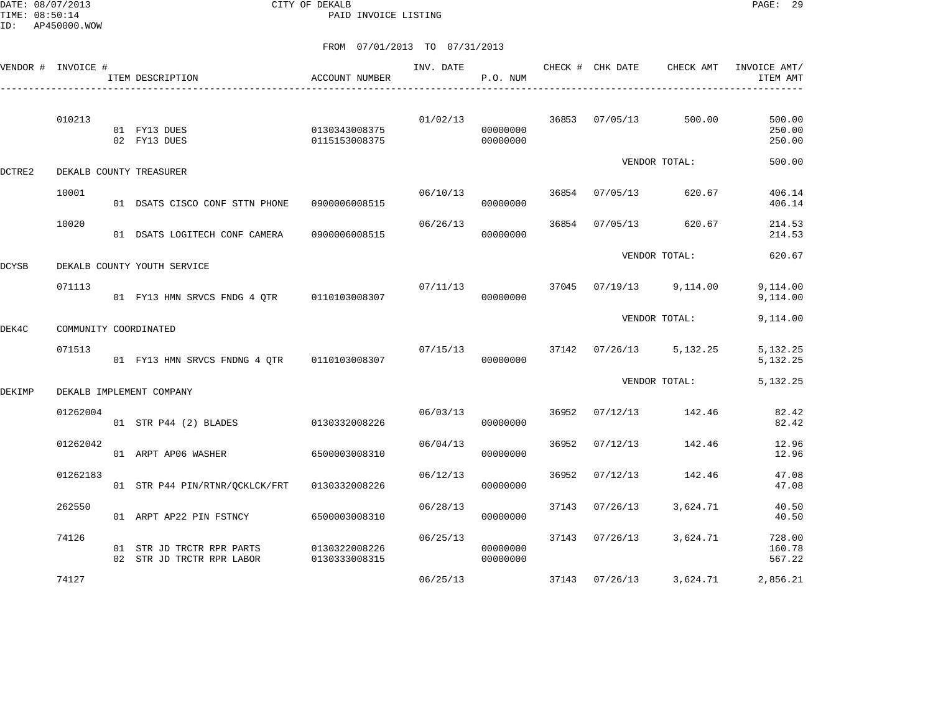DATE: 08/07/2013 CITY OF DEKALB PAGE: 29 PAID INVOICE LISTING

|        | VENDOR # INVOICE #    | ITEM DESCRIPTION                                       | ACCOUNT NUMBER                 | INV. DATE | P.O. NUM                         |       | CHECK # CHK DATE | CHECK AMT               | INVOICE AMT/<br>ITEM AMT   |
|--------|-----------------------|--------------------------------------------------------|--------------------------------|-----------|----------------------------------|-------|------------------|-------------------------|----------------------------|
|        | 010213                | 01 FY13 DUES<br>02 FY13 DUES                           | 0130343008375<br>0115153008375 |           | 01/02/13<br>00000000<br>00000000 |       | 36853 07/05/13   | 500.00                  | 500.00<br>250.00<br>250.00 |
| DCTRE2 |                       | DEKALB COUNTY TREASURER                                |                                |           |                                  |       |                  | VENDOR TOTAL:           | 500.00                     |
|        | 10001                 | 01 DSATS CISCO CONF STTN PHONE                         | 0900006008515                  | 06/10/13  | 00000000                         |       | 36854 07/05/13   | 620.67                  | 406.14<br>406.14           |
|        | 10020                 | 01 DSATS LOGITECH CONF CAMERA                          | 0900006008515                  | 06/26/13  | 00000000                         |       | 36854 07/05/13   | 620.67                  | 214.53<br>214.53           |
| DCYSB  |                       | DEKALB COUNTY YOUTH SERVICE                            |                                |           |                                  |       |                  | VENDOR TOTAL:           | 620.67                     |
|        | 071113                | 01 FY13 HMN SRVCS FNDG 4 OTR 0110103008307             |                                | 07/11/13  | 00000000                         | 37045 |                  | 07/19/13 9,114.00       | 9,114.00<br>9,114.00       |
| DEK4C  | COMMUNITY COORDINATED |                                                        |                                |           |                                  |       |                  | VENDOR TOTAL:           | 9,114.00                   |
|        | 071513                | 01 FY13 HMN SRVCS FNDNG 4 OTR 0110103008307            |                                | 07/15/13  | 00000000                         |       |                  | 37142 07/26/13 5,132.25 | 5, 132. 25<br>5, 132. 25   |
| DEKIMP |                       | DEKALB IMPLEMENT COMPANY                               |                                |           |                                  |       |                  | VENDOR TOTAL:           | 5, 132. 25                 |
|        | 01262004              | 01 STR P44 (2) BLADES                                  | 0130332008226                  | 06/03/13  | 00000000                         | 36952 | 07/12/13         | 142.46                  | 82.42<br>82.42             |
|        | 01262042              | 01 ARPT AP06 WASHER                                    | 6500003008310                  | 06/04/13  | 00000000                         | 36952 | 07/12/13         | 142.46                  | 12.96<br>12.96             |
|        | 01262183              | 01 STR P44 PIN/RTNR/QCKLCK/FRT 0130332008226           |                                | 06/12/13  | 00000000                         | 36952 | 07/12/13         | 142.46                  | 47.08<br>47.08             |
|        | 262550                | 01 ARPT AP22 PIN FSTNCY                                | 6500003008310                  | 06/28/13  | 00000000                         |       | 37143 07/26/13   | 3,624.71                | 40.50<br>40.50             |
|        | 74126                 | 01 STR JD TRCTR RPR PARTS<br>02 STR JD TRCTR RPR LABOR | 0130322008226<br>0130333008315 | 06/25/13  | 00000000<br>00000000             |       | 37143 07/26/13   | 3,624.71                | 728.00<br>160.78<br>567.22 |
|        | 74127                 |                                                        |                                | 06/25/13  |                                  |       | 37143 07/26/13   | 3,624.71                | 2,856.21                   |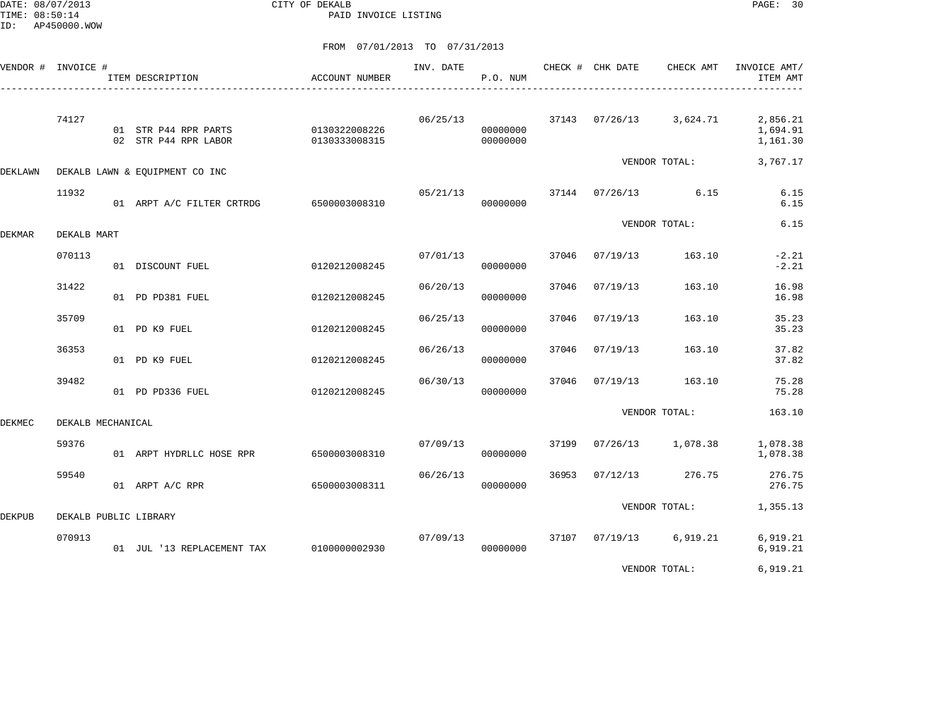DATE: 08/07/2013 CITY OF DEKALB PAGE: 30 PAID INVOICE LISTING

|               | VENDOR # INVOICE #    | ITEM DESCRIPTION                             | ACCOUNT NUMBER                 | INV. DATE | P.O. NUM             |       | CHECK # CHK DATE | CHECK AMT               | INVOICE AMT/<br>ITEM AMT         |
|---------------|-----------------------|----------------------------------------------|--------------------------------|-----------|----------------------|-------|------------------|-------------------------|----------------------------------|
|               | 74127                 | 01 STR P44 RPR PARTS<br>02 STR P44 RPR LABOR | 0130322008226<br>0130333008315 | 06/25/13  | 00000000<br>00000000 |       |                  | 37143 07/26/13 3,624.71 | 2,856.21<br>1,694.91<br>1,161.30 |
| DEKLAWN       |                       | DEKALB LAWN & EQUIPMENT CO INC               |                                |           |                      |       |                  | VENDOR TOTAL:           | 3,767.17                         |
|               | 11932                 | 01 ARPT A/C FILTER CRTRDG 6500003008310      |                                | 05/21/13  | 00000000             |       |                  | 37144 07/26/13 6.15     | 6.15<br>6.15                     |
| <b>DEKMAR</b> | DEKALB MART           |                                              |                                |           |                      |       |                  | VENDOR TOTAL:           | 6.15                             |
|               | 070113                | 01 DISCOUNT FUEL                             | 0120212008245                  | 07/01/13  | 00000000             | 37046 | 07/19/13         | 163.10                  | $-2.21$<br>$-2.21$               |
|               | 31422                 | 01 PD PD381 FUEL                             | 0120212008245                  | 06/20/13  | 00000000             | 37046 | 07/19/13         | 163.10                  | 16.98<br>16.98                   |
|               | 35709                 | 01 PD K9 FUEL                                | 0120212008245                  | 06/25/13  | 00000000             | 37046 | 07/19/13         | 163.10                  | 35.23<br>35.23                   |
|               | 36353                 | 01 PD K9 FUEL                                | 0120212008245                  | 06/26/13  | 00000000             | 37046 | 07/19/13         | 163.10                  | 37.82<br>37.82                   |
|               | 39482                 | 01 PD PD336 FUEL                             | 0120212008245                  | 06/30/13  | 00000000             | 37046 | 07/19/13         | 163.10                  | 75.28<br>75.28                   |
| DEKMEC        | DEKALB MECHANICAL     |                                              |                                |           |                      |       |                  | VENDOR TOTAL:           | 163.10                           |
|               | 59376                 | 01 ARPT HYDRLLC HOSE RPR                     | 6500003008310                  | 07/09/13  | 00000000             | 37199 | 07/26/13         | 1,078.38                | 1,078.38<br>1,078.38             |
|               | 59540                 | 01 ARPT A/C RPR                              | 6500003008311                  | 06/26/13  | 00000000             | 36953 | 07/12/13         | 276.75                  | 276.75<br>276.75                 |
| DEKPUB        | DEKALB PUBLIC LIBRARY |                                              |                                |           |                      |       |                  | VENDOR TOTAL:           | 1,355.13                         |
|               | 070913                | 01 JUL '13 REPLACEMENT TAX                   | 0100000002930                  | 07/09/13  | 00000000             | 37107 | 07/19/13         | 6,919.21                | 6,919.21<br>6,919.21             |
|               |                       |                                              |                                |           |                      |       |                  | VENDOR TOTAL:           | 6,919.21                         |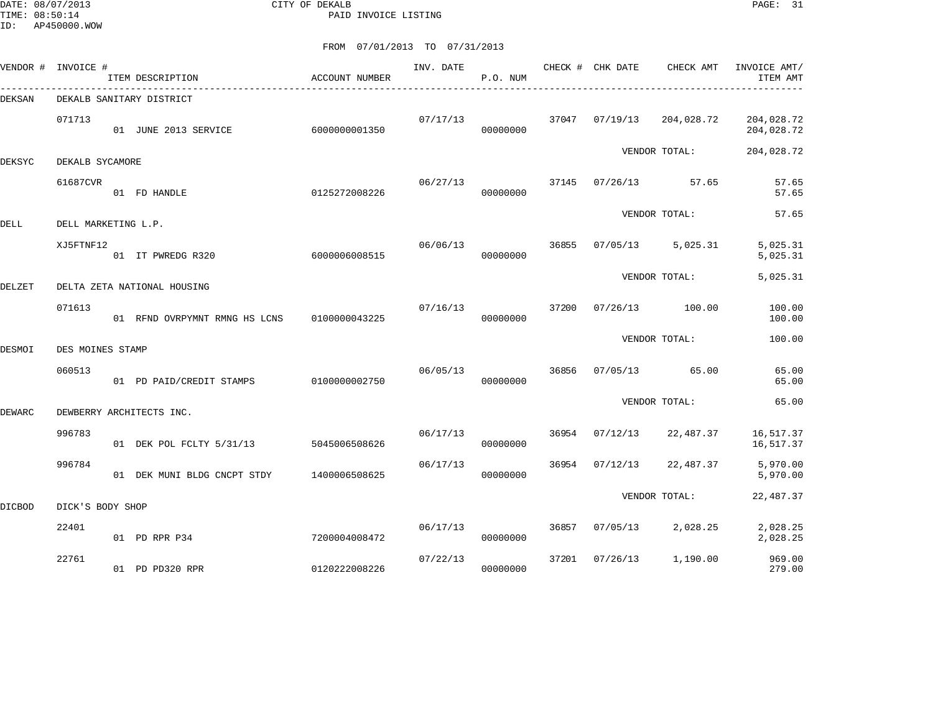DATE: 08/07/2013 CITY OF DEKALB PAGE: 31 PAID INVOICE LISTING

|        | VENDOR # INVOICE #  | ITEM DESCRIPTION              | <b>ACCOUNT NUMBER</b> | INV. DATE | P.O. NUM |       | CHECK # CHK DATE | CHECK AMT     | INVOICE AMT/<br>ITEM AMT |
|--------|---------------------|-------------------------------|-----------------------|-----------|----------|-------|------------------|---------------|--------------------------|
| DEKSAN |                     | DEKALB SANITARY DISTRICT      |                       |           |          |       |                  |               |                          |
|        | 071713              | 01 JUNE 2013 SERVICE          | 6000000001350         | 07/17/13  | 00000000 | 37047 | 07/19/13         | 204,028.72    | 204,028.72<br>204,028.72 |
| DEKSYC | DEKALB SYCAMORE     |                               |                       |           |          |       |                  | VENDOR TOTAL: | 204,028.72               |
|        | 61687CVR            | 01 FD HANDLE                  | 0125272008226         | 06/27/13  | 00000000 | 37145 | 07/26/13         | 57.65         | 57.65<br>57.65           |
| DELL   | DELL MARKETING L.P. |                               |                       |           |          |       |                  | VENDOR TOTAL: | 57.65                    |
|        | XJ5FTNF12           | 01 IT PWREDG R320             | 6000006008515         | 06/06/13  | 00000000 | 36855 | 07/05/13         | 5,025.31      | 5,025.31<br>5,025.31     |
| DELZET |                     | DELTA ZETA NATIONAL HOUSING   |                       |           |          |       |                  | VENDOR TOTAL: | 5,025.31                 |
|        | 071613              | 01 RFND OVRPYMNT RMNG HS LCNS | 0100000043225         | 07/16/13  | 00000000 | 37200 | 07/26/13         | 100.00        | 100.00<br>100.00         |
| DESMOI | DES MOINES STAMP    |                               |                       |           |          |       |                  | VENDOR TOTAL: | 100.00                   |
|        | 060513              | 01 PD PAID/CREDIT STAMPS      | 0100000002750         | 06/05/13  | 00000000 | 36856 | 07/05/13         | 65.00         | 65.00<br>65.00           |
| DEWARC |                     | DEWBERRY ARCHITECTS INC.      |                       |           |          |       |                  | VENDOR TOTAL: | 65.00                    |
|        | 996783              | 01 DEK POL FCLTY 5/31/13      | 5045006508626         | 06/17/13  | 00000000 | 36954 | 07/12/13         | 22,487.37     | 16,517.37<br>16,517.37   |
|        | 996784              | 01 DEK MUNI BLDG CNCPT STDY   | 1400006508625         | 06/17/13  | 00000000 | 36954 | 07/12/13         | 22,487.37     | 5,970.00<br>5,970.00     |
| DICBOD | DICK'S BODY SHOP    |                               |                       |           |          |       |                  | VENDOR TOTAL: | 22,487.37                |
|        |                     |                               |                       |           |          |       |                  |               |                          |
|        | 22401               | 01 PD RPR P34                 | 7200004008472         | 06/17/13  | 00000000 | 36857 | 07/05/13         | 2,028.25      | 2,028.25<br>2,028.25     |
|        | 22761               | 01 PD PD320 RPR               | 0120222008226         | 07/22/13  | 00000000 | 37201 | 07/26/13         | 1,190.00      | 969.00<br>279.00         |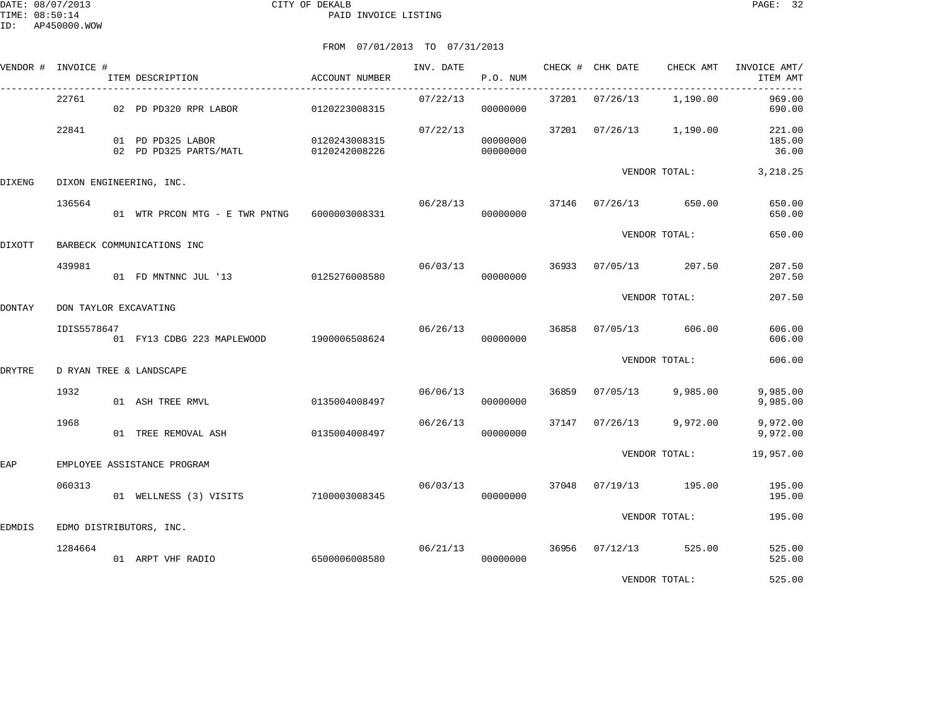|               | VENDOR # INVOICE # | ITEM DESCRIPTION                            | <b>ACCOUNT NUMBER</b>          | INV. DATE | P.O. NUM             |       | CHECK # CHK DATE | CHECK AMT     | INVOICE AMT/<br>ITEM AMT  |
|---------------|--------------------|---------------------------------------------|--------------------------------|-----------|----------------------|-------|------------------|---------------|---------------------------|
|               | 22761              | 02 PD PD320 RPR LABOR                       | 0120223008315                  | 07/22/13  | 00000000             |       | 37201 07/26/13   | 1,190.00      | 969.00<br>690.00          |
|               | 22841              | 01 PD PD325 LABOR<br>02 PD PD325 PARTS/MATL | 0120243008315<br>0120242008226 | 07/22/13  | 00000000<br>00000000 |       | 37201 07/26/13   | 1,190.00      | 221.00<br>185.00<br>36.00 |
| <b>DIXENG</b> |                    | DIXON ENGINEERING, INC.                     |                                |           |                      |       |                  | VENDOR TOTAL: | 3,218.25                  |
|               | 136564             | 01 WTR PRCON MTG - E TWR PNTNG              | 6000003008331                  | 06/28/13  | 00000000             | 37146 | 07/26/13         | 650.00        | 650.00<br>650.00          |
| DIXOTT        |                    | BARBECK COMMUNICATIONS INC                  |                                |           |                      |       |                  | VENDOR TOTAL: | 650.00                    |
|               | 439981             | 01 FD MNTNNC JUL '13 0125276008580          |                                | 06/03/13  | 00000000             | 36933 | 07/05/13         | 207.50        | 207.50<br>207.50          |
| <b>DONTAY</b> |                    | DON TAYLOR EXCAVATING                       |                                |           |                      |       |                  | VENDOR TOTAL: | 207.50                    |
|               | IDIS5578647        |                                             |                                | 06/26/13  |                      | 36858 | 07/05/13         | 606.00        | 606.00                    |
|               |                    | 01 FY13 CDBG 223 MAPLEWOOD                  | 1900006508624                  |           | 00000000             |       |                  |               | 606.00                    |
| <b>DRYTRE</b> |                    | D RYAN TREE & LANDSCAPE                     |                                |           |                      |       |                  | VENDOR TOTAL: | 606.00                    |
|               | 1932               | 01 ASH TREE RMVL                            | 0135004008497                  | 06/06/13  | 00000000             | 36859 | 07/05/13         | 9,985.00      | 9,985.00<br>9,985.00      |
|               | 1968               | 01 TREE REMOVAL ASH                         | 0135004008497                  | 06/26/13  | 00000000             | 37147 | 07/26/13         | 9,972.00      | 9,972.00<br>9,972.00      |
| EAP           |                    | EMPLOYEE ASSISTANCE PROGRAM                 |                                |           |                      |       |                  | VENDOR TOTAL: | 19,957.00                 |
|               | 060313             | 01 WELLNESS (3) VISITS                      | 7100003008345                  | 06/03/13  | 00000000             | 37048 | 07/19/13         | 195.00        | 195.00<br>195.00          |
|               |                    |                                             |                                |           |                      |       |                  | VENDOR TOTAL: | 195.00                    |
| EDMDIS        | 1284664            | EDMO DISTRIBUTORS, INC.                     |                                | 06/21/13  |                      | 36956 | 07/12/13         | 525.00        | 525.00                    |
|               |                    | 01 ARPT VHF RADIO                           | 6500006008580                  |           | 00000000             |       |                  |               | 525.00                    |
|               |                    |                                             |                                |           |                      |       |                  | VENDOR TOTAL: | 525.00                    |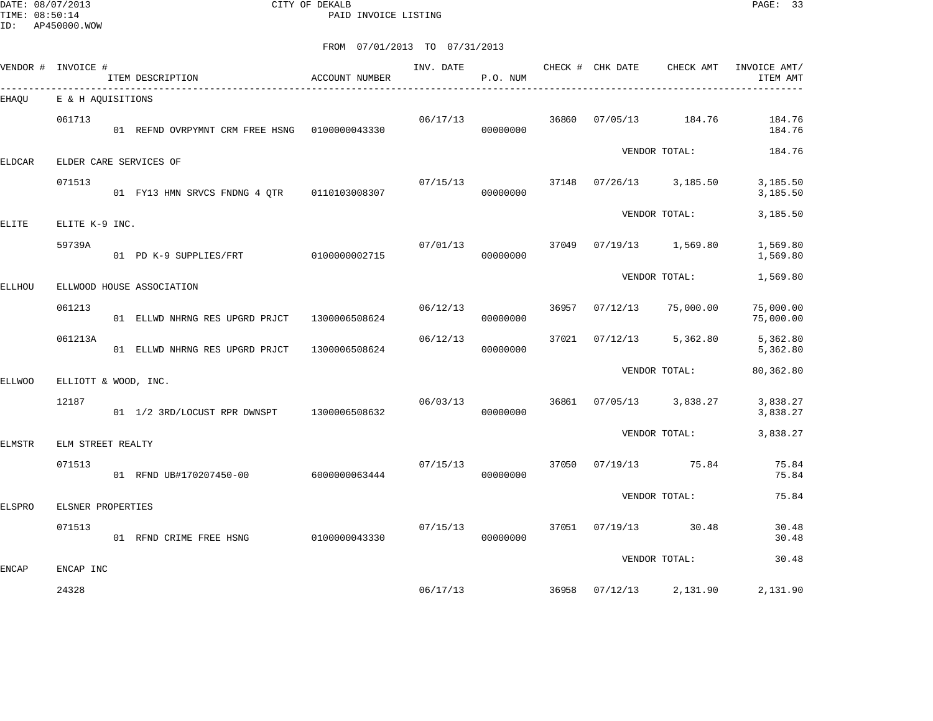DATE: 08/07/2013 CITY OF DEKALB PAGE: 33 PAID INVOICE LISTING

|         |       |                                                                                                         |                                                                                                                                                                                                                                                                                     | INV. DATE                                                                                                                                                                          | P.O. NUM |       |          | CHECK AMT                    | INVOICE AMT/<br>ITEM AMT                                                                                                                                                                   |
|---------|-------|---------------------------------------------------------------------------------------------------------|-------------------------------------------------------------------------------------------------------------------------------------------------------------------------------------------------------------------------------------------------------------------------------------|------------------------------------------------------------------------------------------------------------------------------------------------------------------------------------|----------|-------|----------|------------------------------|--------------------------------------------------------------------------------------------------------------------------------------------------------------------------------------------|
|         |       |                                                                                                         |                                                                                                                                                                                                                                                                                     |                                                                                                                                                                                    |          |       |          |                              |                                                                                                                                                                                            |
| 061713  |       |                                                                                                         |                                                                                                                                                                                                                                                                                     | 06/17/13                                                                                                                                                                           | 00000000 | 36860 | 07/05/13 | 184.76                       | 184.76<br>184.76                                                                                                                                                                           |
|         |       |                                                                                                         |                                                                                                                                                                                                                                                                                     |                                                                                                                                                                                    |          |       |          |                              | 184.76                                                                                                                                                                                     |
| 071513  |       |                                                                                                         |                                                                                                                                                                                                                                                                                     | 07/15/13                                                                                                                                                                           | 00000000 | 37148 |          | 3,185.50                     | 3,185.50<br>3,185.50                                                                                                                                                                       |
|         |       |                                                                                                         |                                                                                                                                                                                                                                                                                     |                                                                                                                                                                                    |          |       |          |                              | 3,185.50                                                                                                                                                                                   |
| 59739A  |       |                                                                                                         |                                                                                                                                                                                                                                                                                     | 07/01/13                                                                                                                                                                           | 00000000 | 37049 |          |                              | 1,569.80<br>1,569.80                                                                                                                                                                       |
|         |       |                                                                                                         |                                                                                                                                                                                                                                                                                     |                                                                                                                                                                                    |          |       |          |                              | 1,569.80                                                                                                                                                                                   |
| 061213  |       |                                                                                                         | 1300006508624                                                                                                                                                                                                                                                                       | 06/12/13                                                                                                                                                                           | 00000000 | 36957 | 07/12/13 | 75,000.00                    | 75,000.00<br>75,000.00                                                                                                                                                                     |
| 061213A |       |                                                                                                         | 1300006508624                                                                                                                                                                                                                                                                       | 06/12/13                                                                                                                                                                           | 00000000 | 37021 | 07/12/13 | 5,362.80                     | 5,362.80<br>5,362.80                                                                                                                                                                       |
|         |       |                                                                                                         |                                                                                                                                                                                                                                                                                     |                                                                                                                                                                                    |          |       |          |                              | 80,362.80                                                                                                                                                                                  |
| 12187   |       |                                                                                                         |                                                                                                                                                                                                                                                                                     | 06/03/13                                                                                                                                                                           | 00000000 | 36861 |          | 3,838.27                     | 3,838.27<br>3,838.27                                                                                                                                                                       |
|         |       |                                                                                                         |                                                                                                                                                                                                                                                                                     |                                                                                                                                                                                    |          |       |          |                              | 3,838.27                                                                                                                                                                                   |
| 071513  |       |                                                                                                         |                                                                                                                                                                                                                                                                                     | 07/15/13                                                                                                                                                                           | 00000000 | 37050 |          | 75.84                        | 75.84<br>75.84                                                                                                                                                                             |
|         |       |                                                                                                         |                                                                                                                                                                                                                                                                                     |                                                                                                                                                                                    |          |       |          |                              | 75.84                                                                                                                                                                                      |
| 071513  |       |                                                                                                         |                                                                                                                                                                                                                                                                                     | 07/15/13                                                                                                                                                                           | 00000000 | 37051 | 07/19/13 | 30.48                        | 30.48<br>30.48                                                                                                                                                                             |
|         |       |                                                                                                         |                                                                                                                                                                                                                                                                                     |                                                                                                                                                                                    |          |       |          |                              | 30.48                                                                                                                                                                                      |
|         |       |                                                                                                         |                                                                                                                                                                                                                                                                                     |                                                                                                                                                                                    |          |       |          |                              | 2,131.90                                                                                                                                                                                   |
|         | 24328 | INVOICE #<br>E & H AQUISITIONS<br>ELITE K-9 INC.<br>ELM STREET REALTY<br>ELSNER PROPERTIES<br>ENCAP INC | ITEM DESCRIPTION<br>ELDER CARE SERVICES OF<br>01 PD K-9 SUPPLIES/FRT<br>ELLWOOD HOUSE ASSOCIATION<br>01 ELLWD NHRNG RES UPGRD PRJCT<br>01 ELLWD NHRNG RES UPGRD PRJCT<br>ELLIOTT & WOOD, INC.<br>01 1/2 3RD/LOCUST RPR DWNSPT<br>01 RFND UB#170207450-00<br>01 RFND CRIME FREE HSNG | ACCOUNT NUMBER<br>01 REFND OVRPYMNT CRM FREE HSNG 0100000043330<br>01 FY13 HMN SRVCS FNDNG 4 OTR 0110103008307<br>0100000002715<br>1300006508632<br>6000000063444<br>0100000043330 | 06/17/13 |       | 36958    | CHECK # CHK DATE<br>07/12/13 | VENDOR TOTAL:<br>07/26/13<br>VENDOR TOTAL:<br>$07/19/13$ 1,569.80<br>VENDOR TOTAL:<br>VENDOR TOTAL:<br>07/05/13<br>VENDOR TOTAL:<br>07/19/13<br>VENDOR TOTAL:<br>VENDOR TOTAL:<br>2,131.90 |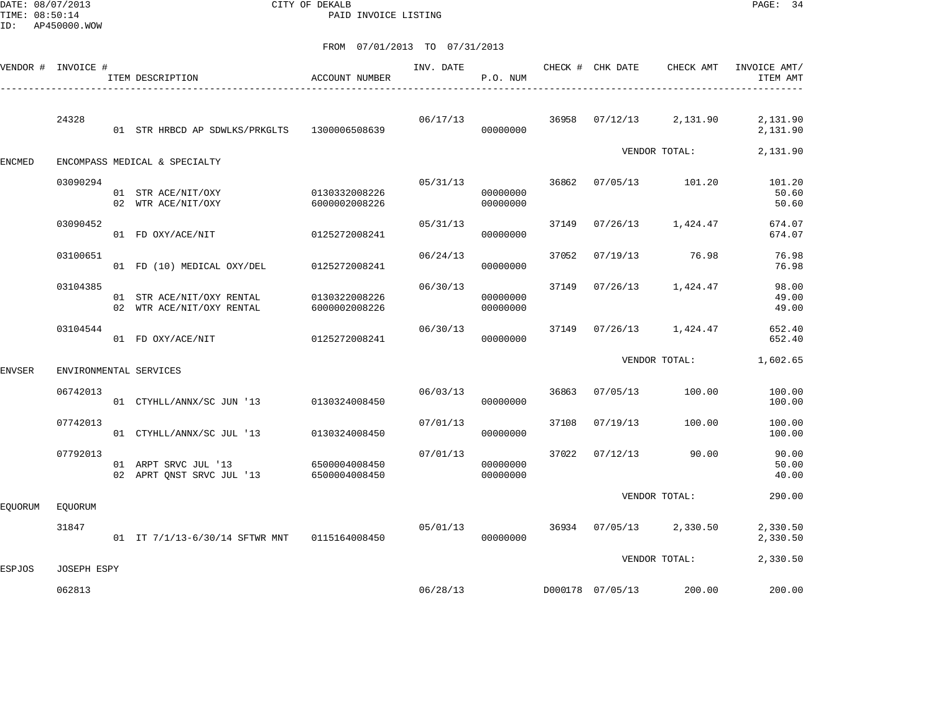DATE: 08/07/2013 CITY OF DEKALB PAGE: 34 PAID INVOICE LISTING

|               | VENDOR # INVOICE # | ITEM DESCRIPTION                                       | <b>ACCOUNT NUMBER</b>          | INV. DATE | P.O. NUM             |       | CHECK # CHK DATE | CHECK AMT         | INVOICE AMT/<br>ITEM AMT |
|---------------|--------------------|--------------------------------------------------------|--------------------------------|-----------|----------------------|-------|------------------|-------------------|--------------------------|
|               | 24328              | 01 STR HRBCD AP SDWLKS/PRKGLTS                         | 1300006508639                  | 06/17/13  | 00000000             | 36958 | 07/12/13         | 2,131.90          | 2,131.90<br>2,131.90     |
| <b>ENCMED</b> |                    | ENCOMPASS MEDICAL & SPECIALTY                          |                                |           |                      |       |                  | VENDOR TOTAL:     | 2,131.90                 |
|               | 03090294           | 01 STR ACE/NIT/OXY<br>02 WTR ACE/NIT/OXY               | 0130332008226<br>6000002008226 | 05/31/13  | 00000000<br>00000000 | 36862 | 07/05/13         | 101.20            | 101.20<br>50.60<br>50.60 |
|               | 03090452           | 01 FD OXY/ACE/NIT                                      | 0125272008241                  | 05/31/13  | 00000000             | 37149 | 07/26/13         | 1,424.47          | 674.07<br>674.07         |
|               | 03100651           | 01 FD (10) MEDICAL OXY/DEL                             | 0125272008241                  | 06/24/13  | 00000000             | 37052 | 07/19/13         | 76.98             | 76.98<br>76.98           |
|               | 03104385           | 01 STR ACE/NIT/OXY RENTAL<br>02 WTR ACE/NIT/OXY RENTAL | 0130322008226<br>6000002008226 | 06/30/13  | 00000000<br>00000000 | 37149 | 07/26/13         | 1,424.47          | 98.00<br>49.00<br>49.00  |
|               | 03104544           | 01 FD OXY/ACE/NIT                                      | 0125272008241                  | 06/30/13  | 00000000             | 37149 |                  | 07/26/13 1,424.47 | 652.40<br>652.40         |
| ENVSER        |                    | ENVIRONMENTAL SERVICES                                 |                                |           |                      |       |                  | VENDOR TOTAL:     | 1,602.65                 |
|               | 06742013           | 01 CTYHLL/ANNX/SC JUN '13                              | 0130324008450                  | 06/03/13  | 00000000             | 36863 | 07/05/13         | 100.00            | 100.00<br>100.00         |
|               | 07742013           | 01 CTYHLL/ANNX/SC JUL '13                              | 0130324008450                  | 07/01/13  | 00000000             | 37108 | 07/19/13         | 100.00            | 100.00<br>100.00         |
|               | 07792013           | 01 ARPT SRVC JUL '13<br>02 APRT QNST SRVC JUL '13      | 6500004008450<br>6500004008450 | 07/01/13  | 00000000<br>00000000 | 37022 | 07/12/13         | 90.00             | 90.00<br>50.00<br>40.00  |
| EQUORUM       | <b>EOUORUM</b>     |                                                        |                                |           |                      |       |                  | VENDOR TOTAL:     | 290.00                   |
|               | 31847              | 01 IT 7/1/13-6/30/14 SFTWR MNT 0115164008450           |                                | 05/01/13  | 00000000             | 36934 | 07/05/13         | 2,330.50          | 2,330.50<br>2,330.50     |
| <b>ESPJOS</b> | <b>JOSEPH ESPY</b> |                                                        |                                |           |                      |       |                  | VENDOR TOTAL:     | 2,330.50                 |
|               | 062813             |                                                        |                                | 06/28/13  |                      |       | D000178 07/05/13 | 200.00            | 200.00                   |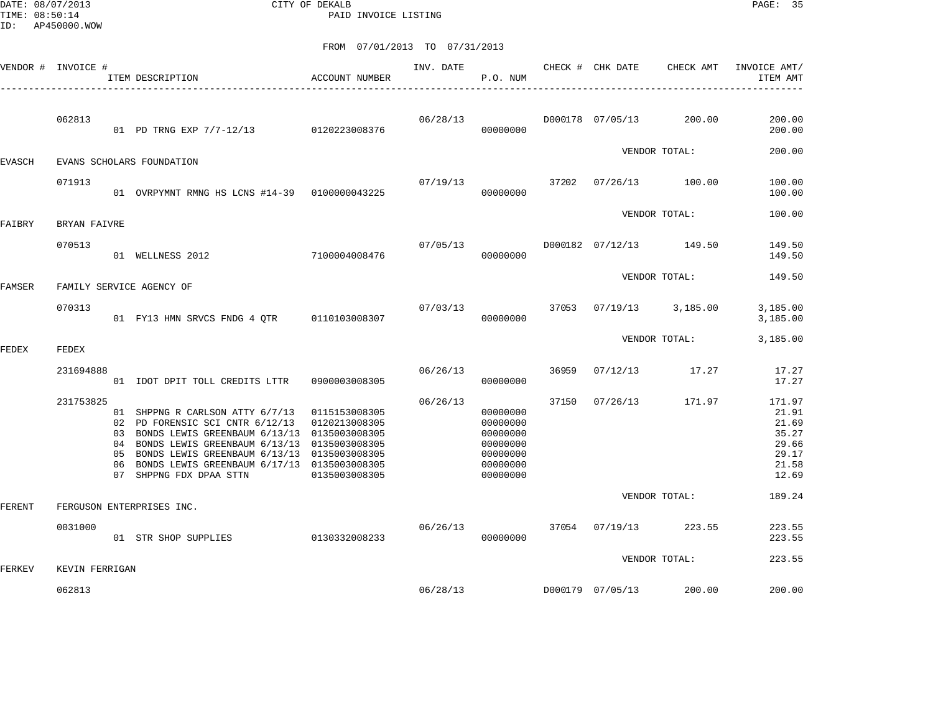DATE: 08/07/2013 CITY OF DEKALB PAGE: 35 PAID INVOICE LISTING

|               | VENDOR # INVOICE # |                                  | ITEM DESCRIPTION                                                                                                                                                                                                                                                                    | ACCOUNT NUMBER                                  | INV. DATE | P.O. NUM                                                                         |       | CHECK # CHK DATE | CHECK AMT               | INVOICE AMT/<br>ITEM AMT                                              |
|---------------|--------------------|----------------------------------|-------------------------------------------------------------------------------------------------------------------------------------------------------------------------------------------------------------------------------------------------------------------------------------|-------------------------------------------------|-----------|----------------------------------------------------------------------------------|-------|------------------|-------------------------|-----------------------------------------------------------------------|
|               | 062813             |                                  | 01 PD TRNG EXP 7/7-12/13 0120223008376                                                                                                                                                                                                                                              |                                                 | 06/28/13  | 00000000                                                                         |       | D000178 07/05/13 | 200.00                  | 200.00<br>200.00                                                      |
| <b>EVASCH</b> |                    |                                  | EVANS SCHOLARS FOUNDATION                                                                                                                                                                                                                                                           |                                                 |           |                                                                                  |       |                  | VENDOR TOTAL:           | 200.00                                                                |
|               | 071913             |                                  | 01 OVRPYMNT RMNG HS LCNS #14-39 0100000043225                                                                                                                                                                                                                                       |                                                 | 07/19/13  | 00000000                                                                         | 37202 |                  | $07/26/13$ 100.00       | 100.00<br>100.00                                                      |
| FAIBRY        | BRYAN FAIVRE       |                                  |                                                                                                                                                                                                                                                                                     |                                                 |           |                                                                                  |       |                  | VENDOR TOTAL:           | 100.00                                                                |
|               | 070513             |                                  | 7100004008476<br>01 WELLNESS 2012                                                                                                                                                                                                                                                   |                                                 | 07/05/13  | 00000000                                                                         |       |                  | D000182 07/12/13 149.50 | 149.50<br>149.50                                                      |
| FAMSER        |                    |                                  | FAMILY SERVICE AGENCY OF                                                                                                                                                                                                                                                            |                                                 |           |                                                                                  |       |                  | VENDOR TOTAL:           | 149.50                                                                |
|               | 070313             |                                  | 01 FY13 HMN SRVCS FNDG 4 QTR 0110103008307                                                                                                                                                                                                                                          |                                                 | 07/03/13  | 37053<br>00000000                                                                |       |                  | $07/19/13$ 3,185.00     | 3,185.00<br>3,185.00                                                  |
| FEDEX         | FEDEX              |                                  |                                                                                                                                                                                                                                                                                     |                                                 |           |                                                                                  |       |                  | VENDOR TOTAL:           | 3,185.00                                                              |
|               | 231694888          |                                  | 01 IDOT DPIT TOLL CREDITS LTTR                                                                                                                                                                                                                                                      | 0900003008305                                   | 06/26/13  | 00000000                                                                         | 36959 | 07/12/13         | 17.27                   | 17.27<br>17.27                                                        |
|               | 231753825          | 02<br>03<br>04<br>05<br>06<br>07 | 01 SHPPNG R CARLSON ATTY 6/7/13<br>PD FORENSIC SCI CNTR 6/12/13<br>BONDS LEWIS GREENBAUM 6/13/13 0135003008305<br>BONDS LEWIS GREENBAUM 6/13/13 0135003008305<br>BONDS LEWIS GREENBAUM 6/13/13 0135003008305<br>BONDS LEWIS GREENBAUM 6/17/13 0135003008305<br>SHPPNG FDX DPAA STTN | 0115153008305<br>0120213008305<br>0135003008305 | 06/26/13  | 00000000<br>00000000<br>00000000<br>00000000<br>00000000<br>00000000<br>00000000 | 37150 | 07/26/13         | 171.97                  | 171.97<br>21.91<br>21.69<br>35.27<br>29.66<br>29.17<br>21.58<br>12.69 |
| FERENT        |                    |                                  | FERGUSON ENTERPRISES INC.                                                                                                                                                                                                                                                           |                                                 |           |                                                                                  |       |                  | VENDOR TOTAL:           | 189.24                                                                |
|               | 0031000            |                                  | 01 STR SHOP SUPPLIES                                                                                                                                                                                                                                                                | 0130332008233                                   | 06/26/13  | 00000000                                                                         |       | 37054 07/19/13   | 223.55                  | 223.55<br>223.55                                                      |
| FERKEV        | KEVIN FERRIGAN     |                                  |                                                                                                                                                                                                                                                                                     |                                                 |           |                                                                                  |       |                  | VENDOR TOTAL:           | 223.55                                                                |
|               | 062813             |                                  |                                                                                                                                                                                                                                                                                     |                                                 | 06/28/13  |                                                                                  |       | D000179 07/05/13 | 200.00                  | 200.00                                                                |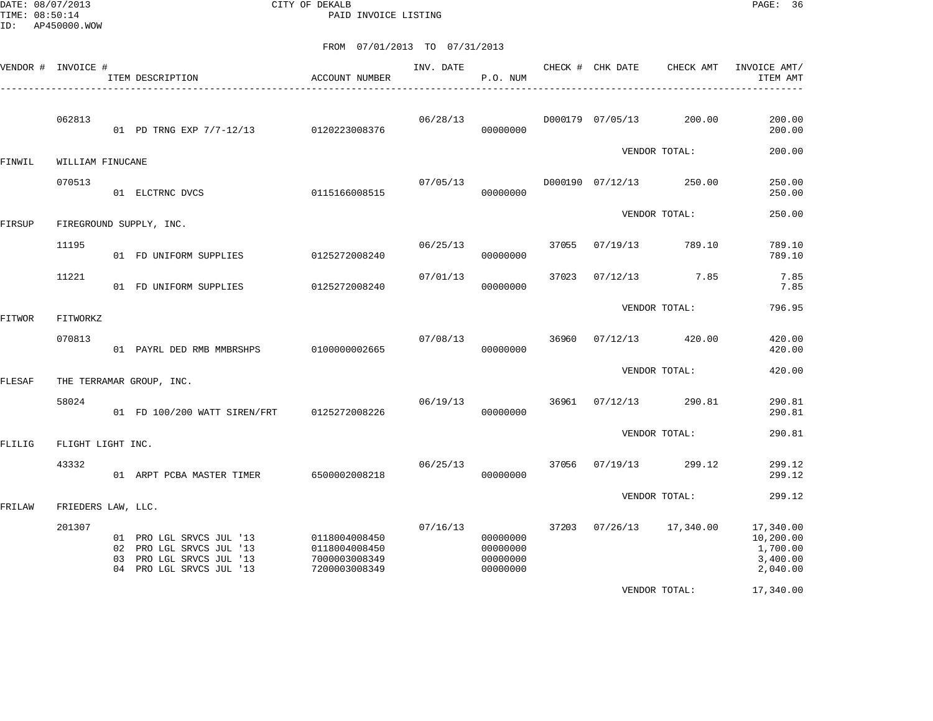DATE: 08/07/2013 CITY OF DEKALB PAGE: 36 PAID INVOICE LISTING

|               | VENDOR # INVOICE # |    | ITEM DESCRIPTION                                                                                          | ACCOUNT NUMBER                                                   | INV. DATE | P.O. NUM                                     |       | CHECK # CHK DATE | CHECK AMT     | INVOICE AMT/<br>ITEM AMT                                   |
|---------------|--------------------|----|-----------------------------------------------------------------------------------------------------------|------------------------------------------------------------------|-----------|----------------------------------------------|-------|------------------|---------------|------------------------------------------------------------|
|               | 062813             |    | 01 PD TRNG EXP 7/7-12/13 0120223008376                                                                    |                                                                  | 06/28/13  | 00000000                                     |       | D000179 07/05/13 | 200.00        | 200.00<br>200.00                                           |
| FINWIL        | WILLIAM FINUCANE   |    |                                                                                                           |                                                                  |           |                                              |       |                  | VENDOR TOTAL: | 200.00                                                     |
|               | 070513             |    | 01 ELCTRNC DVCS                                                                                           | 0115166008515                                                    | 07/05/13  | 00000000                                     |       | D000190 07/12/13 | 250.00        | 250.00<br>250.00                                           |
| FIRSUP        |                    |    | FIREGROUND SUPPLY, INC.                                                                                   |                                                                  |           |                                              |       |                  | VENDOR TOTAL: | 250.00                                                     |
|               | 11195              |    | 01 FD UNIFORM SUPPLIES                                                                                    | 0125272008240                                                    | 06/25/13  | 00000000                                     | 37055 | 07/19/13         | 789.10        | 789.10<br>789.10                                           |
|               | 11221              |    | 01 FD UNIFORM SUPPLIES                                                                                    | 0125272008240                                                    | 07/01/13  | 00000000                                     | 37023 | 07/12/13         | 7.85          | 7.85<br>7.85                                               |
| FITWOR        | FITWORKZ           |    |                                                                                                           |                                                                  |           |                                              |       |                  | VENDOR TOTAL: | 796.95                                                     |
|               | 070813             |    | 01 PAYRL DED RMB MMBRSHPS                                                                                 | 0100000002665                                                    | 07/08/13  | 00000000                                     | 36960 | 07/12/13         | 420.00        | 420.00<br>420.00                                           |
| FLESAF        |                    |    | THE TERRAMAR GROUP, INC.                                                                                  |                                                                  |           |                                              |       |                  | VENDOR TOTAL: | 420.00                                                     |
|               | 58024              |    | 01 FD 100/200 WATT SIREN/FRT                                                                              | 0125272008226                                                    | 06/19/13  | 00000000                                     | 36961 | 07/12/13         | 290.81        | 290.81<br>290.81                                           |
| <b>FLILIG</b> | FLIGHT LIGHT INC.  |    |                                                                                                           |                                                                  |           |                                              |       |                  | VENDOR TOTAL: | 290.81                                                     |
|               | 43332              |    | 01 ARPT PCBA MASTER TIMER                                                                                 | 6500002008218                                                    | 06/25/13  | 00000000                                     | 37056 | 07/19/13         | 299.12        | 299.12<br>299.12                                           |
| FRILAW        | FRIEDERS LAW, LLC. |    |                                                                                                           |                                                                  |           |                                              |       |                  | VENDOR TOTAL: | 299.12                                                     |
|               | 201307             | 03 | 01 PRO LGL SRVCS JUL '13<br>02 PRO LGL SRVCS JUL '13<br>PRO LGL SRVCS JUL '13<br>04 PRO LGL SRVCS JUL '13 | 0118004008450<br>0118004008450<br>7000003008349<br>7200003008349 | 07/16/13  | 00000000<br>00000000<br>00000000<br>00000000 | 37203 | 07/26/13         | 17,340.00     | 17,340.00<br>10,200.00<br>1,700.00<br>3,400.00<br>2,040.00 |
|               |                    |    |                                                                                                           |                                                                  |           |                                              |       |                  | VENDOR TOTAL: | 17,340.00                                                  |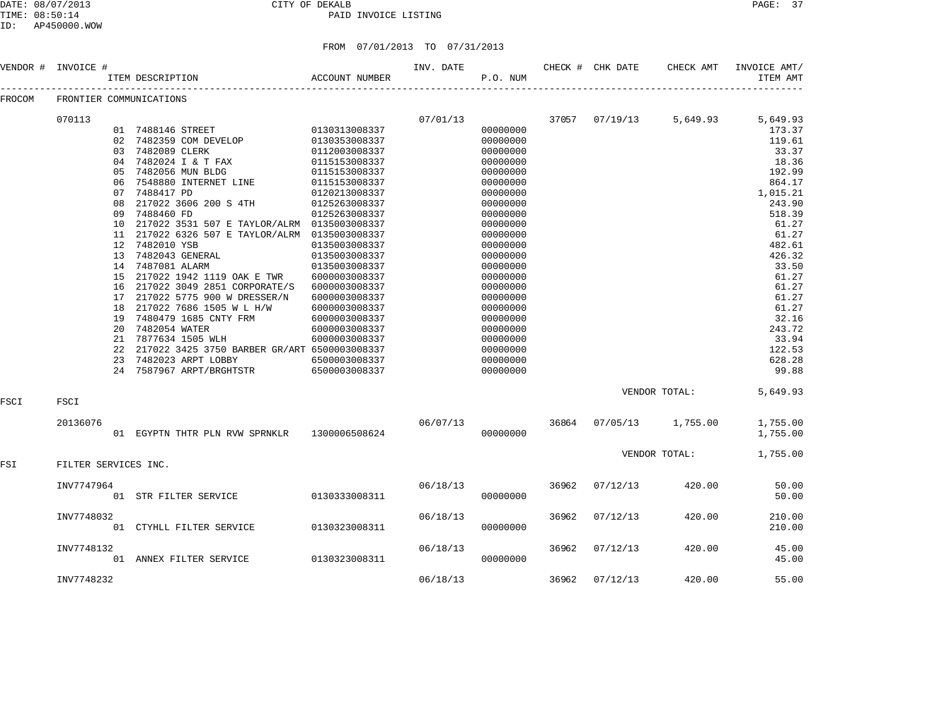#### DATE: 08/07/2013 CITY OF DEKALB PAGE: 37 PAID INVOICE LISTING

ID: AP450000.WOW

|          | <b>ALTJUUU.WUW</b> |    |                                              |                               |          |          |                            |           |              |
|----------|--------------------|----|----------------------------------------------|-------------------------------|----------|----------|----------------------------|-----------|--------------|
|          |                    |    |                                              | FROM 07/01/2013 TO 07/31/2013 |          |          |                            |           |              |
| VENDOR # | INVOICE #          |    |                                              |                               |          |          | INV. DATE CHECK # CHK DATE | CHECK AMT | INVOICE AMT/ |
|          |                    |    | ACCOUNT NUMBER<br>ITEM DESCRIPTION           |                               |          | P.O. NUM |                            |           | ITEM AMT     |
| FROCOM   |                    |    | FRONTIER COMMUNICATIONS                      |                               |          |          |                            |           |              |
|          | 070113             |    |                                              |                               | 07/01/13 |          | 37057 07/19/13             | 5,649.93  | 5,649.93     |
|          |                    |    | 01 7488146 STREET                            | 0130313008337                 |          | 00000000 |                            |           | 173.37       |
|          |                    | 02 | 7482359 COM DEVELOP                          | 0130353008337                 |          | 00000000 |                            |           | 119.61       |
|          |                    | 03 | 7482089 CLERK                                | 0112003008337                 |          | 00000000 |                            |           | 33.37        |
|          |                    | 04 | 7482024 I & T FAX                            | 0115153008337                 |          | 00000000 |                            |           | 18.36        |
|          |                    | 05 | 7482056 MUN BLDG                             | 0115153008337                 |          | 00000000 |                            |           | 192.99       |
|          |                    | 06 | 7548880 INTERNET LINE                        | 0115153008337                 |          | 00000000 |                            |           | 864.17       |
|          |                    | 07 | 7488417 PD                                   | 0120213008337                 |          | 00000000 |                            |           | 1,015.21     |
|          |                    | 08 | 217022 3606 200 S 4TH                        | 0125263008337                 |          | 00000000 |                            |           | 243.90       |
|          |                    | 09 | 7488460 FD                                   | 0125263008337                 |          | 00000000 |                            |           | 518.39       |
|          |                    | 10 | 217022 3531 507 E TAYLOR/ALRM                | 0135003008337                 |          | 00000000 |                            |           | 61.27        |
|          |                    | 11 | 217022 6326 507 E TAYLOR/ALRM                | 0135003008337                 |          | 00000000 |                            |           | 61.27        |
|          |                    | 12 | 7482010 YSB                                  | 0135003008337                 |          | 00000000 |                            |           | 482.61       |
|          |                    | 13 | 7482043 GENERAL                              | 0135003008337                 |          | 00000000 |                            |           | 426.32       |
|          |                    | 14 | 7487081 ALARM                                | 0135003008337                 |          | 00000000 |                            |           | 33.50        |
|          |                    | 15 | 217022 1942 1119 OAK E TWR                   | 6000003008337                 |          | 00000000 |                            |           | 61.27        |
|          |                    | 16 | 217022 3049 2851 CORPORATE/S                 | 6000003008337                 |          | 00000000 |                            |           | 61.27        |
|          |                    | 17 | 217022 5775 900 W DRESSER/N                  | 6000003008337                 |          | 00000000 |                            |           | 61.27        |
|          |                    | 18 | 217022 7686 1505 W L H/W                     | 6000003008337                 |          | 00000000 |                            |           | 61.27        |
|          |                    | 19 | 7480479 1685 CNTY FRM                        | 6000003008337                 |          | 00000000 |                            |           | 32.16        |
|          |                    | 20 | 7482054 WATER                                | 6000003008337                 |          | 00000000 |                            |           | 243.72       |
|          |                    | 21 | 7877634 1505 WLH                             | 6000003008337                 |          | 00000000 |                            |           | 33.94        |
|          |                    | 22 | 217022 3425 3750 BARBER GR/ART 6500003008337 |                               |          | 00000000 |                            |           | 122.53       |
|          |                    | 23 | 7482023 ARPT LOBBY                           | 6500003008337                 |          | 00000000 |                            |           | 628.28       |

FSCI FSCI

FSI FILTER SERVICES INC.

24 7587967 ARPT/BRGHTSTR

 20136076 06/07/13 36864 07/05/13 1,755.00 1,755.00 01 EGYPTN THTR PLN RVW SPRNKLR 1300006508624 000000000 00000000 VENDOR TOTAL: 1,755.00

| INV7747964<br>01 | STR FILTER SERVICE    | 0130333008311 | 06/18/13 | 00000000 | 36962 | 07/12/13 | 420.00 | 50.00<br>50.00   |
|------------------|-----------------------|---------------|----------|----------|-------|----------|--------|------------------|
| INV7748032<br>01 | CTYHLL FILTER SERVICE | 0130323008311 | 06/18/13 | 00000000 | 36962 | 07/12/13 | 420.00 | 210.00<br>210.00 |
| INV7748132<br>01 | ANNEX FILTER SERVICE  | 0130323008311 | 06/18/13 | 00000000 | 36962 | 07/12/13 | 420.00 | 45.00<br>45.00   |
| INV7748232       |                       |               | 06/18/13 |          | 36962 | 07/12/13 | 420.00 | 55.00            |

VENDOR TOTAL: 5,649.93

23 7482023 ARPT LOBBY 6500003008337 00000000 628.28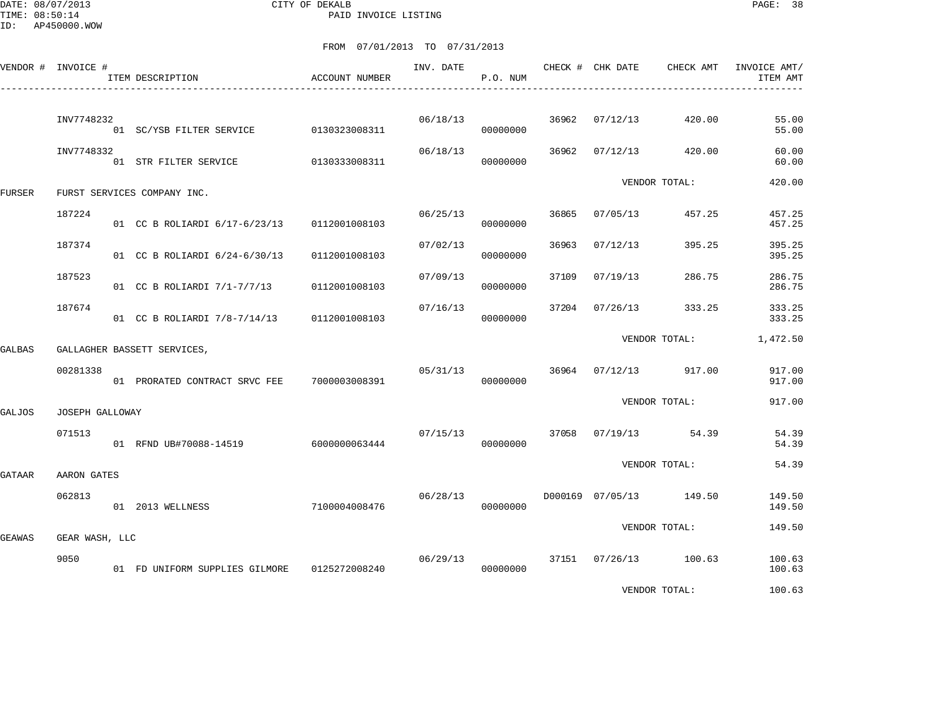DATE: 08/07/2013 CITY OF DEKALB PAGE: 38 PAID INVOICE LISTING

|        | VENDOR # INVOICE # | ITEM DESCRIPTION                               | ACCOUNT NUMBER | INV. DATE | P.O. NUM             |       | CHECK # CHK DATE | CHECK AMT               | INVOICE AMT/<br>ITEM AMT |
|--------|--------------------|------------------------------------------------|----------------|-----------|----------------------|-------|------------------|-------------------------|--------------------------|
|        | INV7748232         | 01 SC/YSB FILTER SERVICE 0130323008311         |                |           | 06/18/13<br>00000000 | 36962 | 07/12/13         | 420.00                  | 55.00<br>55.00           |
|        | INV7748332         | 01 STR FILTER SERVICE 0130333008311            |                | 06/18/13  | 00000000             | 36962 | 07/12/13         | 420.00                  | 60.00<br>60.00           |
| FURSER |                    | FURST SERVICES COMPANY INC.                    |                |           |                      |       |                  | VENDOR TOTAL:           | 420.00                   |
|        | 187224             | 01 CC B ROLIARDI 6/17-6/23/13 0112001008103    |                | 06/25/13  | 00000000             | 36865 | 07/05/13         | 457.25                  | 457.25<br>457.25         |
|        | 187374             | 01 CC B ROLIARDI 6/24-6/30/13                  | 0112001008103  | 07/02/13  | 00000000             | 36963 | 07/12/13         | 395.25                  | 395.25<br>395.25         |
|        | 187523             | 01 CC B ROLIARDI 7/1-7/7/13                    | 0112001008103  | 07/09/13  | 00000000             | 37109 | 07/19/13         | 286.75                  | 286.75<br>286.75         |
|        | 187674             | 01 CC B ROLIARDI 7/8-7/14/13                   | 0112001008103  | 07/16/13  | 00000000             | 37204 | 07/26/13         | 333.25                  | 333.25<br>333.25         |
| GALBAS |                    | GALLAGHER BASSETT SERVICES,                    |                |           |                      |       |                  | VENDOR TOTAL:           | 1,472.50                 |
|        | 00281338           | 01 PRORATED CONTRACT SRVC FEE 7000003008391    |                | 05/31/13  | 00000000             | 36964 | 07/12/13         | 917.00                  | 917.00<br>917.00         |
| GALJOS | JOSEPH GALLOWAY    |                                                |                |           |                      |       |                  | VENDOR TOTAL:           | 917.00                   |
|        | 071513             | 01 RFND UB#70088-14519 6000000063444           |                | 07/15/13  | 00000000             | 37058 |                  | 07/19/13 54.39          | 54.39<br>54.39           |
| GATAAR | AARON GATES        |                                                |                |           |                      |       |                  | VENDOR TOTAL:           | 54.39                    |
|        | 062813             | 01 2013 WELLNESS                               | 7100004008476  | 06/28/13  | 00000000             |       |                  | D000169 07/05/13 149.50 | 149.50<br>149.50         |
| GEAWAS | GEAR WASH, LLC     |                                                |                |           |                      |       |                  | VENDOR TOTAL:           | 149.50                   |
|        | 9050               | 01 FD UNIFORM SUPPLIES GILMORE   0125272008240 |                | 06/29/13  | 00000000             |       |                  | 37151 07/26/13 100.63   | 100.63<br>100.63         |
|        |                    |                                                |                |           |                      |       |                  | VENDOR TOTAL:           | 100.63                   |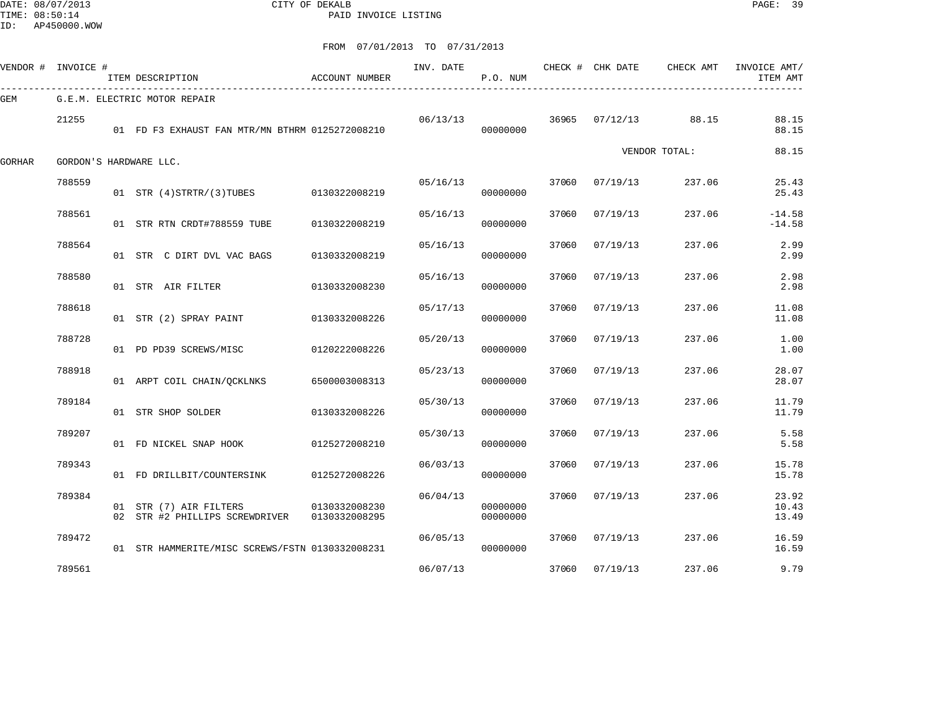DATE: 08/07/2013 CITY OF DEKALB PAGE: 39 PAID INVOICE LISTING

ID: AP450000.WOW

|        | VENDOR # INVOICE # | ITEM DESCRIPTION                                         | <b>ACCOUNT NUMBER</b>          | INV. DATE | P.O. NUM             |       |          | CHECK # CHK DATE CHECK AMT | INVOICE AMT/<br>ITEM AMT |
|--------|--------------------|----------------------------------------------------------|--------------------------------|-----------|----------------------|-------|----------|----------------------------|--------------------------|
| GEM    |                    | G.E.M. ELECTRIC MOTOR REPAIR                             |                                |           |                      |       |          |                            |                          |
|        | 21255              | 01 FD F3 EXHAUST FAN MTR/MN BTHRM 0125272008210          |                                | 06/13/13  | 00000000             | 36965 | 07/12/13 | 88.15                      | 88.15<br>88.15           |
| GORHAR |                    | GORDON'S HARDWARE LLC.                                   |                                |           |                      |       |          | VENDOR TOTAL:              | 88.15                    |
|        | 788559             | 01 STR (4) STRTR/(3) TUBES 0130322008219                 |                                | 05/16/13  | 00000000             | 37060 | 07/19/13 | 237.06                     | 25.43<br>25.43           |
|        | 788561             | 01 STR RTN CRDT#788559 TUBE                              | 0130322008219                  | 05/16/13  | 00000000             | 37060 | 07/19/13 | 237.06                     | $-14.58$<br>$-14.58$     |
|        | 788564             | 01 STR C DIRT DVL VAC BAGS                               | 0130332008219                  | 05/16/13  | 00000000             | 37060 | 07/19/13 | 237.06                     | 2.99<br>2.99             |
|        | 788580             | 01 STR AIR FILTER                                        | 0130332008230                  | 05/16/13  | 00000000             | 37060 | 07/19/13 | 237.06                     | 2.98<br>2.98             |
|        | 788618             | 01 STR (2) SPRAY PAINT                                   | 0130332008226                  | 05/17/13  | 00000000             | 37060 | 07/19/13 | 237.06                     | 11.08<br>11.08           |
|        | 788728             | 01 PD PD39 SCREWS/MISC                                   | 0120222008226                  | 05/20/13  | 00000000             | 37060 | 07/19/13 | 237.06                     | 1.00<br>1.00             |
|        | 788918             | 01 ARPT COIL CHAIN/OCKLNKS                               | 6500003008313                  | 05/23/13  | 00000000             | 37060 | 07/19/13 | 237.06                     | 28.07<br>28.07           |
|        | 789184             | 01 STR SHOP SOLDER                                       | 0130332008226                  | 05/30/13  | 00000000             | 37060 | 07/19/13 | 237.06                     | 11.79<br>11.79           |
|        | 789207             | 01 FD NICKEL SNAP HOOK                                   | 0125272008210                  | 05/30/13  | 00000000             | 37060 | 07/19/13 | 237.06                     | 5.58<br>5.58             |
|        | 789343             | 01 FD DRILLBIT/COUNTERSINK                               | 0125272008226                  | 06/03/13  | 00000000             | 37060 | 07/19/13 | 237.06                     | 15.78<br>15.78           |
|        | 789384             | 01 STR (7) AIR FILTERS<br>02 STR #2 PHILLIPS SCREWDRIVER | 0130332008230<br>0130332008295 | 06/04/13  | 00000000<br>00000000 | 37060 | 07/19/13 | 237.06                     | 23.92<br>10.43<br>13.49  |
|        | 789472             | 01 STR HAMMERITE/MISC SCREWS/FSTN 0130332008231          |                                | 06/05/13  | 00000000             | 37060 | 07/19/13 | 237.06                     | 16.59<br>16.59           |
|        | 789561             |                                                          |                                | 06/07/13  |                      | 37060 | 07/19/13 | 237.06                     | 9.79                     |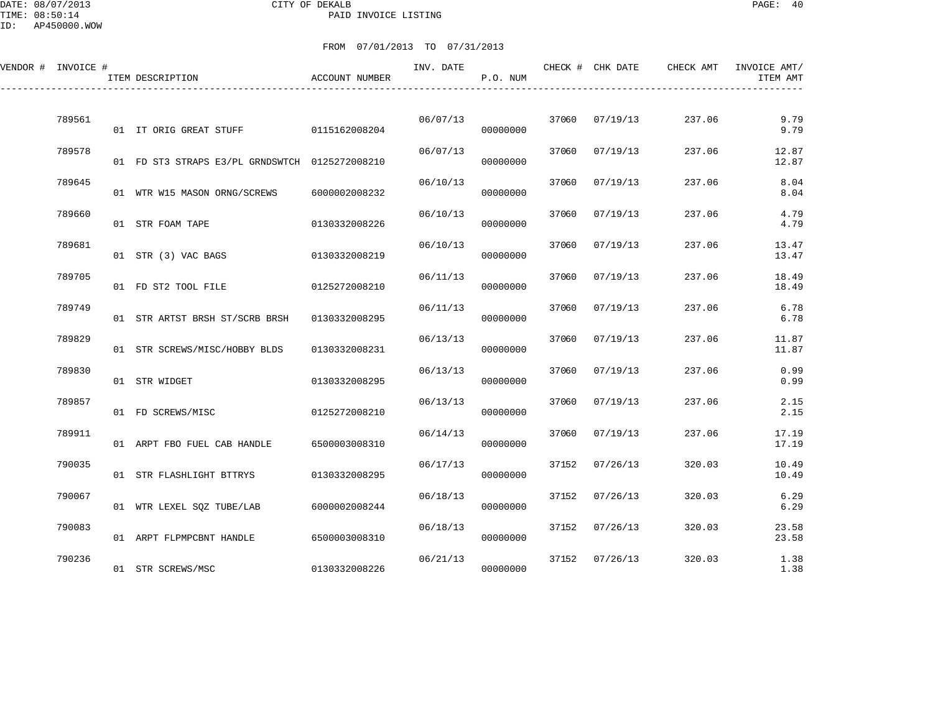DATE: 08/07/2013 CITY OF DEKALB PAGE: 40 PAID INVOICE LISTING

| VENDOR # INVOICE # | ITEM DESCRIPTION                               | ACCOUNT NUMBER | INV. DATE | P.O. NUM |       | CHECK # CHK DATE | CHECK AMT | INVOICE AMT/<br>ITEM AMT |
|--------------------|------------------------------------------------|----------------|-----------|----------|-------|------------------|-----------|--------------------------|
| 789561             | 01 IT ORIG GREAT STUFF                         | 0115162008204  | 06/07/13  | 00000000 | 37060 | 07/19/13         | 237.06    | 9.79<br>9.79             |
| 789578             | 01 FD ST3 STRAPS E3/PL GRNDSWTCH 0125272008210 |                | 06/07/13  | 00000000 | 37060 | 07/19/13         | 237.06    | 12.87<br>12.87           |
| 789645             | 01 WTR W15 MASON ORNG/SCREWS                   | 6000002008232  | 06/10/13  | 00000000 | 37060 | 07/19/13         | 237.06    | 8.04<br>8.04             |
| 789660             | 01 STR FOAM TAPE                               | 0130332008226  | 06/10/13  | 00000000 | 37060 | 07/19/13         | 237.06    | 4.79<br>4.79             |
| 789681             | 01 STR (3) VAC BAGS                            | 0130332008219  | 06/10/13  | 00000000 | 37060 | 07/19/13         | 237.06    | 13.47<br>13.47           |
| 789705             | 01 FD ST2 TOOL FILE                            | 0125272008210  | 06/11/13  | 00000000 | 37060 | 07/19/13         | 237.06    | 18.49<br>18.49           |
| 789749             | 01 STR ARTST BRSH ST/SCRB BRSH                 | 0130332008295  | 06/11/13  | 00000000 | 37060 | 07/19/13         | 237.06    | 6.78<br>6.78             |
| 789829             | 01 STR SCREWS/MISC/HOBBY BLDS                  | 0130332008231  | 06/13/13  | 00000000 | 37060 | 07/19/13         | 237.06    | 11.87<br>11.87           |
| 789830             | 01 STR WIDGET                                  | 0130332008295  | 06/13/13  | 00000000 | 37060 | 07/19/13         | 237.06    | 0.99<br>0.99             |
| 789857             | 01 FD SCREWS/MISC                              | 0125272008210  | 06/13/13  | 00000000 | 37060 | 07/19/13         | 237.06    | 2.15<br>2.15             |
| 789911             | 01 ARPT FBO FUEL CAB HANDLE                    | 6500003008310  | 06/14/13  | 00000000 | 37060 | 07/19/13         | 237.06    | 17.19<br>17.19           |
| 790035             | 01 STR FLASHLIGHT BTTRYS                       | 0130332008295  | 06/17/13  | 00000000 | 37152 | 07/26/13         | 320.03    | 10.49<br>10.49           |
| 790067             | 01 WTR LEXEL SOZ TUBE/LAB                      | 6000002008244  | 06/18/13  | 00000000 | 37152 | 07/26/13         | 320.03    | 6.29<br>6.29             |
| 790083             | 01 ARPT FLPMPCBNT HANDLE                       | 6500003008310  | 06/18/13  | 00000000 | 37152 | 07/26/13         | 320.03    | 23.58<br>23.58           |
| 790236             | 01 STR SCREWS/MSC                              | 0130332008226  | 06/21/13  | 00000000 | 37152 | 07/26/13         | 320.03    | 1.38<br>1.38             |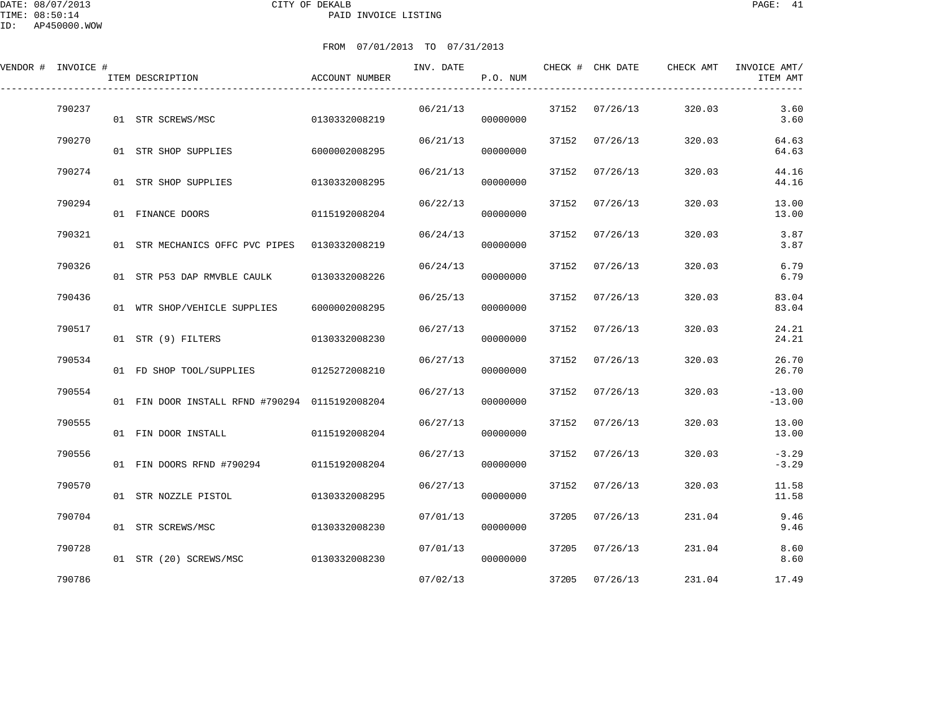DATE: 08/07/2013 CITY OF DEKALB PAGE: 41 PAID INVOICE LISTING

| VENDOR # INVOICE # | ITEM DESCRIPTION                               | ACCOUNT NUMBER | INV. DATE | P.O. NUM |       | CHECK # CHK DATE | CHECK AMT | INVOICE AMT/<br>ITEM AMT |
|--------------------|------------------------------------------------|----------------|-----------|----------|-------|------------------|-----------|--------------------------|
| 790237             | 01 STR SCREWS/MSC                              | 0130332008219  | 06/21/13  | 00000000 |       | 37152 07/26/13   | 320.03    | 3.60<br>3.60             |
| 790270             | 01 STR SHOP SUPPLIES                           | 6000002008295  | 06/21/13  | 00000000 |       | 37152 07/26/13   | 320.03    | 64.63<br>64.63           |
| 790274             | 01 STR SHOP SUPPLIES                           | 0130332008295  | 06/21/13  | 00000000 | 37152 | 07/26/13         | 320.03    | 44.16<br>44.16           |
| 790294             | 01 FINANCE DOORS                               | 0115192008204  | 06/22/13  | 00000000 | 37152 | 07/26/13         | 320.03    | 13.00<br>13.00           |
| 790321             | 01 STR MECHANICS OFFC PVC PIPES                | 0130332008219  | 06/24/13  | 00000000 | 37152 | 07/26/13         | 320.03    | 3.87<br>3.87             |
| 790326             | 01 STR P53 DAP RMVBLE CAULK                    | 0130332008226  | 06/24/13  | 00000000 | 37152 | 07/26/13         | 320.03    | 6.79<br>6.79             |
| 790436             | 01 WTR SHOP/VEHICLE SUPPLIES                   | 6000002008295  | 06/25/13  | 00000000 | 37152 | 07/26/13         | 320.03    | 83.04<br>83.04           |
| 790517             | 01 STR (9) FILTERS                             | 0130332008230  | 06/27/13  | 00000000 | 37152 | 07/26/13         | 320.03    | 24.21<br>24.21           |
| 790534             | 01 FD SHOP TOOL/SUPPLIES 0125272008210         |                | 06/27/13  | 00000000 | 37152 | 07/26/13         | 320.03    | 26.70<br>26.70           |
| 790554             | 01 FIN DOOR INSTALL RFND #790294 0115192008204 |                | 06/27/13  | 00000000 | 37152 | 07/26/13         | 320.03    | $-13.00$<br>$-13.00$     |
| 790555             | 01 FIN DOOR INSTALL                            | 0115192008204  | 06/27/13  | 00000000 | 37152 | 07/26/13         | 320.03    | 13.00<br>13.00           |
| 790556             | 01 FIN DOORS RFND #790294                      | 0115192008204  | 06/27/13  | 00000000 | 37152 | 07/26/13         | 320.03    | $-3.29$<br>$-3.29$       |
| 790570             | 01 STR NOZZLE PISTOL                           | 0130332008295  | 06/27/13  | 00000000 | 37152 | 07/26/13         | 320.03    | 11.58<br>11.58           |
| 790704             | 01 STR SCREWS/MSC                              | 0130332008230  | 07/01/13  | 00000000 | 37205 | 07/26/13         | 231.04    | 9.46<br>9.46             |
| 790728             | 01 STR (20) SCREWS/MSC                         | 0130332008230  | 07/01/13  | 00000000 | 37205 | 07/26/13         | 231.04    | 8.60<br>8.60             |
| 790786             |                                                |                | 07/02/13  |          | 37205 | 07/26/13         | 231.04    | 17.49                    |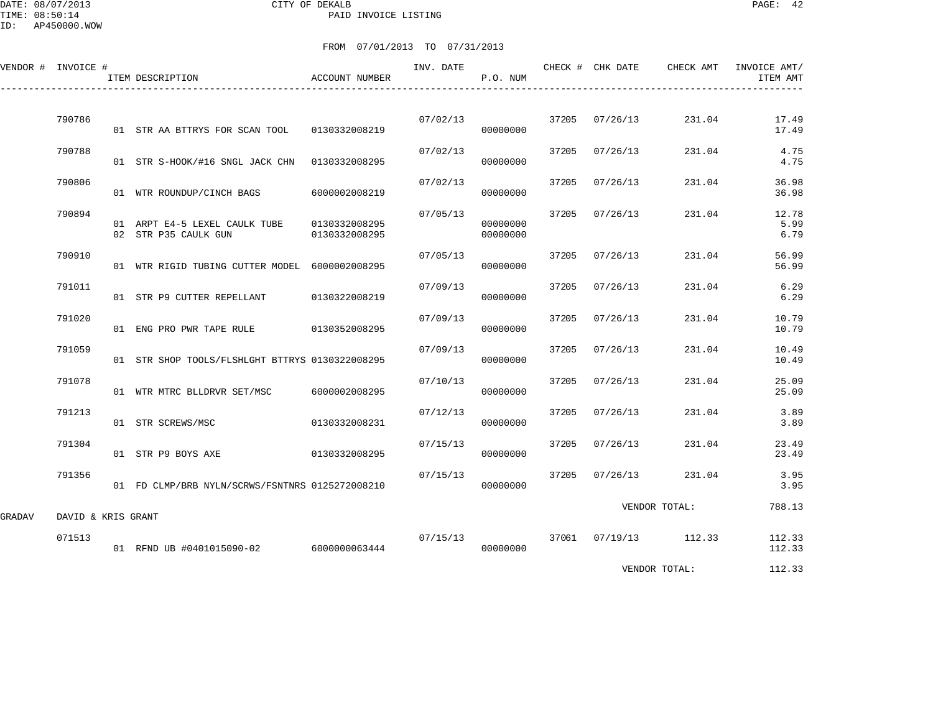DATE: 08/07/2013 CITY OF DEKALB PAGE: 42 PAID INVOICE LISTING

ID: AP450000.WOW

|        | VENDOR # INVOICE # | ITEM DESCRIPTION                                      | ACCOUNT NUMBER                 | INV. DATE | P.O. NUM             |       | CHECK # CHK DATE | CHECK AMT             | INVOICE AMT/<br>ITEM AMT |
|--------|--------------------|-------------------------------------------------------|--------------------------------|-----------|----------------------|-------|------------------|-----------------------|--------------------------|
|        | 790786             | 01 STR AA BTTRYS FOR SCAN TOOL                        | 0130332008219                  | 07/02/13  | 00000000             |       | 37205 07/26/13   | 231.04                | 17.49<br>17.49           |
|        | 790788             | 01 STR S-HOOK/#16 SNGL JACK CHN 0130332008295         |                                | 07/02/13  | 00000000             | 37205 | 07/26/13         | 231.04                | 4.75<br>4.75             |
|        | 790806             | 01 WTR ROUNDUP/CINCH BAGS                             | 6000002008219                  | 07/02/13  | 00000000             | 37205 | 07/26/13         | 231.04                | 36.98<br>36.98           |
|        | 790894             | 01 ARPT E4-5 LEXEL CAULK TUBE<br>02 STR P35 CAULK GUN | 0130332008295<br>0130332008295 | 07/05/13  | 00000000<br>00000000 | 37205 | 07/26/13         | 231.04                | 12.78<br>5.99<br>6.79    |
|        | 790910             | 01 WTR RIGID TUBING CUTTER MODEL 6000002008295        |                                | 07/05/13  | 00000000             | 37205 | 07/26/13         | 231.04                | 56.99<br>56.99           |
|        | 791011             | 01 STR P9 CUTTER REPELLANT                            | 0130322008219                  | 07/09/13  | 00000000             | 37205 | 07/26/13         | 231.04                | 6.29<br>6.29             |
|        | 791020             | 01 ENG PRO PWR TAPE RULE 0130352008295                |                                | 07/09/13  | 00000000             | 37205 | 07/26/13         | 231.04                | 10.79<br>10.79           |
|        | 791059             | 01 STR SHOP TOOLS/FLSHLGHT BTTRYS 0130322008295       |                                | 07/09/13  | 00000000             | 37205 | 07/26/13         | 231.04                | 10.49<br>10.49           |
|        | 791078             | 01 WTR MTRC BLLDRVR SET/MSC                           | 6000002008295                  | 07/10/13  | 00000000             | 37205 | 07/26/13         | 231.04                | 25.09<br>25.09           |
|        | 791213             | 01 STR SCREWS/MSC                                     | 0130332008231                  | 07/12/13  | 00000000             | 37205 | 07/26/13         | 231.04                | 3.89<br>3.89             |
|        | 791304             | 01 STR P9 BOYS AXE                                    | 0130332008295                  | 07/15/13  | 00000000             |       | 37205 07/26/13   | 231.04                | 23.49<br>23.49           |
|        | 791356             | 01 FD CLMP/BRB NYLN/SCRWS/FSNTNRS 0125272008210       |                                | 07/15/13  | 00000000             | 37205 | 07/26/13         | 231.04                | 3.95<br>3.95             |
| GRADAV | DAVID & KRIS GRANT |                                                       |                                |           |                      |       |                  | VENDOR TOTAL:         | 788.13                   |
|        | 071513             | 01 RFND UB #0401015090-02 6000000063444               |                                | 07/15/13  | 00000000             |       |                  | 37061 07/19/13 112.33 | 112.33<br>112.33         |
|        |                    |                                                       |                                |           |                      |       |                  | VENDOR TOTAL:         | 112.33                   |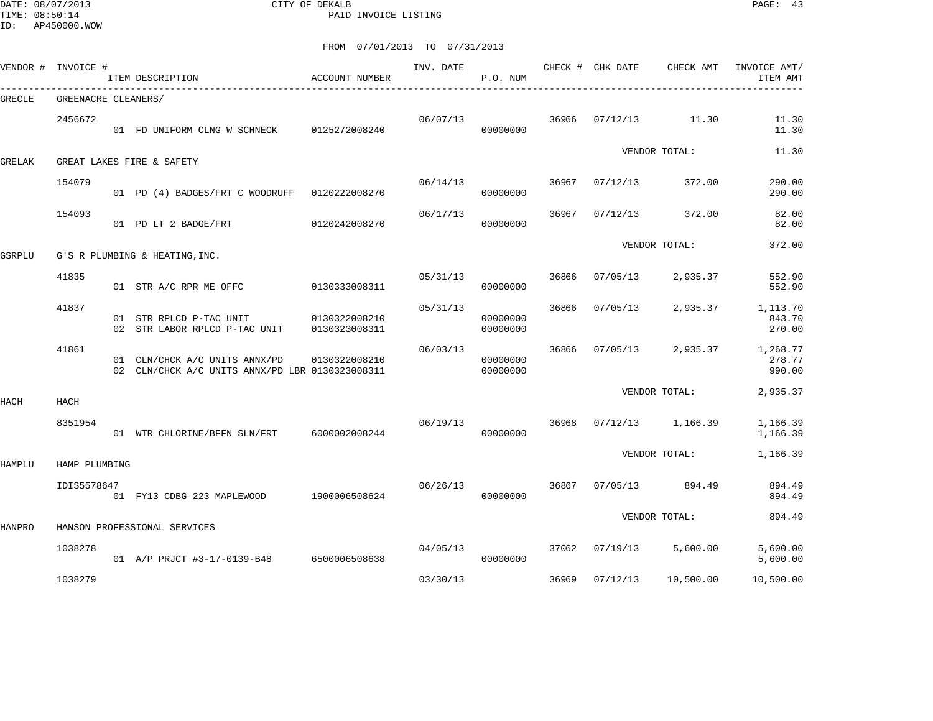DATE: 08/07/2013 CITY OF DEKALB PAGE: 43 PAID INVOICE LISTING

ID: AP450000.WOW

| VENDOR # | INVOICE #           | ITEM DESCRIPTION                                                                 | ACCOUNT NUMBER                 | INV. DATE | P.O. NUM             |       | CHECK # CHK DATE | CHECK AMT     | INVOICE AMT/<br>ITEM AMT     |
|----------|---------------------|----------------------------------------------------------------------------------|--------------------------------|-----------|----------------------|-------|------------------|---------------|------------------------------|
| GRECLE   | GREENACRE CLEANERS/ |                                                                                  |                                |           |                      |       |                  |               |                              |
|          | 2456672             | 01 FD UNIFORM CLNG W SCHNECK                                                     | 0125272008240                  | 06/07/13  | 00000000             | 36966 | 07/12/13         | 11.30         | 11.30<br>11.30               |
| GRELAK   |                     | GREAT LAKES FIRE & SAFETY                                                        |                                |           |                      |       |                  | VENDOR TOTAL: | 11.30                        |
|          | 154079              | 01 PD (4) BADGES/FRT C WOODRUFF 0120222008270                                    |                                | 06/14/13  | 00000000             | 36967 | 07/12/13         | 372.00        | 290.00<br>290.00             |
|          | 154093              | 01 PD LT 2 BADGE/FRT                                                             | 0120242008270                  | 06/17/13  | 00000000             | 36967 | 07/12/13         | 372.00        | 82.00<br>82.00               |
| GSRPLU   |                     | G'S R PLUMBING & HEATING, INC.                                                   |                                |           |                      |       |                  | VENDOR TOTAL: | 372.00                       |
|          | 41835               | 01 STR A/C RPR ME OFFC                                                           | 0130333008311                  | 05/31/13  | 00000000             | 36866 | 07/05/13         | 2,935.37      | 552.90<br>552.90             |
|          | 41837               | 01 STR RPLCD P-TAC UNIT<br>02 STR LABOR RPLCD P-TAC UNIT                         | 0130322008210<br>0130323008311 | 05/31/13  | 00000000<br>00000000 | 36866 | 07/05/13         | 2,935.37      | 1,113.70<br>843.70<br>270.00 |
|          | 41861               | 01 CLN/CHCK A/C UNITS ANNX/PD<br>02 CLN/CHCK A/C UNITS ANNX/PD LBR 0130323008311 | 0130322008210                  | 06/03/13  | 00000000<br>00000000 | 36866 | 07/05/13         | 2,935.37      | 1,268.77<br>278.77<br>990.00 |
| HACH     | HACH                |                                                                                  |                                |           |                      |       |                  | VENDOR TOTAL: | 2,935.37                     |
|          | 8351954             | 01 WTR CHLORINE/BFFN SLN/FRT 6000002008244                                       |                                | 06/19/13  | 00000000             | 36968 | 07/12/13         | 1,166.39      | 1,166.39<br>1,166.39         |
| HAMPLU   | HAMP PLUMBING       |                                                                                  |                                |           |                      |       |                  | VENDOR TOTAL: | 1,166.39                     |
|          | IDIS5578647         | 01 FY13 CDBG 223 MAPLEWOOD                                                       | 1900006508624                  | 06/26/13  | 00000000             | 36867 | 07/05/13         | 894.49        | 894.49<br>894.49             |
|          |                     |                                                                                  |                                |           |                      |       |                  | VENDOR TOTAL: | 894.49                       |
| HANPRO   |                     | HANSON PROFESSIONAL SERVICES                                                     |                                |           |                      |       |                  |               |                              |
|          | 1038278             | 01 A/P PRJCT #3-17-0139-B48 6500006508638                                        |                                | 04/05/13  | 00000000             | 37062 | 07/19/13         | 5,600.00      | 5,600.00<br>5,600.00         |
|          | 1038279             |                                                                                  |                                | 03/30/13  |                      | 36969 | 07/12/13         | 10,500.00     | 10,500.00                    |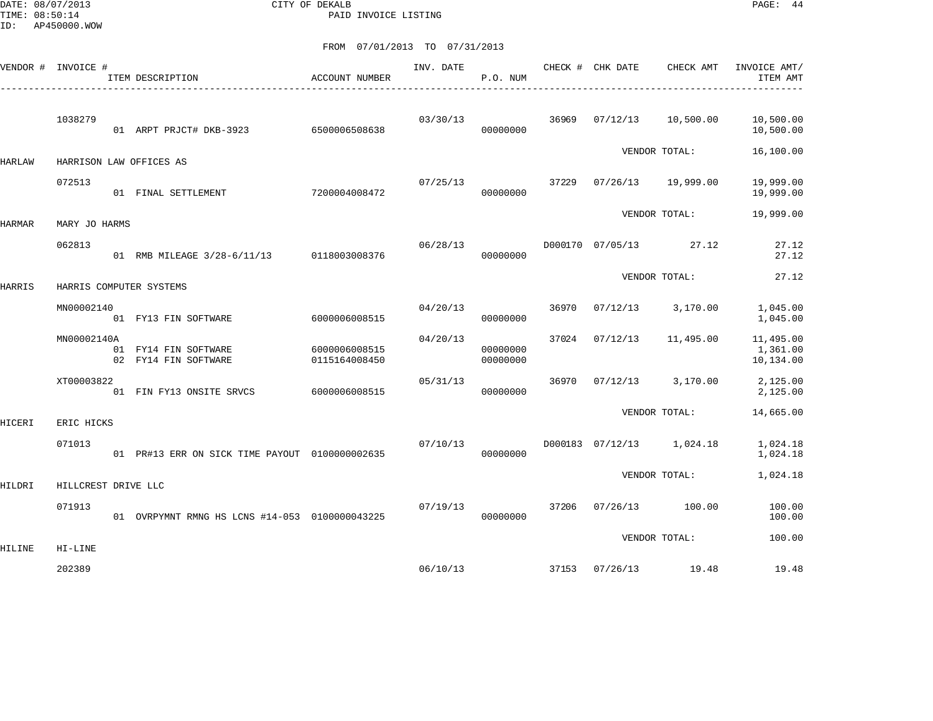DATE: 08/07/2013 CITY OF DEKALB PAGE: 44 PAID INVOICE LISTING

|               | VENDOR # INVOICE #  | ITEM DESCRIPTION                                | ACCOUNT NUMBER                 | INV. DATE | P.O. NUM             |       | CHECK # CHK DATE | CHECK AMT                 | INVOICE AMT/<br>ITEM AMT           |
|---------------|---------------------|-------------------------------------------------|--------------------------------|-----------|----------------------|-------|------------------|---------------------------|------------------------------------|
|               | 1038279             | 01 ARPT PRJCT# DKB-3923 6500006508638           |                                | 03/30/13  | 00000000             | 36969 | 07/12/13         | 10,500.00                 | 10,500.00<br>10,500.00             |
| HARLAW        |                     | HARRISON LAW OFFICES AS                         |                                |           |                      |       |                  | VENDOR TOTAL:             | 16,100.00                          |
|               | 072513              | 01 FINAL SETTLEMENT                             | 7200004008472                  | 07/25/13  | 00000000             | 37229 | 07/26/13         | 19,999.00                 | 19,999.00<br>19,999.00             |
| HARMAR        | MARY JO HARMS       |                                                 |                                |           |                      |       |                  | VENDOR TOTAL:             | 19,999.00                          |
|               | 062813              | 01 RMB MILEAGE 3/28-6/11/13 0118003008376       |                                | 06/28/13  | 00000000             |       | D000170 07/05/13 | 27.12                     | 27.12<br>27.12                     |
| <b>HARRIS</b> |                     | HARRIS COMPUTER SYSTEMS                         |                                |           |                      |       |                  | VENDOR TOTAL:             | 27.12                              |
|               | MN00002140          | 01 FY13 FIN SOFTWARE                            | 6000006008515                  | 04/20/13  | 00000000             | 36970 | 07/12/13         | 3,170.00                  | 1,045.00<br>1,045.00               |
|               | MN00002140A         | 01 FY14 FIN SOFTWARE<br>02 FY14 FIN SOFTWARE    | 6000006008515<br>0115164008450 | 04/20/13  | 00000000<br>00000000 | 37024 | 07/12/13         | 11,495.00                 | 11,495.00<br>1,361.00<br>10,134.00 |
|               | XT00003822          | 01 FIN FY13 ONSITE SRVCS                        | 6000006008515                  | 05/31/13  | 00000000             | 36970 | 07/12/13         | 3,170.00                  | 2,125.00<br>2,125.00               |
| HICERI        | ERIC HICKS          |                                                 |                                |           |                      |       |                  | VENDOR TOTAL:             | 14,665.00                          |
|               | 071013              | 01 PR#13 ERR ON SICK TIME PAYOUT 01000000002635 |                                | 07/10/13  | 00000000             |       |                  | D000183 07/12/13 1,024.18 | 1,024.18<br>1,024.18               |
| HILDRI        | HILLCREST DRIVE LLC |                                                 |                                |           |                      |       |                  | VENDOR TOTAL:             | 1,024.18                           |
|               | 071913              | 01 OVRPYMNT RMNG HS LCNS #14-053 0100000043225  |                                | 07/19/13  | 00000000             | 37206 | 07/26/13         | 100.00                    | 100.00<br>100.00                   |
| HILINE        | HI-LINE             |                                                 |                                |           |                      |       |                  | VENDOR TOTAL:             | 100.00                             |
|               | 202389              |                                                 |                                | 06/10/13  |                      | 37153 | 07/26/13         | 19.48                     | 19.48                              |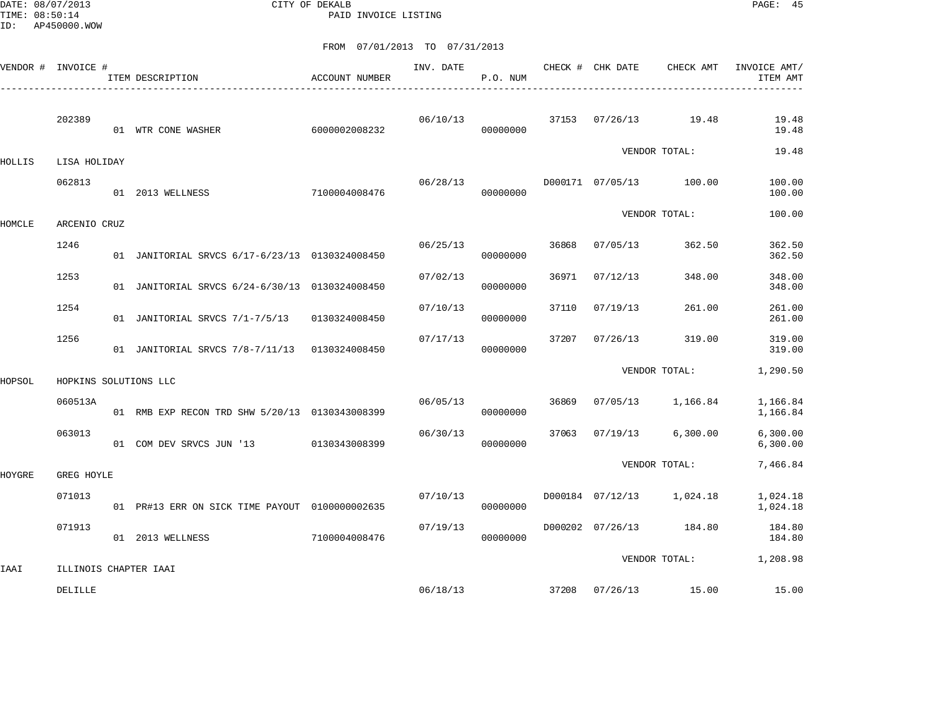DATE: 08/07/2013 CITY OF DEKALB PAGE: 45 PAID INVOICE LISTING

|        | VENDOR # INVOICE # | ITEM DESCRIPTION                               | ACCOUNT NUMBER | INV. DATE | P.O. NUM |       | CHECK # CHK DATE | CHECK AMT     | INVOICE AMT/<br>ITEM AMT |
|--------|--------------------|------------------------------------------------|----------------|-----------|----------|-------|------------------|---------------|--------------------------|
|        | 202389             | 01 WTR CONE WASHER                             | 6000002008232  | 06/10/13  | 00000000 | 37153 | 07/26/13         | 19.48         | 19.48<br>19.48           |
| HOLLIS | LISA HOLIDAY       |                                                |                |           |          |       |                  | VENDOR TOTAL: | 19.48                    |
|        | 062813             | 01 2013 WELLNESS                               | 7100004008476  | 06/28/13  | 00000000 |       | D000171 07/05/13 | 100.00        | 100.00<br>100.00         |
| HOMCLE | ARCENIO CRUZ       |                                                |                |           |          |       |                  | VENDOR TOTAL: | 100.00                   |
|        | 1246               | 01 JANITORIAL SRVCS 6/17-6/23/13 0130324008450 |                | 06/25/13  | 00000000 | 36868 | 07/05/13         | 362.50        | 362.50<br>362.50         |
|        | 1253               | 01 JANITORIAL SRVCS 6/24-6/30/13 0130324008450 |                | 07/02/13  | 00000000 | 36971 | 07/12/13         | 348.00        | 348.00<br>348.00         |
|        | 1254               | 01 JANITORIAL SRVCS 7/1-7/5/13                 | 0130324008450  | 07/10/13  | 00000000 | 37110 | 07/19/13         | 261.00        | 261.00<br>261.00         |
|        | 1256               | 01 JANITORIAL SRVCS 7/8-7/11/13                | 0130324008450  | 07/17/13  | 00000000 | 37207 | 07/26/13         | 319.00        | 319.00<br>319.00         |
| HOPSOL |                    | HOPKINS SOLUTIONS LLC                          |                |           |          |       |                  | VENDOR TOTAL: | 1,290.50                 |
|        | 060513A            | 01 RMB EXP RECON TRD SHW 5/20/13 0130343008399 |                | 06/05/13  | 00000000 | 36869 | 07/05/13         | 1,166.84      | 1,166.84<br>1,166.84     |
|        | 063013             | 01 COM DEV SRVCS JUN '13                       | 0130343008399  | 06/30/13  | 00000000 | 37063 | 07/19/13         | 6,300.00      | 6,300.00<br>6,300.00     |
| HOYGRE | GREG HOYLE         |                                                |                |           |          |       |                  | VENDOR TOTAL: | 7,466.84                 |
|        | 071013             | 01 PR#13 ERR ON SICK TIME PAYOUT 0100000002635 |                | 07/10/13  | 00000000 |       | D000184 07/12/13 | 1,024.18      | 1,024.18<br>1,024.18     |
|        | 071913             | 01 2013 WELLNESS                               | 7100004008476  | 07/19/13  | 00000000 |       | D000202 07/26/13 | 184.80        | 184.80<br>184.80         |
|        |                    |                                                |                |           |          |       |                  | VENDOR TOTAL: | 1,208.98                 |
| IAAI   | DELILLE            | ILLINOIS CHAPTER IAAI                          |                | 06/18/13  |          | 37208 | 07/26/13         | 15.00         | 15.00                    |
|        |                    |                                                |                |           |          |       |                  |               |                          |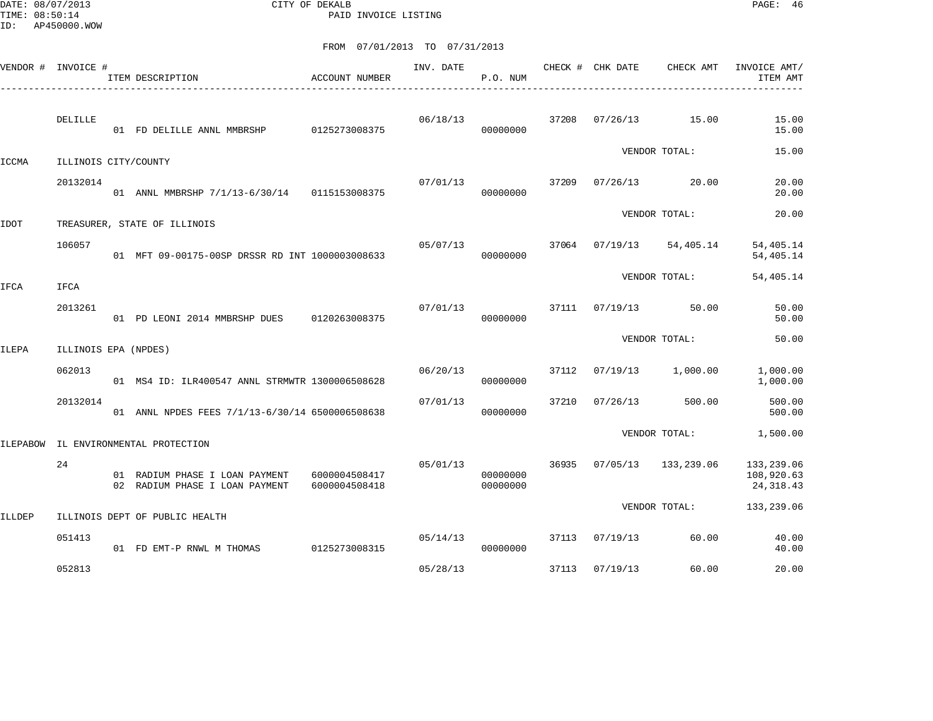DATE: 08/07/2013 CITY OF DEKALB PAGE: 46 PAID INVOICE LISTING

| VENDOR # | INVOICE #            | ITEM DESCRIPTION                                                 | <b>ACCOUNT NUMBER</b>          | INV. DATE | P.O. NUM             |       | CHECK # CHK DATE | CHECK AMT     | INVOICE AMT/<br>ITEM AMT               |
|----------|----------------------|------------------------------------------------------------------|--------------------------------|-----------|----------------------|-------|------------------|---------------|----------------------------------------|
|          | DELILLE              | 01 FD DELILLE ANNL MMBRSHP                                       | 0125273008375                  | 06/18/13  | 00000000             | 37208 | 07/26/13         | 15.00         | 15.00<br>15.00                         |
| ICCMA    | ILLINOIS CITY/COUNTY |                                                                  |                                |           |                      |       |                  | VENDOR TOTAL: | 15.00                                  |
|          | 20132014             | 01 ANNL MMBRSHP 7/1/13-6/30/14 0115153008375                     |                                | 07/01/13  | 00000000             | 37209 | 07/26/13         | 20.00         | 20.00<br>20.00                         |
| TOCL     |                      | TREASURER, STATE OF ILLINOIS                                     |                                |           |                      |       |                  | VENDOR TOTAL: | 20.00                                  |
|          | 106057               | 01 MFT 09-00175-00SP DRSSR RD INT 1000003008633                  |                                | 05/07/13  | 00000000             | 37064 | 07/19/13         | 54,405.14     | 54,405.14<br>54,405.14                 |
| IFCA     | IFCA                 |                                                                  |                                |           |                      |       |                  | VENDOR TOTAL: | 54, 405. 14                            |
|          | 2013261              | 01 PD LEONI 2014 MMBRSHP DUES                                    | 0120263008375                  | 07/01/13  | 00000000             | 37111 | 07/19/13         | 50.00         | 50.00<br>50.00                         |
| ILEPA    | ILLINOIS EPA (NPDES) |                                                                  |                                |           |                      |       |                  | VENDOR TOTAL: | 50.00                                  |
|          | 062013               | 01 MS4 ID: ILR400547 ANNL STRMWTR 1300006508628                  |                                | 06/20/13  | 00000000             | 37112 | 07/19/13         | 1,000.00      | 1,000.00<br>1,000.00                   |
|          | 20132014             | 01 ANNL NPDES FEES 7/1/13-6/30/14 6500006508638                  |                                | 07/01/13  | 00000000             | 37210 | 07/26/13         | 500.00        | 500.00<br>500.00                       |
| ILEPABOW |                      | IL ENVIRONMENTAL PROTECTION                                      |                                |           |                      |       |                  | VENDOR TOTAL: | 1,500.00                               |
|          | 24                   | 01 RADIUM PHASE I LOAN PAYMENT<br>02 RADIUM PHASE I LOAN PAYMENT | 6000004508417<br>6000004508418 | 05/01/13  | 00000000<br>00000000 | 36935 | 07/05/13         | 133,239.06    | 133,239.06<br>108,920.63<br>24, 318.43 |
| ILLDEP   |                      | ILLINOIS DEPT OF PUBLIC HEALTH                                   |                                |           |                      |       |                  | VENDOR TOTAL: | 133,239.06                             |
|          | 051413               | 01 FD EMT-P RNWL M THOMAS                                        | 0125273008315                  | 05/14/13  | 00000000             | 37113 | 07/19/13         | 60.00         | 40.00<br>40.00                         |
|          | 052813               |                                                                  |                                | 05/28/13  |                      | 37113 | 07/19/13         | 60.00         | 20.00                                  |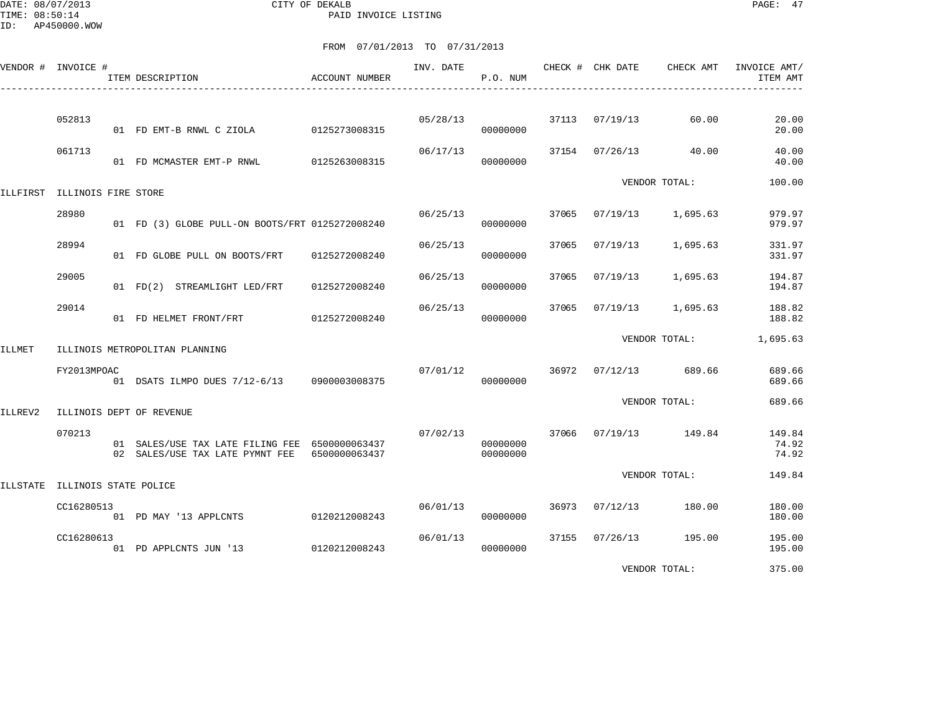DATE: 08/07/2013 CITY OF DEKALB PAGE: 47 PAID INVOICE LISTING

|               | VENDOR # INVOICE #           | ITEM DESCRIPTION                                                                  | ACCOUNT NUMBER | INV. DATE | P.O. NUM             |       | CHECK # CHK DATE | CHECK AMT       | INVOICE AMT/<br>ITEM AMT |
|---------------|------------------------------|-----------------------------------------------------------------------------------|----------------|-----------|----------------------|-------|------------------|-----------------|--------------------------|
|               | 052813                       | 01 FD EMT-B RNWL C ZIOLA                                                          | 0125273008315  | 05/28/13  | 00000000             |       | 37113 07/19/13   | 60.00           | 20.00<br>20.00           |
|               | 061713                       | 01 FD MCMASTER EMT-P RNWL                                                         | 0125263008315  | 06/17/13  | 00000000             |       | 37154 07/26/13   | 40.00           | 40.00<br>40.00           |
|               | ILLFIRST ILLINOIS FIRE STORE |                                                                                   |                |           |                      |       |                  | VENDOR TOTAL:   | 100.00                   |
|               | 28980                        | 01 FD (3) GLOBE PULL-ON BOOTS/FRT 0125272008240                                   |                | 06/25/13  | 00000000             | 37065 | 07/19/13         | 1,695.63        | 979.97<br>979.97         |
|               | 28994                        | 01 FD GLOBE PULL ON BOOTS/FRT                                                     | 0125272008240  | 06/25/13  | 00000000             | 37065 | 07/19/13         | 1,695.63        | 331.97<br>331.97         |
|               | 29005                        | 01 FD(2) STREAMLIGHT LED/FRT                                                      | 0125272008240  | 06/25/13  | 00000000             | 37065 | 07/19/13         | 1,695.63        | 194.87<br>194.87         |
|               | 29014                        | 01 FD HELMET FRONT/FRT                                                            | 0125272008240  | 06/25/13  | 00000000             | 37065 | 07/19/13         | 1,695.63        | 188.82<br>188.82         |
| <b>ILLMET</b> |                              | ILLINOIS METROPOLITAN PLANNING                                                    |                |           |                      |       |                  | VENDOR TOTAL:   | 1,695.63                 |
|               | FY2013MPOAC                  | 01 DSATS ILMPO DUES 7/12-6/13 0900003008375                                       |                | 07/01/12  | 00000000             | 36972 | 07/12/13         | 689.66          | 689.66<br>689.66         |
| ILLREV2       |                              | ILLINOIS DEPT OF REVENUE                                                          |                |           |                      |       |                  | VENDOR TOTAL:   | 689.66                   |
|               | 070213                       | 01 SALES/USE TAX LATE FILING FEE 6500000063437<br>02 SALES/USE TAX LATE PYMNT FEE | 6500000063437  | 07/02/13  | 00000000<br>00000000 | 37066 |                  | 07/19/13 149.84 | 149.84<br>74.92<br>74.92 |
| ILLSTATE      | ILLINOIS STATE POLICE        |                                                                                   |                |           |                      |       |                  | VENDOR TOTAL:   | 149.84                   |
|               | CC16280513                   | 01 PD MAY '13 APPLCNTS                                                            | 0120212008243  | 06/01/13  | 00000000             | 36973 | 07/12/13         | 180.00          | 180.00<br>180.00         |
|               | CC16280613                   | 01 PD APPLCNTS JUN '13                                                            | 0120212008243  | 06/01/13  | 00000000             | 37155 | 07/26/13         | 195.00          | 195.00<br>195.00         |
|               |                              |                                                                                   |                |           |                      |       |                  | VENDOR TOTAL:   | 375.00                   |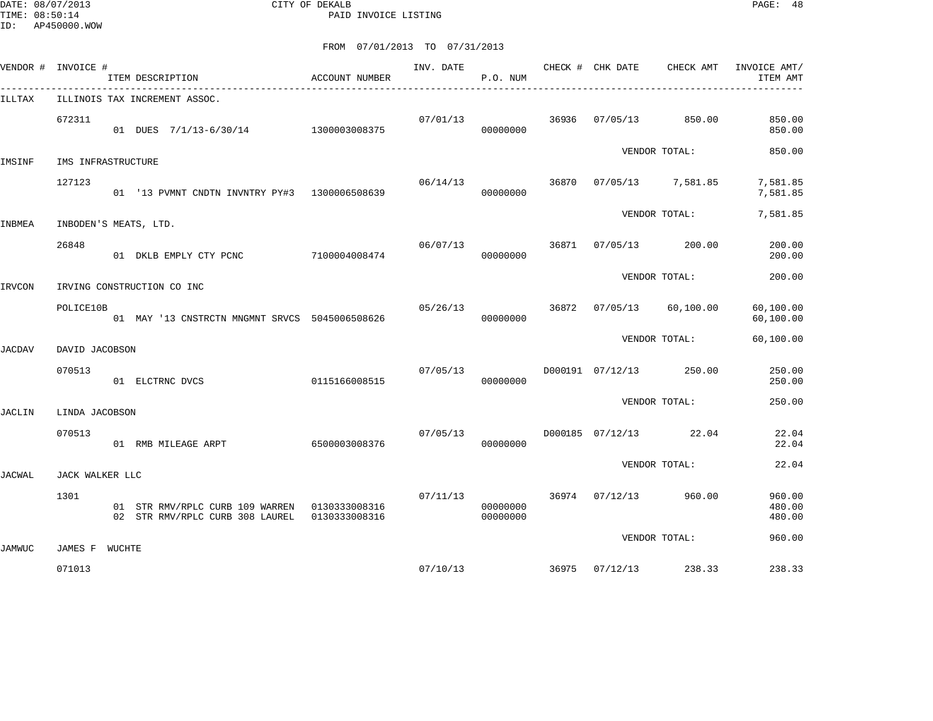DATE: 08/07/2013 CITY OF DEKALB PAGE: 48 PAID INVOICE LISTING

|        | VENDOR # INVOICE #       | ITEM DESCRIPTION                                                                 | ACCOUNT NUMBER | INV. DATE | P.O. NUM             |       | CHECK # CHK DATE       | CHECK AMT     | INVOICE AMT/<br>ITEM AMT   |
|--------|--------------------------|----------------------------------------------------------------------------------|----------------|-----------|----------------------|-------|------------------------|---------------|----------------------------|
| ILLTAX |                          | ILLINOIS TAX INCREMENT ASSOC.                                                    |                |           |                      |       |                        |               |                            |
|        | 672311                   | 01 DUES 7/1/13-6/30/14 1300003008375                                             |                | 07/01/13  | 00000000             | 36936 | 07/05/13               | 850.00        | 850.00<br>850.00           |
| IMSINF | IMS INFRASTRUCTURE       |                                                                                  |                |           |                      |       |                        | VENDOR TOTAL: | 850.00                     |
|        | 127123                   | 01 '13 PVMNT CNDTN INVNTRY PY#3 1300006508639                                    |                | 06/14/13  | 00000000             | 36870 | 07/05/13 7,581.85      |               | 7,581.85<br>7,581.85       |
| INBMEA | INBODEN'S MEATS, LTD.    |                                                                                  |                |           |                      |       |                        | VENDOR TOTAL: | 7,581.85                   |
|        | 26848                    | 01 DKLB EMPLY CTY PCNC                                                           | 7100004008474  | 06/07/13  | 00000000             | 36871 | 07/05/13               | 200.00        | 200.00<br>200.00           |
| IRVCON |                          | IRVING CONSTRUCTION CO INC                                                       |                |           |                      |       |                        | VENDOR TOTAL: | 200.00                     |
|        | POLICE10B                | 01 MAY '13 CNSTRCTN MNGMNT SRVCS 5045006508626                                   |                |           | 05/26/13<br>00000000 | 36872 | 07/05/13               | 60,100.00     | 60,100.00<br>60,100.00     |
| JACDAV | DAVID JACOBSON           |                                                                                  |                |           |                      |       |                        | VENDOR TOTAL: | 60,100.00                  |
|        | 070513                   | 01 ELCTRNC DVCS                                                                  | 0115166008515  | 07/05/13  | 00000000             |       | D000191 07/12/13       | 250.00        | 250.00<br>250.00           |
| JACLIN | LINDA JACOBSON           |                                                                                  |                |           |                      |       |                        | VENDOR TOTAL: | 250.00                     |
|        | 070513                   | 01 RMB MILEAGE ARPT                                                              | 6500003008376  | 07/05/13  | 00000000             |       | D000185 07/12/13 22.04 |               | 22.04<br>22.04             |
| JACWAL | JACK WALKER LLC          |                                                                                  |                |           |                      |       |                        | VENDOR TOTAL: | 22.04                      |
|        | 1301                     | 01 STR RMV/RPLC CURB 109 WARREN 0130333008316<br>02 STR RMV/RPLC CURB 308 LAUREL | 0130333008316  | 07/11/13  | 00000000<br>00000000 |       | 36974 07/12/13         | 960.00        | 960.00<br>480.00<br>480.00 |
|        |                          |                                                                                  |                |           |                      |       |                        | VENDOR TOTAL: | 960.00                     |
| JAMWUC | JAMES F WUCHTE<br>071013 |                                                                                  |                | 07/10/13  |                      | 36975 | $07/12/13$ 238.33      |               | 238.33                     |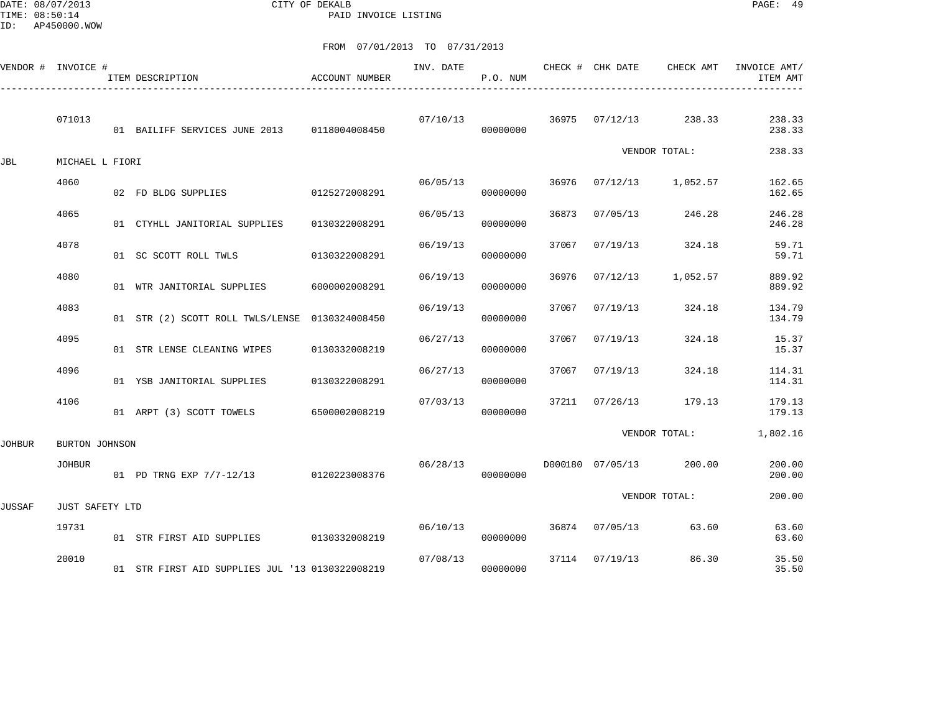DATE: 08/07/2013 CITY OF DEKALB PAGE: 49 PAID INVOICE LISTING

|        | VENDOR # INVOICE # | ITEM DESCRIPTION                                | ACCOUNT NUMBER | INV. DATE | P.O. NUM             |       | CHECK # CHK DATE | CHECK AMT             | INVOICE AMT/<br>ITEM AMT |
|--------|--------------------|-------------------------------------------------|----------------|-----------|----------------------|-------|------------------|-----------------------|--------------------------|
|        | 071013             | 01 BAILIFF SERVICES JUNE 2013 0118004008450     |                | 07/10/13  | 00000000             |       |                  | 36975 07/12/13 238.33 | 238.33<br>238.33         |
| JBL    | MICHAEL L FIORI    |                                                 |                |           |                      |       |                  | VENDOR TOTAL:         | 238.33                   |
|        | 4060               | 02 FD BLDG SUPPLIES                             | 0125272008291  | 06/05/13  | 00000000             | 36976 | 07/12/13         | 1,052.57              | 162.65<br>162.65         |
|        | 4065               | 01 CTYHLL JANITORIAL SUPPLIES                   | 0130322008291  | 06/05/13  | 00000000             | 36873 | 07/05/13         | 246.28                | 246.28<br>246.28         |
|        | 4078               | 01 SC SCOTT ROLL TWLS                           | 0130322008291  | 06/19/13  | 00000000             | 37067 | 07/19/13         | 324.18                | 59.71<br>59.71           |
|        | 4080               | 01 WTR JANITORIAL SUPPLIES                      | 6000002008291  | 06/19/13  | 00000000             | 36976 | 07/12/13         | 1,052.57              | 889.92<br>889.92         |
|        | 4083               | 01 STR (2) SCOTT ROLL TWLS/LENSE 0130324008450  |                | 06/19/13  | 00000000             | 37067 | 07/19/13         | 324.18                | 134.79<br>134.79         |
|        | 4095               | 01 STR LENSE CLEANING WIPES                     | 0130332008219  | 06/27/13  | 00000000             | 37067 | 07/19/13         | 324.18                | 15.37<br>15.37           |
|        | 4096               | 01 YSB JANITORIAL SUPPLIES                      | 0130322008291  | 06/27/13  | 00000000             | 37067 | 07/19/13         | 324.18                | 114.31<br>114.31         |
|        | 4106               | 01 ARPT (3) SCOTT TOWELS 6500002008219          |                | 07/03/13  | 00000000             |       | 37211 07/26/13   | 179.13                | 179.13<br>179.13         |
| JOHBUR | BURTON JOHNSON     |                                                 |                |           |                      |       |                  | VENDOR TOTAL:         | 1,802.16                 |
|        | <b>JOHBUR</b>      | 01 PD TRNG EXP 7/7-12/13 0120223008376          |                | 06/28/13  | 00000000             |       | D000180 07/05/13 | 200.00                | 200.00<br>200.00         |
| JUSSAF | JUST SAFETY LTD    |                                                 |                |           |                      |       |                  | VENDOR TOTAL:         | 200.00                   |
|        | 19731              | 01 STR FIRST AID SUPPLIES 0130332008219         |                |           | 06/10/13<br>00000000 |       |                  | 36874 07/05/13 63.60  | 63.60<br>63.60           |
|        | 20010              | 01 STR FIRST AID SUPPLIES JUL '13 0130322008219 |                | 07/08/13  | 00000000             |       | 37114 07/19/13   | 86.30                 | 35.50<br>35.50           |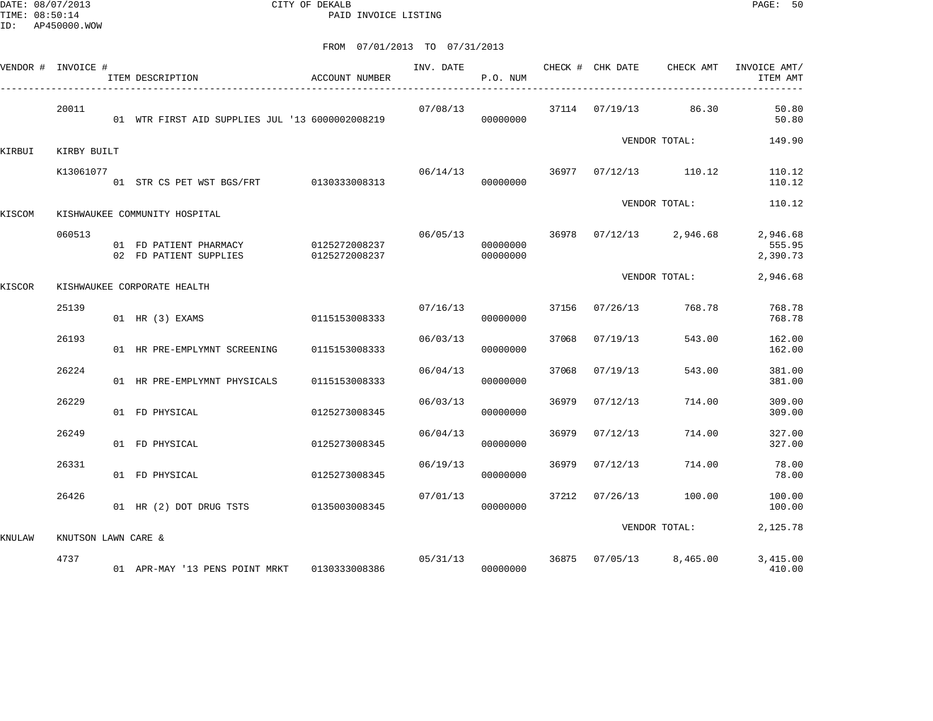DATE: 08/07/2013 CITY OF DEKALB PAGE: 50 PAID INVOICE LISTING

| VENDOR # INVOICE # |                     | ITEM DESCRIPTION                                 | ACCOUNT NUMBER                 | INV. DATE | P.O. NUM             |       | CHECK # CHK DATE | CHECK AMT             | INVOICE AMT/<br>ITEM AMT       |
|--------------------|---------------------|--------------------------------------------------|--------------------------------|-----------|----------------------|-------|------------------|-----------------------|--------------------------------|
|                    | 20011               | 01 WTR FIRST AID SUPPLIES JUL '13 6000002008219  |                                | 07/08/13  | 00000000             |       |                  | 37114 07/19/13 86.30  | 50.80<br>50.80                 |
| KIRBUI             | KIRBY BUILT         |                                                  |                                |           |                      |       |                  | VENDOR TOTAL:         | 149.90                         |
|                    | K13061077           | 01 STR CS PET WST BGS/FRT 0130333008313          |                                | 06/14/13  | 00000000             |       |                  | 36977 07/12/13 110.12 | 110.12<br>110.12               |
| KISCOM             |                     | KISHWAUKEE COMMUNITY HOSPITAL                    |                                |           |                      |       |                  | VENDOR TOTAL:         | 110.12                         |
|                    | 060513              | 01 FD PATIENT PHARMACY<br>02 FD PATIENT SUPPLIES | 0125272008237<br>0125272008237 | 06/05/13  | 00000000<br>00000000 | 36978 |                  | $07/12/13$ 2,946.68   | 2,946.68<br>555.95<br>2,390.73 |
| KISCOR             |                     | KISHWAUKEE CORPORATE HEALTH                      |                                |           |                      |       |                  | VENDOR TOTAL:         | 2,946.68                       |
|                    | 25139               | 01 HR (3) EXAMS                                  | 0115153008333                  | 07/16/13  | 00000000             | 37156 | 07/26/13         | 768.78                | 768.78<br>768.78               |
|                    | 26193               | 01 HR PRE-EMPLYMNT SCREENING                     | 0115153008333                  | 06/03/13  | 00000000             | 37068 | 07/19/13         | 543.00                | 162.00<br>162.00               |
|                    | 26224               | 01 HR PRE-EMPLYMNT PHYSICALS                     | 0115153008333                  | 06/04/13  | 00000000             | 37068 | 07/19/13         | 543.00                | 381.00<br>381.00               |
|                    | 26229               | 01 FD PHYSICAL                                   | 0125273008345                  | 06/03/13  | 00000000             | 36979 | 07/12/13         | 714.00                | 309.00<br>309.00               |
|                    | 26249               | 01 FD PHYSICAL                                   | 0125273008345                  | 06/04/13  | 00000000             | 36979 | 07/12/13         | 714.00                | 327.00<br>327.00               |
|                    | 26331               | 01 FD PHYSICAL                                   | 0125273008345                  | 06/19/13  | 00000000             | 36979 | 07/12/13         | 714.00                | 78.00<br>78.00                 |
|                    | 26426               | 01 HR (2) DOT DRUG TSTS 0135003008345            |                                | 07/01/13  | 00000000             | 37212 | 07/26/13         | 100.00                | 100.00<br>100.00               |
| KNULAW             | KNUTSON LAWN CARE & |                                                  |                                |           |                      |       |                  | VENDOR TOTAL:         | 2,125.78                       |
|                    | 4737                | 01 APR-MAY '13 PENS POINT MRKT 0130333008386     |                                | 05/31/13  | 00000000             | 36875 |                  | 07/05/13 8,465.00     | 3,415.00<br>410.00             |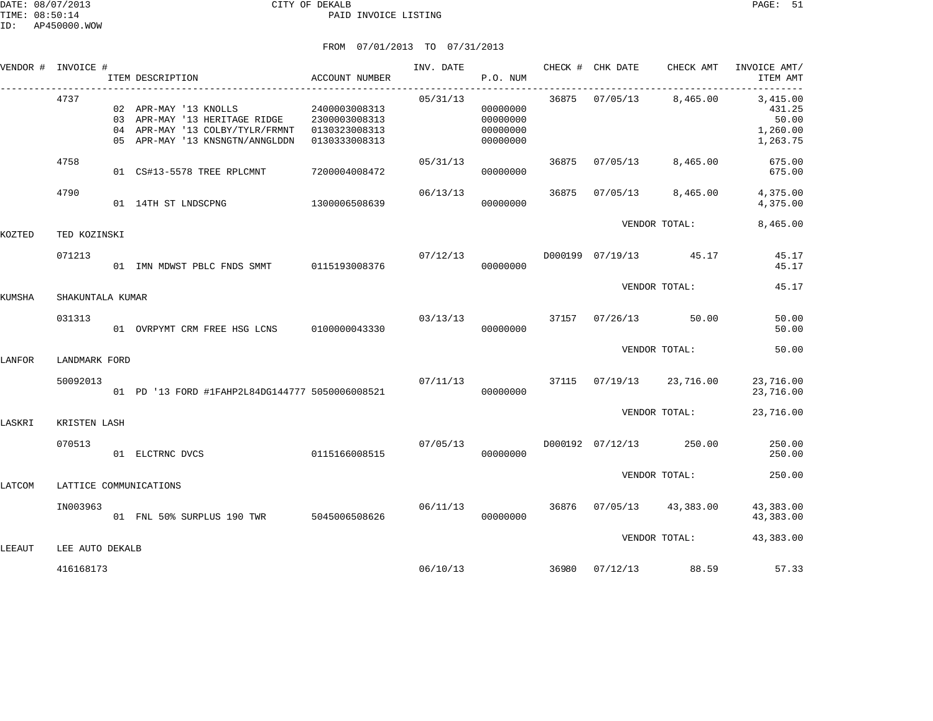|        | VENDOR # INVOICE #     | ITEM DESCRIPTION                                                                                                                                                       | ACCOUNT NUMBER | INV. DATE | P.O. NUM                                     |       |                | CHECK # CHK DATE CHECK AMT | INVOICE AMT/<br>ITEM AMT                            |
|--------|------------------------|------------------------------------------------------------------------------------------------------------------------------------------------------------------------|----------------|-----------|----------------------------------------------|-------|----------------|----------------------------|-----------------------------------------------------|
|        | 4737                   | 02 APR-MAY '13 KNOLLS 2400003008313<br>03 APR-MAY '13 HERITAGE RIDGE 2300003008313<br>04 APR-MAY '13 COLBY/TYLR/FRMNT 0130323008313<br>05 APR-MAY '13 KNSNGTN/ANNGLDDN | 0130333008313  | 05/31/13  | 00000000<br>00000000<br>00000000<br>00000000 |       |                | 36875 07/05/13 8,465.00    | 3,415.00<br>431.25<br>50.00<br>1,260.00<br>1,263.75 |
|        | 4758                   | 01 CS#13-5578 TREE RPLCMNT                                                                                                                                             | 7200004008472  | 05/31/13  | 00000000                                     | 36875 | 07/05/13       | 8,465.00                   | 675.00<br>675.00                                    |
|        | 4790                   | 01 14TH ST LNDSCPNG                                                                                                                                                    | 1300006508639  | 06/13/13  | 00000000                                     | 36875 | 07/05/13       | 8,465.00                   | 4,375.00<br>4,375.00                                |
| KOZTED | TED KOZINSKI           |                                                                                                                                                                        |                |           |                                              |       |                | VENDOR TOTAL:              | 8,465.00                                            |
|        | 071213                 | 01 IMN MDWST PBLC FNDS SMMT 0115193008376                                                                                                                              |                |           | 07/12/13<br>00000000                         |       |                | D000199 07/19/13 45.17     | 45.17<br>45.17                                      |
| KUMSHA | SHAKUNTALA KUMAR       |                                                                                                                                                                        |                |           |                                              |       |                | VENDOR TOTAL:              | 45.17                                               |
|        | 031313                 | 01 OVRPYMT CRM FREE HSG LCNS   0100000043330                                                                                                                           |                | 03/13/13  | 00000000                                     |       |                | 37157 07/26/13 50.00       | 50.00<br>50.00                                      |
| LANFOR | LANDMARK FORD          |                                                                                                                                                                        |                |           |                                              |       |                | VENDOR TOTAL:              | 50.00                                               |
|        | 50092013               | 01 PD '13 FORD #1FAHP2L84DG144777 5050006008521                                                                                                                        |                | 07/11/13  | 00000000                                     | 37115 |                | 07/19/13 23,716.00         | 23,716.00<br>23,716.00                              |
| LASKRI | KRISTEN LASH           |                                                                                                                                                                        |                |           |                                              |       |                | VENDOR TOTAL:              | 23,716.00                                           |
|        | 070513                 | 0115166008515<br>01 ELCTRNC DVCS                                                                                                                                       |                | 07/05/13  | 00000000                                     |       |                | D000192 07/12/13 250.00    | 250.00<br>250.00                                    |
| LATCOM | LATTICE COMMUNICATIONS |                                                                                                                                                                        |                |           |                                              |       |                | VENDOR TOTAL:              | 250.00                                              |
|        | IN003963               | 01 FNL 50% SURPLUS 190 TWR                                                                                                                                             | 5045006508626  | 06/11/13  | 00000000                                     |       | 36876 07/05/13 | 43,383.00                  | 43,383.00<br>43,383.00                              |
| LEEAUT | LEE AUTO DEKALB        |                                                                                                                                                                        |                |           |                                              |       |                | VENDOR TOTAL:              | 43,383.00                                           |
|        | 416168173              |                                                                                                                                                                        |                | 06/10/13  |                                              | 36980 |                | 07/12/13 88.59             | 57.33                                               |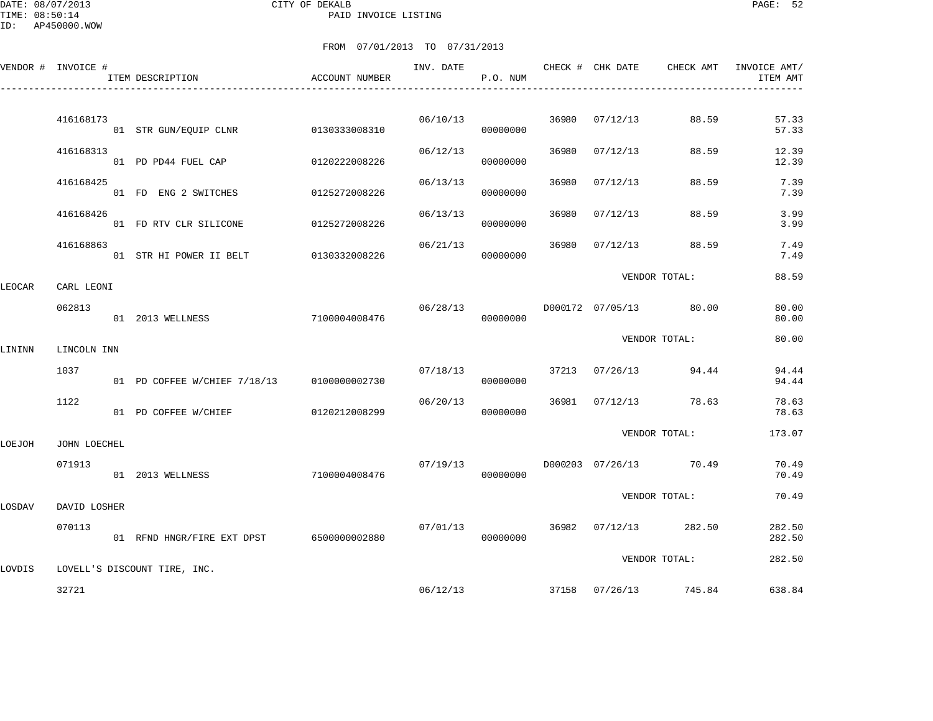DATE: 08/07/2013 CITY OF DEKALB PAGE: 52 PAID INVOICE LISTING

ID: AP450000.WOW

|        | VENDOR # INVOICE # | ITEM DESCRIPTION                           | <b>ACCOUNT NUMBER</b> | INV. DATE | P.O. NUM |       | CHECK # CHK DATE | CHECK AMT              | INVOICE AMT/<br>ITEM AMT |
|--------|--------------------|--------------------------------------------|-----------------------|-----------|----------|-------|------------------|------------------------|--------------------------|
|        | 416168173          | 01 STR GUN/EQUIP CLNR                      | 0130333008310         | 06/10/13  | 00000000 | 36980 | 07/12/13         | 88.59                  | 57.33<br>57.33           |
|        | 416168313          | 01 PD PD44 FUEL CAP                        | 0120222008226         | 06/12/13  | 00000000 | 36980 | 07/12/13         | 88.59                  | 12.39<br>12.39           |
|        | 416168425          | 01 FD ENG 2 SWITCHES                       | 0125272008226         | 06/13/13  | 00000000 | 36980 | 07/12/13         | 88.59                  | 7.39<br>7.39             |
|        | 416168426          | 01 FD RTV CLR SILICONE                     | 0125272008226         | 06/13/13  | 00000000 | 36980 | 07/12/13         | 88.59                  | 3.99<br>3.99             |
|        | 416168863          | 01 STR HI POWER II BELT                    | 0130332008226         | 06/21/13  | 00000000 | 36980 | 07/12/13         | 88.59                  | 7.49<br>7.49             |
| LEOCAR | CARL LEONI         |                                            |                       |           |          |       |                  | VENDOR TOTAL:          | 88.59                    |
|        | 062813             | 01 2013 WELLNESS                           | 7100004008476         | 06/28/13  | 00000000 |       |                  | D000172 07/05/13 80.00 | 80.00<br>80.00           |
| LININN | LINCOLN INN        |                                            |                       |           |          |       |                  | VENDOR TOTAL:          | 80.00                    |
|        | 1037               | 01 PD COFFEE W/CHIEF 7/18/13 0100000002730 |                       | 07/18/13  | 00000000 |       | 37213 07/26/13   | 94.44                  | 94.44<br>94.44           |
|        | 1122               | 01 PD COFFEE W/CHIEF                       | 0120212008299         | 06/20/13  | 00000000 |       | 36981 07/12/13   | 78.63                  | 78.63<br>78.63           |
| LOEJOH | JOHN LOECHEL       |                                            |                       |           |          |       |                  | VENDOR TOTAL:          | 173.07                   |
|        | 071913             | 01 2013 WELLNESS                           | 7100004008476         | 07/19/13  | 00000000 |       |                  | D000203 07/26/13 70.49 | 70.49<br>70.49           |
| LOSDAV | DAVID LOSHER       |                                            |                       |           |          |       |                  | VENDOR TOTAL:          | 70.49                    |
|        | 070113             | 01 RFND HNGR/FIRE EXT DPST 6500000002880   |                       | 07/01/13  | 00000000 |       | 36982 07/12/13   | 282.50                 | 282.50<br>282.50         |
| LOVDIS |                    | LOVELL'S DISCOUNT TIRE, INC.               |                       |           |          |       |                  | VENDOR TOTAL:          | 282.50                   |
|        | 32721              |                                            |                       | 06/12/13  |          |       |                  | 37158 07/26/13 745.84  | 638.84                   |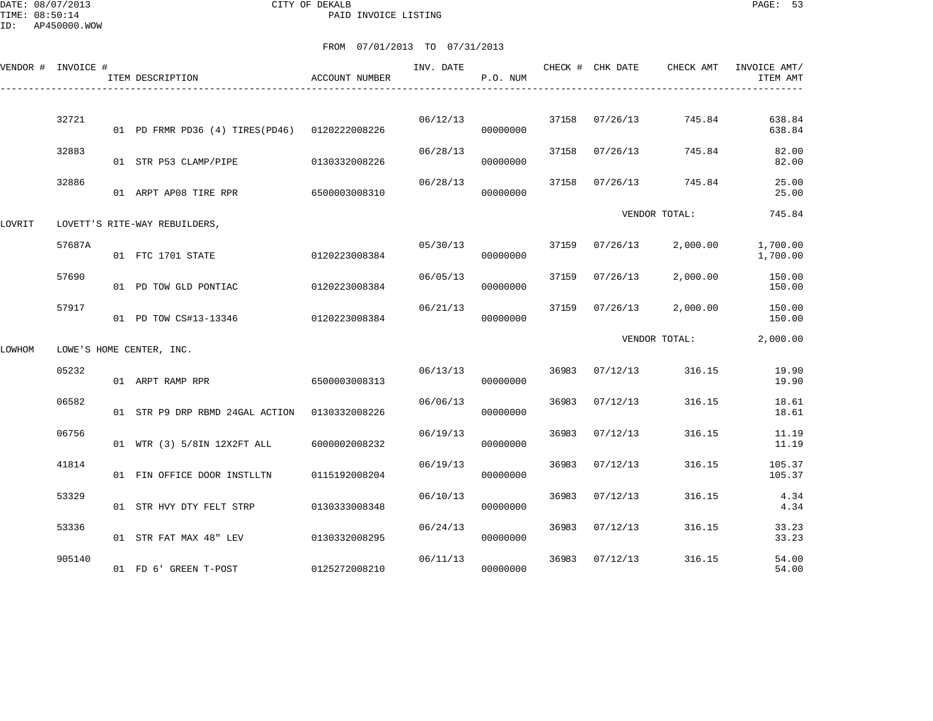DATE: 08/07/2013 CITY OF DEKALB PAGE: 53 PAID INVOICE LISTING

ID: AP450000.WOW

|        | VENDOR # INVOICE # | ITEM DESCRIPTION                              | <b>ACCOUNT NUMBER</b> | INV. DATE | P.O. NUM |       | CHECK # CHK DATE | CHECK AMT       | INVOICE AMT/<br>ITEM AMT |
|--------|--------------------|-----------------------------------------------|-----------------------|-----------|----------|-------|------------------|-----------------|--------------------------|
|        | 32721              | 01 PD FRMR PD36 (4) TIRES(PD46) 0120222008226 |                       | 06/12/13  | 00000000 | 37158 | 07/26/13         | 745.84          | 638.84<br>638.84         |
|        | 32883              | 01 STR P53 CLAMP/PIPE                         | 0130332008226         | 06/28/13  | 00000000 | 37158 | 07/26/13         | 745.84          | 82.00<br>82.00           |
|        | 32886              | 01 ARPT AP08 TIRE RPR                         | 6500003008310         | 06/28/13  | 00000000 | 37158 |                  | 07/26/13 745.84 | 25.00<br>25.00           |
| LOVRIT |                    | LOVETT'S RITE-WAY REBUILDERS,                 |                       |           |          |       |                  | VENDOR TOTAL:   | 745.84                   |
|        | 57687A             | 01 FTC 1701 STATE                             | 0120223008384         | 05/30/13  | 00000000 | 37159 | 07/26/13         | 2,000.00        | 1,700.00<br>1,700.00     |
|        | 57690              | 01 PD TOW GLD PONTIAC                         | 0120223008384         | 06/05/13  | 00000000 | 37159 | 07/26/13         | 2,000.00        | 150.00<br>150.00         |
|        | 57917              | 01 PD TOW CS#13-13346                         | 0120223008384         | 06/21/13  | 00000000 | 37159 | 07/26/13         | 2,000.00        | 150.00<br>150.00         |
| LOWHOM |                    | LOWE'S HOME CENTER, INC.                      |                       |           |          |       |                  | VENDOR TOTAL:   | 2,000.00                 |
|        | 05232              | 01 ARPT RAMP RPR                              | 6500003008313         | 06/13/13  | 00000000 | 36983 | 07/12/13         | 316.15          | 19.90<br>19.90           |
|        | 06582              | 01 STR P9 DRP RBMD 24GAL ACTION 0130332008226 |                       | 06/06/13  | 00000000 | 36983 | 07/12/13         | 316.15          | 18.61<br>18.61           |
|        | 06756              | 01 WTR (3) 5/8IN 12X2FT ALL                   | 6000002008232         | 06/19/13  | 00000000 | 36983 | 07/12/13         | 316.15          | 11.19<br>11.19           |
|        | 41814              | 01 FIN OFFICE DOOR INSTLLTN                   | 0115192008204         | 06/19/13  | 00000000 | 36983 | 07/12/13         | 316.15          | 105.37<br>105.37         |
|        | 53329              | 01 STR HVY DTY FELT STRP                      | 0130333008348         | 06/10/13  | 00000000 | 36983 | 07/12/13         | 316.15          | 4.34<br>4.34             |
|        | 53336              | 01 STR FAT MAX 48" LEV                        | 0130332008295         | 06/24/13  | 00000000 | 36983 | 07/12/13         | 316.15          | 33.23<br>33.23           |
|        | 905140             | 01 FD 6' GREEN T-POST                         | 0125272008210         | 06/11/13  | 00000000 | 36983 | 07/12/13         | 316.15          | 54.00<br>54.00           |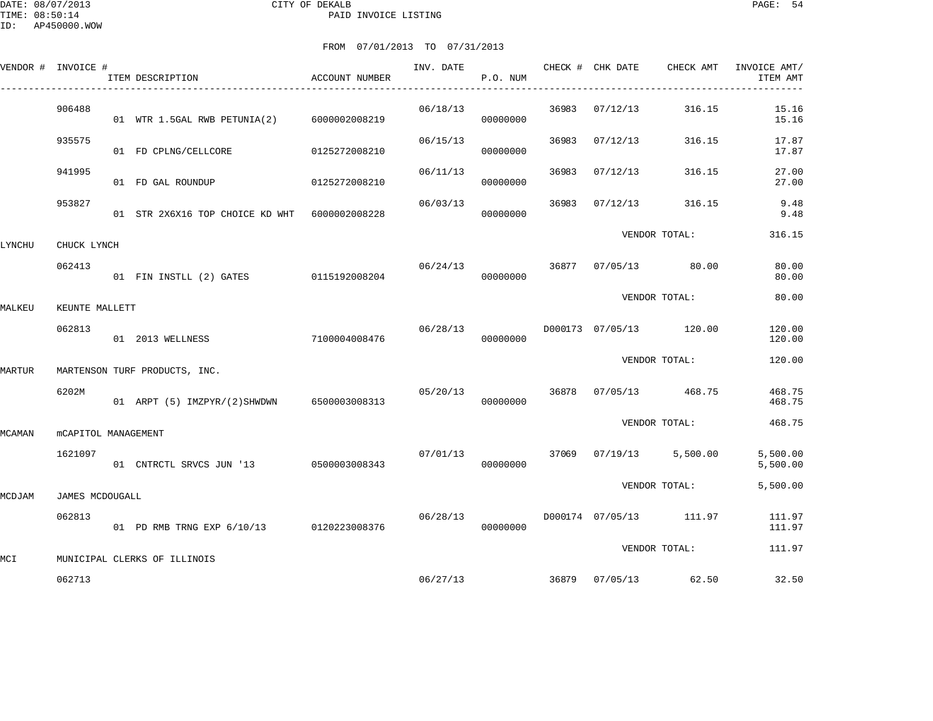|        | VENDOR # INVOICE #         | ITEM DESCRIPTION                              | ACCOUNT NUMBER | INV. DATE | P.O. NUM             |       | CHECK # CHK DATE CHECK AMT |                         | INVOICE AMT/<br>ITEM AMT |
|--------|----------------------------|-----------------------------------------------|----------------|-----------|----------------------|-------|----------------------------|-------------------------|--------------------------|
|        | 906488                     | 01 WTR 1.5GAL RWB PETUNIA(2) 6000002008219    |                | 06/18/13  | 00000000             | 36983 | 07/12/13                   | 316.15                  | 15.16<br>15.16           |
|        | 935575                     | 01 FD CPLNG/CELLCORE                          | 0125272008210  | 06/15/13  | 00000000             | 36983 | 07/12/13                   | 316.15                  | 17.87<br>17.87           |
|        | 941995                     | 01 FD GAL ROUNDUP                             | 0125272008210  | 06/11/13  | 00000000             | 36983 | 07/12/13                   | 316.15                  | 27.00<br>27.00           |
|        | 953827                     | 01 STR 2X6X16 TOP CHOICE KD WHT 6000002008228 |                | 06/03/13  | 00000000             | 36983 | 07/12/13                   | 316.15                  | 9.48<br>9.48             |
| LYNCHU | CHUCK LYNCH                |                                               |                |           |                      |       |                            | VENDOR TOTAL:           | 316.15                   |
|        | 062413                     | 01 FIN INSTLL (2) GATES 0115192008204         |                | 06/24/13  | 00000000             |       | 36877 07/05/13             | 80.00                   | 80.00<br>80.00           |
| MALKEU | KEUNTE MALLETT             |                                               |                |           |                      |       |                            | VENDOR TOTAL:           | 80.00                    |
|        | 062813                     | 01 2013 WELLNESS                              | 7100004008476  | 06/28/13  | 00000000             |       |                            | D000173 07/05/13 120.00 | 120.00<br>120.00         |
| MARTUR |                            | MARTENSON TURF PRODUCTS, INC.                 |                |           |                      |       |                            | VENDOR TOTAL:           | 120.00                   |
|        | 6202M                      | 01 ARPT (5) IMZPYR/(2) SHWDWN 6500003008313   |                | 05/20/13  | 00000000             | 36878 | 07/05/13                   | 468.75                  | 468.75<br>468.75         |
| MCAMAN | <b>MCAPITOL MANAGEMENT</b> |                                               |                |           |                      |       |                            | VENDOR TOTAL:           | 468.75                   |
|        | 1621097                    | 01 CNTRCTL SRVCS JUN '13 0500003008343        |                |           | 07/01/13<br>00000000 |       |                            | 37069 07/19/13 5,500.00 | 5,500.00<br>5,500.00     |
| MCDJAM | JAMES MCDOUGALL            |                                               |                |           |                      |       |                            | VENDOR TOTAL:           | 5,500.00                 |
|        | 062813                     | 01 PD RMB TRNG EXP 6/10/13 0120223008376      |                | 06/28/13  | 00000000             |       | D000174 07/05/13           | 111.97                  | 111.97<br>111.97         |
|        |                            |                                               |                |           |                      |       |                            | VENDOR TOTAL:           | 111.97                   |
| MCI    | 062713                     | MUNICIPAL CLERKS OF ILLINOIS                  |                |           | 06/27/13             |       | 36879 07/05/13             | 62.50                   | 32.50                    |
|        |                            |                                               |                |           |                      |       |                            |                         |                          |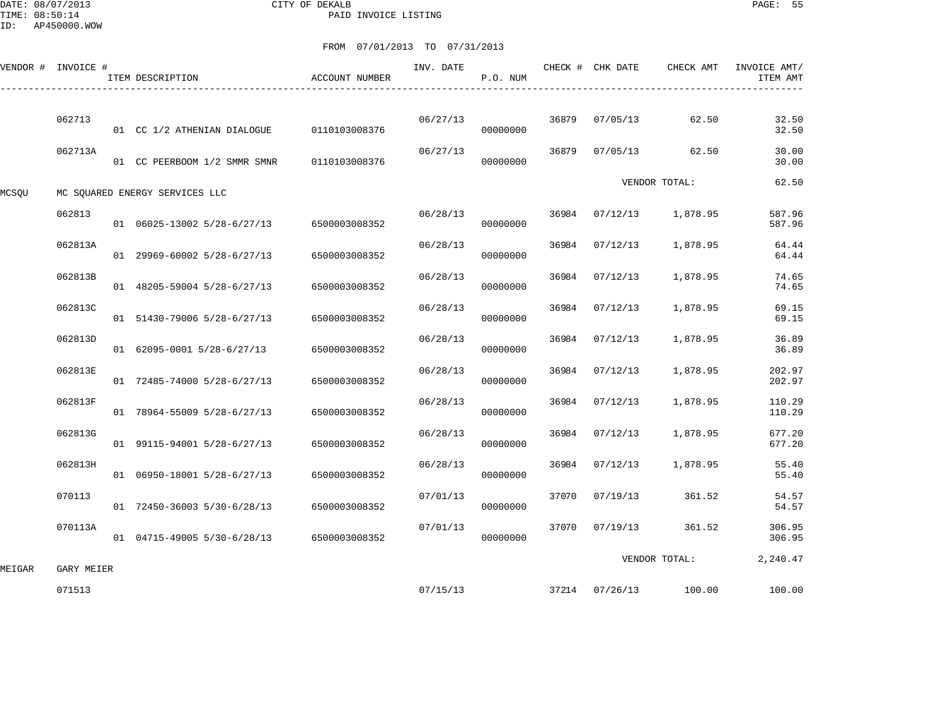DATE: 08/07/2013 CITY OF DEKALB PAGE: 55 PAID INVOICE LISTING

|        | VENDOR # INVOICE # | ITEM DESCRIPTION                          | ACCOUNT NUMBER | INV. DATE | P.O. NUM |       | CHECK # CHK DATE | CHECK AMT             | INVOICE AMT/<br>ITEM AMT |
|--------|--------------------|-------------------------------------------|----------------|-----------|----------|-------|------------------|-----------------------|--------------------------|
|        | 062713             | 01 CC 1/2 ATHENIAN DIALOGUE               | 0110103008376  | 06/27/13  | 00000000 | 36879 | 07/05/13         | 62.50                 | 32.50<br>32.50           |
|        | 062713A            | 01 CC PEERBOOM 1/2 SMMR SMNR              | 0110103008376  | 06/27/13  | 00000000 | 36879 | 07/05/13         | 62.50                 | 30.00<br>30.00           |
| MCSQU  |                    | MC SQUARED ENERGY SERVICES LLC            |                |           |          |       |                  | VENDOR TOTAL:         | 62.50                    |
|        | 062813             | 01 06025-13002 5/28-6/27/13               | 6500003008352  | 06/28/13  | 00000000 | 36984 | 07/12/13         | 1,878.95              | 587.96<br>587.96         |
|        | 062813A            | 01 29969-60002 5/28-6/27/13               | 6500003008352  | 06/28/13  | 00000000 | 36984 | 07/12/13         | 1,878.95              | 64.44<br>64.44           |
|        | 062813B            | 01 48205-59004 5/28-6/27/13               | 6500003008352  | 06/28/13  | 00000000 | 36984 | 07/12/13         | 1,878.95              | 74.65<br>74.65           |
|        | 062813C            | 01 51430-79006 5/28-6/27/13               | 6500003008352  | 06/28/13  | 00000000 | 36984 | 07/12/13         | 1,878.95              | 69.15<br>69.15           |
|        | 062813D            | 01 62095-0001 5/28-6/27/13                | 6500003008352  | 06/28/13  | 00000000 | 36984 | 07/12/13         | 1,878.95              | 36.89<br>36.89           |
|        | 062813E            | 01 72485-74000 5/28-6/27/13               | 6500003008352  | 06/28/13  | 00000000 | 36984 | 07/12/13         | 1,878.95              | 202.97<br>202.97         |
|        | 062813F            | 01 78964-55009 5/28-6/27/13               | 6500003008352  | 06/28/13  | 00000000 | 36984 | 07/12/13         | 1,878.95              | 110.29<br>110.29         |
|        | 062813G            | 01 99115-94001 5/28-6/27/13               | 6500003008352  | 06/28/13  | 00000000 | 36984 | 07/12/13         | 1,878.95              | 677.20<br>677.20         |
|        | 062813H            | 01 06950-18001 5/28-6/27/13               | 6500003008352  | 06/28/13  | 00000000 | 36984 | 07/12/13         | 1,878.95              | 55.40<br>55.40           |
|        | 070113             | 01 72450-36003 5/30-6/28/13               | 6500003008352  | 07/01/13  | 00000000 | 37070 | 07/19/13         | 361.52                | 54.57<br>54.57           |
|        | 070113A            | 01 04715-49005 5/30-6/28/13 6500003008352 |                | 07/01/13  | 00000000 | 37070 | 07/19/13         | 361.52                | 306.95<br>306.95         |
| MEIGAR | GARY MEIER         |                                           |                |           |          |       |                  | VENDOR TOTAL:         | 2,240.47                 |
|        | 071513             |                                           |                | 07/15/13  |          |       |                  | 37214 07/26/13 100.00 | 100.00                   |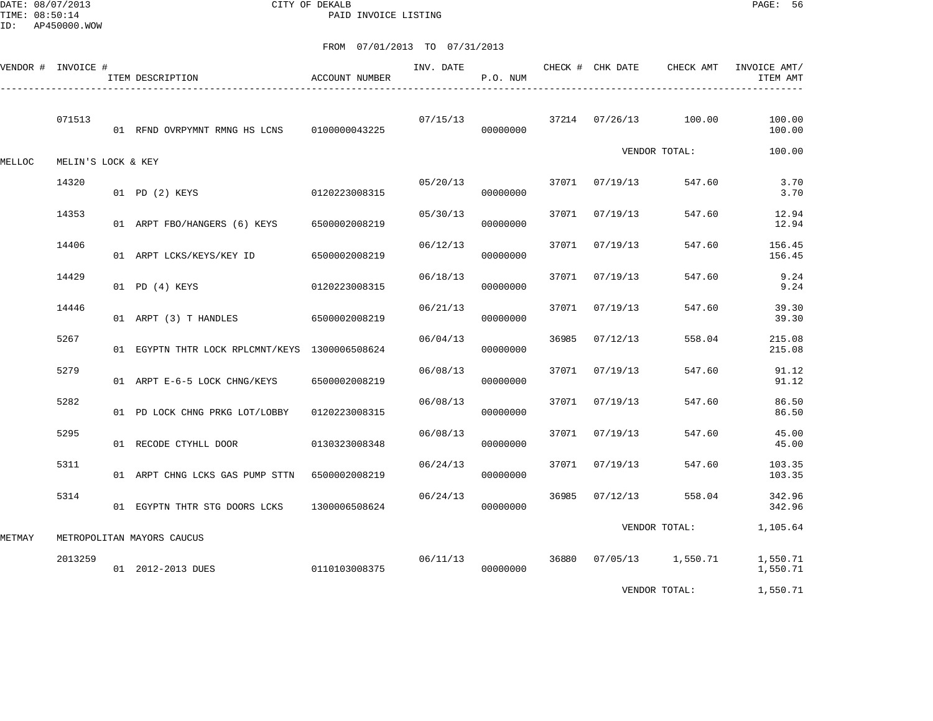DATE: 08/07/2013 CITY OF DEKALB PAGE: 56 PAID INVOICE LISTING

|        | VENDOR # INVOICE # | ITEM DESCRIPTION                               | ACCOUNT NUMBER | INV. DATE | P.O. NUM |       | CHECK # CHK DATE | CHECK AMT           | INVOICE AMT/<br>ITEM AMT |
|--------|--------------------|------------------------------------------------|----------------|-----------|----------|-------|------------------|---------------------|--------------------------|
|        | 071513             | 01 RFND OVRPYMNT RMNG HS LCNS                  | 0100000043225  | 07/15/13  | 00000000 |       | 37214 07/26/13   | 100.00              | 100.00<br>100.00         |
| MELLOC | MELIN'S LOCK & KEY |                                                |                |           |          |       |                  | VENDOR TOTAL:       | 100.00                   |
|        | 14320              | 01 PD (2) KEYS                                 | 0120223008315  | 05/20/13  | 00000000 | 37071 | 07/19/13         | 547.60              | 3.70<br>3.70             |
|        | 14353              | 01 ARPT FBO/HANGERS (6) KEYS                   | 6500002008219  | 05/30/13  | 00000000 | 37071 | 07/19/13         | 547.60              | 12.94<br>12.94           |
|        | 14406              | 01 ARPT LCKS/KEYS/KEY ID                       | 6500002008219  | 06/12/13  | 00000000 | 37071 | 07/19/13         | 547.60              | 156.45<br>156.45         |
|        | 14429              | 01 PD (4) KEYS                                 | 0120223008315  | 06/18/13  | 00000000 | 37071 | 07/19/13         | 547.60              | 9.24<br>9.24             |
|        | 14446              | 01 ARPT (3) T HANDLES                          | 6500002008219  | 06/21/13  | 00000000 | 37071 | 07/19/13         | 547.60              | 39.30<br>39.30           |
|        | 5267               | 01 EGYPTN THTR LOCK RPLCMNT/KEYS 1300006508624 |                | 06/04/13  | 00000000 | 36985 | 07/12/13         | 558.04              | 215.08<br>215.08         |
|        | 5279               | 01 ARPT E-6-5 LOCK CHNG/KEYS                   | 6500002008219  | 06/08/13  | 00000000 | 37071 | 07/19/13         | 547.60              | 91.12<br>91.12           |
|        | 5282               | 01 PD LOCK CHNG PRKG LOT/LOBBY                 | 0120223008315  | 06/08/13  | 00000000 | 37071 | 07/19/13         | 547.60              | 86.50<br>86.50           |
|        | 5295               | 01 RECODE CTYHLL DOOR                          | 0130323008348  | 06/08/13  | 00000000 | 37071 | 07/19/13         | 547.60              | 45.00<br>45.00           |
|        | 5311               | 01 ARPT CHNG LCKS GAS PUMP STTN                | 6500002008219  | 06/24/13  | 00000000 | 37071 | 07/19/13         | 547.60              | 103.35<br>103.35         |
|        | 5314               | 01 EGYPTN THTR STG DOORS LCKS                  | 1300006508624  | 06/24/13  | 00000000 | 36985 | 07/12/13         | 558.04              | 342.96<br>342.96         |
| METMAY |                    | METROPOLITAN MAYORS CAUCUS                     |                |           |          |       |                  | VENDOR TOTAL:       | 1,105.64                 |
|        | 2013259            | 01 2012-2013 DUES                              | 0110103008375  | 06/11/13  | 00000000 | 36880 |                  | $07/05/13$ 1,550.71 | 1,550.71<br>1,550.71     |
|        |                    |                                                |                |           |          |       |                  | VENDOR TOTAL:       | 1,550.71                 |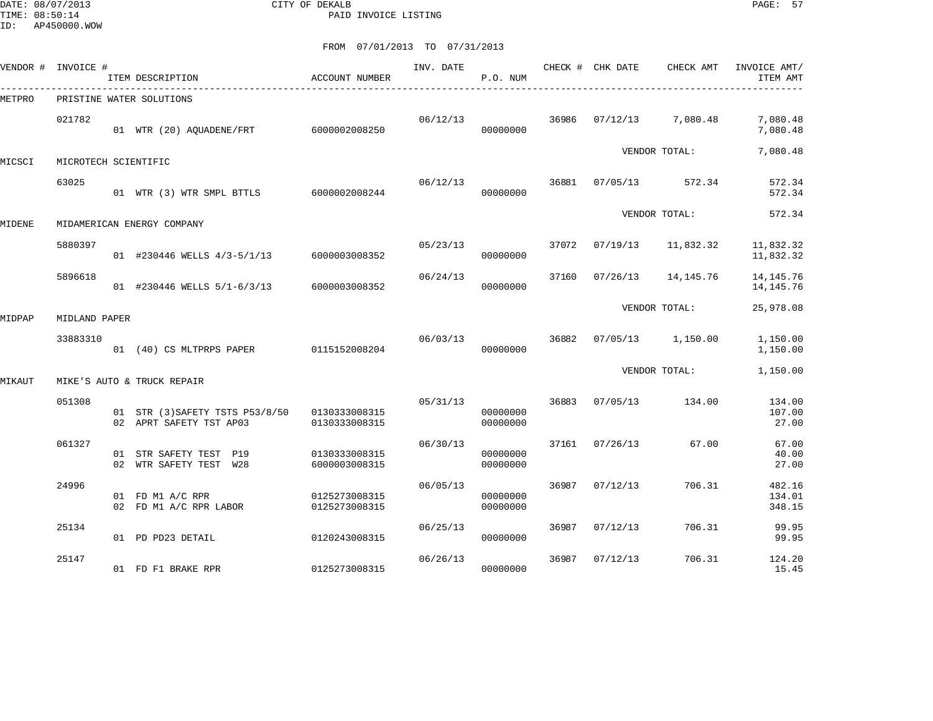DATE: 08/07/2013 CITY OF DEKALB PAGE: 57 PAID INVOICE LISTING

| VENDOR # | INVOICE #            | ITEM DESCRIPTION                                              | <b>ACCOUNT NUMBER</b>          | INV. DATE | P.O. NUM             |       | CHECK # CHK DATE | CHECK AMT     | INVOICE AMT/<br>ITEM AMT   |
|----------|----------------------|---------------------------------------------------------------|--------------------------------|-----------|----------------------|-------|------------------|---------------|----------------------------|
| METPRO   |                      | _________________________________<br>PRISTINE WATER SOLUTIONS |                                |           |                      |       |                  |               |                            |
|          | 021782               | 01 WTR (20) AQUADENE/FRT 6000002008250                        |                                | 06/12/13  | 00000000             | 36986 | 07/12/13         | 7,080.48      | 7,080.48<br>7,080.48       |
| MICSCI   | MICROTECH SCIENTIFIC |                                                               |                                |           |                      |       |                  | VENDOR TOTAL: | 7,080.48                   |
|          | 63025                | 01 WTR (3) WTR SMPL BTTLS 6000002008244                       |                                | 06/12/13  | 00000000             | 36881 | 07/05/13         | 572.34        | 572.34<br>572.34           |
| MIDENE   |                      | MIDAMERICAN ENERGY COMPANY                                    |                                |           |                      |       |                  | VENDOR TOTAL: | 572.34                     |
|          | 5880397              | 01 #230446 WELLS 4/3-5/1/13                                   | 6000003008352                  | 05/23/13  | 00000000             | 37072 | 07/19/13         | 11,832.32     | 11,832.32<br>11,832.32     |
|          | 5896618              | 01 #230446 WELLS 5/1-6/3/13                                   | 6000003008352                  | 06/24/13  | 00000000             | 37160 | 07/26/13         | 14, 145. 76   | 14, 145. 76<br>14, 145. 76 |
| MIDPAP   | MIDLAND PAPER        |                                                               |                                |           |                      |       |                  | VENDOR TOTAL: | 25,978.08                  |
|          | 33883310             | 01 (40) CS MLTPRPS PAPER 0115152008204                        |                                | 06/03/13  | 00000000             | 36882 | 07/05/13         | 1,150.00      | 1,150.00<br>1,150.00       |
| MIKAUT   |                      | MIKE'S AUTO & TRUCK REPAIR                                    |                                |           |                      |       |                  | VENDOR TOTAL: | 1,150.00                   |
|          | 051308               | 01 STR (3) SAFETY TSTS P53/8/50<br>02 APRT SAFETY TST AP03    | 0130333008315<br>0130333008315 | 05/31/13  | 00000000<br>00000000 | 36883 | 07/05/13         | 134.00        | 134.00<br>107.00<br>27.00  |
|          | 061327               | 01 STR SAFETY TEST P19<br>02 WTR SAFETY TEST W28              | 0130333008315<br>6000003008315 | 06/30/13  | 00000000<br>00000000 | 37161 | 07/26/13         | 67.00         | 67.00<br>40.00<br>27.00    |
|          | 24996                | 01 FD M1 A/C RPR<br>02 FD M1 A/C RPR LABOR                    | 0125273008315<br>0125273008315 | 06/05/13  | 00000000<br>00000000 | 36987 | 07/12/13         | 706.31        | 482.16<br>134.01<br>348.15 |
|          | 25134                | 01 PD PD23 DETAIL                                             | 0120243008315                  | 06/25/13  | 00000000             | 36987 | 07/12/13         | 706.31        | 99.95<br>99.95             |
|          | 25147                | 01 FD F1 BRAKE RPR                                            | 0125273008315                  | 06/26/13  | 00000000             | 36987 | 07/12/13         | 706.31        | 124.20<br>15.45            |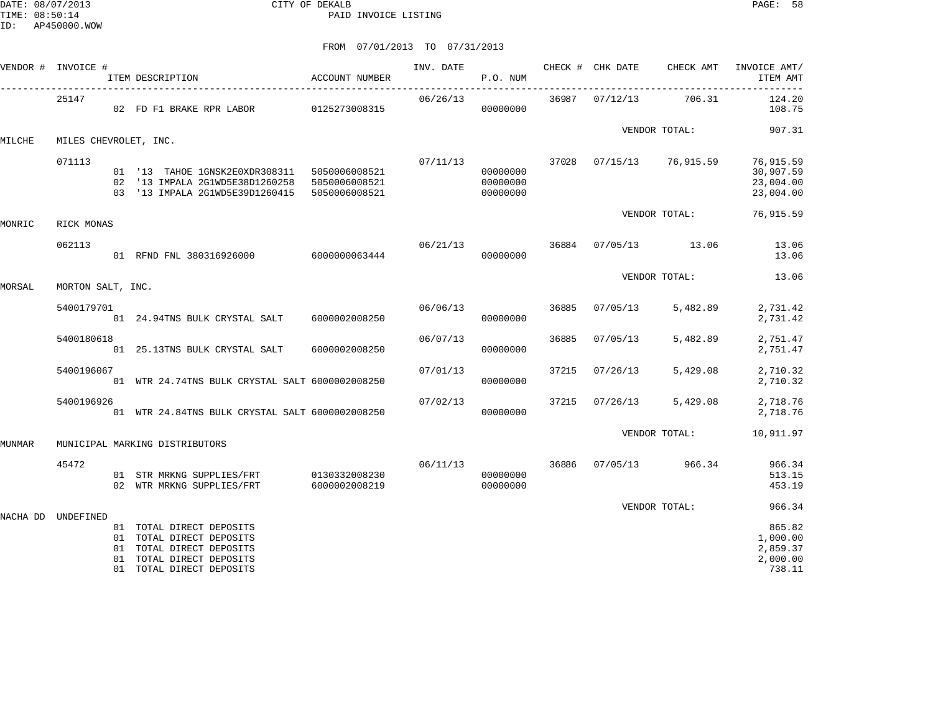|          | VENDOR # INVOICE #    | ITEM DESCRIPTION                                                                                                                               | ACCOUNT NUMBER | INV. DATE | P.O. NUM                         |       | CHECK # CHK DATE | CHECK AMT                             | INVOICE AMT/<br>ITEM AMT                             |
|----------|-----------------------|------------------------------------------------------------------------------------------------------------------------------------------------|----------------|-----------|----------------------------------|-------|------------------|---------------------------------------|------------------------------------------------------|
|          | 25147                 | 02 FD F1 BRAKE RPR LABOR 0125273008315                                                                                                         |                | 06/26/13  | 00000000                         |       | 36987 07/12/13   | 706.31                                | 124.20<br>108.75                                     |
|          |                       |                                                                                                                                                |                |           |                                  |       |                  | VENDOR TOTAL:                         | 907.31                                               |
| MILCHE   | MILES CHEVROLET, INC. |                                                                                                                                                |                |           |                                  |       |                  |                                       |                                                      |
|          | 071113                | 01 '13 TAHOE 1GNSK2E0XDR308311 5050006008521<br>02 '13 IMPALA 2G1WD5E38D1260258 5050006008521<br>03 '13 IMPALA 2G1WD5E39D1260415 5050006008521 |                |           | 00000000<br>00000000<br>00000000 |       |                  | $07/11/13$ 37028 $07/15/13$ 76,915.59 | 76,915.59<br>30,907.59<br>23,004.00<br>23,004.00     |
| MONRIC   | RICK MONAS            |                                                                                                                                                |                |           |                                  |       |                  | VENDOR TOTAL:                         | 76,915.59                                            |
|          | 062113                | 01 RFND FNL 380316926000 6000000063444                                                                                                         |                | 06/21/13  | 00000000                         |       |                  | 36884 07/05/13 13.06                  | 13.06<br>13.06                                       |
| MORSAL   | MORTON SALT, INC.     |                                                                                                                                                |                |           |                                  |       |                  | VENDOR TOTAL:                         | 13.06                                                |
|          |                       |                                                                                                                                                |                |           |                                  |       |                  |                                       |                                                      |
|          | 5400179701            | 01 24.94TNS BULK CRYSTAL SALT 6000002008250                                                                                                    |                |           | 06/06/13<br>00000000             | 36885 | 07/05/13         | 5,482.89                              | 2,731.42<br>2,731.42                                 |
|          | 5400180618            | 01 25.13TNS BULK CRYSTAL SALT                                                                                                                  | 6000002008250  | 06/07/13  | 00000000                         | 36885 | 07/05/13         | 5,482.89                              | 2,751.47<br>2,751.47                                 |
|          | 5400196067            | 01 WTR 24.74TNS BULK CRYSTAL SALT 6000002008250                                                                                                |                | 07/01/13  | 00000000                         | 37215 | 07/26/13         | 5,429.08                              | 2,710.32<br>2,710.32                                 |
|          | 5400196926            | 01 WTR 24.84TNS BULK CRYSTAL SALT 6000002008250                                                                                                |                | 07/02/13  | 00000000                         | 37215 | 07/26/13         | 5,429.08                              | 2,718.76<br>2,718.76                                 |
| MUNMAR   |                       | MUNICIPAL MARKING DISTRIBUTORS                                                                                                                 |                |           |                                  |       |                  | VENDOR TOTAL:                         | 10,911.97                                            |
|          |                       |                                                                                                                                                |                |           |                                  |       |                  |                                       |                                                      |
|          | 45472                 | 01 STR MRKNG SUPPLIES/FRT 0130332008230<br>02 WTR MRKNG SUPPLIES/FRT                                                                           | 6000002008219  | 06/11/13  | 00000000<br>00000000             |       |                  | 36886 07/05/13 966.34                 | 966.34<br>513.15<br>453.19                           |
|          |                       |                                                                                                                                                |                |           |                                  |       |                  | VENDOR TOTAL:                         | 966.34                                               |
| NACHA DD | UNDEFINED             | 01 TOTAL DIRECT DEPOSITS<br>01 TOTAL DIRECT DEPOSITS<br>01 TOTAL DIRECT DEPOSITS<br>01 TOTAL DIRECT DEPOSITS<br>01 TOTAL DIRECT DEPOSITS       |                |           |                                  |       |                  |                                       | 865.82<br>1,000.00<br>2,859.37<br>2,000.00<br>738.11 |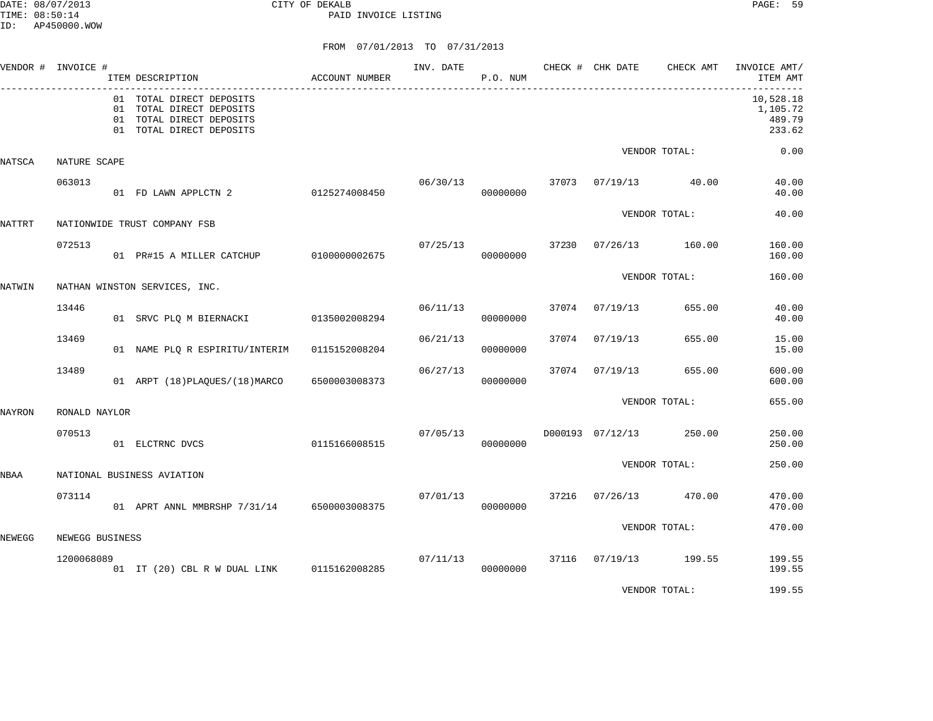DATE: 08/07/2013 CITY OF DEKALB PAGE: 59 PAID INVOICE LISTING

|        | VENDOR # INVOICE # | ITEM DESCRIPTION                                                                                             | ACCOUNT NUMBER | INV. DATE | P.O. NUM |       | CHECK # CHK DATE | CHECK AMT     | INVOICE AMT/<br>ITEM AMT                  |
|--------|--------------------|--------------------------------------------------------------------------------------------------------------|----------------|-----------|----------|-------|------------------|---------------|-------------------------------------------|
|        |                    | 01 TOTAL DIRECT DEPOSITS<br>01 TOTAL DIRECT DEPOSITS<br>01 TOTAL DIRECT DEPOSITS<br>01 TOTAL DIRECT DEPOSITS |                |           |          |       |                  |               | 10,528.18<br>1,105.72<br>489.79<br>233.62 |
| NATSCA | NATURE SCAPE       |                                                                                                              |                |           |          |       |                  | VENDOR TOTAL: | 0.00                                      |
|        | 063013             | 01 FD LAWN APPLCTN 2                                                                                         | 0125274008450  | 06/30/13  | 00000000 |       | 37073 07/19/13   | 40.00         | 40.00<br>40.00                            |
| NATTRT |                    | NATIONWIDE TRUST COMPANY FSB                                                                                 |                |           |          |       |                  | VENDOR TOTAL: | 40.00                                     |
|        | 072513             | 01 PR#15 A MILLER CATCHUP 0100000002675                                                                      |                | 07/25/13  | 00000000 | 37230 | 07/26/13         | 160.00        | 160.00<br>160.00                          |
| NATWIN |                    | NATHAN WINSTON SERVICES, INC.                                                                                |                |           |          |       |                  | VENDOR TOTAL: | 160.00                                    |
|        | 13446              | 01 SRVC PLQ M BIERNACKI                                                                                      | 0135002008294  | 06/11/13  | 00000000 | 37074 | 07/19/13         | 655.00        | 40.00<br>40.00                            |
|        | 13469              | 01 NAME PLQ R ESPIRITU/INTERIM                                                                               | 0115152008204  | 06/21/13  | 00000000 | 37074 | 07/19/13         | 655.00        | 15.00<br>15.00                            |
|        | 13489              | 01 ARPT (18) PLAQUES/(18) MARCO                                                                              | 6500003008373  | 06/27/13  | 00000000 | 37074 | 07/19/13         | 655.00        | 600.00<br>600.00                          |
| NAYRON | RONALD NAYLOR      |                                                                                                              |                |           |          |       |                  | VENDOR TOTAL: | 655.00                                    |
|        | 070513             | 01 ELCTRNC DVCS                                                                                              | 0115166008515  | 07/05/13  | 00000000 |       | D000193 07/12/13 | 250.00        | 250.00<br>250.00                          |
| NBAA   |                    | NATIONAL BUSINESS AVIATION                                                                                   |                |           |          |       |                  | VENDOR TOTAL: | 250.00                                    |
|        | 073114             | 01 APRT ANNL MMBRSHP 7/31/14 6500003008375                                                                   |                | 07/01/13  | 00000000 | 37216 | 07/26/13         | 470.00        | 470.00<br>470.00                          |
| NEWEGG | NEWEGG BUSINESS    |                                                                                                              |                |           |          |       |                  | VENDOR TOTAL: | 470.00                                    |
|        | 1200068089         | 01 IT (20) CBL R W DUAL LINK 0115162008285                                                                   |                | 07/11/13  | 00000000 | 37116 | 07/19/13         | 199.55        | 199.55<br>199.55                          |
|        |                    |                                                                                                              |                |           |          |       |                  | VENDOR TOTAL: | 199.55                                    |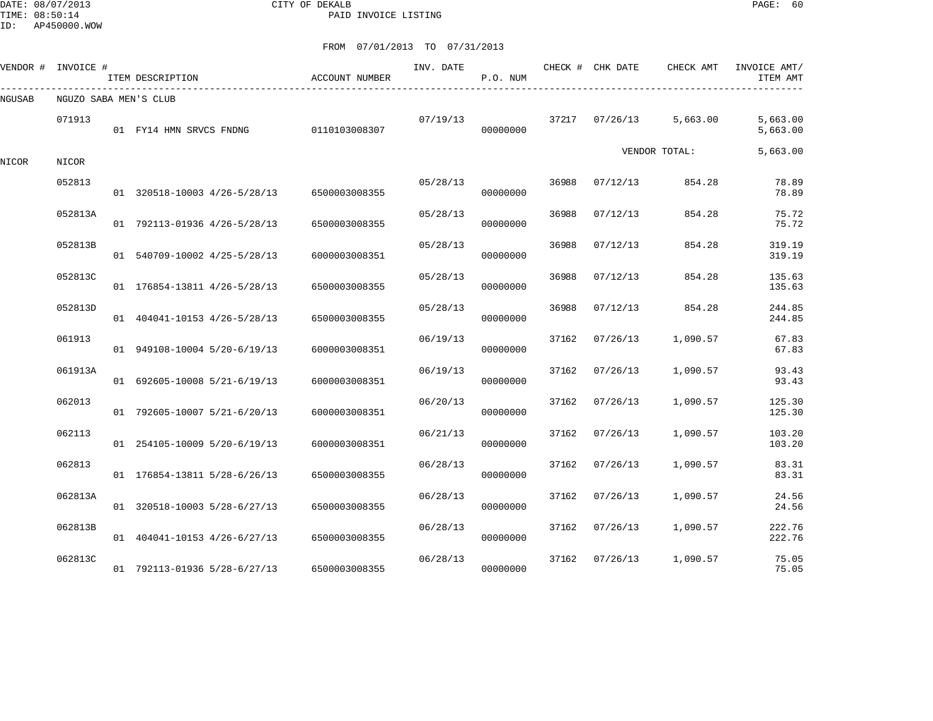DATE: 08/07/2013 CITY OF DEKALB PAGE: 60 PAID INVOICE LISTING

|        | VENDOR # INVOICE #    | ITEM DESCRIPTION             | ACCOUNT NUMBER | INV. DATE | P.O. NUM |       | CHECK # CHK DATE | CHECK AMT     | INVOICE AMT/<br>ITEM AMT |
|--------|-----------------------|------------------------------|----------------|-----------|----------|-------|------------------|---------------|--------------------------|
| NGUSAB | NGUZO SABA MEN'S CLUB |                              |                |           |          |       |                  |               |                          |
|        | 071913                | 01 FY14 HMN SRVCS FNDNG      | 0110103008307  | 07/19/13  | 00000000 | 37217 | 07/26/13         | 5,663.00      | 5,663.00<br>5,663.00     |
| NICOR  | NICOR                 |                              |                |           |          |       |                  | VENDOR TOTAL: | 5,663.00                 |
|        | 052813                | 01 320518-10003 4/26-5/28/13 | 6500003008355  | 05/28/13  | 00000000 | 36988 | 07/12/13         | 854.28        | 78.89<br>78.89           |
|        | 052813A               | 01 792113-01936 4/26-5/28/13 | 6500003008355  | 05/28/13  | 00000000 | 36988 | 07/12/13         | 854.28        | 75.72<br>75.72           |
|        | 052813B               | 01 540709-10002 4/25-5/28/13 | 6000003008351  | 05/28/13  | 00000000 | 36988 | 07/12/13         | 854.28        | 319.19<br>319.19         |
|        | 052813C               | 01 176854-13811 4/26-5/28/13 | 6500003008355  | 05/28/13  | 00000000 | 36988 | 07/12/13         | 854.28        | 135.63<br>135.63         |
|        | 052813D               | 01 404041-10153 4/26-5/28/13 | 6500003008355  | 05/28/13  | 00000000 | 36988 | 07/12/13         | 854.28        | 244.85<br>244.85         |
|        | 061913                | 01 949108-10004 5/20-6/19/13 | 6000003008351  | 06/19/13  | 00000000 | 37162 | 07/26/13         | 1,090.57      | 67.83<br>67.83           |
|        | 061913A               | 01 692605-10008 5/21-6/19/13 | 6000003008351  | 06/19/13  | 00000000 | 37162 | 07/26/13         | 1,090.57      | 93.43<br>93.43           |
|        | 062013                | 01 792605-10007 5/21-6/20/13 | 6000003008351  | 06/20/13  | 00000000 | 37162 | 07/26/13         | 1,090.57      | 125.30<br>125.30         |
|        | 062113                | 01 254105-10009 5/20-6/19/13 | 6000003008351  | 06/21/13  | 00000000 | 37162 | 07/26/13         | 1,090.57      | 103.20<br>103.20         |
|        | 062813                | 01 176854-13811 5/28-6/26/13 | 6500003008355  | 06/28/13  | 00000000 | 37162 | 07/26/13         | 1,090.57      | 83.31<br>83.31           |
|        | 062813A               | 01 320518-10003 5/28-6/27/13 | 6500003008355  | 06/28/13  | 00000000 | 37162 | 07/26/13         | 1,090.57      | 24.56<br>24.56           |
|        | 062813B               | 01 404041-10153 4/26-6/27/13 | 6500003008355  | 06/28/13  | 00000000 | 37162 | 07/26/13         | 1,090.57      | 222.76<br>222.76         |
|        | 062813C               | 01 792113-01936 5/28-6/27/13 | 6500003008355  | 06/28/13  | 00000000 | 37162 | 07/26/13         | 1,090.57      | 75.05<br>75.05           |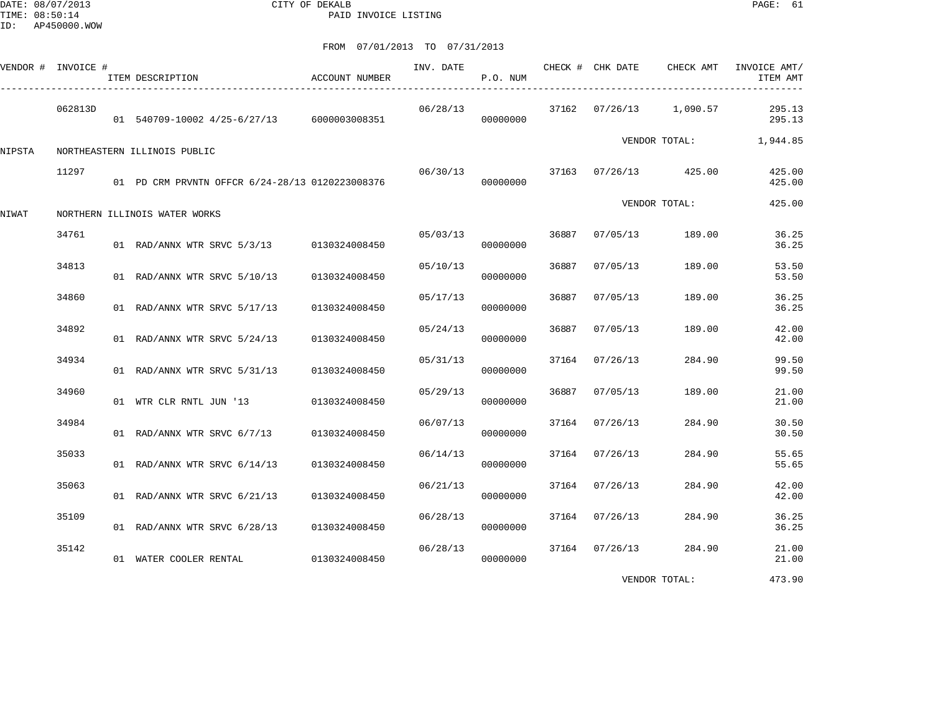DATE: 08/07/2013 CITY OF DEKALB PAGE: 61 PAID INVOICE LISTING

FROM 07/01/2013 TO 07/31/2013

|        | VENDOR # INVOICE # | ITEM DESCRIPTION                                | ACCOUNT NUMBER | INV. DATE | P.O. NUM |       | CHECK # CHK DATE | CHECK AMT               | INVOICE AMT/<br>ITEM AMT |
|--------|--------------------|-------------------------------------------------|----------------|-----------|----------|-------|------------------|-------------------------|--------------------------|
|        | 062813D            | 01 540709-10002 4/25-6/27/13 6000003008351      |                | 06/28/13  | 00000000 |       |                  | 37162 07/26/13 1,090.57 | 295.13<br>295.13         |
| NIPSTA |                    | NORTHEASTERN ILLINOIS PUBLIC                    |                |           |          |       |                  | VENDOR TOTAL:           | 1,944.85                 |
|        | 11297              | 01 PD CRM PRVNTN OFFCR 6/24-28/13 0120223008376 |                | 06/30/13  | 00000000 |       |                  | 37163 07/26/13 425.00   | 425.00<br>425.00         |
| NIWAT  |                    | NORTHERN ILLINOIS WATER WORKS                   |                |           |          |       |                  | VENDOR TOTAL:           | 425.00                   |
|        | 34761              | 01 RAD/ANNX WTR SRVC 5/3/13 0130324008450       |                | 05/03/13  | 00000000 | 36887 | 07/05/13         | 189.00                  | 36.25<br>36.25           |
|        | 34813              | 01 RAD/ANNX WTR SRVC 5/10/13                    | 0130324008450  | 05/10/13  | 00000000 | 36887 | 07/05/13         | 189.00                  | 53.50<br>53.50           |
|        | 34860              | 01 RAD/ANNX WTR SRVC 5/17/13                    | 0130324008450  | 05/17/13  | 00000000 | 36887 | 07/05/13         | 189.00                  | 36.25<br>36.25           |
|        | 34892              | 01 RAD/ANNX WTR SRVC 5/24/13                    | 0130324008450  | 05/24/13  | 00000000 | 36887 | 07/05/13         | 189.00                  | 42.00<br>42.00           |
|        | 34934              | 01 RAD/ANNX WTR SRVC 5/31/13                    | 0130324008450  | 05/31/13  | 00000000 |       | 37164 07/26/13   | 284.90                  | 99.50<br>99.50           |
|        | 34960              | 01 WTR CLR RNTL JUN '13                         | 0130324008450  | 05/29/13  | 00000000 | 36887 | 07/05/13         | 189.00                  | 21.00<br>21.00           |
|        | 34984              | 01 RAD/ANNX WTR SRVC 6/7/13 0130324008450       |                | 06/07/13  | 00000000 | 37164 | 07/26/13         | 284.90                  | 30.50<br>30.50           |
|        | 35033              | 01 RAD/ANNX WTR SRVC 6/14/13                    | 0130324008450  | 06/14/13  | 00000000 |       | 37164 07/26/13   | 284.90                  | 55.65<br>55.65           |
|        | 35063              | 01 RAD/ANNX WTR SRVC 6/21/13                    | 0130324008450  | 06/21/13  | 00000000 |       | 37164 07/26/13   | 284.90                  | 42.00<br>42.00           |
|        | 35109              | 01 RAD/ANNX WTR SRVC 6/28/13                    | 0130324008450  | 06/28/13  | 00000000 |       | 37164 07/26/13   | 284.90                  | 36.25<br>36.25           |
|        | 35142              | 01 WATER COOLER RENTAL                          | 0130324008450  | 06/28/13  | 00000000 |       | 37164 07/26/13   | 284.90                  | 21.00<br>21.00           |
|        |                    |                                                 |                |           |          |       |                  |                         |                          |

VENDOR TOTAL: 473.90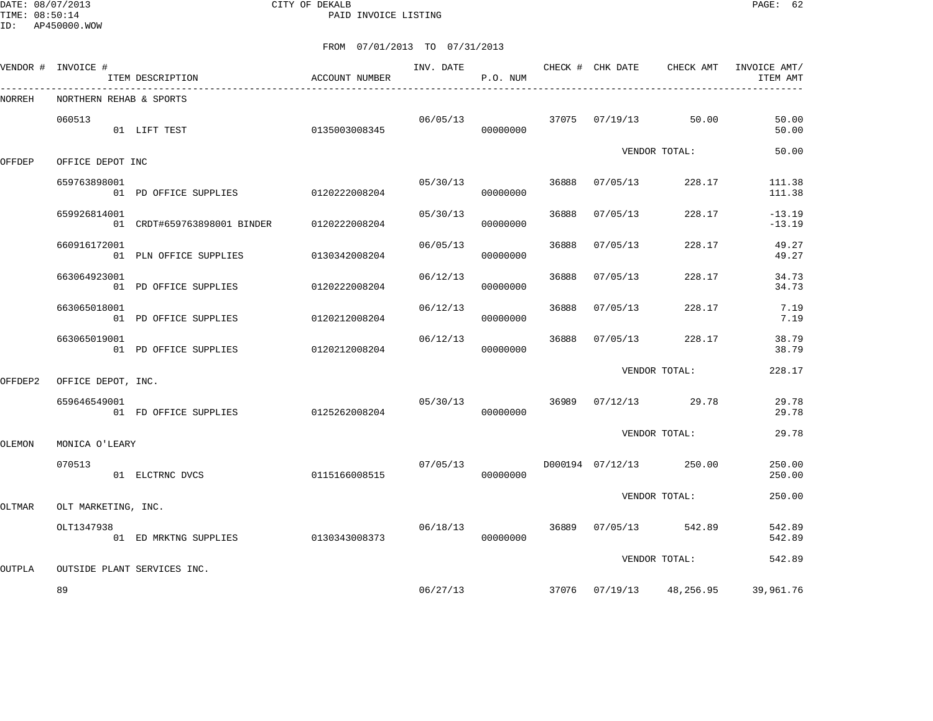DATE: 08/07/2013 CITY OF DEKALB PAGE: 62 PAID INVOICE LISTING

|  | FROM 07/01/2013 TO 07/31/2013 |  |
|--|-------------------------------|--|
|  |                               |  |

|         | VENDOR # INVOICE #      | ITEM DESCRIPTION<br>---------------------- | ACCOUNT NUMBER |          | P.O. NUM |       |          |                            | INVOICE AMT/<br>ITEM AMT |
|---------|-------------------------|--------------------------------------------|----------------|----------|----------|-------|----------|----------------------------|--------------------------|
| NORREH  | NORTHERN REHAB & SPORTS |                                            |                |          |          |       |          |                            |                          |
|         | 060513                  | 01 LIFT TEST                               | 0135003008345  | 06/05/13 | 00000000 |       |          | 37075 07/19/13 50.00       | 50.00<br>50.00           |
| OFFDEP  | OFFICE DEPOT INC        |                                            |                |          |          |       |          | VENDOR TOTAL:              | 50.00                    |
|         | 659763898001            | 01 PD OFFICE SUPPLIES                      | 0120222008204  | 05/30/13 | 00000000 | 36888 | 07/05/13 | 228.17                     | 111.38<br>111.38         |
|         | 659926814001            | 01 CRDT#659763898001 BINDER                | 0120222008204  | 05/30/13 | 00000000 | 36888 | 07/05/13 | 228.17                     | $-13.19$<br>$-13.19$     |
|         | 660916172001            | 01 PLN OFFICE SUPPLIES                     | 0130342008204  | 06/05/13 | 00000000 | 36888 | 07/05/13 | 228.17                     | 49.27<br>49.27           |
|         | 663064923001            | 01 PD OFFICE SUPPLIES                      | 0120222008204  | 06/12/13 | 00000000 | 36888 | 07/05/13 | 228.17                     | 34.73<br>34.73           |
|         | 663065018001            | 01 PD OFFICE SUPPLIES                      | 0120212008204  | 06/12/13 | 00000000 | 36888 | 07/05/13 | 228.17                     | 7.19<br>7.19             |
|         | 663065019001            | 01 PD OFFICE SUPPLIES                      | 0120212008204  | 06/12/13 | 00000000 | 36888 | 07/05/13 | 228.17                     | 38.79<br>38.79           |
| OFFDEP2 | OFFICE DEPOT, INC.      |                                            |                |          |          |       |          | VENDOR TOTAL:              | 228.17                   |
|         | 659646549001            | 01 FD OFFICE SUPPLIES 0125262008204        |                | 05/30/13 | 00000000 | 36989 |          | $07/12/13$ 29.78           | 29.78<br>29.78           |
| OLEMON  | MONICA O'LEARY          |                                            |                |          |          |       |          | VENDOR TOTAL:              | 29.78                    |
|         | 070513                  | 01 ELCTRNC DVCS                            | 0115166008515  | 07/05/13 | 00000000 |       |          | D000194 07/12/13 250.00    | 250.00<br>250.00         |
| OLTMAR  | OLT MARKETING, INC.     |                                            |                |          |          |       |          | VENDOR TOTAL:              | 250.00                   |
|         | OLT1347938              | 01 ED MRKTNG SUPPLIES                      | 0130343008373  | 06/18/13 | 00000000 | 36889 | 07/05/13 | 542.89                     | 542.89<br>542.89         |
| OUTPLA  |                         | OUTSIDE PLANT SERVICES INC.                |                |          |          |       |          | VENDOR TOTAL:              | 542.89                   |
|         | 89                      |                                            |                |          | 06/27/13 |       |          | 37076  07/19/13  48,256.95 | 39,961.76                |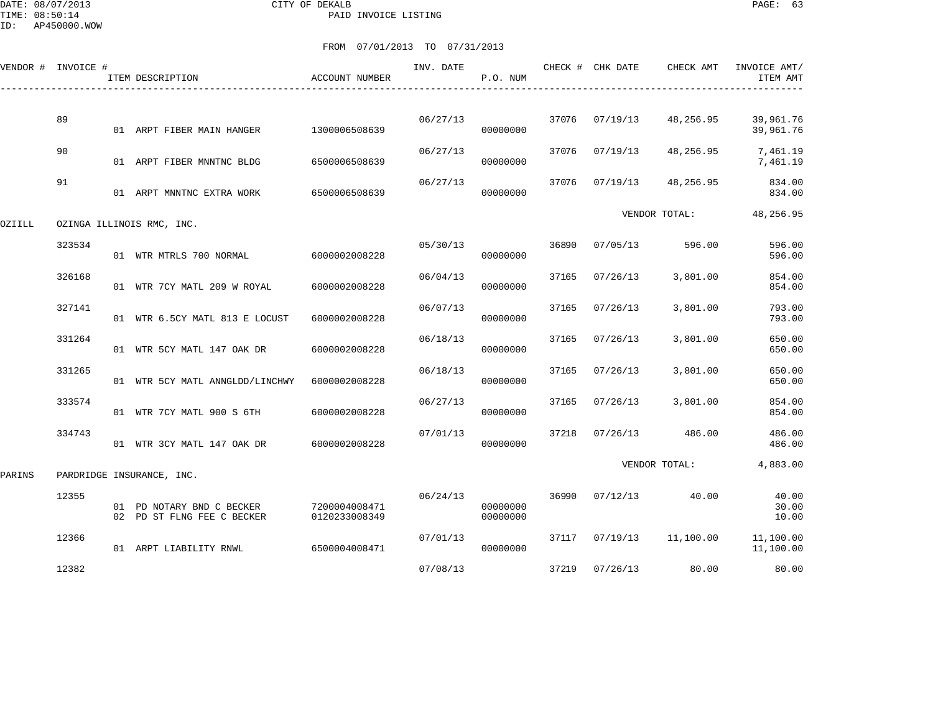DATE: 08/07/2013 CITY OF DEKALB PAGE: 63 PAID INVOICE LISTING

|        | VENDOR # INVOICE # | ITEM DESCRIPTION                                        | ACCOUNT NUMBER                 | INV. DATE | P.O. NUM             |       | CHECK # CHK DATE | CHECK AMT     | INVOICE AMT/<br>ITEM AMT |
|--------|--------------------|---------------------------------------------------------|--------------------------------|-----------|----------------------|-------|------------------|---------------|--------------------------|
|        | 89                 | 01 ARPT FIBER MAIN HANGER                               | 1300006508639                  | 06/27/13  | 00000000             | 37076 | 07/19/13         | 48,256.95     | 39,961.76<br>39,961.76   |
|        | 90                 | 01 ARPT FIBER MNNTNC BLDG                               | 6500006508639                  | 06/27/13  | 00000000             | 37076 | 07/19/13         | 48,256.95     | 7,461.19<br>7,461.19     |
|        | 91                 | 01 ARPT MNNTNC EXTRA WORK                               | 6500006508639                  | 06/27/13  | 00000000             | 37076 | 07/19/13         | 48,256.95     | 834.00<br>834.00         |
| OZIILL |                    | OZINGA ILLINOIS RMC, INC.                               |                                |           |                      |       |                  | VENDOR TOTAL: | 48,256.95                |
|        | 323534             | 01 WTR MTRLS 700 NORMAL                                 | 6000002008228                  | 05/30/13  | 00000000             | 36890 | 07/05/13         | 596.00        | 596.00<br>596.00         |
|        | 326168             | 01 WTR 7CY MATL 209 W ROYAL                             | 6000002008228                  | 06/04/13  | 00000000             | 37165 | 07/26/13         | 3,801.00      | 854.00<br>854.00         |
|        | 327141             | 01 WTR 6.5CY MATL 813 E LOCUST                          | 6000002008228                  | 06/07/13  | 00000000             | 37165 | 07/26/13         | 3,801.00      | 793.00<br>793.00         |
|        | 331264             | 01 WTR 5CY MATL 147 OAK DR                              | 6000002008228                  | 06/18/13  | 00000000             | 37165 | 07/26/13         | 3,801.00      | 650.00<br>650.00         |
|        | 331265             | 01 WTR 5CY MATL ANNGLDD/LINCHWY                         | 6000002008228                  | 06/18/13  | 00000000             | 37165 | 07/26/13         | 3,801.00      | 650.00<br>650.00         |
|        | 333574             | 01 WTR 7CY MATL 900 S 6TH                               | 6000002008228                  | 06/27/13  | 00000000             | 37165 | 07/26/13         | 3,801.00      | 854.00<br>854.00         |
|        | 334743             | 01 WTR 3CY MATL 147 OAK DR                              | 6000002008228                  | 07/01/13  | 00000000             | 37218 | 07/26/13         | 486.00        | 486.00<br>486.00         |
| PARINS |                    | PARDRIDGE INSURANCE, INC.                               |                                |           |                      |       |                  | VENDOR TOTAL: | 4,883.00                 |
|        | 12355              | 01 PD NOTARY BND C BECKER<br>02 PD ST FLNG FEE C BECKER | 7200004008471<br>0120233008349 | 06/24/13  | 00000000<br>00000000 | 36990 | 07/12/13         | 40.00         | 40.00<br>30.00<br>10.00  |
|        | 12366              | 01 ARPT LIABILITY RNWL                                  | 6500004008471                  | 07/01/13  | 00000000             | 37117 | 07/19/13         | 11,100.00     | 11,100.00<br>11,100.00   |
|        | 12382              |                                                         |                                | 07/08/13  |                      |       | 37219 07/26/13   | 80.00         | 80.00                    |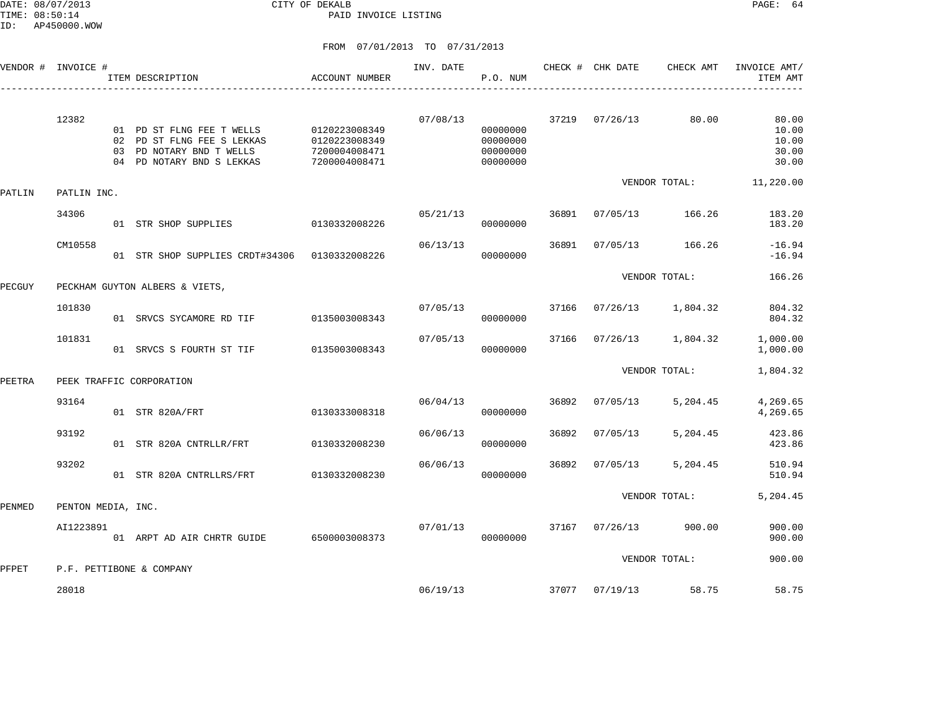DATE: 08/07/2013 CITY OF DEKALB PAGE: 64 PAID INVOICE LISTING

| VENDOR # | INVOICE #          |          | ITEM DESCRIPTION                                                                                           | <b>ACCOUNT NUMBER</b>                                            | INV. DATE | P.O. NUM                                     |       | CHECK # CHK DATE | CHECK AMT     | INVOICE AMT/<br>ITEM AMT                  |
|----------|--------------------|----------|------------------------------------------------------------------------------------------------------------|------------------------------------------------------------------|-----------|----------------------------------------------|-------|------------------|---------------|-------------------------------------------|
|          | 12382              | 02<br>03 | 01 PD ST FLNG FEE T WELLS<br>PD ST FLNG FEE S LEKKAS<br>PD NOTARY BND T WELLS<br>04 PD NOTARY BND S LEKKAS | 0120223008349<br>0120223008349<br>7200004008471<br>7200004008471 | 07/08/13  | 00000000<br>00000000<br>00000000<br>00000000 | 37219 | 07/26/13         | 80.00         | 80.00<br>10.00<br>10.00<br>30.00<br>30.00 |
| PATLIN   | PATLIN INC.        |          |                                                                                                            |                                                                  |           |                                              |       |                  | VENDOR TOTAL: | 11,220.00                                 |
|          | 34306              |          | 01 STR SHOP SUPPLIES                                                                                       | 0130332008226                                                    | 05/21/13  | 00000000                                     | 36891 | 07/05/13         | 166.26        | 183.20<br>183.20                          |
|          | CM10558            |          | 01 STR SHOP SUPPLIES CRDT#34306                                                                            | 0130332008226                                                    | 06/13/13  | 00000000                                     | 36891 | 07/05/13         | 166.26        | $-16.94$<br>$-16.94$                      |
| PECGUY   |                    |          | PECKHAM GUYTON ALBERS & VIETS,                                                                             |                                                                  |           |                                              |       |                  | VENDOR TOTAL: | 166.26                                    |
|          | 101830             |          | 01 SRVCS SYCAMORE RD TIF                                                                                   | 0135003008343                                                    | 07/05/13  | 00000000                                     | 37166 | 07/26/13         | 1,804.32      | 804.32<br>804.32                          |
|          | 101831             |          | 01 SRVCS S FOURTH ST TIF                                                                                   | 0135003008343                                                    | 07/05/13  | 00000000                                     | 37166 | 07/26/13         | 1,804.32      | 1,000.00<br>1,000.00                      |
| PEETRA   |                    |          | PEEK TRAFFIC CORPORATION                                                                                   |                                                                  |           |                                              |       |                  | VENDOR TOTAL: | 1,804.32                                  |
|          | 93164              |          | 01 STR 820A/FRT                                                                                            | 0130333008318                                                    | 06/04/13  | 00000000                                     | 36892 | 07/05/13         | 5,204.45      | 4,269.65<br>4,269.65                      |
|          | 93192              |          | 01 STR 820A CNTRLLR/FRT                                                                                    | 0130332008230                                                    | 06/06/13  | 00000000                                     | 36892 | 07/05/13         | 5,204.45      | 423.86<br>423.86                          |
|          | 93202              |          | 01 STR 820A CNTRLLRS/FRT                                                                                   | 0130332008230                                                    | 06/06/13  | 00000000                                     | 36892 | 07/05/13         | 5,204.45      | 510.94<br>510.94                          |
| PENMED   | PENTON MEDIA, INC. |          |                                                                                                            |                                                                  |           |                                              |       |                  | VENDOR TOTAL: | 5,204.45                                  |
|          | AI1223891          |          | 01 ARPT AD AIR CHRTR GUIDE                                                                                 | 6500003008373                                                    | 07/01/13  | 00000000                                     | 37167 | 07/26/13         | 900.00        | 900.00<br>900.00                          |
| PFPET    |                    |          | P.F. PETTIBONE & COMPANY                                                                                   |                                                                  |           |                                              |       |                  | VENDOR TOTAL: | 900.00                                    |
|          | 28018              |          |                                                                                                            |                                                                  | 06/19/13  |                                              | 37077 | 07/19/13         | 58.75         | 58.75                                     |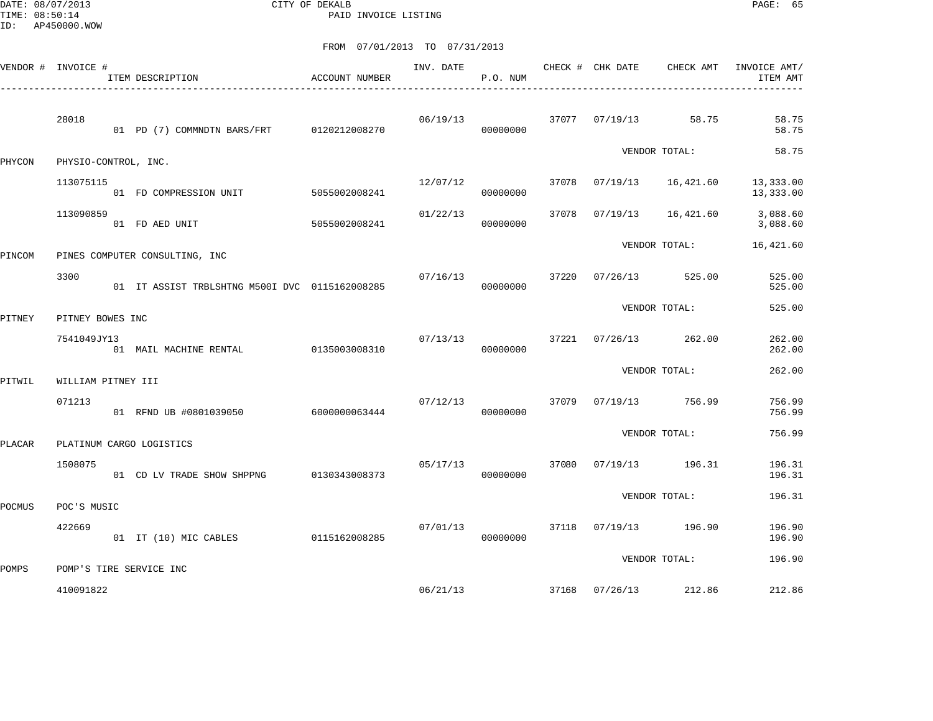DATE: 08/07/2013 CITY OF DEKALB PAGE: 65 PAID INVOICE LISTING

|        | VENDOR # INVOICE #   | ITEM DESCRIPTION                               | <b>ACCOUNT NUMBER</b> | INV. DATE | P.O. NUM |       | CHECK # CHK DATE | CHECK AMT             | INVOICE AMT/<br>ITEM AMT |
|--------|----------------------|------------------------------------------------|-----------------------|-----------|----------|-------|------------------|-----------------------|--------------------------|
|        | 28018                | 01 PD (7) COMMNDTN BARS/FRT 0120212008270      |                       | 06/19/13  | 00000000 |       | 37077 07/19/13   | 58.75                 | 58.75<br>58.75           |
| PHYCON | PHYSIO-CONTROL, INC. |                                                |                       |           |          |       |                  | VENDOR TOTAL:         | 58.75                    |
|        | 113075115            | 01 FD COMPRESSION UNIT                         | 5055002008241         | 12/07/12  | 00000000 | 37078 | 07/19/13         | 16,421.60             | 13,333.00<br>13,333.00   |
|        | 113090859            | 01 FD AED UNIT                                 | 5055002008241         | 01/22/13  | 00000000 | 37078 | 07/19/13         | 16,421.60             | 3,088.60<br>3,088.60     |
| PINCOM |                      | PINES COMPUTER CONSULTING, INC                 |                       |           |          |       |                  | VENDOR TOTAL:         | 16,421.60                |
|        | 3300                 | 01 IT ASSIST TRBLSHTNG M5001 DVC 0115162008285 |                       | 07/16/13  | 00000000 | 37220 | 07/26/13         | 525.00                | 525.00<br>525.00         |
| PITNEY | PITNEY BOWES INC     |                                                |                       |           |          |       |                  | VENDOR TOTAL:         | 525.00                   |
|        | 7541049JY13          | 01 MAIL MACHINE RENTAL                         | 0135003008310         | 07/13/13  | 00000000 |       | 37221 07/26/13   | 262.00                | 262.00<br>262.00         |
| PITWIL | WILLIAM PITNEY III   |                                                |                       |           |          |       |                  | VENDOR TOTAL:         | 262.00                   |
|        | 071213               | 01 RFND UB #0801039050                         | 6000000063444         | 07/12/13  | 00000000 | 37079 |                  | 07/19/13 756.99       | 756.99<br>756.99         |
| PLACAR |                      | PLATINUM CARGO LOGISTICS                       |                       |           |          |       |                  | VENDOR TOTAL:         | 756.99                   |
|        | 1508075              | 01 CD LV TRADE SHOW SHPPNG                     | 0130343008373         | 05/17/13  | 00000000 | 37080 |                  | 07/19/13 196.31       | 196.31<br>196.31         |
| POCMUS | POC'S MUSIC          |                                                |                       |           |          |       |                  | VENDOR TOTAL:         | 196.31                   |
|        | 422669               | 01 IT (10) MIC CABLES                          | 0115162008285         | 07/01/13  | 00000000 |       |                  | 37118 07/19/13 196.90 | 196.90<br>196.90         |
|        |                      |                                                |                       |           |          |       |                  | VENDOR TOTAL:         | 196.90                   |
| POMPS  | 410091822            | POMP'S TIRE SERVICE INC                        |                       |           | 06/21/13 |       |                  | 37168 07/26/13 212.86 | 212.86                   |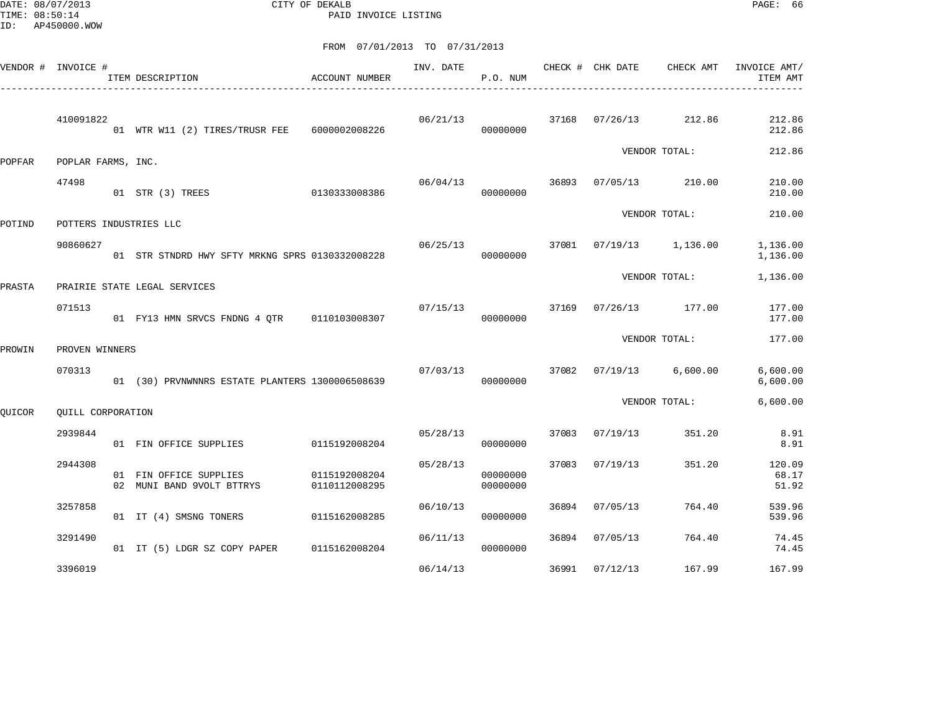DATE: 08/07/2013 CITY OF DEKALB PAGE: 66 PAID INVOICE LISTING

|               | VENDOR # INVOICE # | ACCOUNT NUMBER<br>ITEM DESCRIPTION                  |                                | INV. DATE | P.O. NUM             |       | CHECK # CHK DATE        | CHECK AMT       | INVOICE AMT/<br>ITEM AMT |
|---------------|--------------------|-----------------------------------------------------|--------------------------------|-----------|----------------------|-------|-------------------------|-----------------|--------------------------|
|               | 410091822          | 01 WTR W11 (2) TIRES/TRUSR FEE                      | 6000002008226                  | 06/21/13  | 00000000             |       | 37168 07/26/13 212.86   |                 | 212.86<br>212.86         |
| <b>POPFAR</b> | POPLAR FARMS, INC. |                                                     |                                |           |                      |       |                         | VENDOR TOTAL:   | 212.86                   |
|               | 47498              | 01 STR (3) TREES                                    | 0130333008386                  | 06/04/13  | 00000000             | 36893 | 07/05/13                | 210.00          | 210.00<br>210.00         |
| POTIND        |                    | POTTERS INDUSTRIES LLC                              |                                |           |                      |       |                         | VENDOR TOTAL:   | 210.00                   |
|               | 90860627           | 01 STR STNDRD HWY SFTY MRKNG SPRS 0130332008228     |                                | 06/25/13  | 00000000             |       | 37081 07/19/13 1,136.00 |                 | 1,136.00<br>1,136.00     |
| PRASTA        |                    | PRAIRIE STATE LEGAL SERVICES                        |                                |           |                      |       |                         | VENDOR TOTAL:   | 1,136.00                 |
|               | 071513             | 01 FY13 HMN SRVCS FNDNG 4 QTR 0110103008307         |                                | 07/15/13  | 00000000             | 37169 |                         | 07/26/13 177.00 | 177.00<br>177.00         |
| PROWIN        | PROVEN WINNERS     |                                                     |                                |           |                      |       |                         | VENDOR TOTAL:   | 177.00                   |
|               | 070313             | 01 (30) PRVNWNNRS ESTATE PLANTERS 1300006508639     |                                | 07/03/13  | 00000000             |       | 37082 07/19/13          | 6,600.00        | 6,600.00<br>6,600.00     |
| QUICOR        | QUILL CORPORATION  |                                                     |                                |           |                      |       |                         | VENDOR TOTAL:   | 6,600.00                 |
|               | 2939844            | 01 FIN OFFICE SUPPLIES                              | 0115192008204                  | 05/28/13  | 00000000             | 37083 | 07/19/13                | 351.20          | 8.91<br>8.91             |
|               | 2944308            | 01 FIN OFFICE SUPPLIES<br>02 MUNI BAND 9VOLT BTTRYS | 0115192008204<br>0110112008295 | 05/28/13  | 00000000<br>00000000 | 37083 | 07/19/13                | 351.20          | 120.09<br>68.17<br>51.92 |
|               | 3257858            | 01 IT (4) SMSNG TONERS                              | 0115162008285                  | 06/10/13  | 00000000             | 36894 | 07/05/13                | 764.40          | 539.96<br>539.96         |
|               | 3291490            | 01 IT (5) LDGR SZ COPY PAPER 0115162008204          |                                | 06/11/13  | 00000000             | 36894 | 07/05/13                | 764.40          | 74.45<br>74.45           |
|               | 3396019            |                                                     |                                | 06/14/13  |                      | 36991 | 07/12/13                | 167.99          | 167.99                   |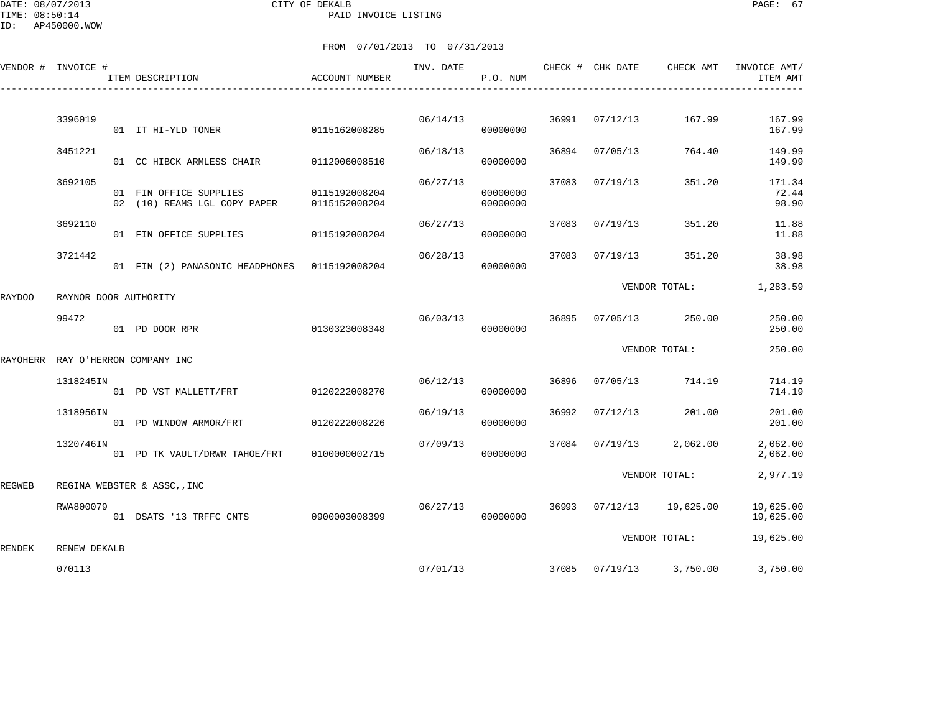|          | VENDOR # INVOICE # | ITEM DESCRIPTION                                       | ACCOUNT NUMBER                 | INV. DATE | P.O. NUM             |       | CHECK # CHK DATE | CHECK AMT               | INVOICE AMT/<br>ITEM AMT |
|----------|--------------------|--------------------------------------------------------|--------------------------------|-----------|----------------------|-------|------------------|-------------------------|--------------------------|
|          |                    |                                                        |                                |           |                      |       |                  |                         |                          |
|          | 3396019            | 01 IT HI-YLD TONER                                     | 0115162008285                  |           | 06/14/13<br>00000000 | 36991 | 07/12/13         | 167.99                  | 167.99<br>167.99         |
|          | 3451221            | 01 CC HIBCK ARMLESS CHAIR 0112006008510                |                                | 06/18/13  | 00000000             |       | 36894 07/05/13   | 764.40                  | 149.99<br>149.99         |
|          | 3692105            | 01 FIN OFFICE SUPPLIES<br>02 (10) REAMS LGL COPY PAPER | 0115192008204<br>0115152008204 | 06/27/13  | 00000000<br>00000000 |       | 37083 07/19/13   | 351.20                  | 171.34<br>72.44<br>98.90 |
|          | 3692110            | 01 FIN OFFICE SUPPLIES                                 | 0115192008204                  | 06/27/13  | 00000000             | 37083 | 07/19/13         | 351.20                  | 11.88<br>11.88           |
|          | 3721442            | 01 FIN (2) PANASONIC HEADPHONES 0115192008204          |                                | 06/28/13  | 00000000             | 37083 | 07/19/13         | 351.20                  | 38.98<br>38.98           |
| RAYDOO   |                    | RAYNOR DOOR AUTHORITY                                  |                                |           |                      |       |                  | VENDOR TOTAL:           | 1,283.59                 |
|          | 99472              | 01 PD DOOR RPR                                         | 0130323008348                  | 06/03/13  | 00000000             | 36895 | 07/05/13         | 250.00                  | 250.00<br>250.00         |
| RAYOHERR |                    | RAY O'HERRON COMPANY INC                               |                                |           |                      |       |                  | VENDOR TOTAL:           | 250.00                   |
|          | 1318245IN          | 01 PD VST MALLETT/FRT                                  | 0120222008270                  |           | 06/12/13<br>00000000 | 36896 | 07/05/13         | 714.19                  | 714.19<br>714.19         |
|          | 1318956IN          | 01 PD WINDOW ARMOR/FRT                                 | 0120222008226                  | 06/19/13  | 00000000             | 36992 | 07/12/13         | 201.00                  | 201.00<br>201.00         |
|          | 1320746IN          | 01 PD TK VAULT/DRWR TAHOE/FRT                          | 0100000002715                  | 07/09/13  | 00000000             |       |                  | 37084 07/19/13 2,062.00 | 2,062.00<br>2,062.00     |
| REGWEB   |                    | REGINA WEBSTER & ASSC, , INC                           |                                |           |                      |       |                  | VENDOR TOTAL:           | 2,977.19                 |
|          | RWA800079          | 01 DSATS '13 TRFFC CNTS                                | 0900003008399                  | 06/27/13  | 00000000             |       | 36993 07/12/13   | 19,625.00               | 19,625.00<br>19,625.00   |
| RENDEK   | RENEW DEKALB       |                                                        |                                |           |                      |       |                  | VENDOR TOTAL:           | 19,625.00                |
|          | 070113             |                                                        |                                | 07/01/13  |                      |       |                  | 37085 07/19/13 3,750.00 | 3,750.00                 |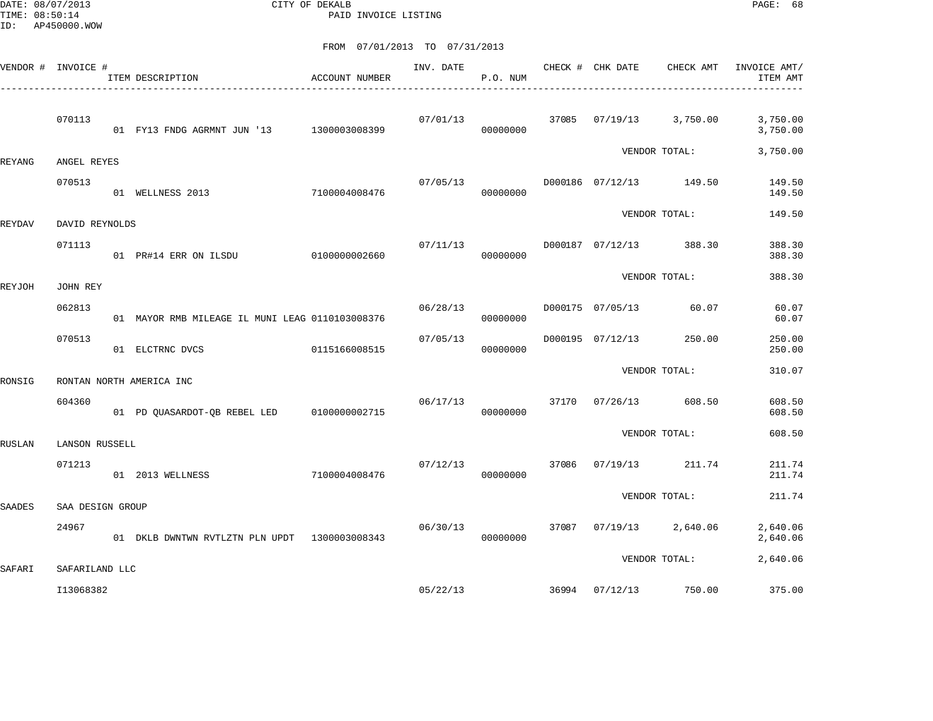DATE: 08/07/2013 CITY OF DEKALB PAGE: 68 PAID INVOICE LISTING

| VENDOR # INVOICE # |                  | ITEM DESCRIPTION                                | ACCOUNT NUMBER | INV. DATE | P.O. NUM             |       |                  | CHECK # CHK DATE CHECK AMT | INVOICE AMT/<br>ITEM AMT |
|--------------------|------------------|-------------------------------------------------|----------------|-----------|----------------------|-------|------------------|----------------------------|--------------------------|
|                    | 070113           | 01 FY13 FNDG AGRMNT JUN '13 1300003008399       |                |           | 07/01/13<br>00000000 |       |                  | 37085 07/19/13 3,750.00    | 3,750.00<br>3,750.00     |
| REYANG             | ANGEL REYES      |                                                 |                |           |                      |       |                  | VENDOR TOTAL:              | 3,750.00                 |
|                    | 070513           | 01 WELLNESS 2013                                | 7100004008476  | 07/05/13  | 00000000             |       |                  | D000186 07/12/13 149.50    | 149.50<br>149.50         |
| <b>REYDAV</b>      | DAVID REYNOLDS   |                                                 |                |           |                      |       |                  | VENDOR TOTAL:              | 149.50                   |
|                    | 071113           | 01 PR#14 ERR ON ILSDU 0100000002660             |                | 07/11/13  | 00000000             |       |                  | D000187 07/12/13 388.30    | 388.30<br>388.30         |
| REYJOH             | JOHN REY         |                                                 |                |           |                      |       |                  | VENDOR TOTAL:              | 388.30                   |
|                    | 062813           | 01 MAYOR RMB MILEAGE IL MUNI LEAG 0110103008376 |                | 06/28/13  | 00000000             |       | D000175 07/05/13 | 60.07                      | 60.07<br>60.07           |
|                    | 070513           | 01 ELCTRNC DVCS                                 | 0115166008515  | 07/05/13  | 00000000             |       | D000195 07/12/13 | 250.00                     | 250.00<br>250.00         |
| RONSIG             |                  | RONTAN NORTH AMERICA INC                        |                |           |                      |       |                  | VENDOR TOTAL:              | 310.07                   |
|                    | 604360           | 01 PD QUASARDOT-QB REBEL LED 0100000002715      |                | 06/17/13  | 00000000             |       |                  | 37170 07/26/13 608.50      | 608.50<br>608.50         |
| <b>RUSLAN</b>      | LANSON RUSSELL   |                                                 |                |           |                      |       |                  | VENDOR TOTAL:              | 608.50                   |
|                    | 071213           | 01 2013 WELLNESS                                | 7100004008476  | 07/12/13  | 00000000             | 37086 | 07/19/13         | 211.74                     | 211.74<br>211.74         |
| <b>SAADES</b>      | SAA DESIGN GROUP |                                                 |                |           |                      |       |                  | VENDOR TOTAL:              | 211.74                   |
|                    | 24967            | 01 DKLB DWNTWN RVTLZTN PLN UPDT 1300003008343   |                | 06/30/13  | 00000000             |       |                  | 37087 07/19/13 2,640.06    | 2,640.06<br>2,640.06     |
| SAFARI             | SAFARILAND LLC   |                                                 |                |           |                      |       |                  | VENDOR TOTAL:              | 2,640.06                 |
|                    | I13068382        |                                                 |                | 05/22/13  |                      | 36994 | 07/12/13         | 750.00                     | 375.00                   |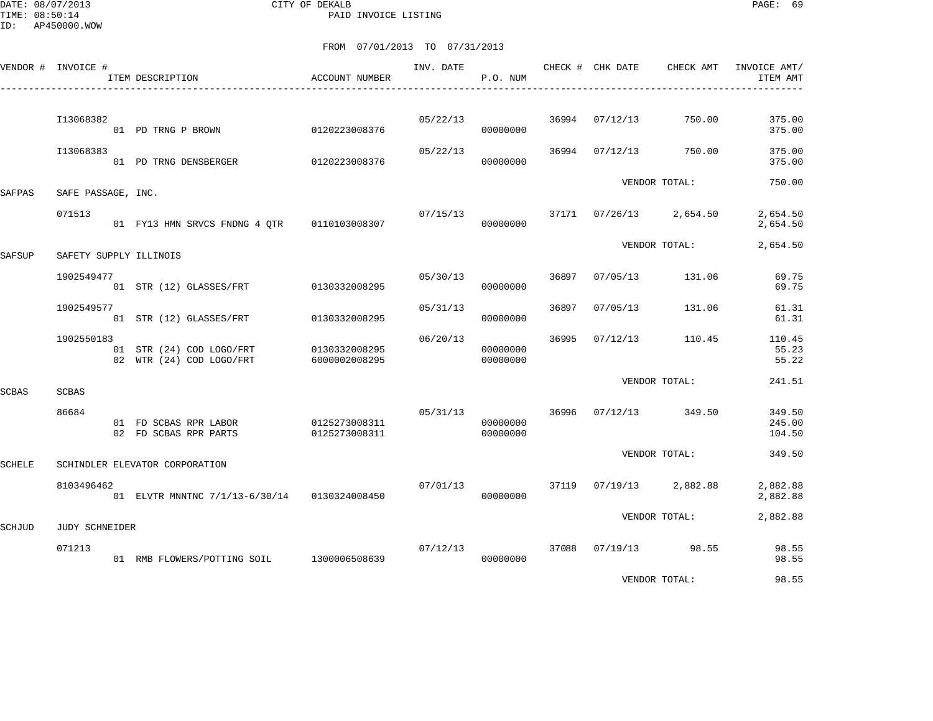DATE: 08/07/2013 CITY OF DEKALB PAGE: 69 PAID INVOICE LISTING

|               | VENDOR # INVOICE #     | ITEM DESCRIPTION                                     | <b>ACCOUNT NUMBER</b>          | INV. DATE | P.O. NUM                         |       | CHECK # CHK DATE | CHECK AMT               | INVOICE AMT/<br>ITEM AMT   |
|---------------|------------------------|------------------------------------------------------|--------------------------------|-----------|----------------------------------|-------|------------------|-------------------------|----------------------------|
|               | I13068382              | 01 PD TRNG P BROWN                                   | 0120223008376                  | 05/22/13  | 00000000                         |       | 36994 07/12/13   | 750.00                  | 375.00<br>375.00           |
|               | I13068383              | 01 PD TRNG DENSBERGER                                | 0120223008376                  | 05/22/13  | 00000000                         |       | 36994 07/12/13   | 750.00                  | 375.00<br>375.00           |
| SAFPAS        | SAFE PASSAGE, INC.     |                                                      |                                |           |                                  |       |                  | VENDOR TOTAL:           | 750.00                     |
|               | 071513                 | 01 FY13 HMN SRVCS FNDNG 4 OTR 0110103008307          |                                | 07/15/13  | 00000000                         |       |                  | 37171 07/26/13 2,654.50 | 2,654.50<br>2,654.50       |
| SAFSUP        | SAFETY SUPPLY ILLINOIS |                                                      |                                |           |                                  |       |                  | VENDOR TOTAL:           | 2,654.50                   |
|               | 1902549477             | 01 STR (12) GLASSES/FRT                              | 0130332008295                  | 05/30/13  | 00000000                         | 36897 | 07/05/13         | 131.06                  | 69.75<br>69.75             |
|               | 1902549577             | 01 STR (12) GLASSES/FRT                              | 0130332008295                  | 05/31/13  | 00000000                         | 36897 | 07/05/13         | 131.06                  | 61.31<br>61.31             |
|               | 1902550183             | 01 STR (24) COD LOGO/FRT<br>02 WTR (24) COD LOGO/FRT | 0130332008295<br>6000002008295 | 06/20/13  | 00000000<br>00000000             | 36995 | 07/12/13         | 110.45                  | 110.45<br>55.23<br>55.22   |
| <b>SCBAS</b>  | <b>SCBAS</b>           |                                                      |                                |           |                                  |       |                  | VENDOR TOTAL:           | 241.51                     |
|               | 86684                  | 01 FD SCBAS RPR LABOR<br>02 FD SCBAS RPR PARTS       | 0125273008311<br>0125273008311 |           | 05/31/13<br>00000000<br>00000000 |       |                  | 36996 07/12/13 349.50   | 349.50<br>245.00<br>104.50 |
| <b>SCHELE</b> |                        | SCHINDLER ELEVATOR CORPORATION                       |                                |           |                                  |       |                  | VENDOR TOTAL:           | 349.50                     |
|               | 8103496462             | 01 ELVTR MNNTNC 7/1/13-6/30/14 0130324008450         |                                | 07/01/13  | 00000000                         |       | 37119 07/19/13   | 2,882.88                | 2,882.88<br>2,882.88       |
| <b>SCHJUD</b> | <b>JUDY SCHNEIDER</b>  |                                                      |                                |           |                                  |       |                  | VENDOR TOTAL:           | 2,882.88                   |
|               | 071213                 | 01 RMB FLOWERS/POTTING SOIL 1300006508639            |                                | 07/12/13  | 00000000                         |       |                  | 37088 07/19/13 98.55    | 98.55<br>98.55             |
|               |                        |                                                      |                                |           |                                  |       |                  | VENDOR TOTAL:           | 98.55                      |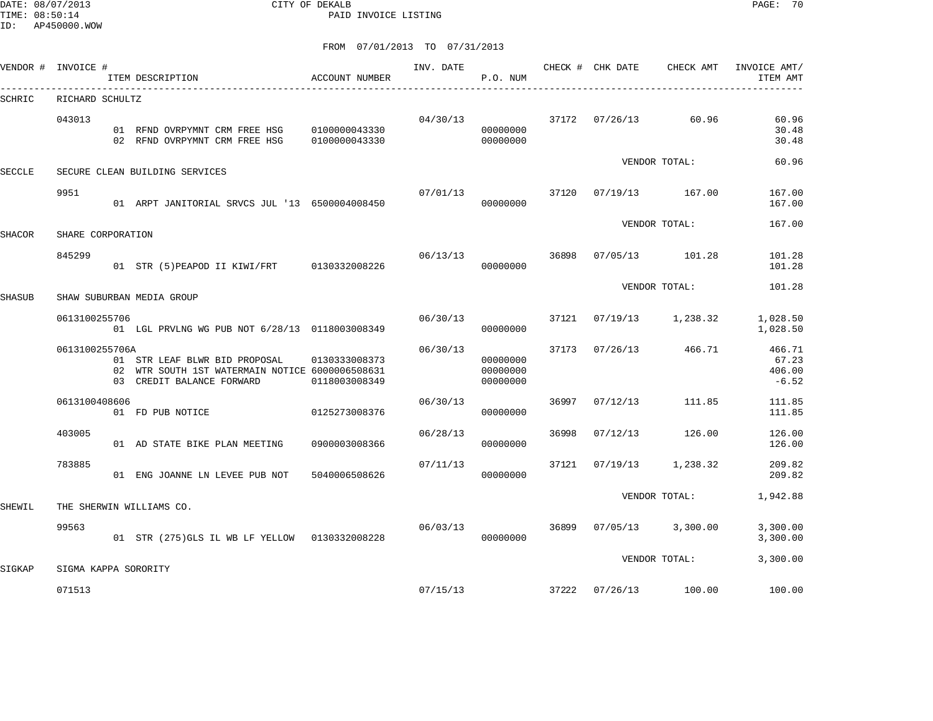DATE: 08/07/2013 CITY OF DEKALB PAGE: 70 PAID INVOICE LISTING

|        | VENDOR # INVOICE #   | ITEM DESCRIPTION                                                                                              | ACCOUNT NUMBER                 | INV. DATE | P.O. NUM                         |       | CHECK # CHK DATE | CHECK AMT           | INVOICE AMT/<br>ITEM AMT             |
|--------|----------------------|---------------------------------------------------------------------------------------------------------------|--------------------------------|-----------|----------------------------------|-------|------------------|---------------------|--------------------------------------|
| SCHRIC | RICHARD SCHULTZ      |                                                                                                               |                                |           |                                  |       |                  |                     |                                      |
|        | 043013               | 01 RFND OVRPYMNT CRM FREE HSG 0100000043330<br>02 RFND OVRPYMNT CRM FREE HSG                                  | 0100000043330                  | 04/30/13  | 00000000<br>00000000             |       | 37172 07/26/13   | 60.96               | 60.96<br>30.48<br>30.48              |
| SECCLE |                      | SECURE CLEAN BUILDING SERVICES                                                                                |                                |           |                                  |       |                  | VENDOR TOTAL:       | 60.96                                |
|        | 9951                 | 01 ARPT JANITORIAL SRVCS JUL '13 6500004008450                                                                |                                | 07/01/13  | 00000000                         | 37120 |                  | 07/19/13 167.00     | 167.00<br>167.00                     |
| SHACOR | SHARE CORPORATION    |                                                                                                               |                                |           |                                  |       |                  | VENDOR TOTAL:       | 167.00                               |
|        | 845299               | 01 STR (5) PEAPOD II KIWI/FRT 0130332008226                                                                   |                                | 06/13/13  | 00000000                         | 36898 |                  | 07/05/13 101.28     | 101.28<br>101.28                     |
| SHASUB |                      | SHAW SUBURBAN MEDIA GROUP                                                                                     |                                |           |                                  |       |                  | VENDOR TOTAL:       | 101.28                               |
|        | 0613100255706        | 01 LGL PRVLNG WG PUB NOT 6/28/13 0118003008349                                                                |                                | 06/30/13  | 00000000                         | 37121 |                  | 07/19/13 1,238.32   | 1,028.50<br>1,028.50                 |
|        | 0613100255706A       | 01 STR LEAF BLWR BID PROPOSAL<br>02 WTR SOUTH 1ST WATERMAIN NOTICE 6000006508631<br>03 CREDIT BALANCE FORWARD | 0130333008373<br>0118003008349 | 06/30/13  | 00000000<br>00000000<br>00000000 | 37173 | 07/26/13         | 466.71              | 466.71<br>67.23<br>406.00<br>$-6.52$ |
|        | 0613100408606        | 01 FD PUB NOTICE                                                                                              | 0125273008376                  | 06/30/13  | 00000000                         | 36997 | 07/12/13         | 111.85              | 111.85<br>111.85                     |
|        | 403005               | 01 AD STATE BIKE PLAN MEETING                                                                                 | 0900003008366                  | 06/28/13  | 00000000                         | 36998 | 07/12/13         | 126.00              | 126.00<br>126.00                     |
|        | 783885               | 01 ENG JOANNE LN LEVEE PUB NOT                                                                                | 5040006508626                  | 07/11/13  | 00000000                         | 37121 | 07/19/13         | 1,238.32            | 209.82<br>209.82                     |
| SHEWIL |                      | THE SHERWIN WILLIAMS CO.                                                                                      |                                |           |                                  |       |                  | VENDOR TOTAL:       | 1,942.88                             |
|        | 99563                | 01 STR (275) GLS IL WB LF YELLOW 0130332008228                                                                |                                | 06/03/13  | 00000000                         | 36899 |                  | $07/05/13$ 3,300.00 | 3,300.00<br>3,300.00                 |
| SIGKAP | SIGMA KAPPA SORORITY |                                                                                                               |                                |           |                                  |       |                  | VENDOR TOTAL:       | 3,300.00                             |
|        | 071513               |                                                                                                               |                                | 07/15/13  |                                  | 37222 |                  | 07/26/13 100.00     | 100.00                               |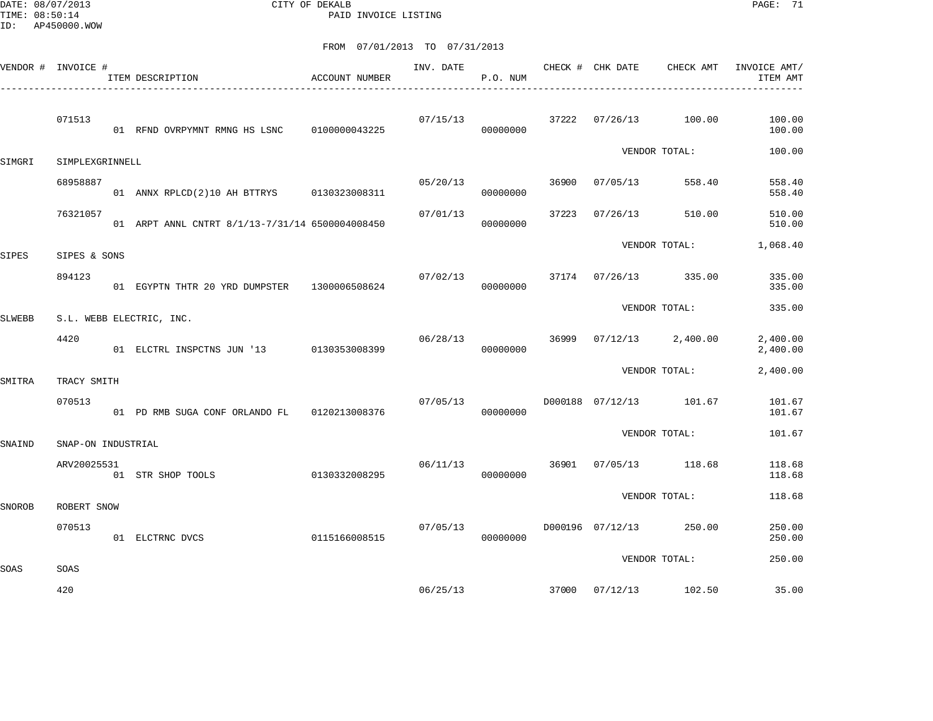DATE: 08/07/2013 CITY OF DEKALB PAGE: 71 PAID INVOICE LISTING

|               | VENDOR # INVOICE # |  | ITEM DESCRIPTION                                | ACCOUNT NUMBER | INV. DATE | P.O. NUM |               | CHECK # CHK DATE | CHECK AMT               | INVOICE AMT/<br>ITEM AMT |
|---------------|--------------------|--|-------------------------------------------------|----------------|-----------|----------|---------------|------------------|-------------------------|--------------------------|
|               | 071513             |  | 01 RFND OVRPYMNT RMNG HS LSNC                   | 0100000043225  | 07/15/13  | 00000000 | 37222         | 07/26/13         | 100.00                  | 100.00<br>100.00         |
| SIMGRI        | SIMPLEXGRINNELL    |  |                                                 |                |           |          | VENDOR TOTAL: |                  | 100.00                  |                          |
|               | 68958887           |  | 01 ANNX RPLCD(2)10 AH BTTRYS 0130323008311      |                | 05/20/13  | 00000000 | 36900         | 07/05/13         | 558.40                  | 558.40<br>558.40         |
|               | 76321057           |  | 01 ARPT ANNL CNTRT 8/1/13-7/31/14 6500004008450 |                | 07/01/13  | 00000000 | 37223         | 07/26/13         | 510.00                  | 510.00<br>510.00         |
| <b>SIPES</b>  | SIPES & SONS       |  |                                                 |                |           |          |               |                  | VENDOR TOTAL:           | 1,068.40                 |
|               | 894123             |  | 01 EGYPTN THTR 20 YRD DUMPSTER 1300006508624    |                | 07/02/13  | 00000000 |               |                  | 37174 07/26/13 335.00   | 335.00<br>335.00         |
| <b>SLWEBB</b> |                    |  | S.L. WEBB ELECTRIC, INC.                        |                |           |          | VENDOR TOTAL: | 335.00           |                         |                          |
|               | 4420               |  | 01 ELCTRL INSPCTNS JUN '13 0130353008399        |                | 06/28/13  | 00000000 |               |                  | 36999 07/12/13 2,400.00 | 2,400.00<br>2,400.00     |
| SMITRA        | TRACY SMITH        |  |                                                 |                |           |          |               | VENDOR TOTAL:    | 2,400.00                |                          |
|               | 070513             |  | 01 PD RMB SUGA CONF ORLANDO FL 0120213008376    |                | 07/05/13  | 00000000 |               |                  | D000188 07/12/13 101.67 | 101.67<br>101.67         |
| SNAIND        | SNAP-ON INDUSTRIAL |  |                                                 |                |           |          | VENDOR TOTAL: | 101.67           |                         |                          |
|               | ARV20025531        |  | 01 STR SHOP TOOLS                               | 0130332008295  | 06/11/13  | 00000000 | 36901         | 07/05/13         | 118.68                  | 118.68<br>118.68         |
| <b>SNOROB</b> | ROBERT SNOW        |  |                                                 |                |           |          | VENDOR TOTAL: |                  |                         | 118.68                   |
|               | 070513             |  | 01 ELCTRNC DVCS                                 | 0115166008515  | 07/05/13  | 00000000 |               | D000196 07/12/13 | 250.00                  | 250.00<br>250.00         |
|               |                    |  |                                                 |                |           |          |               | VENDOR TOTAL:    |                         | 250.00                   |
| SOAS          | SOAS<br>420        |  |                                                 |                | 06/25/13  |          |               |                  | 37000 07/12/13 102.50   | 35.00                    |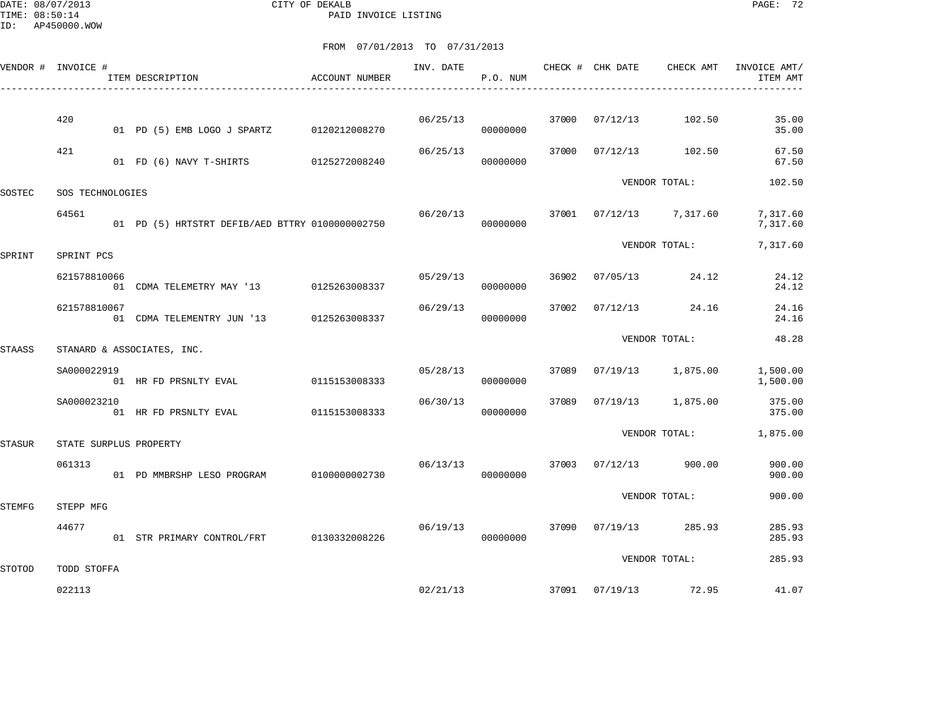DATE: 08/07/2013 CITY OF DEKALB PAGE: 72 PAID INVOICE LISTING

|               | VENDOR # INVOICE #         |  | ITEM DESCRIPTION                                | ACCOUNT NUMBER | INV. DATE | P.O. NUM |               |                | CHECK # CHK DATE CHECK AMT | INVOICE AMT/<br>ITEM AMT |
|---------------|----------------------------|--|-------------------------------------------------|----------------|-----------|----------|---------------|----------------|----------------------------|--------------------------|
|               |                            |  |                                                 |                |           |          |               |                |                            |                          |
|               | 420                        |  | 01 PD (5) EMB LOGO J SPARTZ 0120212008270       |                | 06/25/13  | 00000000 |               | 37000 07/12/13 | 102.50                     | 35.00<br>35.00           |
|               | 421                        |  | 01 FD (6) NAVY T-SHIRTS 0125272008240           |                | 06/25/13  | 00000000 | 37000         | 07/12/13       | 102.50                     | 67.50<br>67.50           |
| SOSTEC        | SOS TECHNOLOGIES           |  |                                                 |                |           |          | VENDOR TOTAL: | 102.50         |                            |                          |
|               | 64561                      |  | 01 PD (5) HRTSTRT DEFIB/AED BTTRY 0100000002750 |                | 06/20/13  | 00000000 |               |                | 37001 07/12/13 7,317.60    | 7,317.60<br>7,317.60     |
| SPRINT        | SPRINT PCS                 |  |                                                 |                |           |          |               | VENDOR TOTAL:  | 7,317.60                   |                          |
|               | 621578810066               |  | 01 CDMA TELEMETRY MAY '13 0125263008337         |                | 05/29/13  | 00000000 | 36902         | 07/05/13       | 24.12                      | 24.12<br>24.12           |
|               | 621578810067               |  | 01 CDMA TELEMENTRY JUN '13 0125263008337        |                | 06/29/13  | 00000000 | 37002         |                | $07/12/13$ 24.16           | 24.16<br>24.16           |
| <b>STAASS</b> | STANARD & ASSOCIATES, INC. |  |                                                 |                |           |          |               | VENDOR TOTAL:  | 48.28                      |                          |
|               | SA000022919                |  | 01 HR FD PRSNLTY EVAL 6115153008333             |                | 05/28/13  | 00000000 |               |                | 37089 07/19/13 1,875.00    | 1,500.00<br>1,500.00     |
|               | SA000023210                |  | 01 HR FD PRSNLTY EVAL                           | 0115153008333  | 06/30/13  | 00000000 | 37089         |                | 07/19/13 1,875.00          | 375.00<br>375.00         |
| STASUR        |                            |  | STATE SURPLUS PROPERTY                          |                |           |          | VENDOR TOTAL: | 1,875.00       |                            |                          |
|               | 061313                     |  | 01 PD MMBRSHP LESO PROGRAM                      | 0100000002730  | 06/13/13  | 00000000 |               | 37003 07/12/13 | 900.00                     | 900.00<br>900.00         |
| <b>STEMFG</b> | STEPP MFG                  |  |                                                 |                |           |          |               | VENDOR TOTAL:  | 900.00                     |                          |
|               | 44677                      |  | 01 STR PRIMARY CONTROL/FRT 0130332008226        |                | 06/19/13  | 00000000 |               |                | 37090 07/19/13 285.93      | 285.93<br>285.93         |
| STOTOD        | TODD STOFFA                |  |                                                 |                |           |          |               |                | VENDOR TOTAL:              | 285.93                   |
|               | 022113                     |  |                                                 |                | 02/21/13  |          |               |                | 37091 07/19/13 72.95       | 41.07                    |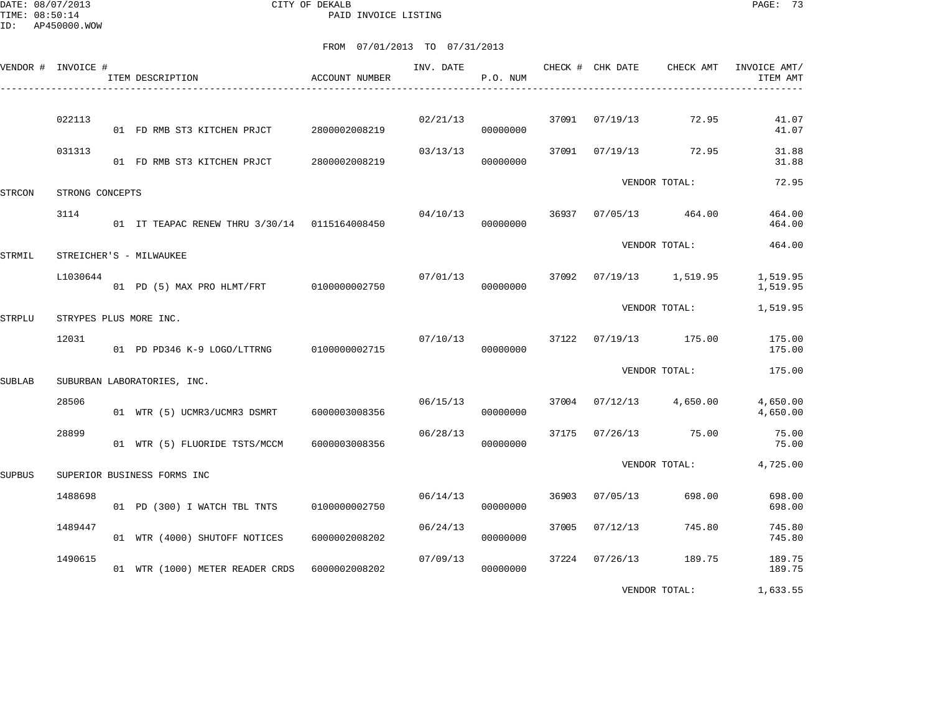DATE: 08/07/2013 CITY OF DEKALB PAGE: 73 PAID INVOICE LISTING

|        | VENDOR # INVOICE # | ITEM DESCRIPTION                              | <b>ACCOUNT NUMBER</b> | INV. DATE | P.O. NUM |       | CHECK # CHK DATE | CHECK AMT         | INVOICE AMT/<br>ITEM AMT |
|--------|--------------------|-----------------------------------------------|-----------------------|-----------|----------|-------|------------------|-------------------|--------------------------|
|        | 022113             | 01 FD RMB ST3 KITCHEN PRJCT                   | 2800002008219         | 02/21/13  | 00000000 |       | 37091 07/19/13   | 72.95             | 41.07<br>41.07           |
|        | 031313             | 01 FD RMB ST3 KITCHEN PRJCT                   | 2800002008219         | 03/13/13  | 00000000 | 37091 | 07/19/13         | 72.95             | 31.88<br>31.88           |
| STRCON | STRONG CONCEPTS    |                                               |                       |           |          |       |                  | VENDOR TOTAL:     | 72.95                    |
|        | 3114               | 01 IT TEAPAC RENEW THRU 3/30/14 0115164008450 |                       | 04/10/13  | 00000000 | 36937 |                  | 07/05/13 464.00   | 464.00<br>464.00         |
| STRMIL |                    | STREICHER'S - MILWAUKEE                       |                       |           |          |       |                  | VENDOR TOTAL:     | 464.00                   |
|        | L1030644           | 01 PD (5) MAX PRO HLMT/FRT 0100000002750      |                       | 07/01/13  | 00000000 | 37092 |                  | 07/19/13 1,519.95 | 1,519.95<br>1,519.95     |
| STRPLU |                    | STRYPES PLUS MORE INC.                        |                       |           |          |       |                  | VENDOR TOTAL:     | 1,519.95                 |
|        | 12031              | 01 PD PD346 K-9 LOGO/LTTRNG                   | 0100000002715         | 07/10/13  | 00000000 | 37122 |                  | 07/19/13 175.00   | 175.00<br>175.00         |
| SUBLAB |                    | SUBURBAN LABORATORIES, INC.                   |                       |           |          |       |                  | VENDOR TOTAL:     | 175.00                   |
|        | 28506              | 01 WTR (5) UCMR3/UCMR3 DSMRT                  | 6000003008356         | 06/15/13  | 00000000 | 37004 | 07/12/13         | 4,650.00          | 4,650.00<br>4,650.00     |
|        | 28899              | 01 WTR (5) FLUORIDE TSTS/MCCM                 | 6000003008356         | 06/28/13  | 00000000 | 37175 | 07/26/13         | 75.00             | 75.00<br>75.00           |
| SUPBUS |                    | SUPERIOR BUSINESS FORMS INC                   |                       |           |          |       |                  | VENDOR TOTAL:     | 4,725.00                 |
|        | 1488698            | 01 PD (300) I WATCH TBL TNTS                  | 0100000002750         | 06/14/13  | 00000000 | 36903 | 07/05/13         | 698.00            | 698.00<br>698.00         |
|        | 1489447            | 01 WTR (4000) SHUTOFF NOTICES                 | 6000002008202         | 06/24/13  | 00000000 | 37005 | 07/12/13         | 745.80            | 745.80<br>745.80         |
|        | 1490615            | 01 WTR (1000) METER READER CRDS               | 6000002008202         | 07/09/13  | 00000000 | 37224 | 07/26/13         | 189.75            | 189.75<br>189.75         |
|        |                    |                                               |                       |           |          |       |                  | VENDOR TOTAL:     | 1,633.55                 |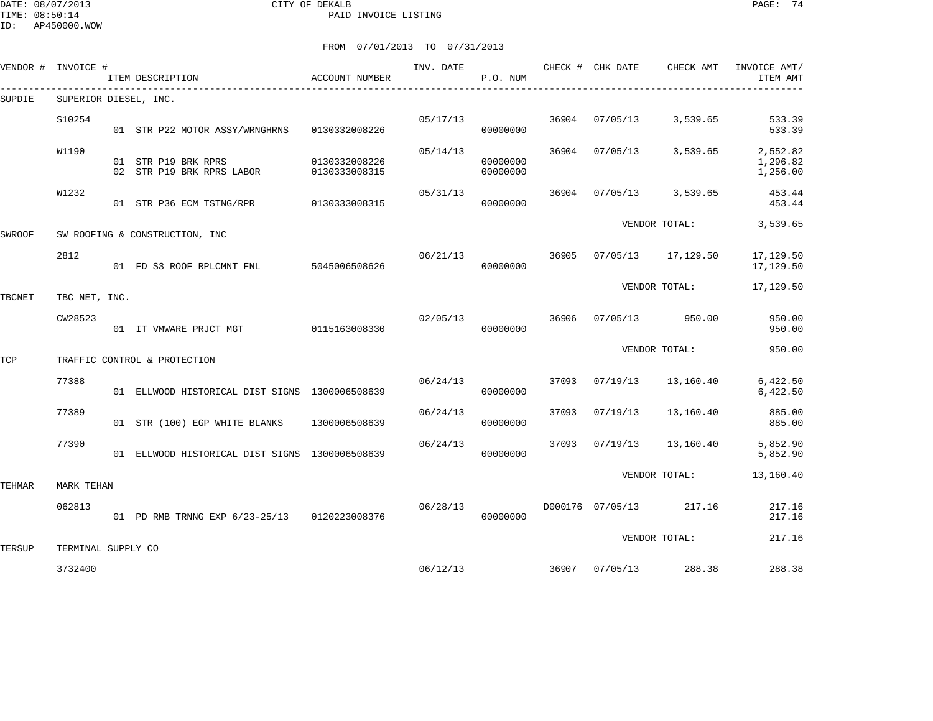DATE: 08/07/2013 CITY OF DEKALB PAGE: 74 PAID INVOICE LISTING

ID: AP450000.WOW

|         |                                  |                                                                                                                                                                                                                                                                           | INV. DATE                                                                                                                                                                                                                                                                                                        | P.O. NUM             |                                  |          |                                                                           | INVOICE AMT/<br>ITEM AMT                                                                                                                                                                                             |
|---------|----------------------------------|---------------------------------------------------------------------------------------------------------------------------------------------------------------------------------------------------------------------------------------------------------------------------|------------------------------------------------------------------------------------------------------------------------------------------------------------------------------------------------------------------------------------------------------------------------------------------------------------------|----------------------|----------------------------------|----------|---------------------------------------------------------------------------|----------------------------------------------------------------------------------------------------------------------------------------------------------------------------------------------------------------------|
|         |                                  |                                                                                                                                                                                                                                                                           |                                                                                                                                                                                                                                                                                                                  |                      |                                  |          |                                                                           |                                                                                                                                                                                                                      |
| S10254  |                                  | 0130332008226                                                                                                                                                                                                                                                             | 05/17/13                                                                                                                                                                                                                                                                                                         | 00000000             | 36904                            |          | 3,539.65                                                                  | 533.39<br>533.39                                                                                                                                                                                                     |
| W1190   |                                  | 0130332008226<br>0130333008315                                                                                                                                                                                                                                            | 05/14/13                                                                                                                                                                                                                                                                                                         | 00000000<br>00000000 | 36904                            |          |                                                                           | 2,552.82<br>1,296.82<br>1,256.00                                                                                                                                                                                     |
| W1232   |                                  |                                                                                                                                                                                                                                                                           | 05/31/13                                                                                                                                                                                                                                                                                                         | 00000000             | 36904                            |          |                                                                           | 453.44<br>453.44                                                                                                                                                                                                     |
|         |                                  |                                                                                                                                                                                                                                                                           |                                                                                                                                                                                                                                                                                                                  |                      |                                  |          |                                                                           | 3,539.65                                                                                                                                                                                                             |
| 2812    |                                  |                                                                                                                                                                                                                                                                           |                                                                                                                                                                                                                                                                                                                  | 00000000             | 36905                            |          |                                                                           | 17,129.50<br>17,129.50                                                                                                                                                                                               |
|         |                                  |                                                                                                                                                                                                                                                                           |                                                                                                                                                                                                                                                                                                                  |                      |                                  |          |                                                                           | 17,129.50                                                                                                                                                                                                            |
| CW28523 |                                  |                                                                                                                                                                                                                                                                           | 02/05/13                                                                                                                                                                                                                                                                                                         | 00000000             | 36906                            |          |                                                                           | 950.00<br>950.00                                                                                                                                                                                                     |
|         |                                  |                                                                                                                                                                                                                                                                           |                                                                                                                                                                                                                                                                                                                  |                      |                                  |          |                                                                           | 950.00                                                                                                                                                                                                               |
| 77388   |                                  |                                                                                                                                                                                                                                                                           |                                                                                                                                                                                                                                                                                                                  | 00000000             | 37093                            | 07/19/13 |                                                                           | 6,422.50<br>6,422.50                                                                                                                                                                                                 |
| 77389   |                                  |                                                                                                                                                                                                                                                                           | 06/24/13                                                                                                                                                                                                                                                                                                         | 00000000             | 37093                            |          | 13,160.40                                                                 | 885.00<br>885.00                                                                                                                                                                                                     |
| 77390   |                                  |                                                                                                                                                                                                                                                                           | 06/24/13                                                                                                                                                                                                                                                                                                         | 00000000             | 37093                            |          | 13,160.40                                                                 | 5,852.90<br>5,852.90                                                                                                                                                                                                 |
|         |                                  |                                                                                                                                                                                                                                                                           |                                                                                                                                                                                                                                                                                                                  |                      |                                  |          |                                                                           | 13,160.40                                                                                                                                                                                                            |
| 062813  |                                  |                                                                                                                                                                                                                                                                           | 06/28/13                                                                                                                                                                                                                                                                                                         | 00000000             |                                  |          | 217.16                                                                    | 217.16<br>217.16                                                                                                                                                                                                     |
|         |                                  |                                                                                                                                                                                                                                                                           |                                                                                                                                                                                                                                                                                                                  |                      |                                  |          |                                                                           | 217.16                                                                                                                                                                                                               |
| 3732400 |                                  |                                                                                                                                                                                                                                                                           |                                                                                                                                                                                                                                                                                                                  |                      |                                  |          | 288.38                                                                    | 288.38                                                                                                                                                                                                               |
|         | VENDOR # INVOICE #<br>MARK TEHAN | ITEM DESCRIPTION<br>SUPERIOR DIESEL, INC.<br>01 STR P22 MOTOR ASSY/WRNGHRNS<br>01 STR P19 BRK RPRS<br>02 STR P19 BRK RPRS LABOR<br>SW ROOFING & CONSTRUCTION, INC<br>TBC NET, INC.<br>TRAFFIC CONTROL & PROTECTION<br>01 STR (100) EGP WHITE BLANKS<br>TERMINAL SUPPLY CO | ACCOUNT NUMBER<br>01 STR P36 ECM TSTNG/RPR 0130333008315<br>01 FD S3 ROOF RPLCMNT FNL 5045006508626<br>01 IT VMWARE PRJCT MGT 0115163008330<br>01 ELLWOOD HISTORICAL DIST SIGNS 1300006508639<br>1300006508639<br>01 ELLWOOD HISTORICAL DIST SIGNS 1300006508639<br>01 PD RMB TRNNG EXP 6/23-25/13 0120223008376 |                      | 06/21/13<br>06/24/13<br>06/12/13 |          | CHECK # CHK DATE<br>07/05/13<br>07/19/13<br>07/19/13<br>36907<br>07/05/13 | CHECK AMT<br>07/05/13 3,539.65<br>$07/05/13$ 3,539.65<br>VENDOR TOTAL:<br>07/05/13 17,129.50<br>VENDOR TOTAL:<br>07/05/13 950.00<br>VENDOR TOTAL:<br>13,160.40<br>VENDOR TOTAL:<br>D000176 07/05/13<br>VENDOR TOTAL: |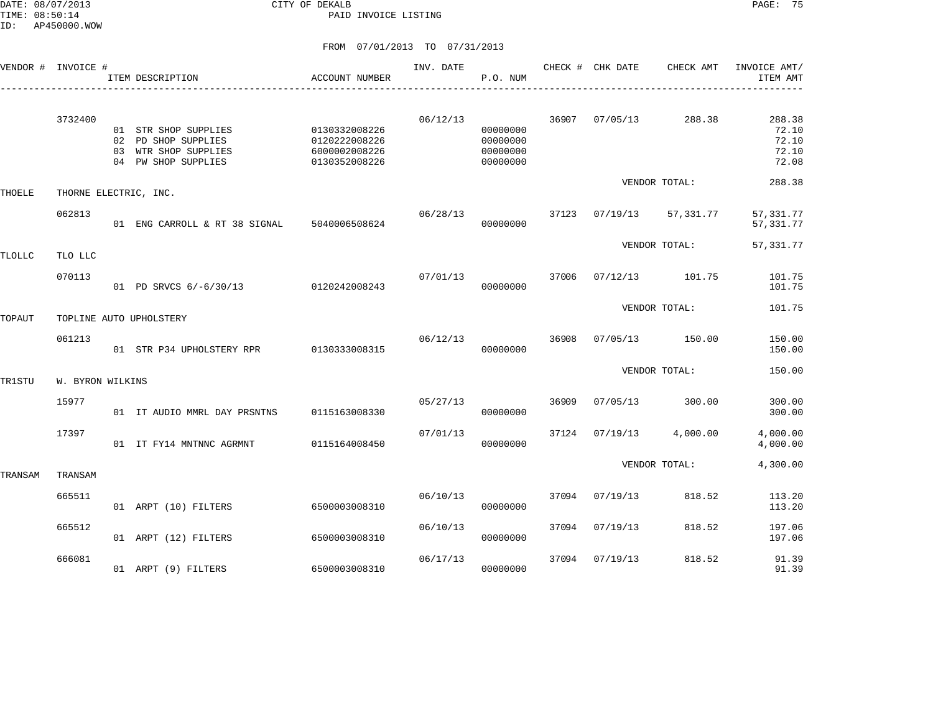|         | VENDOR # INVOICE #    | ITEM DESCRIPTION                                                                           | ACCOUNT NUMBER                                                   | INV. DATE | P.O. NUM                                     |       | CHECK # CHK DATE | CHECK AMT     | INVOICE AMT/<br>ITEM AMT                   |
|---------|-----------------------|--------------------------------------------------------------------------------------------|------------------------------------------------------------------|-----------|----------------------------------------------|-------|------------------|---------------|--------------------------------------------|
|         | 3732400               | 01 STR SHOP SUPPLIES<br>02 PD SHOP SUPPLIES<br>03 WTR SHOP SUPPLIES<br>04 PW SHOP SUPPLIES | 0130332008226<br>0120222008226<br>6000002008226<br>0130352008226 | 06/12/13  | 00000000<br>00000000<br>00000000<br>00000000 | 36907 | 07/05/13         | 288.38        | 288.38<br>72.10<br>72.10<br>72.10<br>72.08 |
| THOELE  | THORNE ELECTRIC, INC. |                                                                                            |                                                                  |           |                                              |       |                  | VENDOR TOTAL: | 288.38                                     |
|         | 062813                | 01 ENG CARROLL & RT 38 SIGNAL 5040006508624                                                |                                                                  | 06/28/13  | 00000000                                     | 37123 | 07/19/13         | 57,331.77     | 57, 331.77<br>57, 331.77                   |
| TLOLLC  | TLO LLC               |                                                                                            |                                                                  |           |                                              |       |                  | VENDOR TOTAL: | 57,331.77                                  |
|         | 070113                | 01 PD SRVCS 6/-6/30/13                                                                     | 0120242008243                                                    | 07/01/13  | 00000000                                     | 37006 | 07/12/13         | 101.75        | 101.75<br>101.75                           |
| TOPAUT  |                       | TOPLINE AUTO UPHOLSTERY                                                                    |                                                                  |           |                                              |       |                  | VENDOR TOTAL: | 101.75                                     |
|         | 061213                | 01 STR P34 UPHOLSTERY RPR                                                                  | 0130333008315                                                    | 06/12/13  | 00000000                                     | 36908 | 07/05/13         | 150.00        | 150.00<br>150.00                           |
| TR1STU  | W. BYRON WILKINS      |                                                                                            |                                                                  |           |                                              |       |                  | VENDOR TOTAL: | 150.00                                     |
|         | 15977                 | 01 IT AUDIO MMRL DAY PRSNTNS                                                               | 0115163008330                                                    | 05/27/13  | 00000000                                     | 36909 | 07/05/13         | 300.00        | 300.00<br>300.00                           |
|         | 17397                 | 01 IT FY14 MNTNNC AGRMNT                                                                   | 0115164008450                                                    | 07/01/13  | 00000000                                     | 37124 | 07/19/13         | 4,000.00      | 4,000.00<br>4,000.00                       |
| TRANSAM | TRANSAM               |                                                                                            |                                                                  |           |                                              |       |                  | VENDOR TOTAL: | 4,300.00                                   |
|         | 665511                | 01 ARPT (10) FILTERS                                                                       | 6500003008310                                                    | 06/10/13  | 00000000                                     | 37094 | 07/19/13         | 818.52        | 113.20<br>113.20                           |
|         | 665512                | 01 ARPT (12) FILTERS                                                                       | 6500003008310                                                    | 06/10/13  | 00000000                                     | 37094 | 07/19/13         | 818.52        | 197.06<br>197.06                           |
|         | 666081                | 01 ARPT (9) FILTERS                                                                        | 6500003008310                                                    | 06/17/13  | 00000000                                     | 37094 | 07/19/13         | 818.52        | 91.39<br>91.39                             |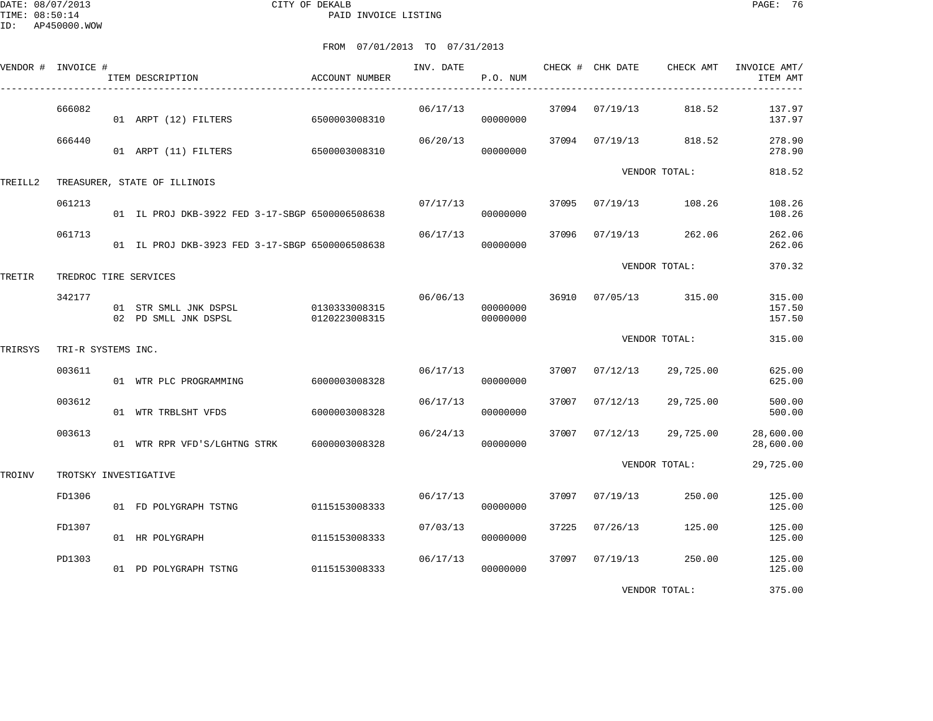DATE: 08/07/2013 CITY OF DEKALB PAGE: 76 PAID INVOICE LISTING

| VENDOR # INVOICE # |                    | ITEM DESCRIPTION                                            | ACCOUNT NUMBER | INV. DATE | P.O. NUM             |       | CHECK # CHK DATE | CHECK AMT     | INVOICE AMT/<br>ITEM AMT   |
|--------------------|--------------------|-------------------------------------------------------------|----------------|-----------|----------------------|-------|------------------|---------------|----------------------------|
|                    | 666082             | 01 ARPT (12) FILTERS                                        | 6500003008310  | 06/17/13  | 00000000             | 37094 | 07/19/13         | 818.52        | 137.97<br>137.97           |
|                    | 666440             | 01 ARPT (11) FILTERS 6500003008310                          |                | 06/20/13  | 00000000             |       | 37094 07/19/13   | 818.52        | 278.90<br>278.90           |
| TREILL2            |                    | TREASURER, STATE OF ILLINOIS                                |                |           |                      |       |                  | VENDOR TOTAL: | 818.52                     |
|                    | 061213             | 01 IL PROJ DKB-3922 FED 3-17-SBGP 6500006508638             |                | 07/17/13  | 00000000             | 37095 | 07/19/13         | 108.26        | 108.26<br>108.26           |
|                    | 061713             | 01 IL PROJ DKB-3923 FED 3-17-SBGP 6500006508638             |                | 06/17/13  | 00000000             | 37096 | 07/19/13         | 262.06        | 262.06<br>262.06           |
| TRETIR             |                    | TREDROC TIRE SERVICES                                       |                |           |                      |       |                  | VENDOR TOTAL: | 370.32                     |
|                    | 342177             | 01 STR SMLL JNK DSPSL 0130333008315<br>02 PD SMLL JNK DSPSL | 0120223008315  | 06/06/13  | 00000000<br>00000000 |       | 36910 07/05/13   | 315.00        | 315.00<br>157.50<br>157.50 |
| TRIRSYS            | TRI-R SYSTEMS INC. |                                                             |                |           |                      |       |                  | VENDOR TOTAL: | 315.00                     |
|                    | 003611             | 01 WTR PLC PROGRAMMING                                      | 6000003008328  | 06/17/13  | 00000000             | 37007 | 07/12/13         | 29,725.00     | 625.00<br>625.00           |
|                    | 003612             | 01 WTR TRBLSHT VFDS                                         | 6000003008328  | 06/17/13  | 00000000             | 37007 | 07/12/13         | 29,725.00     | 500.00<br>500.00           |
|                    | 003613             | 01 WTR RPR VFD'S/LGHTNG STRK                                | 6000003008328  | 06/24/13  | 00000000             | 37007 | 07/12/13         | 29,725.00     | 28,600.00<br>28,600.00     |
| TROINV             |                    | TROTSKY INVESTIGATIVE                                       |                |           |                      |       |                  | VENDOR TOTAL: | 29,725.00                  |
|                    | FD1306             | 01 FD POLYGRAPH TSTNG                                       | 0115153008333  | 06/17/13  | 00000000             | 37097 | 07/19/13         | 250.00        | 125.00<br>125.00           |
|                    | FD1307             | 01 HR POLYGRAPH                                             | 0115153008333  | 07/03/13  | 00000000             | 37225 | 07/26/13         | 125.00        | 125.00<br>125.00           |
|                    | PD1303             | 01 PD POLYGRAPH TSTNG                                       | 0115153008333  | 06/17/13  | 00000000             | 37097 | 07/19/13         | 250.00        | 125.00<br>125.00           |
|                    |                    |                                                             |                |           |                      |       |                  | VENDOR TOTAL: | 375.00                     |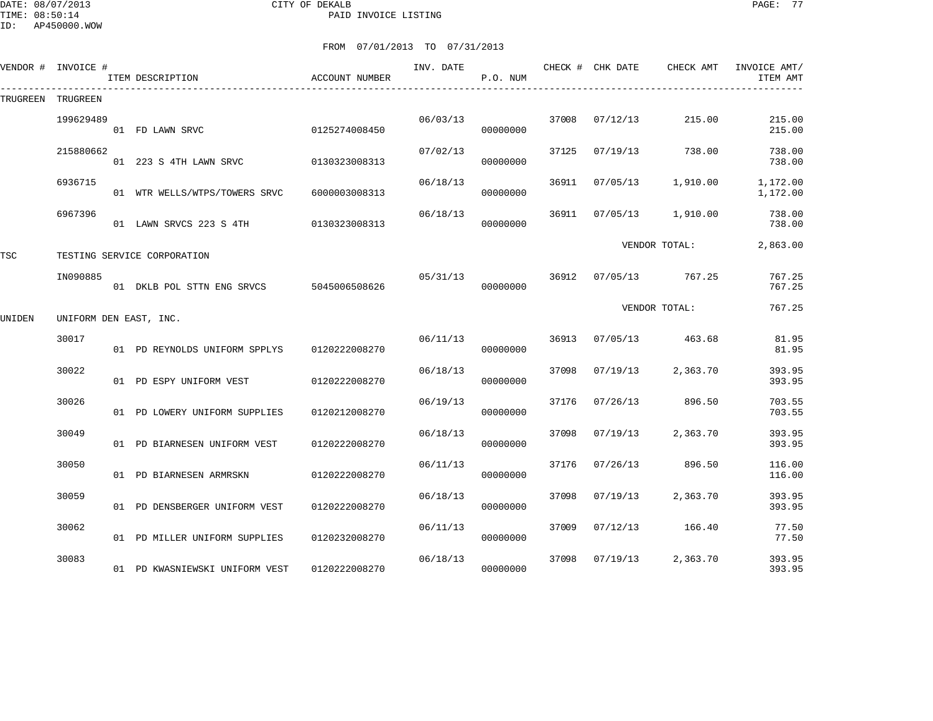DATE: 08/07/2013 CITY OF DEKALB PAGE: 77 PAID INVOICE LISTING

| VENDOR # | INVOICE #              | ITEM DESCRIPTION               | <b>ACCOUNT NUMBER</b> | INV. DATE | P.O. NUM |       | CHECK # CHK DATE | CHECK AMT     | INVOICE AMT/<br>ITEM AMT |
|----------|------------------------|--------------------------------|-----------------------|-----------|----------|-------|------------------|---------------|--------------------------|
| TRUGREEN | TRUGREEN               |                                |                       |           |          |       |                  |               |                          |
|          | 199629489              | 01 FD LAWN SRVC                | 0125274008450         | 06/03/13  | 00000000 | 37008 | 07/12/13         | 215.00        | 215.00<br>215.00         |
|          | 215880662              | 01 223 S 4TH LAWN SRVC         | 0130323008313         | 07/02/13  | 00000000 | 37125 | 07/19/13         | 738.00        | 738.00<br>738.00         |
|          | 6936715                | 01 WTR WELLS/WTPS/TOWERS SRVC  | 6000003008313         | 06/18/13  | 00000000 | 36911 | 07/05/13         | 1,910.00      | 1,172.00<br>1,172.00     |
|          | 6967396                | 01 LAWN SRVCS 223 S 4TH        | 0130323008313         | 06/18/13  | 00000000 | 36911 | 07/05/13         | 1,910.00      | 738.00<br>738.00         |
| TSC      |                        | TESTING SERVICE CORPORATION    |                       |           |          |       |                  | VENDOR TOTAL: | 2,863.00                 |
|          | IN090885               | 01 DKLB POL STTN ENG SRVCS     | 5045006508626         | 05/31/13  | 00000000 | 36912 | 07/05/13         | 767.25        | 767.25<br>767.25         |
| UNIDEN   | UNIFORM DEN EAST, INC. |                                |                       |           |          |       |                  | VENDOR TOTAL: | 767.25                   |
|          | 30017                  | 01 PD REYNOLDS UNIFORM SPPLYS  | 0120222008270         | 06/11/13  | 00000000 | 36913 | 07/05/13         | 463.68        | 81.95<br>81.95           |
|          | 30022                  | 01 PD ESPY UNIFORM VEST        | 0120222008270         | 06/18/13  | 00000000 | 37098 | 07/19/13         | 2,363.70      | 393.95<br>393.95         |
|          | 30026                  | 01 PD LOWERY UNIFORM SUPPLIES  | 0120212008270         | 06/19/13  | 00000000 | 37176 | 07/26/13         | 896.50        | 703.55<br>703.55         |
|          | 30049                  | 01 PD BIARNESEN UNIFORM VEST   | 0120222008270         | 06/18/13  | 00000000 | 37098 | 07/19/13         | 2,363.70      | 393.95<br>393.95         |
|          | 30050                  | 01 PD BIARNESEN ARMRSKN        | 0120222008270         | 06/11/13  | 00000000 | 37176 | 07/26/13         | 896.50        | 116.00<br>116.00         |
|          | 30059                  | 01 PD DENSBERGER UNIFORM VEST  | 0120222008270         | 06/18/13  | 00000000 | 37098 | 07/19/13         | 2,363.70      | 393.95<br>393.95         |
|          | 30062                  | 01 PD MILLER UNIFORM SUPPLIES  | 0120232008270         | 06/11/13  | 00000000 | 37009 | 07/12/13         | 166.40        | 77.50<br>77.50           |
|          | 30083                  | 01 PD KWASNIEWSKI UNIFORM VEST | 0120222008270         | 06/18/13  | 00000000 | 37098 | 07/19/13         | 2,363.70      | 393.95<br>393.95         |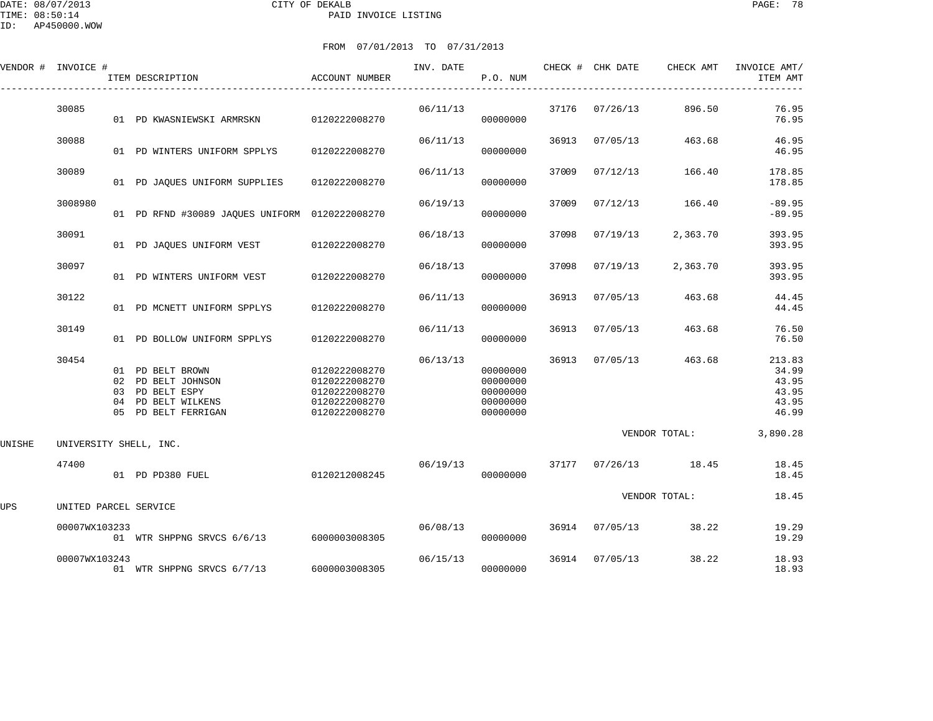| י ש⊾     | AP450000.WOW |                  |                               |           |          |                  |           |                          |
|----------|--------------|------------------|-------------------------------|-----------|----------|------------------|-----------|--------------------------|
|          |              |                  | FROM 07/01/2013 TO 07/31/2013 |           |          |                  |           |                          |
| VENDOR # | INVOICE #    | ITEM DESCRIPTION | ACCOUNT NUMBER                | INV. DATE | P.O. NUM | CHECK # CHK DATE | CHECK AMT | INVOICE AMT/<br>ITEM AMT |
|          |              |                  |                               |           |          |                  |           |                          |

|        | 30085                  |                                        | 01 PD KWASNIEWSKI ARMRSKN                                                               | 0120222008270                                                                     | 06/11/13 | 00000000                                                 | 37176 | 07/26/13 | 896.50        | 76.95<br>76.95                                      |
|--------|------------------------|----------------------------------------|-----------------------------------------------------------------------------------------|-----------------------------------------------------------------------------------|----------|----------------------------------------------------------|-------|----------|---------------|-----------------------------------------------------|
|        | 30088                  |                                        | 01 PD WINTERS UNIFORM SPPLYS                                                            | 0120222008270                                                                     | 06/11/13 | 00000000                                                 | 36913 | 07/05/13 | 463.68        | 46.95<br>46.95                                      |
|        | 30089                  |                                        | 01 PD JAQUES UNIFORM SUPPLIES                                                           | 0120222008270                                                                     | 06/11/13 | 00000000                                                 | 37009 | 07/12/13 | 166.40        | 178.85<br>178.85                                    |
|        | 3008980                |                                        | 01 PD RFND #30089 JAQUES UNIFORM 0120222008270                                          |                                                                                   | 06/19/13 | 00000000                                                 | 37009 | 07/12/13 | 166.40        | $-89.95$<br>$-89.95$                                |
|        | 30091                  |                                        | 01 PD JAQUES UNIFORM VEST                                                               | 0120222008270                                                                     | 06/18/13 | 00000000                                                 | 37098 | 07/19/13 | 2,363.70      | 393.95<br>393.95                                    |
|        | 30097                  |                                        | 01 PD WINTERS UNIFORM VEST                                                              | 0120222008270                                                                     | 06/18/13 | 00000000                                                 | 37098 | 07/19/13 | 2,363.70      | 393.95<br>393.95                                    |
|        | 30122                  |                                        | 01 PD MCNETT UNIFORM SPPLYS                                                             | 0120222008270                                                                     | 06/11/13 | 00000000                                                 | 36913 | 07/05/13 | 463.68        | 44.45<br>44.45                                      |
|        | 30149                  |                                        | 01 PD BOLLOW UNIFORM SPPLYS                                                             | 0120222008270                                                                     | 06/11/13 | 00000000                                                 | 36913 | 07/05/13 | 463.68        | 76.50<br>76.50                                      |
|        | 30454                  | 01<br>02<br>03<br>04<br>0 <sub>5</sub> | PD BELT BROWN<br>PD BELT JOHNSON<br>PD BELT ESPY<br>PD BELT WILKENS<br>PD BELT FERRIGAN | 0120222008270<br>0120222008270<br>0120222008270<br>0120222008270<br>0120222008270 | 06/13/13 | 00000000<br>00000000<br>00000000<br>00000000<br>00000000 | 36913 | 07/05/13 | 463.68        | 213.83<br>34.99<br>43.95<br>43.95<br>43.95<br>46.99 |
| UNISHE | UNIVERSITY SHELL, INC. |                                        |                                                                                         |                                                                                   |          |                                                          |       |          | VENDOR TOTAL: | 3,890.28                                            |
|        | 47400                  |                                        | 01 PD PD380 FUEL                                                                        | 0120212008245                                                                     | 06/19/13 | 00000000                                                 | 37177 | 07/26/13 | 18.45         | 18.45<br>18.45                                      |
| UPS    | UNITED PARCEL SERVICE  |                                        |                                                                                         |                                                                                   |          |                                                          |       |          | VENDOR TOTAL: | 18.45                                               |
|        | 00007WX103233          |                                        | 01 WTR SHPPNG SRVCS 6/6/13                                                              | 6000003008305                                                                     | 06/08/13 | 00000000                                                 | 36914 | 07/05/13 | 38.22         | 19.29<br>19.29                                      |
|        | 00007WX103243          |                                        | 01 WTR SHPPNG SRVCS 6/7/13                                                              | 6000003008305                                                                     | 06/15/13 | 00000000                                                 | 36914 | 07/05/13 | 38.22         | 18.93<br>18.93                                      |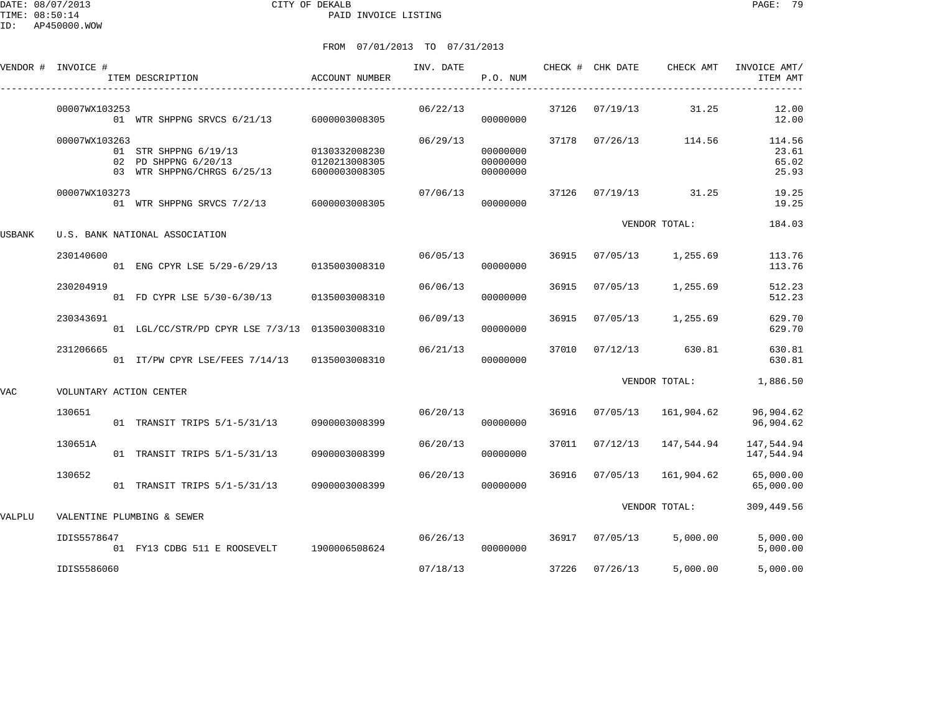DATE: 08/07/2013 CITY OF DEKALB PAGE: 79 PAID INVOICE LISTING

|        | VENDOR # INVOICE #      | ITEM DESCRIPTION                                                             | ACCOUNT NUMBER                                  | INV. DATE | P.O. NUM                         |       | CHECK # CHK DATE | CHECK AMT      | INVOICE AMT/<br>ITEM AMT          |
|--------|-------------------------|------------------------------------------------------------------------------|-------------------------------------------------|-----------|----------------------------------|-------|------------------|----------------|-----------------------------------|
|        | 00007WX103253           | 01 WTR SHPPNG SRVCS 6/21/13                                                  | 6000003008305                                   | 06/22/13  | 00000000                         | 37126 | 07/19/13         | 31.25          | 12.00<br>12.00                    |
|        | 00007WX103263           | 01 STR SHPPNG 6/19/13<br>02 PD SHPPNG 6/20/13<br>03 WTR SHPPNG/CHRGS 6/25/13 | 0130332008230<br>0120213008305<br>6000003008305 | 06/29/13  | 00000000<br>00000000<br>00000000 | 37178 | 07/26/13         | 114.56         | 114.56<br>23.61<br>65.02<br>25.93 |
|        | 00007WX103273           | 01 WTR SHPPNG SRVCS 7/2/13                                                   | 6000003008305                                   | 07/06/13  | 00000000                         | 37126 |                  | 07/19/13 31.25 | 19.25<br>19.25                    |
| USBANK |                         | U.S. BANK NATIONAL ASSOCIATION                                               |                                                 |           |                                  |       |                  | VENDOR TOTAL:  | 184.03                            |
|        | 230140600               | 01 ENG CPYR LSE 5/29-6/29/13 0135003008310                                   |                                                 | 06/05/13  | 00000000                         | 36915 | 07/05/13         | 1,255.69       | 113.76<br>113.76                  |
|        | 230204919               | 01 FD CYPR LSE 5/30-6/30/13                                                  | 0135003008310                                   | 06/06/13  | 00000000                         | 36915 | 07/05/13         | 1,255.69       | 512.23<br>512.23                  |
|        | 230343691               | 01 LGL/CC/STR/PD CPYR LSE 7/3/13 0135003008310                               |                                                 | 06/09/13  | 00000000                         | 36915 | 07/05/13         | 1,255.69       | 629.70<br>629.70                  |
|        | 231206665               | 01 IT/PW CPYR LSE/FEES 7/14/13 0135003008310                                 |                                                 | 06/21/13  | 00000000                         | 37010 | 07/12/13         | 630.81         | 630.81<br>630.81                  |
| VAC    | VOLUNTARY ACTION CENTER |                                                                              |                                                 |           |                                  |       |                  | VENDOR TOTAL:  | 1,886.50                          |
|        | 130651                  | 01 TRANSIT TRIPS 5/1-5/31/13                                                 | 0900003008399                                   | 06/20/13  | 00000000                         | 36916 | 07/05/13         | 161,904.62     | 96,904.62<br>96,904.62            |
|        | 130651A                 | 01 TRANSIT TRIPS 5/1-5/31/13                                                 | 0900003008399                                   | 06/20/13  | 00000000                         | 37011 | 07/12/13         | 147,544.94     | 147,544.94<br>147,544.94          |
|        | 130652                  | 01 TRANSIT TRIPS 5/1-5/31/13                                                 | 0900003008399                                   | 06/20/13  | 00000000                         | 36916 | 07/05/13         | 161,904.62     | 65,000.00<br>65,000.00            |
| VALPLU |                         | VALENTINE PLUMBING & SEWER                                                   |                                                 |           |                                  |       |                  | VENDOR TOTAL:  | 309,449.56                        |
|        | IDIS5578647             | 01 FY13 CDBG 511 E ROOSEVELT                                                 | 1900006508624                                   | 06/26/13  | 00000000                         |       | 36917 07/05/13   | 5,000.00       | 5,000.00<br>5,000.00              |
|        | IDIS5586060             |                                                                              |                                                 | 07/18/13  |                                  | 37226 | 07/26/13         | 5,000.00       | 5,000.00                          |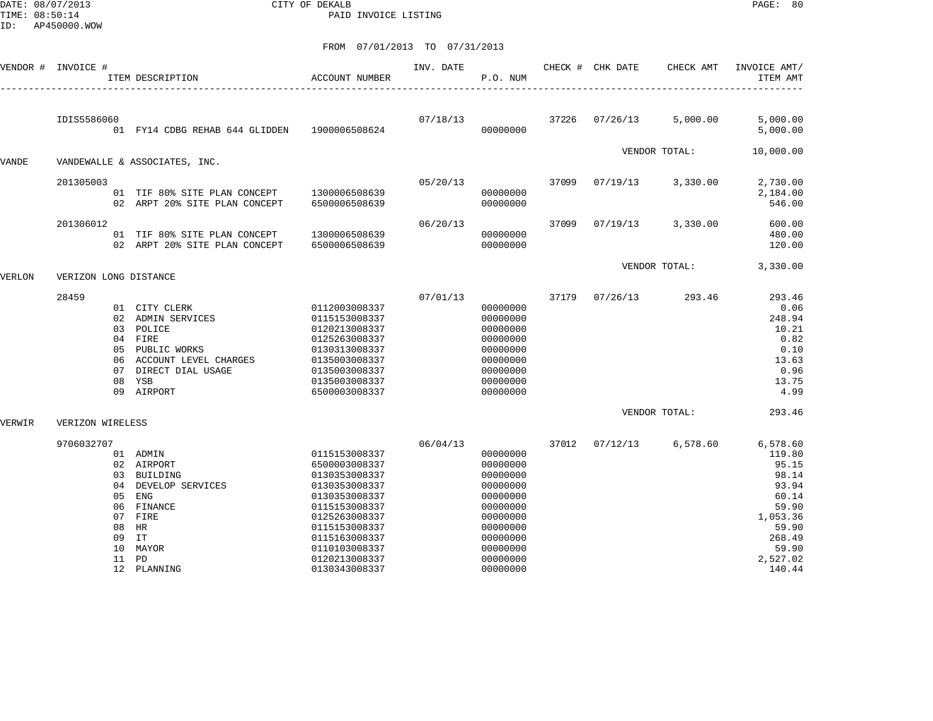DATE: 08/07/2013 CITY OF DEKALB PAGE: 80 PAID INVOICE LISTING

| VENDOR # | INVOICE #                                                          | ITEM DESCRIPTION                                                                                                                              | <b>ACCOUNT NUMBER</b>                                                                                                                                                                                    | INV. DATE | P.O. NUM                                                                                                                                     |       | CHECK # CHK DATE | CHECK AMT     | INVOICE AMT/<br>ITEM AMT                                                                                                      |
|----------|--------------------------------------------------------------------|-----------------------------------------------------------------------------------------------------------------------------------------------|----------------------------------------------------------------------------------------------------------------------------------------------------------------------------------------------------------|-----------|----------------------------------------------------------------------------------------------------------------------------------------------|-------|------------------|---------------|-------------------------------------------------------------------------------------------------------------------------------|
|          | IDIS5586060                                                        | 01 FY14 CDBG REHAB 644 GLIDDEN                                                                                                                | 1900006508624                                                                                                                                                                                            | 07/18/13  | 00000000                                                                                                                                     | 37226 | 07/26/13         | 5,000.00      | 5,000.00<br>5,000.00                                                                                                          |
| VANDE    |                                                                    | VANDEWALLE & ASSOCIATES, INC.                                                                                                                 |                                                                                                                                                                                                          |           |                                                                                                                                              |       |                  | VENDOR TOTAL: | 10,000.00                                                                                                                     |
|          |                                                                    |                                                                                                                                               |                                                                                                                                                                                                          |           |                                                                                                                                              |       |                  |               |                                                                                                                               |
|          | 201305003                                                          | 01 TIF 80% SITE PLAN CONCEPT<br>02 ARPT 20% SITE PLAN CONCEPT                                                                                 | 1300006508639<br>6500006508639                                                                                                                                                                           | 05/20/13  | 00000000<br>00000000                                                                                                                         | 37099 | 07/19/13         | 3,330.00      | 2,730.00<br>2,184.00<br>546.00                                                                                                |
|          | 201306012                                                          | 01 TIF 80% SITE PLAN CONCEPT<br>02 ARPT 20% SITE PLAN CONCEPT                                                                                 | 1300006508639<br>6500006508639                                                                                                                                                                           | 06/20/13  | 00000000<br>00000000                                                                                                                         | 37099 | 07/19/13         | 3,330.00      | 600.00<br>480.00<br>120.00                                                                                                    |
| VERLON   | VERIZON LONG DISTANCE                                              |                                                                                                                                               |                                                                                                                                                                                                          |           |                                                                                                                                              |       |                  | VENDOR TOTAL: | 3,330.00                                                                                                                      |
|          | 28459<br>03<br>06<br>07<br>08                                      | 01 CITY CLERK<br>02 ADMIN SERVICES<br>POLICE<br>04 FIRE<br>05 PUBLIC WORKS<br>ACCOUNT LEVEL CHARGES<br>DIRECT DIAL USAGE<br>YSB<br>09 AIRPORT | 0112003008337<br>0115153008337<br>0120213008337<br>0125263008337<br>0130313008337<br>0135003008337<br>0135003008337<br>0135003008337<br>6500003008337                                                    | 07/01/13  | 00000000<br>00000000<br>00000000<br>00000000<br>00000000<br>00000000<br>00000000<br>00000000<br>00000000                                     | 37179 | 07/26/13         | 293.46        | 293.46<br>0.06<br>248.94<br>10.21<br>0.82<br>0.10<br>13.63<br>0.96<br>13.75<br>4.99                                           |
| VERWIR   | VERIZON WIRELESS                                                   |                                                                                                                                               |                                                                                                                                                                                                          |           |                                                                                                                                              |       |                  | VENDOR TOTAL: | 293.46                                                                                                                        |
|          | 9706032707<br>0.3<br>04<br>0.5<br>06<br>07<br>08<br>09<br>10<br>11 | 01 ADMIN<br>02 AIRPORT<br>BUILDING<br>DEVELOP SERVICES<br>ENG<br>FINANCE<br>FIRE<br>HR<br>IT<br>MAYOR<br>PD<br>12 PLANNING                    | 0115153008337<br>6500003008337<br>0130353008337<br>0130353008337<br>0130353008337<br>0115153008337<br>0125263008337<br>0115153008337<br>0115163008337<br>0110103008337<br>0120213008337<br>0130343008337 | 06/04/13  | 00000000<br>00000000<br>00000000<br>00000000<br>00000000<br>00000000<br>00000000<br>00000000<br>00000000<br>00000000<br>00000000<br>00000000 | 37012 | 07/12/13         | 6,578.60      | 6,578.60<br>119.80<br>95.15<br>98.14<br>93.94<br>60.14<br>59.90<br>1,053.36<br>59.90<br>268.49<br>59.90<br>2,527.02<br>140.44 |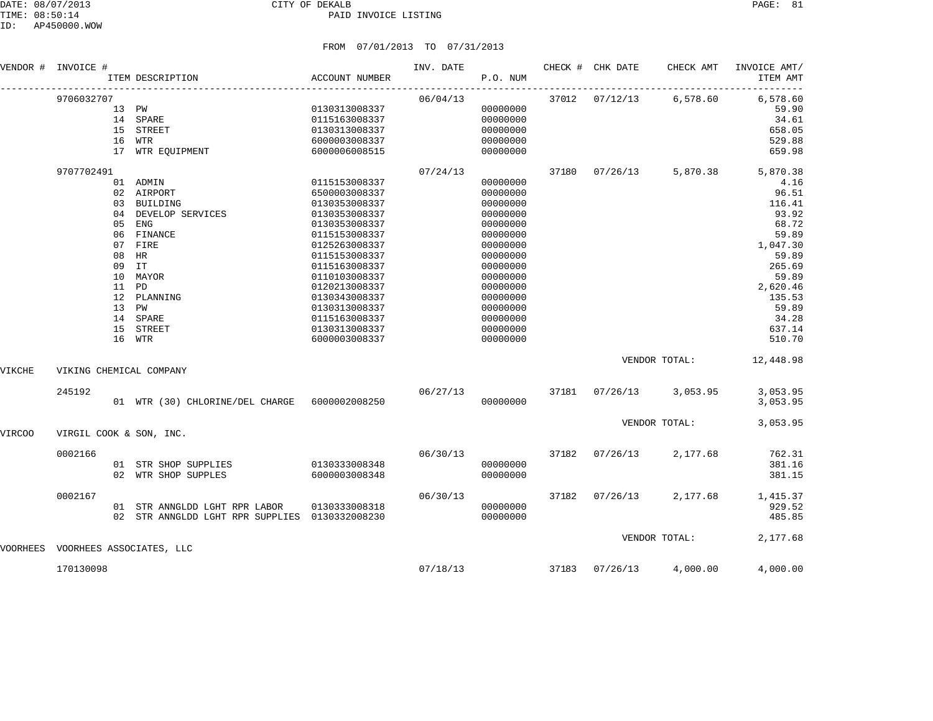| VENDOR #      | INVOICE #                         | ITEM DESCRIPTION                                                                                                                                                                            | <b>ACCOUNT NUMBER</b>                                                                                                                                                                                                                                                        | INV. DATE | P.O. NUM                                                                                                                                                                                     |       | CHECK # CHK DATE | CHECK AMT     | INVOICE AMT/<br>ITEM AMT                                                                                                                                           |
|---------------|-----------------------------------|---------------------------------------------------------------------------------------------------------------------------------------------------------------------------------------------|------------------------------------------------------------------------------------------------------------------------------------------------------------------------------------------------------------------------------------------------------------------------------|-----------|----------------------------------------------------------------------------------------------------------------------------------------------------------------------------------------------|-------|------------------|---------------|--------------------------------------------------------------------------------------------------------------------------------------------------------------------|
|               | 9706032707                        | 13 PW<br>14 SPARE<br>15 STREET<br>16 WTR<br>17 WTR EQUIPMENT                                                                                                                                | 0130313008337<br>0115163008337<br>0130313008337<br>6000003008337<br>6000006008515                                                                                                                                                                                            | 06/04/13  | 00000000<br>00000000<br>00000000<br>00000000<br>00000000                                                                                                                                     |       | 37012 07/12/13   | 6,578.60      | 6,578.60<br>59.90<br>34.61<br>658.05<br>529.88<br>659.98                                                                                                           |
|               | 9707702491<br>10<br>15            | 01 ADMIN<br>02 AIRPORT<br>03 BUILDING<br>04 DEVELOP SERVICES<br>05 ENG<br>06 FINANCE<br>07 FIRE<br>08 HR<br>09 IT<br>MAYOR<br>11 PD<br>12 PLANNING<br>13 PW<br>14 SPARE<br>STREET<br>16 WTR | 0115153008337<br>6500003008337<br>0130353008337<br>0130353008337<br>0130353008337<br>0115153008337<br>0125263008337<br>0115153008337<br>0115163008337<br>0110103008337<br>0120213008337<br>0130343008337<br>0130313008337<br>0115163008337<br>0130313008337<br>6000003008337 | 07/24/13  | 00000000<br>00000000<br>00000000<br>00000000<br>00000000<br>00000000<br>00000000<br>00000000<br>00000000<br>00000000<br>00000000<br>00000000<br>00000000<br>00000000<br>00000000<br>00000000 | 37180 | 07/26/13         | 5,870.38      | 5,870.38<br>4.16<br>96.51<br>116.41<br>93.92<br>68.72<br>59.89<br>1,047.30<br>59.89<br>265.69<br>59.89<br>2,620.46<br>135.53<br>59.89<br>34.28<br>637.14<br>510.70 |
| VIKCHE        | VIKING CHEMICAL COMPANY           |                                                                                                                                                                                             |                                                                                                                                                                                                                                                                              |           |                                                                                                                                                                                              |       |                  | VENDOR TOTAL: | 12,448.98                                                                                                                                                          |
|               | 245192                            | 01 WTR (30) CHLORINE/DEL CHARGE 6000002008250                                                                                                                                               |                                                                                                                                                                                                                                                                              | 06/27/13  | 00000000                                                                                                                                                                                     | 37181 | 07/26/13         | 3,053.95      | 3,053.95<br>3,053.95                                                                                                                                               |
| <b>VIRCOO</b> | VIRGIL COOK & SON, INC.           |                                                                                                                                                                                             |                                                                                                                                                                                                                                                                              |           |                                                                                                                                                                                              |       |                  | VENDOR TOTAL: | 3,053.95                                                                                                                                                           |
|               | 0002166                           | 01 STR SHOP SUPPLIES<br>02 WTR SHOP SUPPLES                                                                                                                                                 | 0130333008348<br>6000003008348                                                                                                                                                                                                                                               | 06/30/13  | 00000000<br>00000000                                                                                                                                                                         | 37182 | 07/26/13         | 2,177.68      | 762.31<br>381.16<br>381.15                                                                                                                                         |
|               | 0002167                           | 01 STR ANNGLDD LGHT RPR LABOR<br>02 STR ANNGLDD LGHT RPR SUPPLIES 0130332008230                                                                                                             | 0130333008318                                                                                                                                                                                                                                                                | 06/30/13  | 00000000<br>00000000                                                                                                                                                                         | 37182 | 07/26/13         | 2,177.68      | 1,415.37<br>929.52<br>485.85                                                                                                                                       |
|               | VOORHEES VOORHEES ASSOCIATES, LLC |                                                                                                                                                                                             |                                                                                                                                                                                                                                                                              |           |                                                                                                                                                                                              |       |                  | VENDOR TOTAL: | 2,177.68                                                                                                                                                           |
|               | 170130098                         |                                                                                                                                                                                             |                                                                                                                                                                                                                                                                              | 07/18/13  |                                                                                                                                                                                              | 37183 | 07/26/13         | 4,000.00      | 4,000.00                                                                                                                                                           |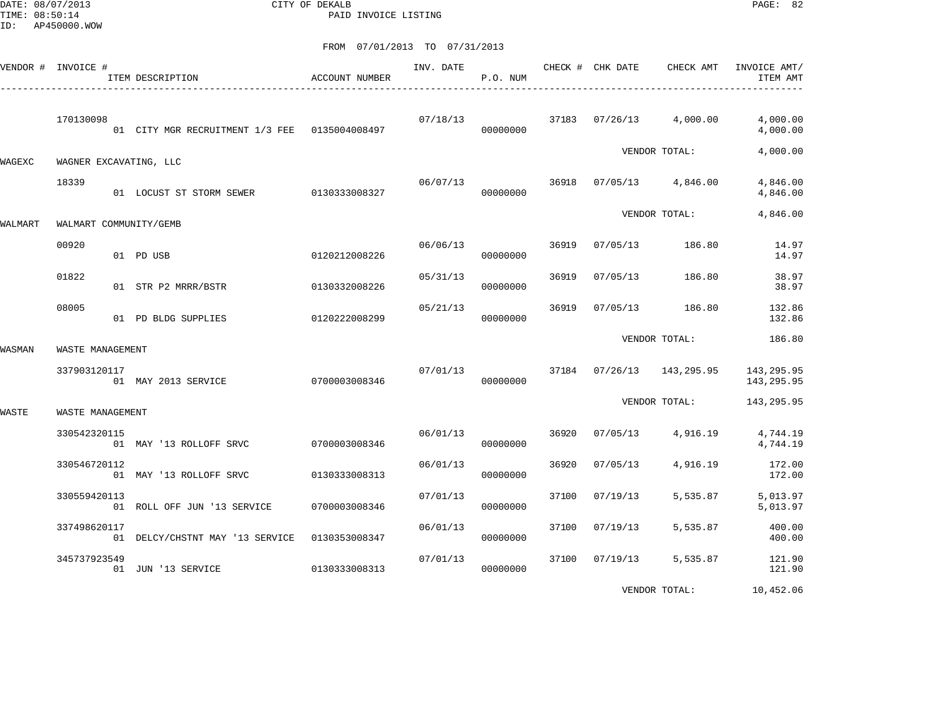DATE: 08/07/2013 CITY OF DEKALB PAGE: 82 PAID INVOICE LISTING

|         | VENDOR # INVOICE # | ITEM DESCRIPTION                               | <b>ACCOUNT NUMBER</b> | INV. DATE | P.O. NUM |       | CHECK # CHK DATE | CHECK AMT     | INVOICE AMT/<br>ITEM AMT  |
|---------|--------------------|------------------------------------------------|-----------------------|-----------|----------|-------|------------------|---------------|---------------------------|
|         | 170130098          | 01 CITY MGR RECRUITMENT 1/3 FEE  0135004008497 |                       | 07/18/13  | 00000000 | 37183 | 07/26/13         | 4,000.00      | 4,000.00<br>4,000.00      |
| WAGEXC  |                    | WAGNER EXCAVATING, LLC                         |                       |           |          |       |                  | VENDOR TOTAL: | 4,000.00                  |
|         | 18339              | 01 LOCUST ST STORM SEWER 0130333008327         |                       | 06/07/13  | 00000000 | 36918 | 07/05/13         | 4,846.00      | 4,846.00<br>4,846.00      |
| WALMART |                    | WALMART COMMUNITY/GEMB                         |                       |           |          |       |                  | VENDOR TOTAL: | 4,846.00                  |
|         | 00920              | 01 PD USB                                      | 0120212008226         | 06/06/13  | 00000000 | 36919 | 07/05/13         | 186.80        | 14.97<br>14.97            |
|         | 01822              | 01 STR P2 MRRR/BSTR                            | 0130332008226         | 05/31/13  | 00000000 | 36919 | 07/05/13         | 186.80        | 38.97<br>38.97            |
|         | 08005              | 01 PD BLDG SUPPLIES                            | 0120222008299         | 05/21/13  | 00000000 | 36919 | 07/05/13         | 186.80        | 132.86<br>132.86          |
| WASMAN  | WASTE MANAGEMENT   |                                                |                       |           |          |       |                  | VENDOR TOTAL: | 186.80                    |
|         | 337903120117       | 01 MAY 2013 SERVICE                            | 0700003008346         | 07/01/13  | 00000000 | 37184 | 07/26/13         | 143,295.95    | 143, 295.95<br>143,295.95 |
| WASTE   | WASTE MANAGEMENT   |                                                |                       |           |          |       |                  | VENDOR TOTAL: | 143,295.95                |
|         | 330542320115       | 01 MAY '13 ROLLOFF SRVC                        | 0700003008346         | 06/01/13  | 00000000 | 36920 | 07/05/13         | 4,916.19      | 4,744.19<br>4,744.19      |
|         | 330546720112       | 01 MAY '13 ROLLOFF SRVC                        | 0130333008313         | 06/01/13  | 00000000 | 36920 | 07/05/13         | 4,916.19      | 172.00<br>172.00          |
|         | 330559420113       | 01 ROLL OFF JUN '13 SERVICE                    | 0700003008346         | 07/01/13  | 00000000 | 37100 | 07/19/13         | 5,535.87      | 5,013.97<br>5,013.97      |
|         | 337498620117       | 01 DELCY/CHSTNT MAY '13 SERVICE                | 0130353008347         | 06/01/13  | 00000000 | 37100 | 07/19/13         | 5,535.87      | 400.00<br>400.00          |
|         | 345737923549       | 01 JUN '13 SERVICE                             | 0130333008313         | 07/01/13  | 00000000 | 37100 | 07/19/13         | 5,535.87      | 121.90<br>121.90          |
|         |                    |                                                |                       |           |          |       |                  | VENDOR TOTAL: | 10,452.06                 |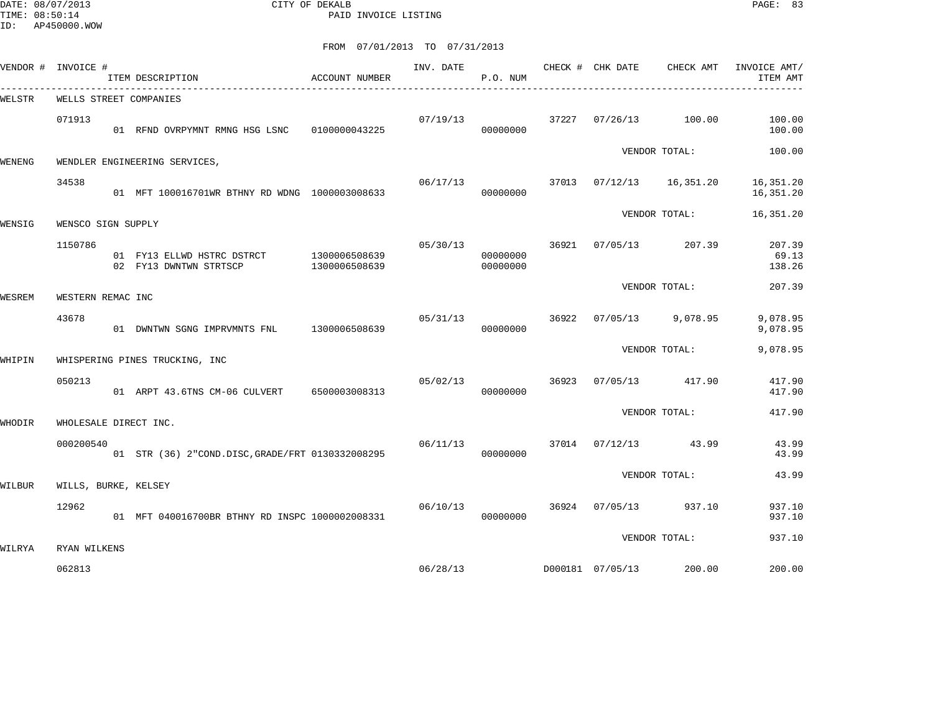DATE: 08/07/2013 CITY OF DEKALB PAGE: 83 PAID INVOICE LISTING

| VENDOR # INVOICE # |                      | ITEM DESCRIPTION                                                   | ACCOUNT NUMBER | INV. DATE | P.O. NUM             |       | CHECK # CHK DATE | CHECK AMT            | INVOICE AMT/<br>ITEM AMT  |
|--------------------|----------------------|--------------------------------------------------------------------|----------------|-----------|----------------------|-------|------------------|----------------------|---------------------------|
| WELSTR             |                      | WELLS STREET COMPANIES                                             |                |           |                      |       |                  |                      |                           |
|                    | 071913               | 01 RFND OVRPYMNT RMNG HSG LSNC 0100000043225                       |                | 07/19/13  | 00000000             | 37227 | 07/26/13         | 100.00               | 100.00<br>100.00          |
| WENENG             |                      | WENDLER ENGINEERING SERVICES,                                      |                |           |                      |       |                  | VENDOR TOTAL:        | 100.00                    |
|                    | 34538                | 01 MFT 100016701WR BTHNY RD WDNG 1000003008633                     |                | 06/17/13  | 00000000             | 37013 |                  | 07/12/13   16,351.20 | 16,351.20<br>16,351.20    |
| WENSIG             | WENSCO SIGN SUPPLY   |                                                                    |                |           |                      |       |                  | VENDOR TOTAL:        | 16,351.20                 |
|                    | 1150786              | 01 FY13 ELLWD HSTRC DSTRCT 1300006508639<br>02 FY13 DWNTWN STRTSCP | 1300006508639  | 05/30/13  | 00000000<br>00000000 | 36921 | 07/05/13         | 207.39               | 207.39<br>69.13<br>138.26 |
| WESREM             | WESTERN REMAC INC    |                                                                    |                |           |                      |       |                  | VENDOR TOTAL:        | 207.39                    |
|                    | 43678                | 01 DWNTWN SGNG IMPRVMNTS FNL 1300006508639                         |                | 05/31/13  | 00000000             | 36922 |                  | $07/05/13$ 9,078.95  | 9,078.95<br>9,078.95      |
| WHIPIN             |                      | WHISPERING PINES TRUCKING, INC                                     |                |           |                      |       |                  | VENDOR TOTAL:        | 9,078.95                  |
|                    | 050213               | 01 ARPT 43.6TNS CM-06 CULVERT                                      | 6500003008313  | 05/02/13  | 00000000             | 36923 | 07/05/13         | 417.90               | 417.90<br>417.90          |
| WHODIR             |                      | WHOLESALE DIRECT INC.                                              |                |           |                      |       |                  | VENDOR TOTAL:        | 417.90                    |
|                    | 000200540            | 01 STR (36) 2"COND.DISC, GRADE/FRT 0130332008295                   |                | 06/11/13  | 00000000             |       |                  | 37014 07/12/13 43.99 | 43.99<br>43.99            |
| WILBUR             | WILLS, BURKE, KELSEY |                                                                    |                |           |                      |       |                  | VENDOR TOTAL:        | 43.99                     |
|                    | 12962                | 01 MFT 040016700BR BTHNY RD INSPC 1000002008331                    |                | 06/10/13  | 00000000             | 36924 | 07/05/13         | 937.10               | 937.10<br>937.10          |
| WILRYA             | RYAN WILKENS         |                                                                    |                |           |                      |       |                  | VENDOR TOTAL:        | 937.10                    |
|                    | 062813               |                                                                    |                | 06/28/13  |                      |       | D000181 07/05/13 | 200.00               | 200.00                    |